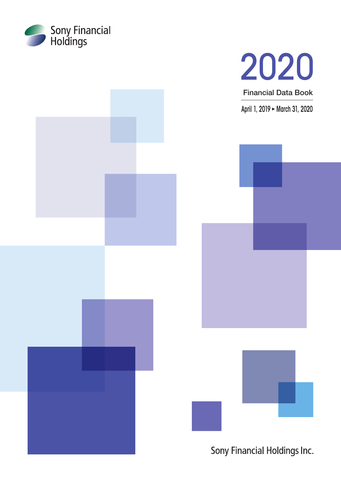





Sony Financial Holdings Inc.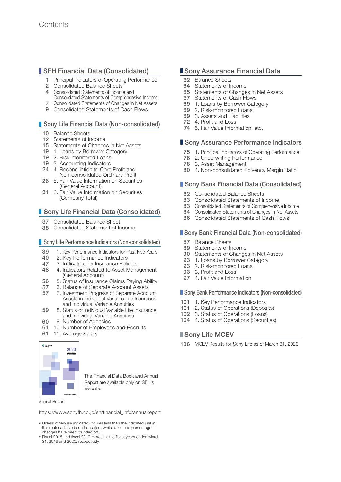### **SFH Financial Data (Consolidated)**

- Principal Indicators of Operating Performance
- 2 Consolidated Balance Sheets
- 4 Consolidated Statements of Income and
- Consolidated Statements of Comprehensive Income
- 7 Consolidated Statements of Changes in Net Assets
- 9 Consolidated Statements of Cash Flows

### Sony Life Financial Data (Non-consolidated)

- 10 Balance Sheets
- 12 Statements of Income
- 15 Statements of Changes in Net Assets
- 19 1. Loans by Borrower Category
- 19 2. Risk-monitored Loans
- 19 3. Accounting Indicators
- 24 4. Reconciliation to Core Profit and Non-consolidated Ordinary Profit
- 26 5. Fair Value Information on Securities (General Account)
- 31 6. Fair Value Information on Securities (Company Total)

### **Sony Life Financial Data (Consolidated)**

- 37 Consolidated Balance Sheet
- 38 Consolidated Statement of Income

#### ■ Sony Life Performance Indicators (Non-consolidated)

- 39 1. Key Performance Indicators for Past Five Years<br>40 2. Key Performance Indicators
- 2. Key Performance Indicators
- 47 3. Indicators for Insurance Policies
- 48 4. Indicators Related to Asset Management (General Account)
- 56 5. Status of Insurance Claims Paying Ability
- 57 6. Balance of Separate Account Assets
- 57 7. Investment Progress of Separate Account Assets in Individual Variable Life Insurance and Individual Variable Annuities
- 59 8. Status of Individual Variable Life Insurance and Individual Variable Annuities
- 60 9. Number of Agencies
- 61 10. Number of Employees and Recruits
- 61 11. Average Salary



The Financial Data Book and Annual Report are available only on SFH's website.

Annual Report

[https://www.sonyfh.co.jp/en/financial\\_info/annualreport](https://www.sonyfh.co.jp/en/financial_info/annualreport)

- Unless otherwise indicated, figures less than the indicated unit in this material have been truncated, while ratios and percentage changes have been rounded off.
- Fiscal 2018 and fiscal 2019 represent the fiscal years ended March 31, 2019 and 2020, respectively.

### **Sony Assurance Financial Data**

- 62 Balance Sheets
- 64 Statements of Income
- 65 Statements of Changes in Net Assets
- 67 Statements of Cash Flows
- 69 1. Loans by Borrower Category
- 69 2. Risk-monitored Loans
- 69 3. Assets and Liabilities
- 72 4. Profit and Loss
- 74 5. Fair Value Information, etc.

### ■ Sony Assurance Performance Indicators

- 75 1. Principal Indicators of Operating Performance
- 76 2. Underwriting Performance
- 78 3. Asset Management
- 80 4. Non-consolidated Solvency Margin Ratio

### ■ Sony Bank Financial Data (Consolidated)

- 82 Consolidated Balance Sheets
- 83 Consolidated Statements of Income
- 83 Consolidated Statements of Comprehensive Income
- 84 Consolidated Statements of Changes in Net Assets
- 86 Consolidated Statements of Cash Flows

### **Sony Bank Financial Data (Non-consolidated)**

- 87 Balance Sheets<br>89 Statements of In
- 89 Statements of Income<br>90 Statements of Change
- Statements of Changes in Net Assets
- 93 1. Loans by Borrower Category<br>93 2. Risk-monitored Loans
- 2. Risk-monitored Loans
- 93 3. Profit and Loss
- 97 4. Fair Value Information

#### **Sony Bank Performance Indicators (Non-consolidated)**

- 101 1. Key Performance Indicators
- 101 2. Status of Operations (Deposits)
- 102 3. Status of Operations (Loans)
- 104 4. Status of Operations (Securities)

### Sony Life MCEV

106 MCEV Results for Sony Life as of March 31, 2020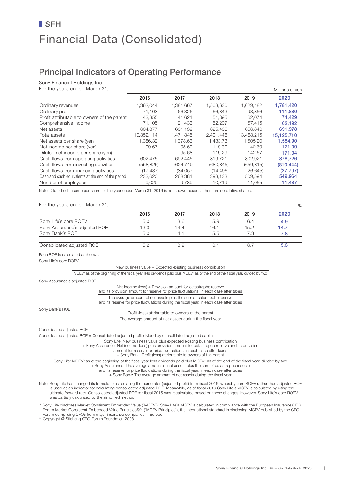# Financial Data (Consolidated) ■ SFH

## Principal Indicators of Operating Performance

Sony Financial Holdings Inc.

For the years ended March 31,

| For the years ended March 31,                      |            |            |            |            | Millions of yen |
|----------------------------------------------------|------------|------------|------------|------------|-----------------|
|                                                    | 2016       | 2017       | 2018       | 2019       | 2020            |
| Ordinary revenues                                  | 1,362,044  | 1,381,667  | 1,503,630  | 1,629,182  | 1,781,420       |
| Ordinary profit                                    | 71.103     | 66.326     | 66.843     | 93.856     | 111,880         |
| Profit attributable to owners of the parent        | 43.355     | 41.621     | 51.895     | 62.074     | 74,429          |
| Comprehensive income                               | 71,105     | 21,433     | 52,207     | 57,415     | 62,192          |
| Net assets                                         | 604.377    | 601.139    | 625,406    | 656,846    | 691,978         |
| Total assets                                       | 10.352.114 | 11.471.845 | 12.401.446 | 13,468,215 | 15,125,710      |
| Net assets per share (yen)                         | 1.386.32   | 1.378.63   | 1.433.73   | 1.505.20   | 1,584.90        |
| Net income per share (yen)                         | 99.67      | 95.69      | 119.30     | 142.69     | 171.09          |
| Diluted net income per share (yen)                 |            | 95.68      | 119.29     | 142.67     | 171.04          |
| Cash flows from operating activities               | 602,475    | 692.445    | 819.721    | 802.921    | 878,726         |
| Cash flows from investing activities               | (558, 825) | (624, 749) | (680, 845) | (659, 815) | (810, 444)      |
| Cash flows from financing activities               | (17, 437)  | (34,057)   | (14, 496)  | (26, 645)  | (27, 707)       |
| Cash and cash equivalents at the end of the period | 233,620    | 268,381    | 393,133    | 509,594    | 549,964         |
| Number of employees                                | 9,029      | 9,739      | 10,719     | 11,055     | 11,487          |

Note: Diluted net income per share for the year ended March 31, 2016 is not shown because there are no dilutive shares.

For the years ended March 31,

|                               |      |      |      |      | <b>7</b> |
|-------------------------------|------|------|------|------|----------|
|                               | 2016 | 2017 | 2018 | 2019 | 2020     |
| Sony Life's core ROEV         | 5.0  | 3.6  | 5.9  | 6.4  | 4.9      |
| Sony Assurance's adjusted ROE | 13.3 | 14.4 | 16.1 | 15.2 | 14.7     |
| Sony Bank's ROE               | 5.0  | 4.1  | 5.5  | 7.3  | 7.8      |
| Consolidated adjusted ROE     | 52   | 3.9  |      |      | 5.3      |

Each ROE is calculated as follows:

Sony Life's core ROEV

New business value + Expected existing business contribution

MCEV\* as of the beginning of the fiscal year less dividends paid plus MCEV\* as of the end of the fiscal year, divided by two

Sony Assurance's adjusted ROE

Net income (loss) + Provision amount for catastrophe reserve

and its provision amount for reserve for price fluctuations, in each case after taxes

The average amount of net assets plus the sum of catastrophe reserve

and its reserve for price fluctuations during the fiscal year, in each case after taxes

Sony Bank's ROE

Profit (loss) attributable to owners of the parent The average amount of net assets during the fiscal year

Consolidated adjusted ROE

Consolidated adjusted ROE = Consolidated adjusted profit divided by consolidated adjusted capital

Sony Life: New business value plus expected existing business contribution

+ Sony Assurance: Net income (loss) plus provision amount for catastrophe reserve and its provision

amount for reserve for price fluctuations, in each case after taxes + Sony Bank: Profit (loss) attributable to owners of the parent

Sony Life: MCEV\* as of the beginning of the fiscal year less dividends paid plus MCEV\* as of the end of the fiscal year, divided by two

+ Sony Assurance: The average amount of net assets plus the sum of catastrophe reserve

and its reserve for price fluctuations during the fiscal year, in each case after taxes

+ Sony Bank: The average amount of net assets during the fiscal year

Note: Sony Life has changed its formula for calculating the numerator (adjusted profit) from fiscal 2016, whereby core ROEV rather than adjusted ROE is used as an indicator for calculating consolidated adjusted ROE. Meanwhile, as of fiscal 2016 Sony Life's MCEV is calculated by using the ultimate forward rate. Consolidated adjusted ROE for fiscal 2015 was recalculated based on these changes. However, Sony Life's core ROEV was partially calculated by the simplified method.

Sony Life discloses Market Consistent Embedded Value ("MCEV"). Sony Life's MCEV is calculated in compliance with the European Insurance CFO \*\*<br>Forum Market Consistent Embedded Value Principles©\*\* ("MCEV Principles"), the i Forum comprising CFOs from major insurance companies in Europe.

\*\* Copyright © Stichting CFO Forum Foundation 2008

 $O<sub>2</sub>$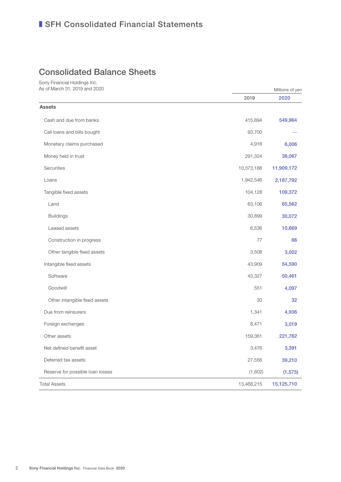## Consolidated Balance Sheets

Sony Financial Holdings Inc. As of March 31, 2019 and 2020

|                                  | 2019       | 2020       |
|----------------------------------|------------|------------|
| <b>Assets</b>                    |            |            |
| Cash and due from banks          | 415,894    | 549,964    |
| Call loans and bills bought      | 93,700     |            |
| Monetary claims purchased        | 4,916      | 6,006      |
| Money held in trust              | 291,324    | 38,067     |
| Securities                       | 10,373,188 | 11,909,172 |
| Loans                            | 1,942,546  | 2,187,792  |
| Tangible fixed assets            | 104,128    | 109,372    |
| Land                             | 63,106     | 65,562     |
| <b>Buildings</b>                 | 30,899     | 30,072     |
| Leased assets                    | 6,536      | 10,669     |
| Construction in progress         | 77         | 66         |
| Other tangible fixed assets      | 3,508      | 3,002      |
| Intangible fixed assets          | 43,909     | 54,590     |
| Software                         | 43,327     | 50,461     |
| Goodwill                         | 551        | 4,097      |
| Other intangible fixed assets    | 30         | 32         |
| Due from reinsurers              | 1,341      | 4,936      |
| Foreign exchanges                | 8,471      | 3,019      |
| Other assets                     | 159,361    | 221,762    |
| Net defined benefit asset        | 3,476      | 3,391      |
| Deferred tax assets              | 27,556     | 39,210     |
| Reserve for possible loan losses | (1,602)    | (1, 575)   |
| <b>Total Assets</b>              | 13,468,215 | 15,125,710 |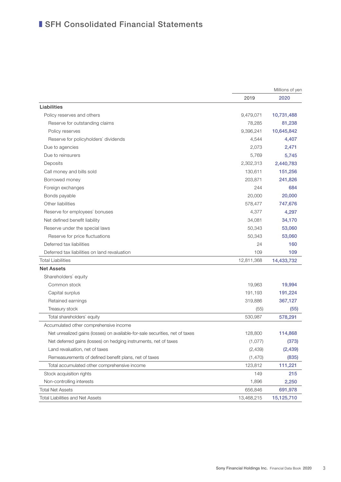|                                                                              | Millions of yen |            |
|------------------------------------------------------------------------------|-----------------|------------|
|                                                                              | 2019            | 2020       |
| Liabilities                                                                  |                 |            |
| Policy reserves and others                                                   | 9,479,071       | 10,731,488 |
| Reserve for outstanding claims                                               | 78,285          | 81,238     |
| Policy reserves                                                              | 9,396,241       | 10,645,842 |
| Reserve for policyholders' dividends                                         | 4,544           | 4,407      |
| Due to agencies                                                              | 2,073           | 2,471      |
| Due to reinsurers                                                            | 5,769           | 5,745      |
| Deposits                                                                     | 2,302,313       | 2,440,783  |
| Call money and bills sold                                                    | 130,611         | 151,256    |
| Borrowed money                                                               | 203,871         | 241,826    |
| Foreign exchanges                                                            | 244             | 684        |
| Bonds payable                                                                | 20,000          | 20,000     |
| Other liabilities                                                            | 578,477         | 747,676    |
| Reserve for employees' bonuses                                               | 4,377           | 4,297      |
| Net defined benefit liability                                                | 34,081          | 34,170     |
| Reserve under the special laws                                               | 50,343          | 53,060     |
| Reserve for price fluctuations                                               | 50,343          | 53,060     |
| Deferred tax liabilities                                                     | 24              | 160        |
| Deferred tax liabilities on land revaluation                                 | 109             | 109        |
| <b>Total Liabilities</b>                                                     | 12,811,368      | 14,433,732 |
| <b>Net Assets</b>                                                            |                 |            |
| Shareholders' equity                                                         |                 |            |
| Common stock                                                                 | 19,963          | 19,994     |
| Capital surplus                                                              | 191,193         | 191,224    |
| Retained earnings                                                            | 319,886         | 367,127    |
| Treasury stock                                                               | (55)            | (55)       |
| Total shareholders' equity                                                   | 530,987         | 578,291    |
| Accumulated other comprehensive income                                       |                 |            |
| Net unrealized gains (losses) on available-for-sale securities, net of taxes | 128,800         | 114,868    |
| Net deferred gains (losses) on hedging instruments, net of taxes             | (1,077)         | (373)      |
| Land revaluation, net of taxes                                               | (2, 439)        | (2, 439)   |
| Remeasurements of defined benefit plans, net of taxes                        | (1,470)         | (835)      |
| Total accumulated other comprehensive income                                 | 123,812         | 111,221    |
| Stock acquisition rights                                                     | 149             | 215        |
| Non-controlling interests                                                    | 1,896           | 2,250      |
| <b>Total Net Assets</b>                                                      | 656,846         | 691,978    |
| <b>Total Liabilities and Net Assets</b>                                      | 13,468,215      | 15,125,710 |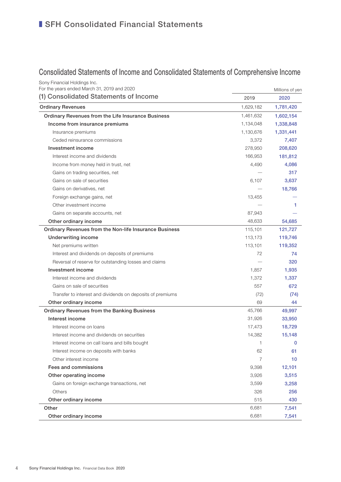## Consolidated Statements of Income and Consolidated Statements of Comprehensive Income

| Sony Financial Holdings Inc.<br>For the years ended March 31, 2019 and 2020 |           | Millions of yen |
|-----------------------------------------------------------------------------|-----------|-----------------|
| (1) Consolidated Statements of Income                                       | 2019      | 2020            |
| <b>Ordinary Revenues</b>                                                    | 1,629,182 | 1,781,420       |
| Ordinary Revenues from the Life Insurance Business                          | 1,461,632 | 1,602,154       |
| Income from insurance premiums                                              | 1,134,048 | 1,338,848       |
| Insurance premiums                                                          | 1,130,676 | 1,331,441       |
| Ceded reinsurance commissions                                               | 3,372     | 7,407           |
| Investment income                                                           | 278,950   | 208,620         |
| Interest income and dividends                                               | 166,953   | 181,812         |
| Income from money held in trust, net                                        | 4,490     | 4,086           |
| Gains on trading securities, net                                            |           | 317             |
| Gains on sale of securities                                                 | 6,107     | 3,637           |
| Gains on derivatives, net                                                   |           | 18,766          |
| Foreign exchange gains, net                                                 | 13,455    |                 |
| Other investment income                                                     |           | 1               |
| Gains on separate accounts, net                                             | 87,943    |                 |
| Other ordinary income                                                       | 48,633    | 54,685          |
| Ordinary Revenues from the Non-life Insurance Business                      | 115,101   | 121,727         |
| <b>Underwriting income</b>                                                  | 113,173   | 119,746         |
| Net premiums written                                                        | 113,101   | 119,352         |
| Interest and dividends on deposits of premiums                              | 72        | 74              |
| Reversal of reserve for outstanding losses and claims                       |           | 320             |
| Investment income                                                           | 1,857     | 1,935           |
| Interest income and dividends                                               | 1,372     | 1,337           |
| Gains on sale of securities                                                 | 557       | 672             |
| Transfer to interest and dividends on deposits of premiums                  | (72)      | (74)            |
| Other ordinary income                                                       | 69        | 44              |
| <b>Ordinary Revenues from the Banking Business</b>                          | 45,766    | 49,997          |
| Interest income                                                             | 31,926    | 33,950          |
| Interest income on loans                                                    | 17,473    | 18,729          |
| Interest income and dividends on securities                                 | 14,382    | 15.148          |
| Interest income on call loans and bills bought                              | 1         | $\mathbf 0$     |
| Interest income on deposits with banks                                      | 62        | 61              |
| Other interest income                                                       | 7         | 10              |
| Fees and commissions                                                        | 9,398     | 12,101          |
| Other operating income                                                      | 3,926     | 3,515           |
| Gains on foreign exchange transactions, net                                 | 3,599     | 3,258           |
| Others                                                                      | 326       | 256             |
| Other ordinary income                                                       | 515       | 430             |
| Other                                                                       | 6,681     | 7,541           |
| Other ordinary income                                                       | 6,681     | 7,541           |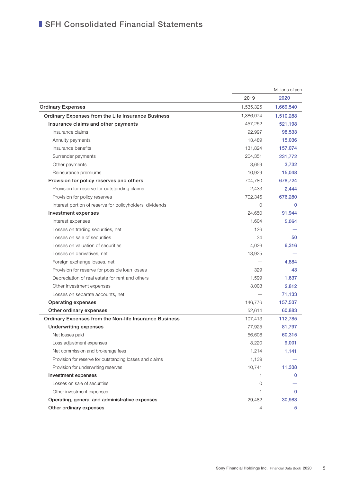|                                                          |           | Millions of yen |
|----------------------------------------------------------|-----------|-----------------|
|                                                          | 2019      | 2020            |
| <b>Ordinary Expenses</b>                                 | 1,535,325 | 1,669,540       |
| Ordinary Expenses from the Life Insurance Business       | 1,386,074 | 1,510,288       |
| Insurance claims and other payments                      | 457,252   | 521,198         |
| Insurance claims                                         | 92,997    | 98,533          |
| Annuity payments                                         | 13,489    | 15,036          |
| Insurance benefits                                       | 131,824   | 157,074         |
| Surrender payments                                       | 204,351   | 231,772         |
| Other payments                                           | 3,659     | 3,732           |
| Reinsurance premiums                                     | 10,929    | 15,048          |
| Provision for policy reserves and others                 | 704,780   | 678,724         |
| Provision for reserve for outstanding claims             | 2,433     | 2,444           |
| Provision for policy reserves                            | 702,346   | 676,280         |
| Interest portion of reserve for policyholders' dividends | 0         | 0               |
| Investment expenses                                      | 24.650    | 91,944          |
| Interest expenses                                        | 1,604     | 5,064           |
| Losses on trading securities, net                        | 126       |                 |
| Losses on sale of securities                             | 34        | 50              |
| Losses on valuation of securities                        | 4,026     | 6,316           |
| Losses on derivatives, net                               | 13,925    |                 |
| Foreign exchange losses, net                             |           | 4,884           |
| Provision for reserve for possible loan losses           | 329       | 43              |
| Depreciation of real estate for rent and others          | 1,599     | 1,637           |
| Other investment expenses                                | 3,003     | 2,812           |
| Losses on separate accounts, net                         |           | 71,133          |
| <b>Operating expenses</b>                                | 146,776   | 157,537         |
| Other ordinary expenses                                  | 52,614    | 60,883          |
| Ordinary Expenses from the Non-life Insurance Business   | 107,413   | 112,785         |
| <b>Underwriting expenses</b>                             | 77,925    | 81,797          |
| Net losses paid                                          | 56,608    | 60,315          |
| Loss adjustment expenses                                 | 8,220     | 9,001           |
| Net commission and brokerage fees                        | 1,214     | 1,141           |
| Provision for reserve for outstanding losses and claims  | 1,139     |                 |
| Provision for underwriting reserves                      | 10,741    | 11,338          |
| Investment expenses                                      | 1.        |                 |
| Losses on sale of securities                             | 0         |                 |
| Other investment expenses                                |           | 0               |
| Operating, general and administrative expenses           | 29,482    | 30,983          |
| Other ordinary expenses                                  | 4         | 5               |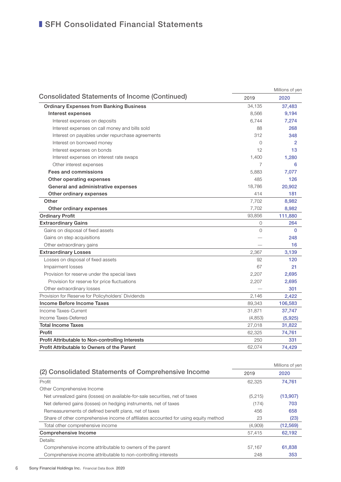|                                                      |                | Millions of yen |
|------------------------------------------------------|----------------|-----------------|
| <b>Consolidated Statements of Income (Continued)</b> | 2019           | 2020            |
| <b>Ordinary Expenses from Banking Business</b>       | 34,135         | 37,483          |
| Interest expenses                                    | 8,566          | 9,194           |
| Interest expenses on deposits                        | 6,744          | 7,274           |
| Interest expenses on call money and bills sold       | 88             | 268             |
| Interest on payables under repurchase agreements     | 312            | 348             |
| Interest on borrowed money                           | $\Omega$       | $\overline{2}$  |
| Interest expenses on bonds                           | 12             | 13              |
| Interest expenses on interest rate swaps             | 1,400          | 1,280           |
| Other interest expenses                              | $\overline{7}$ | 6               |
| Fees and commissions                                 | 5,883          | 7,077           |
| Other operating expenses                             | 485            | 126             |
| General and administrative expenses                  | 18,786         | 20,902          |
| Other ordinary expenses                              | 414            | 181             |
| Other                                                | 7,702          | 8,982           |
| Other ordinary expenses                              | 7,702          | 8,982           |
| <b>Ordinary Profit</b>                               | 93,856         | 111,880         |
| <b>Extraordinary Gains</b>                           | 0              | 264             |
| Gains on disposal of fixed assets                    | $\Omega$       | $\Omega$        |
| Gains on step acquisitions                           |                | 248             |
| Other extraordinary gains                            |                | 16              |
| <b>Extraordinary Losses</b>                          | 2,367          | 3,139           |
| Losses on disposal of fixed assets                   | 92             | 120             |
| Impairment losses                                    | 67             | 21              |
| Provision for reserve under the special laws         | 2,207          | 2,695           |
| Provision for reserve for price fluctuations         | 2,207          | 2,695           |
| Other extraordinary losses                           |                | 301             |
| Provision for Reserve for Policyholders' Dividends   | 2,146          | 2,422           |
| Income Before Income Taxes                           | 89,343         | 106,583         |
| Income Taxes-Current                                 | 31,871         | 37,747          |
| Income Taxes-Deferred                                | (4,853)        | (5,925)         |
| <b>Total Income Taxes</b>                            | 27,018         | 31,822          |
| Profit                                               | 62,325         | 74,761          |
| Profit Attributable to Non-controlling Interests     | 250            | 331             |
| Profit Attributable to Owners of the Parent          | 62.074         | 74.429          |

|                                                                                     |         | Millions of yen |
|-------------------------------------------------------------------------------------|---------|-----------------|
| (2) Consolidated Statements of Comprehensive Income                                 | 2019    | 2020            |
| Profit                                                                              | 62.325  | 74.761          |
| Other Comprehensive Income                                                          |         |                 |
| Net unrealized gains (losses) on available-for-sale securities, net of taxes        | (5,215) | (13,907)        |
| Net deferred gains (losses) on hedging instruments, net of taxes                    | (174)   | 703             |
| Remeasurements of defined benefit plans, net of taxes                               | 456     | 658             |
| Share of other comprehensive income of affiliates accounted for using equity method | 23      | (23)            |
| Total other comprehensive income                                                    | (4,909) | (12, 569)       |
| Comprehensive Income                                                                | 57.415  | 62,192          |
| Details:                                                                            |         |                 |
| Comprehensive income attributable to owners of the parent                           | 57,167  | 61,838          |
| Comprehensive income attributable to non-controlling interests                      | 248     | 353             |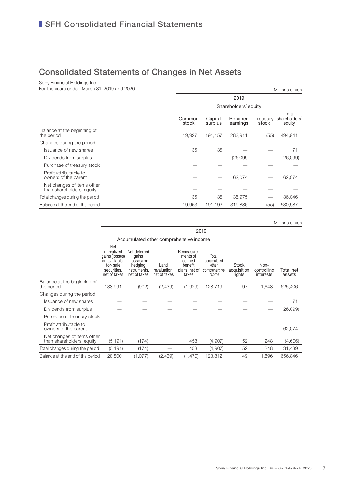## Consolidated Statements of Changes in Net Assets

Sony Financial Holdings Inc.

For the years ended March 31, 2019 and 2020 Millions of yen

|                                                         |                 | 2019<br>Shareholders' equity |                      |                   |                                  |  |  |
|---------------------------------------------------------|-----------------|------------------------------|----------------------|-------------------|----------------------------------|--|--|
|                                                         |                 |                              |                      |                   |                                  |  |  |
|                                                         | Common<br>stock | Capital<br>surplus           | Retained<br>earnings | Treasury<br>stock | Total<br>shareholders'<br>equity |  |  |
| Balance at the beginning of<br>the period               | 19,927          | 191,157                      | 283,911              | (55)              | 494,941                          |  |  |
| Changes during the period                               |                 |                              |                      |                   |                                  |  |  |
| Issuance of new shares                                  | 35              | 35                           |                      |                   | 71                               |  |  |
| Dividends from surplus                                  |                 |                              | (26,099)             |                   | (26,099)                         |  |  |
| Purchase of treasury stock                              |                 |                              |                      |                   |                                  |  |  |
| Profit attributable to<br>owners of the parent          |                 |                              | 62,074               |                   | 62,074                           |  |  |
| Net changes of items other<br>than shareholders' equity |                 |                              |                      |                   |                                  |  |  |
| Total changes during the period                         | 35              | 35                           | 35,975               |                   | 36,046                           |  |  |
| Balance at the end of the period                        | 19,963          | 191,193                      | 319,886              | (55)              | 530,987                          |  |  |
|                                                         |                 |                              |                      |                   |                                  |  |  |

Millions of yen

|                                                         | 2019                                                                                            |                                                                                 |                                      |                                                                        |                                                          |                                       |                                  |                     |
|---------------------------------------------------------|-------------------------------------------------------------------------------------------------|---------------------------------------------------------------------------------|--------------------------------------|------------------------------------------------------------------------|----------------------------------------------------------|---------------------------------------|----------------------------------|---------------------|
|                                                         |                                                                                                 | Accumulated other comprehensive income                                          |                                      |                                                                        |                                                          |                                       |                                  |                     |
|                                                         | Net<br>unrealized<br>gains (losses)<br>on available-<br>for-sale<br>securities.<br>net of taxes | Net deferred<br>gains<br>(losses) on<br>hedging<br>instruments,<br>net of taxes | Land<br>revaluation,<br>net of taxes | Remeasure-<br>ments of<br>defined<br>benefit<br>plans, net of<br>taxes | Total<br>accumulated<br>other<br>comprehensive<br>income | <b>Stock</b><br>acquisition<br>rights | Non-<br>controlling<br>interests | Total net<br>assets |
| Balance at the beginning of<br>the period               | 133,991                                                                                         | (902)                                                                           | (2,439)                              | (1,929)                                                                | 128,719                                                  | 97                                    | 1,648                            | 625,406             |
| Changes during the period                               |                                                                                                 |                                                                                 |                                      |                                                                        |                                                          |                                       |                                  |                     |
| Issuance of new shares                                  |                                                                                                 |                                                                                 |                                      |                                                                        |                                                          |                                       |                                  | 71                  |
| Dividends from surplus                                  |                                                                                                 |                                                                                 |                                      |                                                                        |                                                          |                                       |                                  | (26,099)            |
| Purchase of treasury stock                              |                                                                                                 |                                                                                 |                                      |                                                                        |                                                          |                                       |                                  |                     |
| Profit attributable to<br>owners of the parent          |                                                                                                 |                                                                                 |                                      |                                                                        |                                                          |                                       |                                  | 62,074              |
| Net changes of items other<br>than shareholders' equity | (5, 191)                                                                                        | (174)                                                                           |                                      | 458                                                                    | (4,907)                                                  | 52                                    | 248                              | (4,606)             |
| Total changes during the period                         | (5, 191)                                                                                        | (174)                                                                           |                                      | 458                                                                    | (4,907)                                                  | 52                                    | 248                              | 31,439              |
| Balance at the end of the period                        | 128,800                                                                                         | (1,077)                                                                         | (2,439)                              | (1,470)                                                                | 123,812                                                  | 149                                   | 1,896                            | 656,846             |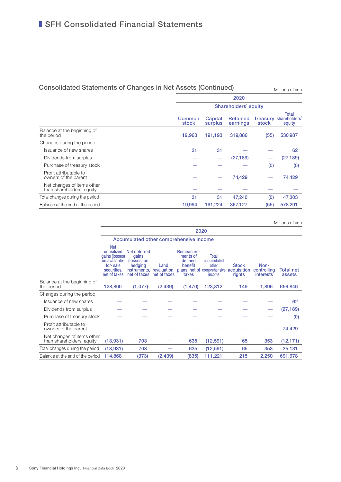## Consolidated Statements of Changes in Net Assets (Continued) Millions of yen

2020 Shareholders' equity **Common** stock **Capital** surplus Retained earnings Treasury shareholders' stock **Total** equity Balance at the beginning of<br>the period the period 19,963 191,193 319,886 (55) 530,987 Changes during the period Issuance of new shares  $31 \qquad 31 \qquad - \qquad - \qquad 62$ Dividends from surplus  $(27,189)$   $(27,189)$ Purchase of treasury stock  $(0)$   $(0)$ Profit attributable to owners of the parent  $74,429$   $74,429$ Net changes of items other than shareholders' equity ̶ ̶ ̶ ̶ ̶ Total changes during the period **31** 31 47,240 (0) 47,303 Balance at the end of the period **19,994** 191,224 367,127 (55) 578,291

2020 Accumulated other comprehensive income **Stock** plans, net of comprehensive acquisition rights Noncontrolling **interests** Total net assets Net unrealized Net deferred gains (losses) on availablefor- sale securities, net of taxes gains (losses) on hedging instruments, revaluation, net of taxes net of taxes Land Remeasurements of defined benefit taxes Total accumulated **other** income Balance at the beginning of the period 128,800 (1,077) (2,439) (1,470) 123,812 149 1,896 656,846 Changes during the period Issuance of new shares  $\qquad \qquad \qquad \qquad \qquad \qquad \qquad \qquad$  62 Dividends from surplus  $\qquad \qquad \qquad \qquad \qquad \qquad \qquad$  (27,189) Purchase of treasury stock  $\qquad \qquad \qquad \qquad \qquad \qquad \qquad$   $\qquad$   $\qquad$   $\qquad$   $\qquad$   $\qquad$   $\qquad$   $\qquad$   $\qquad$   $\qquad$   $\qquad$   $\qquad$   $\qquad$   $\qquad$   $\qquad$   $\qquad$   $\qquad$   $\qquad$   $\qquad$   $\qquad$   $\qquad$   $\qquad$   $\qquad$   $\qquad$   $\qquad$   $\$ Profit attributable to owners of the parent  $\qquad \qquad \qquad \qquad \qquad \qquad \qquad \qquad \qquad \qquad \qquad \qquad \qquad \qquad \qquad \qquad \qquad \qquad \qquad \qquad \qquad \qquad \qquad \qquad \qquad \qquad \qquad \qquad \qquad$ Net changes of items other<br>than shareholders' equity (13,931) 703 635 (12,591) 65 353 (12,171) Total changes during the period (13,931) 703 – 635 (12,591) 65 353 35,131 Balance at the end of the period 114,868 (373) (2,439) (835) 111,221 215 2,250 691,978 Millions of yen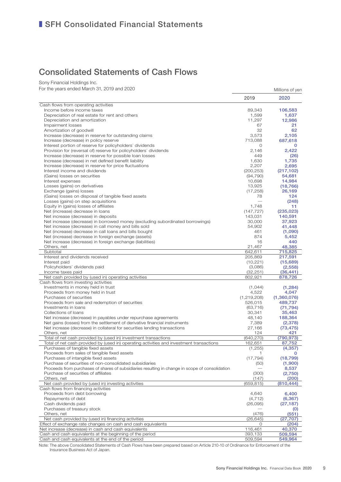## Consolidated Statements of Cash Flows

Sony Financial Holdings Inc.

For the years ended March 31, 2019 and 2020 Millions of yen

|                                                                                                 | 2019                     | 2020                 |
|-------------------------------------------------------------------------------------------------|--------------------------|----------------------|
| Cash flows from operating activities                                                            |                          |                      |
| Income before income taxes                                                                      | 89,343                   | 106,583              |
| Depreciation of real estate for rent and others                                                 | 1,599                    | 1,637                |
| Depreciation and amortization                                                                   | 11,297                   | 12,986               |
| Impairment losses                                                                               | 67                       | 21                   |
| Amortization of goodwill                                                                        | 32                       | 62                   |
| Increase (decrease) in reserve for outstanding claims                                           | 3,573                    | 2,105                |
| Increase (decrease) in policy reserve                                                           | 713,088                  | 687,618              |
| Interest portion of reserve for policyholders' dividends                                        | 0                        | 0                    |
| Provision for (reversal of) reserve for policyholders' dividends                                | 2,146                    | 2,422                |
| Increase (decrease) in reserve for possible loan losses                                         | 449                      | (26)                 |
| Increase (decrease) in net defined benefit liability                                            | 1,630                    | 1,735                |
| Increase (decrease) in reserve for price fluctuations<br>Interest income and dividends          | 2,207                    | 2,695                |
| (Gains) losses on securities                                                                    | (200, 253)<br>(94, 790)  | (217, 102)<br>54,681 |
| Interest expenses                                                                               | 10,698                   | 14,984               |
| Losses (gains) on derivatives                                                                   | 13,925                   | (18, 766)            |
| Exchange (gains) losses                                                                         | (17, 258)                | 26,169               |
| (Gains) losses on disposal of tangible fixed assets                                             | 78                       | 124                  |
| Losses (gains) on step acquisitions                                                             |                          | (248)                |
| Equity in (gains) losses of affiliates                                                          | 1,748                    | 11                   |
| Net (increase) decrease in loans                                                                | (147, 727)               | (235, 023)           |
| Net increase (decrease) in deposits                                                             | 143,031                  | 140,591              |
| Net increase (decrease) in borrowed money (excluding subordinated borrowings)                   | 30,000                   | 37,923               |
| Net increase (decrease) in call money and bills sold                                            | 54,902                   | 41,448               |
| Net (increase) decrease in call loans and bills bought                                          | 461                      | (1,090)              |
| Net (increase) decrease in foreign exchange (assets)                                            | 874                      | 5,452                |
| Net increase (decrease) in foreign exchange (liabilities)                                       | 16                       | 440                  |
| Others, net                                                                                     | 21,467                   | 48,385               |
| Subtotal                                                                                        | 642,611                  | 715,825              |
| Interest and dividends received                                                                 | 205,869                  | 217,591              |
| Interest paid                                                                                   | (10,221)                 | (15,689)             |
| Policyholders' dividends paid                                                                   | (3,086)                  | (2,558)              |
| Income taxes paid                                                                               | (32, 251)                | (36, 441)            |
| Net cash provided by (used in) operating activities                                             | 802,921                  | 878,726              |
| Cash flows from investing activities                                                            |                          |                      |
| Investments in money held in trust                                                              | (1,044)                  | (1,284)              |
| Proceeds from money held in trust                                                               | 4,522                    | 4,047                |
| Purchases of securities                                                                         | (1,219,208)              | (1,360,076)          |
| Proceeds from sale and redemption of securities<br>Investments in loans                         | 526,015<br>(63, 716)     | 489,737              |
| Collections of loans                                                                            | 30,341                   | (71, 794)<br>35,463  |
| Net increase (decrease) in payables under repurchase agreements                                 | 48,140                   | 188,364              |
| Net gains (losses) from the settlement of derivative financial instruments                      | 7,389                    | (2,378)              |
| Net increase (decrease) in collateral for securities lending transactions                       | 27,166                   | (73, 475)            |
| Others, net                                                                                     | 124                      | 421                  |
| Total of net cash provided by (used in) investment transactions                                 | (640, 270)               | (790, 973)           |
| Total of net cash provided by (used in) operating activities and investment transactions        | 162,651                  | 87,752               |
| Purchases of tangible fixed assets                                                              | (1,255)                  | (4, 357)             |
| Proceeds from sales of tangible fixed assets                                                    | 1                        | 0                    |
| Purchases of intangible fixed assets                                                            | (17, 794)                | (18, 799)            |
| Purchase of securities of non-consolidated subsidiaries                                         | (50)                     | (1,900)              |
| Proceeds from purchases of shares of subsidiaries resulting in change in scope of consolidation | $\overline{\phantom{0}}$ | 8,537                |
| Purchase of securities of affiliates                                                            | (300)                    | (2,750)              |
| Others, net                                                                                     | (147)                    | (200)                |
| Net cash provided by (used in) investing activities                                             | (659, 815)               | (810, 444)           |
| Cash flows from financing activities                                                            |                          |                      |
| Proceeds from debt borrowing                                                                    | 4,640                    | 6,400                |
| Repayments of debt                                                                              | (4, 712)                 | (6, 367)             |
| Cash dividends paid                                                                             | (26,095)                 | (27, 187)            |
| Purchases of treasury stock                                                                     |                          | (0)                  |
| Others, net                                                                                     | (476)                    | (551)                |
| Net cash provided by (used in) financing activities                                             | (26, 645)                | (27, 707)            |
| Effect of exchange rate changes on cash and cash equivalents                                    | 0                        | (204)                |
| Net increase (decrease) in cash and cash equivalents                                            | 116,461                  | 40,370               |
| Cash and cash equivalents at the beginning of the period                                        | 393,133                  | 509,594              |
| Cash and cash equivalents at the end of the period                                              | 509,594                  | 549,964              |

Note: The above Consolidated Statements of Cash Flows have been prepared based on Article 210-10 of Ordinance for Enforcement of the Insurance Business Act of Japan.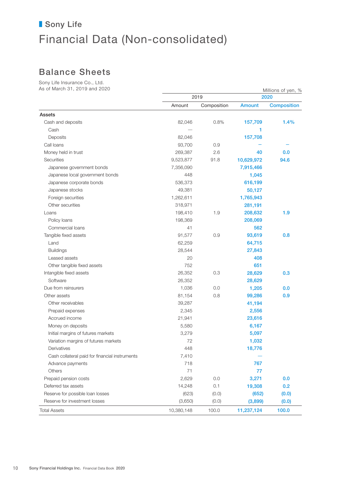## Balance Sheets

Sony Life Insurance Co., Ltd. As of March 31, 2019 and 2020 Millions of yen,  $\frac{9}{2}$ 

| $\sim$ 01 ividitii 01, 2019 diiu 2020          |            |             | Millions of yen, % |                    |  |
|------------------------------------------------|------------|-------------|--------------------|--------------------|--|
|                                                |            | 2019        |                    | 2020               |  |
|                                                | Amount     | Composition | <b>Amount</b>      | <b>Composition</b> |  |
| <b>Assets</b>                                  |            |             |                    |                    |  |
| Cash and deposits                              | 82,046     | 0.8%        | 157,709            | 1.4%               |  |
| Cash                                           |            |             | 1                  |                    |  |
| Deposits                                       | 82,046     |             | 157,708            |                    |  |
| Call loans                                     | 93,700     | 0.9         |                    |                    |  |
| Money held in trust                            | 269,387    | 2.6         | 40                 | 0.0                |  |
| Securities                                     | 9,523,877  | 91.8        | 10,629,972         | 94.6               |  |
| Japanese government bonds                      | 7,356,090  |             | 7,915,466          |                    |  |
| Japanese local government bonds                | 448        |             | 1,045              |                    |  |
| Japanese corporate bonds                       | 536,373    |             | 616,199            |                    |  |
| Japanese stocks                                | 49,381     |             | 50,127             |                    |  |
| Foreign securities                             | 1,262,611  |             | 1,765,943          |                    |  |
| Other securities                               | 318,971    |             | 281,191            |                    |  |
| Loans                                          | 198,410    | 1.9         | 208,632            | 1.9                |  |
| Policy loans                                   | 198,369    |             | 208,069            |                    |  |
| Commercial loans                               | 41         |             | 562                |                    |  |
| Tangible fixed assets                          | 91,577     | 0.9         | 93,619             | 0.8                |  |
| Land                                           | 62,259     |             | 64,715             |                    |  |
| <b>Buildings</b>                               | 28,544     |             | 27,843             |                    |  |
| Leased assets                                  | 20         |             | 408                |                    |  |
| Other tangible fixed assets                    | 752        |             | 651                |                    |  |
| Intangible fixed assets                        | 26,352     | 0.3         | 28,629             | 0.3                |  |
| Software                                       | 26,352     |             | 28,629             |                    |  |
| Due from reinsurers                            | 1,036      | 0.0         | 1,205              | 0.0                |  |
| Other assets                                   | 81,154     | 0.8         | 99,286             | 0.9                |  |
| Other receivables                              | 39,287     |             | 41,194             |                    |  |
| Prepaid expenses                               | 2,345      |             | 2,556              |                    |  |
| Accrued income                                 | 21,941     |             | 23,616             |                    |  |
| Money on deposits                              | 5,580      |             | 6,167              |                    |  |
| Initial margins of futures markets             | 3,279      |             | 5,097              |                    |  |
| Variation margins of futures markets           | 72         |             | 1,032              |                    |  |
| Derivatives                                    | 448        |             | 18,776             |                    |  |
| Cash collateral paid for financial instruments | 7,410      |             |                    |                    |  |
| Advance payments                               | 718        |             | 767                |                    |  |
| Others                                         | 71         |             | 77                 |                    |  |
| Prepaid pension costs                          | 2,629      | 0.0         | 3,271              | 0.0                |  |
| Deferred tax assets                            | 14,248     | 0.1         | 19,308             | 0.2                |  |
| Reserve for possible loan losses               | (623)      | (0.0)       | (652)              | (0.0)              |  |
| Reserve for investment losses                  | (3,650)    | (0.0)       | (3,899)            | (0.0)              |  |
| <b>Total Assets</b>                            | 10,380,148 | 100.0       | 11,237,124         | 100.0              |  |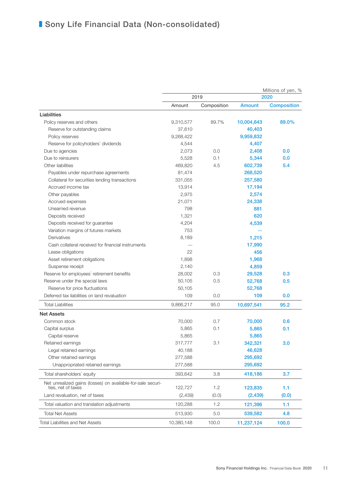|                                                                                   |            | 2019        |               | Millions of yen, %<br>2020 |
|-----------------------------------------------------------------------------------|------------|-------------|---------------|----------------------------|
|                                                                                   | Amount     | Composition | <b>Amount</b> | <b>Composition</b>         |
| Liabilities                                                                       |            |             |               |                            |
| Policy reserves and others                                                        | 9,310,577  | 89.7%       | 10,004,643    | 89.0%                      |
| Reserve for outstanding claims                                                    | 37,610     |             | 40,403        |                            |
| Policy reserves                                                                   | 9,268,422  |             | 9,959,832     |                            |
| Reserve for policyholders' dividends                                              | 4,544      |             | 4,407         |                            |
| Due to agencies                                                                   | 2,073      | 0.0         | 2,408         | 0.0                        |
| Due to reinsurers                                                                 | 5,528      | 0.1         | 5,344         | 0.0                        |
| Other liabilities                                                                 | 469,820    | 4.5         | 602,739       | 5.4                        |
| Payables under repurchase agreements                                              | 81,474     |             | 268,520       |                            |
| Collateral for securities lending transactions                                    | 331,055    |             | 257,580       |                            |
| Accrued income tax                                                                | 13,914     |             | 17,194        |                            |
| Other payables                                                                    | 2,975      |             | 2,574         |                            |
| Accrued expenses                                                                  | 21,071     |             | 24,338        |                            |
| Unearned revenue                                                                  | 798        |             | 881           |                            |
| Deposits received                                                                 | 1,321      |             | 620           |                            |
| Deposits received for guarantee                                                   | 4,204      |             | 4,539         |                            |
| Variation margins of futures markets                                              | 753        |             |               |                            |
| Derivatives                                                                       | 8,189      |             | 1,215         |                            |
| Cash collateral received for financial instruments                                |            |             | 17,990        |                            |
| Lease obligations                                                                 | 22         |             | 456           |                            |
| Asset retirement obligations                                                      | 1,898      |             | 1,968         |                            |
| Suspense receipt                                                                  | 2,140      |             | 4,859         |                            |
| Reserve for employees' retirement benefits                                        | 28,002     | 0.3         | 29,528        | 0.3                        |
| Reserve under the special laws                                                    | 50,105     | 0.5         | 52,768        | 0.5                        |
| Reserve for price fluctuations                                                    | 50,105     |             | 52,768        |                            |
| Deferred tax liabilities on land revaluation                                      | 109        | 0.0         | 109           | 0.0                        |
| <b>Total Liabilities</b>                                                          | 9,866,217  | 95.0        | 10,697,541    | 95.2                       |
| <b>Net Assets</b>                                                                 |            |             |               |                            |
| Common stock                                                                      | 70,000     | 0.7         | 70,000        | 0.6                        |
| Capital surplus                                                                   | 5,865      | 0.1         | 5,865         | 0.1                        |
| Capital reserve                                                                   | 5,865      |             | 5,865         |                            |
| Retained earnings                                                                 | 317,777    | 3.1         | 342,321       | 3.0                        |
| Legal retained earnings                                                           | 40,188     |             | 46,628        |                            |
| Other retained earnings                                                           | 277,588    |             | 295,692       |                            |
| Unappropriated retained earnings                                                  | 277,588    |             | 295,692       |                            |
| Total shareholders' equity                                                        | 393,642    | 3.8         | 418,186       | 3.7                        |
| Net unrealized gains (losses) on available-for-sale securi-<br>ties, net of taxes | 122,727    | 1.2         | 123,835       | 1.1                        |
| Land revaluation, net of taxes                                                    | (2,439)    | (0.0)       | (2,439)       | (0.0)                      |
| Total valuation and translation adjustments                                       | 120,288    | 1.2         | 121,396       | 1.1                        |
| <b>Total Net Assets</b>                                                           | 513,930    | 5.0         | 539,582       | 4.8                        |
| <b>Total Liabilities and Net Assets</b>                                           | 10,380,148 | 100.0       | 11,237,124    | 100.0                      |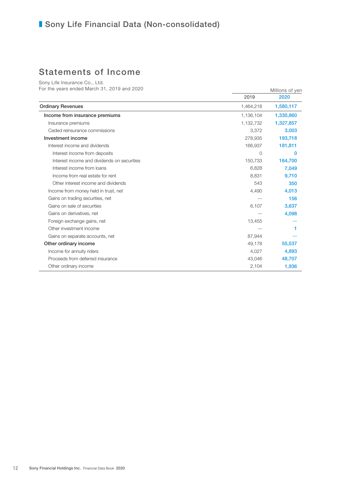## Statements of Income

Sony Life Insurance Co., Ltd. For the years ended March 31, 2019 and 2020 Millions of yen

|           | ויט שווטווייי |
|-----------|---------------|
| 2019      | 2020          |
| 1,464,218 | 1,580,117     |
| 1,136,104 | 1,330,860     |
| 1,132,732 | 1,327,857     |
| 3,372     | 3,003         |
| 278,935   | 193.718       |
| 166,937   | 181,811       |
| 0         | $\Omega$      |
| 150,733   | 164,700       |
| 6,828     | 7,049         |
| 8,831     | 9.710         |
| 543       | 350           |
| 4,490     | 4,013         |
|           | 156           |
| 6,107     | 3,637         |
|           | 4,098         |
| 13,455    |               |
|           |               |
| 87.944    |               |
| 49,178    | 55,537        |
| 4,027     | 4,893         |
| 43,046    | 48,707        |
| 2,104     | 1,936         |
|           |               |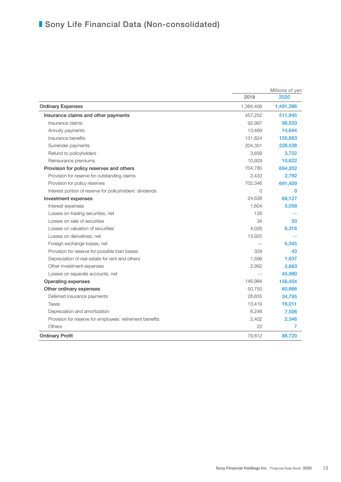|                                                          |                | Millions of yen |
|----------------------------------------------------------|----------------|-----------------|
|                                                          | 2019           | 2020            |
| <b>Ordinary Expenses</b>                                 | 1,384,406      | 1,491,396       |
| Insurance claims and other payments                      | 457,252        | 511,945         |
| Insurance claims                                         | 92,997         | 98,533          |
| Annuity payments                                         | 13,489         | 14,644          |
| Insurance benefits                                       | 131,824        | 155,883         |
| Surrender payments                                       | 204,351        | 228,538         |
| Refund to policyholders                                  | 3,659          | 3,722           |
| Reinsurance premiums                                     | 10,929         | 10,622          |
| Provision for policy reserves and others                 | 704,780        | 694,202         |
| Provision for reserve for outstanding claims             | 2,433          | 2,792           |
| Provision for policy reserves                            | 702,346        | 691,409         |
| Interest portion of reserve for policyholders' dividends | $\overline{0}$ | 0               |
| Investment expenses                                      | 24,638         | 68,127          |
| Interest expenses                                        | 1,604          | 5,059           |
| Losses on trading securities, net                        | 126            |                 |
| Losses on sale of securities                             | 34             | 50              |
| Losses on valuation of securities                        | 4,026          | 6,316           |
| Losses on derivatives, net                               | 13,925         |                 |
| Foreign exchange losses, net                             |                | 6,345           |
| Provision for reserve for possible loan losses           | 329            | 43              |
| Depreciation of real estate for rent and others          | 1,599          | 1,637           |
| Other investment expenses                                | 2,992          | 2,683           |
| Losses on separate accounts, net                         |                | 45,990          |
| <b>Operating expenses</b>                                | 146,984        | 156,454         |
| Other ordinary expenses                                  | 50,750         | 60,666          |
| Deferred insurance payments                              | 28,655         | 34,795          |
| Taxes                                                    | 13,419         | 16,011          |
| Depreciation and amortization                            | 6,248          | 7,506           |
| Provision for reserve for employees' retirement benefits | 2,402          | 2,346           |
| Others                                                   | 25             | 7               |
| <b>Ordinary Profit</b>                                   | 79,812         | 88,720          |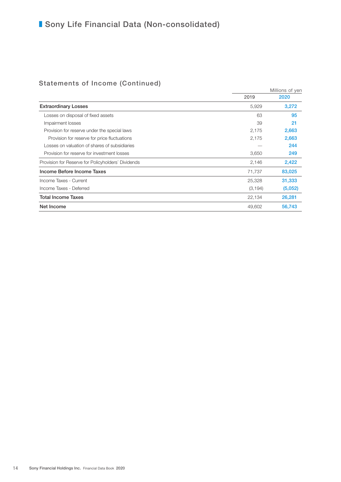## Statements of Income (Continued)

|                                                    |          | Millions of yen |
|----------------------------------------------------|----------|-----------------|
|                                                    | 2019     | 2020            |
| <b>Extraordinary Losses</b>                        | 5,929    | 3,272           |
| Losses on disposal of fixed assets                 | 63       | 95              |
| Impairment losses                                  | 39       | 21              |
| Provision for reserve under the special laws       | 2,175    | 2,663           |
| Provision for reserve for price fluctuations       | 2,175    | 2,663           |
| Losses on valuation of shares of subsidiaries      |          | 244             |
| Provision for reserve for investment losses        | 3,650    | 249             |
| Provision for Reserve for Policyholders' Dividends | 2,146    | 2,422           |
| Income Before Income Taxes                         | 71,737   | 83,025          |
| Income Taxes - Current                             | 25,328   | 31,333          |
| Income Taxes - Deferred                            | (3, 194) | (5,052)         |
| <b>Total Income Taxes</b>                          | 22,134   | 26,281          |
| Net Income                                         | 49,602   | 56,743          |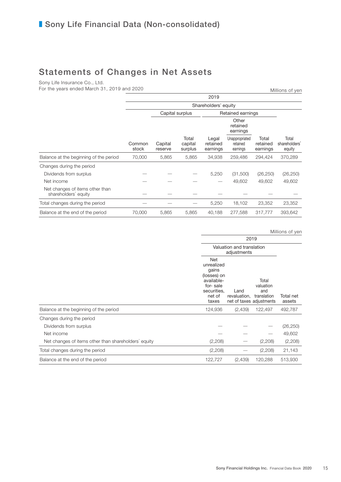## Statements of Changes in Net Assets

Sony Life Insurance Co., Ltd.

For the years ended March 31, 2019 and 2020 Millions of yen

|                                                         | 2019            |                    |                             |                               |                                        |                               |                                  |
|---------------------------------------------------------|-----------------|--------------------|-----------------------------|-------------------------------|----------------------------------------|-------------------------------|----------------------------------|
|                                                         |                 |                    |                             | Shareholders' equity          |                                        |                               |                                  |
|                                                         |                 | Capital surplus    |                             |                               | Retained earnings                      |                               |                                  |
|                                                         |                 |                    |                             |                               | Other<br>retained<br>earnings          |                               |                                  |
|                                                         | Common<br>stock | Capital<br>reserve | Total<br>capital<br>surplus | Legal<br>retained<br>earnings | Unappropriated<br>retained<br>earnings | Total<br>retained<br>earnings | Total<br>shareholders'<br>equity |
| Balance at the beginning of the period                  | 70,000          | 5,865              | 5,865                       | 34,938                        | 259,486                                | 294,424                       | 370,289                          |
| Changes during the period                               |                 |                    |                             |                               |                                        |                               |                                  |
| Dividends from surplus                                  |                 |                    |                             | 5,250                         | (31,500)                               | (26, 250)                     | (26, 250)                        |
| Net income                                              |                 |                    |                             |                               | 49,602                                 | 49.602                        | 49,602                           |
| Net changes of items other than<br>shareholders' equity |                 |                    |                             |                               |                                        |                               |                                  |
| Total changes during the period                         |                 |                    |                             | 5,250                         | 18,102                                 | 23,352                        | 23,352                           |
| Balance at the end of the period                        | 70,000          | 5,865              | 5,865                       | 40.188                        | 277,588                                | 317,777                       | 393.642                          |

|                                                      |                                                                                                       |                                                  |                                          | Millions of yen     |
|------------------------------------------------------|-------------------------------------------------------------------------------------------------------|--------------------------------------------------|------------------------------------------|---------------------|
|                                                      | 2019                                                                                                  |                                                  |                                          |                     |
|                                                      | Valuation and translation<br>adjustments                                                              |                                                  |                                          |                     |
|                                                      | Net<br>unrealized<br>gains<br>(losses) on<br>available-<br>for-sale<br>securities,<br>net of<br>taxes | Land<br>revaluation,<br>net of taxes adjustments | Total<br>valuation<br>and<br>translation | Total net<br>assets |
| Balance at the beginning of the period               | 124,936                                                                                               | (2,439)                                          | 122,497                                  | 492,787             |
| Changes during the period                            |                                                                                                       |                                                  |                                          |                     |
| Dividends from surplus                               |                                                                                                       |                                                  |                                          | (26, 250)           |
| Net income                                           |                                                                                                       |                                                  |                                          | 49,602              |
| Net changes of items other than shareholders' equity | (2,208)                                                                                               |                                                  | (2,208)                                  | (2,208)             |
| Total changes during the period                      | (2,208)                                                                                               |                                                  | (2,208)                                  | 21,143              |
| Balance at the end of the period                     | 122,727                                                                                               | (2,439)                                          | 120,288                                  | 513,930             |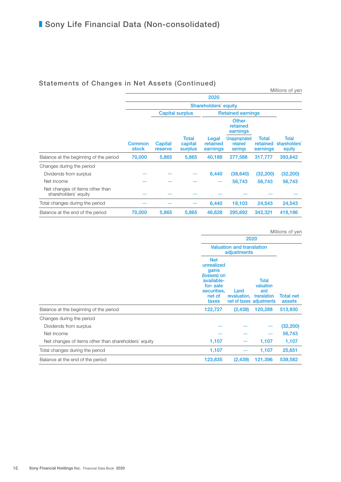### Statements of Changes in Net Assets (Continued)

|                                                         | .                      |                    |                                    |                               |                                        |                               | Millions of yen                         |
|---------------------------------------------------------|------------------------|--------------------|------------------------------------|-------------------------------|----------------------------------------|-------------------------------|-----------------------------------------|
|                                                         |                        |                    |                                    | 2020                          |                                        |                               |                                         |
|                                                         |                        |                    |                                    | Shareholders' equity          |                                        |                               |                                         |
|                                                         |                        |                    | <b>Capital surplus</b>             |                               | <b>Retained earnings</b>               |                               |                                         |
|                                                         |                        |                    |                                    |                               | <b>Other</b><br>retained<br>earnings   |                               |                                         |
|                                                         | <b>Common</b><br>stock | Capital<br>reserve | <b>Total</b><br>capital<br>surplus | Legal<br>retained<br>earnings | Unappropriated<br>retained<br>earnings | Total<br>retained<br>earnings | <b>Total</b><br>shareholders'<br>equity |
| Balance at the beginning of the period                  | 70,000                 | 5,865              | 5,865                              | 40,188                        | 277,588                                | 317,777                       | 393,642                                 |
| Changes during the period                               |                        |                    |                                    |                               |                                        |                               |                                         |
| Dividends from surplus                                  |                        |                    |                                    | 6,440                         | (38, 640)                              | (32, 200)                     | (32, 200)                               |
| Net income                                              |                        |                    |                                    |                               | 56,743                                 | 56,743                        | 56,743                                  |
| Net changes of items other than<br>shareholders' equity |                        |                    |                                    |                               |                                        |                               |                                         |
| Total changes during the period                         |                        |                    |                                    | 6,440                         | 18,103                                 | 24,543                        | 24,543                                  |
| Balance at the end of the period                        | 70,000                 | 5,865              | 5,865                              | 46,628                        | 295,692                                | 342,321                       | 418,186                                 |

|                                                      |                                                                                                              |                      |                                                                      | Millions of yen            |
|------------------------------------------------------|--------------------------------------------------------------------------------------------------------------|----------------------|----------------------------------------------------------------------|----------------------------|
|                                                      | 2020                                                                                                         |                      |                                                                      |                            |
|                                                      | <b>Valuation and translation</b><br>adjustments                                                              |                      |                                                                      |                            |
|                                                      | <b>Net</b><br>unrealized<br>gains<br>(losses) on<br>available-<br>for-sale<br>securities,<br>net of<br>taxes | Land<br>revaluation, | Total<br>valuation<br>and<br>translation<br>net of taxes adjustments | <b>Total net</b><br>assets |
| Balance at the beginning of the period               | 122,727                                                                                                      | (2, 439)             | 120,288                                                              | 513,930                    |
| Changes during the period                            |                                                                                                              |                      |                                                                      |                            |
| Dividends from surplus                               |                                                                                                              |                      |                                                                      | (32, 200)                  |
| Net income                                           |                                                                                                              |                      |                                                                      | 56,743                     |
| Net changes of items other than shareholders' equity | 1,107                                                                                                        |                      | 1,107                                                                | 1,107                      |
| Total changes during the period                      | 1,107                                                                                                        |                      | 1,107                                                                | 25,651                     |
| Balance at the end of the period                     | 123,835                                                                                                      | (2, 439)             | 121,396                                                              | 539,582                    |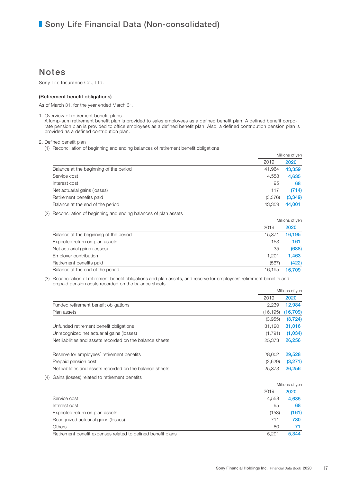## Notes

Sony Life Insurance Co., Ltd.

#### (Retirement benefit obligations)

As of March 31, for the year ended March 31,

1. Overview of retirement benefit plans

A lump-sum retirement benefit plan is provided to sales employees as a defined benefit plan. A defined benefit corporate pension plan is provided to office employees as a defined benefit plan. Also, a defined contribution pension plan is provided as a defined contribution plan.

2. Defined benefit plan

(1) Reconciliation of beginning and ending balances of retirement benefit obligations

|     |                                                                                                                                                                              |             | Millions of yen |
|-----|------------------------------------------------------------------------------------------------------------------------------------------------------------------------------|-------------|-----------------|
|     |                                                                                                                                                                              | 2019        | 2020            |
|     | Balance at the beginning of the period                                                                                                                                       | 41,964      | 43,359          |
|     | Service cost                                                                                                                                                                 | 4,558       | 4,635           |
|     | Interest cost                                                                                                                                                                | 95          | 68              |
|     | Net actuarial gains (losses)                                                                                                                                                 | 117         | (714)           |
|     | Retirement benefits paid                                                                                                                                                     | (3,376)     | (3, 349)        |
|     | Balance at the end of the period                                                                                                                                             | 43,359      | 44,001          |
| (2) | Reconciliation of beginning and ending balances of plan assets                                                                                                               |             |                 |
|     |                                                                                                                                                                              |             | Millions of yen |
|     |                                                                                                                                                                              | 2019        | 2020            |
|     | Balance at the beginning of the period                                                                                                                                       | 15.371      | 16.195          |
|     | Expected return on plan assets                                                                                                                                               | 153         | 161             |
|     | Net actuarial gains (losses)                                                                                                                                                 | 35          | (688)           |
|     | Employer contribution                                                                                                                                                        | 1,201       | 1,463           |
|     | Retirement benefits paid                                                                                                                                                     | (567)       | (422)           |
|     | Balance at the end of the period                                                                                                                                             | 16,195      | 16.709          |
| (3) | Reconciliation of retirement benefit obligations and plan assets, and reserve for employees' retirement benefits and<br>prepaid pension costs recorded on the balance sheets |             |                 |
|     |                                                                                                                                                                              |             | Millions of yen |
|     |                                                                                                                                                                              | 2019        | 2020            |
|     | Funded retirement benefit obligations                                                                                                                                        | 12,239      | 12,984          |
|     | Plan assets                                                                                                                                                                  | (16, 195)   | (16, 709)       |
|     |                                                                                                                                                                              | $(2$ $055)$ | (2.79A)         |

|                                                           | (3,955) | (3, 724) |
|-----------------------------------------------------------|---------|----------|
| Unfunded retirement benefit obligations                   | 31.120  | 31,016   |
| Unrecognized net actuarial gains (losses)                 | (1.791) | (1,034)  |
| Net liabilities and assets recorded on the balance sheets | 25,373  | 26.256   |
| Reserve for employees' retirement benefits                | 28,002  | 29.528   |
| Prepaid pension cost                                      | (2,629) | (3,271)  |
| Net liabilities and assets recorded on the balance sheets | 25,373  | 26.256   |

(4) Gains (losses) related to retirement benefits

|                                                              |       | Millions of yen |
|--------------------------------------------------------------|-------|-----------------|
|                                                              | 2019  | 2020            |
| Service cost                                                 | 4.558 | 4,635           |
| Interest cost                                                | 95    | 68              |
| Expected return on plan assets                               | (153) | (161)           |
| Recognized actuarial gains (losses)                          | 711   | 730             |
| <b>Others</b>                                                | 80    | 71              |
| Retirement benefit expenses related to defined benefit plans | 5.291 | 5.344           |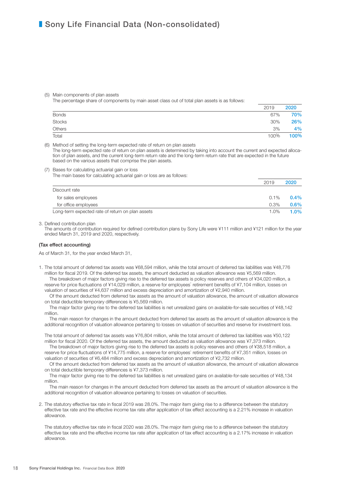#### (5) Main components of plan assets

The percentage share of components by main asset class out of total plan assets is as follows:

|              | 2019 | 2020 |
|--------------|------|------|
| <b>Bonds</b> | 67%  | 70%  |
| Stocks       | 30%  | 26%  |
| Others       | 3%   | 4%   |
| Total        | 100% | 100% |

(6) Method of setting the long-term expected rate of return on plan assets

The long-term expected rate of return on plan assets is determined by taking into account the current and expected allocation of plan assets, and the current long-term return rate and the long-term return rate that are expected in the future based on the various assets that comprise the plan assets.

(7) Bases for calculating actuarial gain or loss

The main bases for calculating actuarial gain or loss are as follows:

|                                                  | 2019    | 2020    |
|--------------------------------------------------|---------|---------|
| Discount rate                                    |         |         |
| for sales employees                              | $0.1\%$ | $0.4\%$ |
| for office employees                             | $0.3\%$ | $0.6\%$ |
| Long-term expected rate of return on plan assets | $1.0\%$ | $1.0\%$ |

3. Defined contribution plan

The amounts of contribution required for defined contribution plans by Sony Life were ¥111 million and ¥121 million for the year ended March 31, 2019 and 2020, respectively.

#### (Tax effect accounting)

As of March 31, for the year ended March 31,

1. The total amount of deferred tax assets was ¥68,594 million, while the total amount of deferred tax liabilities was ¥48,776 million for fiscal 2019. Of the deferred tax assets, the amount deducted as valuation allowance was ¥5,569 million.

The breakdown of major factors giving rise to the deferred tax assets is policy reserves and others of ¥34,020 million, a reserve for price fluctuations of ¥14,029 million, a reserve for employees' retirement benefits of ¥7,104 million, losses on valuation of securities of ¥4,637 million and excess depreciation and amortization of ¥2,940 million.

Of the amount deducted from deferred tax assets as the amount of valuation allowance, the amount of valuation allowance on total deductible temporary differences is ¥5,569 million.

The major factor giving rise to the deferred tax liabilities is net unrealized gains on available-for-sale securities of ¥48,142 million.

The main reason for changes in the amount deducted from deferred tax assets as the amount of valuation allowance is the additional recognition of valuation allowance pertaining to losses on valuation of securities and reserve for investment loss.

The total amount of deferred tax assets was ¥76,804 million, while the total amount of deferred tax liabilities was ¥50,122 million for fiscal 2020. Of the deferred tax assets, the amount deducted as valuation allowance was ¥7,373 million.

The breakdown of major factors giving rise to the deferred tax assets is policy reserves and others of ¥38,518 million, a reserve for price fluctuations of ¥14,775 million, a reserve for employees' retirement benefits of ¥7,351 million, losses on valuation of securities of ¥6,484 million and excess depreciation and amortization of ¥2,732 million.

Of the amount deducted from deferred tax assets as the amount of valuation allowance, the amount of valuation allowance on total deductible temporary differences is ¥7,373 million.

The major factor giving rise to the deferred tax liabilities is net unrealized gains on available-for-sale securities of ¥48,134 million.

The main reason for changes in the amount deducted from deferred tax assets as the amount of valuation allowance is the additional recognition of valuation allowance pertaining to losses on valuation of securities.

2. The statutory effective tax rate in fiscal 2019 was 28.0%. The major item giving rise to a difference between the statutory effective tax rate and the effective income tax rate after application of tax effect accounting is a 2.21% increase in valuation allowance.

The statutory effective tax rate in fiscal 2020 was 28.0%. The major item giving rise to a difference between the statutory effective tax rate and the effective income tax rate after application of tax effect accounting is a 2.17% increase in valuation allowance.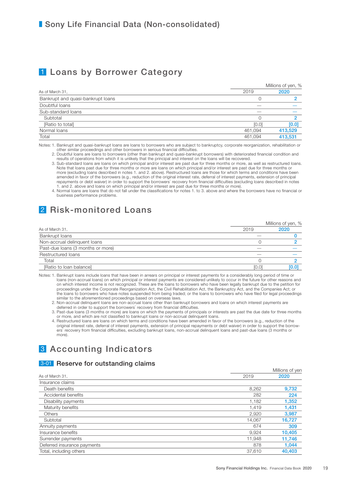## 1 Loans by Borrower Category

|                                   | Millions of yen, % |         |  |
|-----------------------------------|--------------------|---------|--|
| As of March 31,                   | 2019               | 2020    |  |
| Bankrupt and quasi-bankrupt loans |                    |         |  |
| Doubtful loans                    |                    |         |  |
| Sub-standard loans                |                    |         |  |
| Subtotal                          |                    |         |  |
| [Ratio to total]                  | [0.0]              | [0.0]   |  |
| Normal loans                      | 461,094            | 413,529 |  |
| Total                             | 461,094            | 413,531 |  |

Notes: 1. Bankrupt and quasi-bankrupt loans are loans to borrowers who are subject to bankruptcy, corporate reorganization, rehabilitation or other similar proceedings and other borrowers in serious financial difficulties.

 2. Doubtful loans are loans to borrowers (other than bankrupt and quasi-bankrupt borrowers) with deteriorated financial condition and results of operations from which it is unlikely that the principal and interest on the loans will be recovered.

 3. Sub-standard loans are loans on which principal and/or interest are past due for three months or more, as well as restructured loans. Note that loans past due for three months or more are loans on which principal and/or interest are past due for three months or more (excluding loans described in notes 1. and 2. above). Restructured loans are those for which terms and conditions have been amended in favor of the borrowers (e.g., reduction of the original interest rate, deferral of interest payments, extension of principal repayments or debt waiver) in order to support the borrowers' recovery from financial difficulties (excluding loans described in notes . and 2. above and loans on which principal and/or interest are past due for three months or more).

 4. Normal loans are loans that do not fall under the classifications for notes 1. to 3. above and where the borrowers have no financial or business performance problems.

## 2 Risk-monitored Loans

|                                   |       | Millions of yen, % |  |
|-----------------------------------|-------|--------------------|--|
| As of March 31,                   | 2019  | 2020               |  |
| Bankrupt loans                    |       |                    |  |
| Non-accrual delinguent loans      |       |                    |  |
| Past-due loans (3 months or more) | --    |                    |  |
| Restructured loans                |       |                    |  |
| Total                             |       |                    |  |
| [Ratio to loan balance]           | [0.0] | [0.0]              |  |

Notes: 1. Bankrupt loans include loans that have been in arrears on principal or interest payments for a considerably long period of time or loans (non-accrual loans) on which principal or interest payments are considered unlikely to occur in the future for other reasons and on which interest income is not recognized. These are the loans to borrowers who have been legally bankrupt due to the petition for proceedings under the Corporate Reorganization Act, the Civil Rehabilitation Act, the Bankruptcy Act, and the Companies Act; or the loans to borrowers who have notes suspended from being traded; or the loans to borrowers who have filed for legal proceedings similar to the aforementioned proceedings based on overseas laws.

- 2. Non-accrual delinquent loans are non-accrual loans other than bankrupt borrowers and loans on which interest payments are
- deferred in order to support the borrowers' recovery from financial difficulties. 3. Past-due loans (3 months or more) are loans on which the payments of principals or interests are past the due date for three months or more, and which are not classified to bankrupt loans or non-accrual delinquent loans.

 4. Restructured loans are loans on which terms and conditions have been amended in favor of the borrowers (e.g., reduction of the original interest rate, deferral of interest payments, extension of principal repayments or debt waiver) in order to support the borrowers' recovery from financial difficulties, excluding bankrupt loans, non-accrual delinquent loans and past-due loans (3 months or more).

## 3 Accounting Indicators

### 3-01 Reserve for outstanding claims

|                             |        | Millions of yen |  |
|-----------------------------|--------|-----------------|--|
| As of March 31,             | 2019   | 2020            |  |
| Insurance claims            |        |                 |  |
| Death benefits              | 8,262  | 9,732           |  |
| Accidental benefits         | 282    | 224             |  |
| Disability payments         | 1,182  | 1,352           |  |
| Maturity benefits           | 1.419  | 1,431           |  |
| <b>Others</b>               | 2,920  | 3,987           |  |
| Subtotal                    | 14.067 | 16,727          |  |
| Annuity payments            | 674    | 309             |  |
| Insurance benefits          | 9,924  | 10,405          |  |
| Surrender payments          | 11,948 | 11,746          |  |
| Deferred insurance payments | 878    | 1,044           |  |
| Total, including others     | 37.610 | 40.403          |  |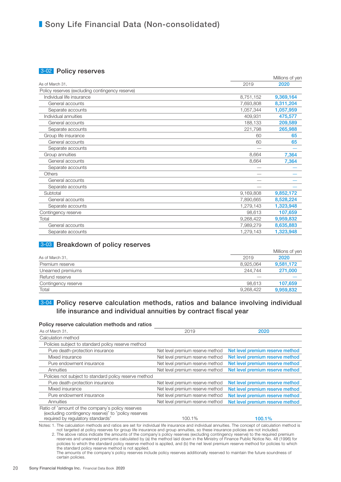### 3-02 Policy reserves

|                                                 |           | Millions of yen |
|-------------------------------------------------|-----------|-----------------|
| As of March 31,                                 | 2019      | 2020            |
| Policy reserves (excluding contingency reserve) |           |                 |
| Individual life insurance                       | 8,751,152 | 9,369,164       |
| General accounts                                | 7,693,808 | 8,311,204       |
| Separate accounts                               | 1,057,344 | 1,057,959       |
| Individual annuities                            | 409,931   | 475,577         |
| General accounts                                | 188,133   | 209,589         |
| Separate accounts                               | 221,798   | 265,988         |
| Group life insurance                            | 60        | 65              |
| General accounts                                | 60        | 65              |
| Separate accounts                               |           |                 |
| Group annuities                                 | 8,664     | 7,364           |
| General accounts                                | 8,664     | 7,364           |
| Separate accounts                               |           |                 |
| <b>Others</b>                                   |           |                 |
| General accounts                                |           |                 |
| Separate accounts                               |           |                 |
| Subtotal                                        | 9,169,808 | 9,852,172       |
| General accounts                                | 7,890,665 | 8,528,224       |
| Separate accounts                               | 1,279,143 | 1,323,948       |
| Contingency reserve                             | 98.613    | 107,659         |
| Total                                           | 9,268,422 | 9,959,832       |
| General accounts                                | 7,989,279 | 8,635,883       |
| Separate accounts                               | 1,279,143 | 1,323,948       |

### 3-03 Breakdown of policy reserves

|                     |           | Millions of yen |
|---------------------|-----------|-----------------|
| As of March 31,     | 2019      | 2020            |
| Premium reserve     | 8,925,064 | 9,581,172       |
| Unearned premiums   | 244.744   | 271,000         |
| Refund reserve      |           |                 |
| Contingency reserve | 98.613    | 107,659         |
| Total               | 9,268,422 | 9,959,832       |

### **3-04 Policy reserve calculation methods, ratios and balance involving individual** life insurance and individual annuities by contract fiscal year

### Policy reserve calculation methods and ratios **constant of the constant of the constant of the constant of the constant of the constant of the constant of the constant of the constant of the constant of the constant of the**

| As of March 31,                                                                                                                                                                                                                                                                                                                                                                                                                                                                                                                                                                                                                                                                                                                                        | 2019                             | 2020                             |  |  |  |
|--------------------------------------------------------------------------------------------------------------------------------------------------------------------------------------------------------------------------------------------------------------------------------------------------------------------------------------------------------------------------------------------------------------------------------------------------------------------------------------------------------------------------------------------------------------------------------------------------------------------------------------------------------------------------------------------------------------------------------------------------------|----------------------------------|----------------------------------|--|--|--|
| Calculation method                                                                                                                                                                                                                                                                                                                                                                                                                                                                                                                                                                                                                                                                                                                                     |                                  |                                  |  |  |  |
| Policies subject to standard policy reserve method                                                                                                                                                                                                                                                                                                                                                                                                                                                                                                                                                                                                                                                                                                     |                                  |                                  |  |  |  |
| Pure death-protection insurance                                                                                                                                                                                                                                                                                                                                                                                                                                                                                                                                                                                                                                                                                                                        | Net level premium reserve method | Net level premium reserve method |  |  |  |
| Mixed insurance                                                                                                                                                                                                                                                                                                                                                                                                                                                                                                                                                                                                                                                                                                                                        | Net level premium reserve method | Net level premium reserve method |  |  |  |
| Pure endowment insurance                                                                                                                                                                                                                                                                                                                                                                                                                                                                                                                                                                                                                                                                                                                               | Net level premium reserve method | Net level premium reserve method |  |  |  |
| Annuities                                                                                                                                                                                                                                                                                                                                                                                                                                                                                                                                                                                                                                                                                                                                              | Net level premium reserve method | Net level premium reserve method |  |  |  |
| Policies not subject to standard policy reserve method                                                                                                                                                                                                                                                                                                                                                                                                                                                                                                                                                                                                                                                                                                 |                                  |                                  |  |  |  |
| Pure death-protection insurance                                                                                                                                                                                                                                                                                                                                                                                                                                                                                                                                                                                                                                                                                                                        | Net level premium reserve method | Net level premium reserve method |  |  |  |
| Mixed insurance                                                                                                                                                                                                                                                                                                                                                                                                                                                                                                                                                                                                                                                                                                                                        | Net level premium reserve method | Net level premium reserve method |  |  |  |
| Pure endowment insurance                                                                                                                                                                                                                                                                                                                                                                                                                                                                                                                                                                                                                                                                                                                               | Net level premium reserve method | Net level premium reserve method |  |  |  |
| Annuities                                                                                                                                                                                                                                                                                                                                                                                                                                                                                                                                                                                                                                                                                                                                              | Net level premium reserve method | Net level premium reserve method |  |  |  |
| Ratio of "amount of the company's policy reserves<br>(excluding contingency reserve)" to "policy reserves<br>required by requlatory standards"                                                                                                                                                                                                                                                                                                                                                                                                                                                                                                                                                                                                         | 100.1%                           | <b>100.1%</b>                    |  |  |  |
| Notes: 1. The calculation methods and ratios are set for individual life insurance and individual annuities. The concept of calculation method is<br>not targeted at policy reserves for group life insurance and group annuities, so these insurance policies are not included.<br>2. The above ratios indicate the amounts of the company's policy reserves (excluding contingency reserve) to the required premium<br>reserves and unearned premiums calculated by (a) the method laid down in the Ministry of Finance Public Notice No. 48 (1996) for<br>policies to which the standard policy reserve method is applied, and (b) the net level premium reserve method for policies to which<br>the standard policy reserve method is not applied. |                                  |                                  |  |  |  |

The amounts of the company's policy reserves include policy reserves additionally reserved to maintain the future soundness of certain policies.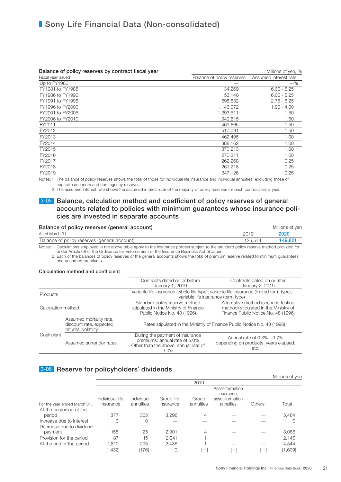#### Balance of policy reserves by contract fiscal year Millions of yen, % Millions of yen, %

| <u> Saidiroo of polioji roool roo bij ooritidot hoodi jodi</u> |                            |                       |
|----------------------------------------------------------------|----------------------------|-----------------------|
| Fiscal year issued                                             | Balance of policy reserves | Assumed interest rate |
| Up to FY1980                                                   |                            | $-\%$                 |
| FY1981 to FY1985                                               | 34.269                     | $6.00 - 6.25$         |
| FY1986 to FY1990                                               | 53.140                     | $6.00 - 6.25$         |
| FY1991 to FY1995                                               | 598,632                    | $2.75 - 6.25$         |
| FY1996 to FY2000                                               | 1,143,072                  | $1.90 - 4.00$         |
| FY2001 to FY2005                                               | 1,393,511                  | 1.50                  |
| FY2006 to FY2010                                               | 1,949,615                  | 1.50                  |
| FY2011                                                         | 469.665                    | 1.50                  |
| FY2012                                                         | 517,091                    | 1.50                  |
| FY2013                                                         | 462,495                    | 1.00                  |
| FY2014                                                         | 388.162                    | 1.00                  |
| FY2015                                                         | 370,213                    | 1.00                  |
| FY2016                                                         | 270,311                    | 1.00                  |
| FY2017                                                         | 262,268                    | 0.25                  |
| FY2018                                                         | 261,218                    | 0.25                  |
| FY2019                                                         | 347,126                    | 0.25                  |
|                                                                |                            |                       |

Notes: 1. The balance of policy reserves shows the total of those for individual life insurance and individual annuities, excluding those of separate accounts and contingency reserves.

2. The assumed interest rate shows the assumed interest rate of the majority of policy reserves for each contract fiscal year.

### 3-05 Balance, calculation method and coefficient of policy reserves of general accounts related to policies with minimum guarantees whose insurance policies are invested in separate accounts

| Balance of policy reserves (general account) |         | Millions of ven |
|----------------------------------------------|---------|-----------------|
| As of March 31.                              | 2019    | 2020            |
| Balance of policy reserves (general account) | 125.574 | 149.821         |
|                                              |         |                 |

Notes: 1. Calculations employed in the above table apply to the insurance policies subject to the standard policy reserve method provided for under Article 68 of the Ordinance for Enforcement of the Insurance Business Act of Japan.

 2. Each of the balances of policy reserves of the general accounts shows the total of premium reserve related to minimum guarantees and unearned premiums.

#### Calculation method and coefficient

| Contracts dated on or before<br>January 1, 2019                                                                                                                                                                                                      |                                                                                                                                |                                                                                                                     | Contracts dated on or after<br>January 2, 2019                              |
|------------------------------------------------------------------------------------------------------------------------------------------------------------------------------------------------------------------------------------------------------|--------------------------------------------------------------------------------------------------------------------------------|---------------------------------------------------------------------------------------------------------------------|-----------------------------------------------------------------------------|
| Products                                                                                                                                                                                                                                             | Variable life insurance (whole life type), variable life insurance (limited term type),<br>variable life insurance (term type) |                                                                                                                     |                                                                             |
| Alternative method (scenario testing<br>Standard policy reserve method<br>method) stipulated in the Ministry of<br>stipulated in the Ministry of Finance<br>Calculation method<br>Public Notice No. 48 (1996)<br>Finance Public Notice No. 48 (1996) |                                                                                                                                |                                                                                                                     |                                                                             |
|                                                                                                                                                                                                                                                      | Assumed mortality rate,<br>discount rate, expected<br>returns, volatility                                                      | Rates stipulated in the Ministry of Finance Public Notice No. 48 (1996)                                             |                                                                             |
| Coefficient                                                                                                                                                                                                                                          | Assumed surrender rates                                                                                                        | During the payment of insurance<br>premiums: annual rate of 5.0%<br>Other than the above: annual rate of<br>$3.0\%$ | Annual rate of 0.3% - 9.7%<br>depending on products, years elapsed,<br>etc. |

### 3-06 Reserve for policyholders' dividends

|                                     |                              |                         |                         |                    |                                                               |               | Millions of yer  |
|-------------------------------------|------------------------------|-------------------------|-------------------------|--------------------|---------------------------------------------------------------|---------------|------------------|
|                                     |                              |                         |                         | 2019               |                                                               |               |                  |
| For the year ended March 31,        | Individual life<br>insurance | Individual<br>annuities | Group life<br>insurance | Group<br>annuities | Asset-formation<br>insurance.<br>asset-formation<br>annuities | <b>Others</b> | Total            |
| At the beginning of the<br>period   | 1,877                        | 305                     | 3,296                   | 4                  |                                                               |               | 5,484            |
| Increase due to interest            |                              | O                       |                         |                    |                                                               |               | O                |
| Decrease due to dividend<br>payment | 155                          | 25                      | 2.901                   | 4                  |                                                               |               | 3,086            |
| Provision for the period            | 87                           | 15                      | 2.041                   |                    |                                                               |               | 2,146            |
| At the end of the period            | 1,810<br>[1,432]             | 295<br>[176]            | 2,436<br>[0]            |                    |                                                               |               | 4,544<br>[1,609] |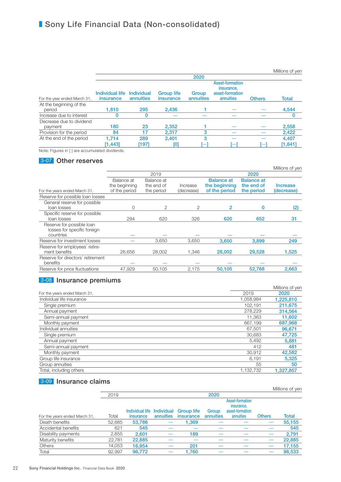|                                     |                                     |                                |                                       |                           |                                                                      |               | Millions of yen  |
|-------------------------------------|-------------------------------------|--------------------------------|---------------------------------------|---------------------------|----------------------------------------------------------------------|---------------|------------------|
|                                     |                                     |                                |                                       | 2020                      |                                                                      |               |                  |
| For the year ended March 31,        | Individual life<br><i>insurance</i> | <b>Individual</b><br>annuities | <b>Group life</b><br><i>insurance</i> | Group<br><b>annuities</b> | <b>Asset-formation</b><br>insurance.<br>asset-formation<br>annuities | <b>Others</b> | <b>Total</b>     |
| At the beginning of the<br>period   | 1.810                               | 295                            | 2,436                                 |                           |                                                                      |               | 4,544            |
| Increase due to interest            | O                                   | 0                              |                                       |                           |                                                                      |               |                  |
| Decrease due to dividend<br>payment | 180                                 | 23                             | 2,352                                 |                           |                                                                      |               | 2,558            |
| Provision for the period            | 84                                  | 17                             | 2,317                                 | 3                         |                                                                      |               | 2,422            |
| At the end of the period            | 1.714<br>[1,443]                    | 289<br>[197]                   | 2,401<br>[0]                          | 3                         |                                                                      |               | 4,407<br>[1,641] |

Note: Figures in [ ] are accumulated dividends.

### 3-07 Other reserves

|                                                                       |                                              |                                        |                        |                                                     |                                               | Millions of yen        |
|-----------------------------------------------------------------------|----------------------------------------------|----------------------------------------|------------------------|-----------------------------------------------------|-----------------------------------------------|------------------------|
|                                                                       |                                              | 2019                                   |                        |                                                     | 2020                                          |                        |
| For the years ended March 31,                                         | Balance at<br>the beginning<br>of the period | Balance at<br>the end of<br>the period | Increase<br>(decrease) | <b>Balance at</b><br>the beginning<br>of the period | <b>Balance at</b><br>the end of<br>the period | Increase<br>(decrease) |
| Reserve for possible loan losses                                      |                                              |                                        |                        |                                                     |                                               |                        |
| General reserve for possible<br>loan losses                           | 0                                            | 2                                      | 2                      | 2                                                   | 0                                             | (2)                    |
| Specific reserve for possible<br>loan losses                          | 294                                          | 620                                    | 326                    | 620                                                 | 652                                           | 31                     |
| Reserve for possible loan<br>losses for specific foreign<br>countries |                                              |                                        |                        |                                                     |                                               |                        |
| Reserve for investment losses                                         |                                              | 3,650                                  | 3,650                  | 3,650                                               | 3,899                                         | 249                    |
| Reserve for employees' retire-<br>ment benefits                       | 26.656                                       | 28,002                                 | 1.346                  | 28,002                                              | 29,528                                        | 1,525                  |
| Reserve for directors' retirement<br>benefits                         |                                              |                                        |                        |                                                     |                                               |                        |
| Reserve for price fluctuations                                        | 47,929                                       | 50.105                                 | 2,175                  | 50,105                                              | 52,768                                        | 2,663                  |

### 3-08 Insurance premiums

|                               |           | Millions of yen |
|-------------------------------|-----------|-----------------|
| For the years ended March 31, | 2019      | 2020            |
| Individual life insurance     | 1.058.984 | 1,225,810       |
| Single premium                | 102.191   | 211,675         |
| Annual payment                | 278,229   | 314,564         |
| Semi-annual payment           | 11.363    | 11,602          |
| Monthly payment               | 667.199   | 687,968         |
| Individual annuities          | 67.501    | 96,671          |
| Single premium                | 30.683    | 47.725          |
| Annual payment                | 5,492     | 5,881           |
| Semi-annual payment           | 412       | 481             |
| Monthly payment               | 30.912    | 42,582          |
| Group life insurance          | 6.191     | 5,325           |
| Group annuities               | 55        | 50              |
| Total, including others       | 1,132,732 | 1,327,857       |

### 3-09 Insurance claims

|        |        |                  |                                     |                                              |                               |                              | Millions of yen |
|--------|--------|------------------|-------------------------------------|----------------------------------------------|-------------------------------|------------------------------|-----------------|
| 2019   |        |                  |                                     | 2020                                         |                               |                              |                 |
|        |        |                  |                                     |                                              | Asset-formation<br>insurance. |                              |                 |
|        |        |                  |                                     |                                              |                               |                              | <b>Total</b>    |
|        |        |                  |                                     |                                              |                               |                              |                 |
| 52,685 | 53,786 |                  | 1,369                               |                                              |                               |                              | 55,155          |
| 621    | 545    |                  |                                     |                                              |                               |                              | 545             |
| 2,855  | 2.601  |                  | 189                                 |                                              |                               |                              | 2,791           |
| 22.781 | 22,885 |                  |                                     |                                              |                               |                              | 22,885          |
| 14.053 | 16.954 |                  | 201                                 |                                              |                               |                              | 17,155          |
| 92.997 | 96.772 |                  | 1.760                               |                                              |                               |                              | 98,533          |
|        | Total  | <i>insurance</i> | <b>Individual life</b><br>annuities | Individual<br><b>Group life</b><br>insurance | Group<br>annuities            | asset-formation<br>annuities | <b>Others</b>   |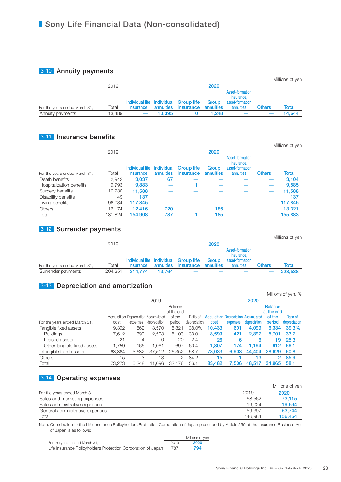### 3-10 Annuity payments

|                               |        |           |        |                                                              |                    |                                                               |               | Millions of yen |
|-------------------------------|--------|-----------|--------|--------------------------------------------------------------|--------------------|---------------------------------------------------------------|---------------|-----------------|
|                               | 2019   |           |        |                                                              | 2020               |                                                               |               |                 |
| For the years ended March 31, | Total  | insurance |        | Individual life Individual Group life<br>annuities insurance | Group<br>annuities | Asset-formation<br>insurance,<br>asset-formation<br>annuities | <b>Others</b> | Total           |
| Annuity payments              | 13.489 |           | 13.395 |                                                              | 1.248              |                                                               |               | 14.644          |

### **3-11** Insurance benefits

|                               |         |                            |           |                   |           |                                                  |               | <b>IVIIIIIONS OF VEN</b> |
|-------------------------------|---------|----------------------------|-----------|-------------------|-----------|--------------------------------------------------|---------------|--------------------------|
|                               | 2019    |                            |           |                   | 2020      |                                                  |               |                          |
|                               |         | Individual life Individual |           | <b>Group life</b> | Group     | Asset-formation<br>insurance.<br>asset-formation |               |                          |
| For the years ended March 31, | Total   | <i>insurance</i>           | annuities | insurance         | annuities | annuities                                        | <b>Others</b> | Total                    |
| Death benefits                | 2,942   | 3,037                      | 67        |                   |           |                                                  |               | 3,104                    |
| Hospitalization benefits      | 9,793   | 9,883                      |           |                   |           |                                                  |               | 9,885                    |
| Surgery benefits              | 10,730  | 11.588                     |           |                   |           |                                                  |               | 11,588                   |
| Disability benefits           | 149     | 137                        |           |                   |           |                                                  |               | 137                      |
| Living benefits               | 96,034  | 117.845                    |           |                   |           |                                                  |               | 117,845                  |
| <b>Others</b>                 | 12.174  | 12.416                     | 720       |                   | 185       |                                                  |               | 13.321                   |
| Total                         | 131.824 | 154.908                    | 787       |                   | 185       |                                                  |               | 155,883                  |

### 3-12 Surrender payments

|                               |         |           |        |                                       |           |                                                  |               | Millions of yen |
|-------------------------------|---------|-----------|--------|---------------------------------------|-----------|--------------------------------------------------|---------------|-----------------|
|                               | 2019    |           |        |                                       | 2020      |                                                  |               |                 |
|                               |         |           |        | Individual life Individual Group life | Group     | Asset-formation<br>insurance,<br>asset-formation |               |                 |
| For the years ended March 31, | Total   | insurance |        | annuities insurance                   | annuities | annuities                                        | <b>Others</b> | Total           |
| Surrender payments            | 204,351 | 214,774   | 13.764 |                                       |           |                                                  |               | 228,538         |

### **3-13** Depreciation and amortization

|                               |        |          |                                      |            |              |                                             |          |              |                | Millions of yen, % |
|-------------------------------|--------|----------|--------------------------------------|------------|--------------|---------------------------------------------|----------|--------------|----------------|--------------------|
|                               |        |          | 2019                                 |            |              |                                             |          | 2020         |                |                    |
|                               |        |          |                                      | Balance    |              |                                             |          |              | <b>Balance</b> |                    |
|                               |        |          |                                      | at the end |              |                                             |          |              | at the end     |                    |
|                               |        |          | Acquisition Depreciation Accumulated | of the     | Ratio of     | <b>Acquisition Depreciation Accumulated</b> |          |              | of the         | <b>Ratio of</b>    |
| For the years ended March 31, | cost   | expenses | depreciation                         | period     | depreciation | cost                                        | expenses | depreciation | period         | depreciation       |
| Tangible fixed assets         | 9,392  | 562      | 3,570                                | 5,821      | 38.0%        | 10,433                                      | 601      | 4.099        | 6,334          | 39.3%              |
| <b>Buildings</b>              | 7,612  | 390      | 2.508                                | 5,103      | 33.0         | 8,599                                       | 421      | 2,897        | 5,701          | 33.7               |
| Leased assets                 | 21     | 4        | 0                                    | 20         | 2.4          | 26                                          | 6        | 6            | 19             | 25.3               |
| Other tangible fixed assets   | 1,759  | 166      | .061                                 | 697        | 60.4         | 1,807                                       | 174      | 1.194        | 612            | 66.1               |
| Intangible fixed assets       | 63,864 | 5.682    | 37,512                               | 26,352     | 58.7         | 73,033                                      | 6.903    | 44.404       | 28.629         | 60.8               |
| <b>Others</b>                 | 15     | 3        | 13                                   | 2          | 84.2         | 15                                          |          | 13           | 2              | 85.9               |
| Total                         | 73.273 | 6.248    | 41.096                               | 32.176     | 56.1         | 83.482                                      | 7.506    | 48.517       | 34.965         | 58.1               |

### 3-14 Operating expenses

|                                 |         | Millions of yen |
|---------------------------------|---------|-----------------|
| For the years ended March 31,   | 2019    | 2020            |
| Sales and marketing expenses    | 68.562  | 73.115          |
| Sales administrative expenses   | 19.024  | 19.594          |
| General administrative expenses | 59.397  | 63.744          |
| Total                           | 146.984 | 156.454         |

Note: Contribution to the Life Insurance Policyholders Protection Corporation of Japan prescribed by Article 259 of the Insurance Business Act of Japan is as follows:

|                                                              |      | Millions of yen |
|--------------------------------------------------------------|------|-----------------|
| For the years ended March 31,                                | 2019 | 2020            |
| Life Insurance Policyholders Protection Corporation of Japan | 787  | 794             |

Millions of yen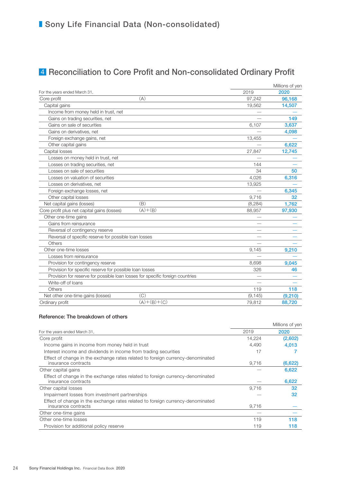# 4 Reconciliation to Core Profit and Non-consolidated Ordinary Profit

|                                                                               |               |          | Millions of yen |
|-------------------------------------------------------------------------------|---------------|----------|-----------------|
| For the years ended March 31,                                                 |               | 2019     | 2020            |
| Core profit                                                                   | (A)           | 97,242   | 96.168          |
| Capital gains                                                                 |               | 19,562   | 14,507          |
| Income from money held in trust, net                                          |               |          |                 |
| Gains on trading securities, net                                              |               |          | 149             |
| Gains on sale of securities                                                   |               | 6.107    | 3,637           |
| Gains on derivatives, net                                                     |               |          | 4,098           |
| Foreign exchange gains, net                                                   |               | 13.455   |                 |
| Other capital gains                                                           |               |          | 6,622           |
| Capital losses                                                                |               | 27,847   | 12,745          |
| Losses on money held in trust, net                                            |               |          |                 |
| Losses on trading securities, net                                             |               | 144      |                 |
| Losses on sale of securities                                                  |               | 34       | 50              |
| Losses on valuation of securities                                             |               | 4,026    | 6,316           |
| Losses on derivatives, net                                                    |               | 13,925   |                 |
| Foreign exchange losses, net                                                  |               |          | 6,345           |
| Other capital losses                                                          |               | 9,716    | 32              |
| Net capital gains (losses)                                                    | (B)           | (8, 284) | 1,762           |
| Core profit plus net capital gains (losses)                                   | $(A)+(B)$     | 88,957   | 97,930          |
| Other one-time gains                                                          |               |          |                 |
| Gains from reinsurance                                                        |               |          |                 |
| Reversal of contingency reserve                                               |               |          |                 |
| Reversal of specific reserve for possible loan losses                         |               |          |                 |
| Others                                                                        |               |          |                 |
| Other one-time losses                                                         |               | 9,145    | 9,210           |
| Losses from reinsurance                                                       |               |          |                 |
| Provision for contingency reserve                                             |               | 8,698    | 9,045           |
| Provision for specific reserve for possible loan losses                       |               | 326      | 46              |
| Provision for reserve for possible loan losses for specific foreign countries |               |          |                 |
| Write-off of loans                                                            |               |          |                 |
| Others                                                                        |               | 119      | 118             |
| Net other one-time gains (losses)                                             | (C)           | (9, 145) | (9,210)         |
| Ordinary profit                                                               | $(A)+(B)+(C)$ | 79,812   | 88,720          |

### Reference: The breakdown of others

|                                                                                                       |        | Millions of yen |
|-------------------------------------------------------------------------------------------------------|--------|-----------------|
| For the years ended March 31,                                                                         | 2019   | 2020            |
| Core profit                                                                                           | 14.224 | (2,602)         |
| Income gains in income from money held in trust                                                       | 4,490  | 4,013           |
| Interest income and dividends in income from trading securities                                       | 17     |                 |
| Effect of change in the exchange rates related to foreign currency-denominated<br>insurance contracts | 9,716  | (6,622)         |
| Other capital gains                                                                                   |        | 6,622           |
| Effect of change in the exchange rates related to foreign currency-denominated<br>insurance contracts |        | 6,622           |
| Other capital losses                                                                                  | 9,716  | 32              |
| Impairment losses from investment partnerships                                                        |        | 32              |
| Effect of change in the exchange rates related to foreign currency-denominated<br>insurance contracts | 9.716  |                 |
| Other one-time gains                                                                                  |        |                 |
| Other one-time losses                                                                                 | 119    | 118             |
| Provision for additional policy reserve                                                               | 119    | 118             |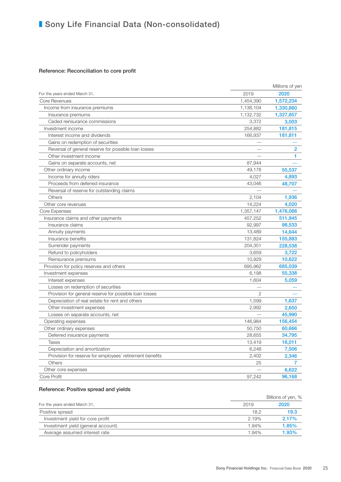#### Reference: Reconciliation to core profit

|                                                          |                | Millions of yen |
|----------------------------------------------------------|----------------|-----------------|
| For the years ended March 31,                            | 2019           | 2020            |
| <b>Core Revenues</b>                                     | 1,454,390      | 1,572,234       |
| Income from insurance premiums                           | 1,136,104      | 1,330,860       |
| Insurance premiums                                       | 1,132,732      | 1,327,857       |
| Ceded reinsurance commissions                            | 3,372          | 3,003           |
| Investment income                                        | 254,882        | 181,815         |
| Interest income and dividends                            | 166,937        | 181,811         |
| Gains on redemption of securities                        |                |                 |
| Reversal of general reserve for possible loan losses     |                | $\overline{2}$  |
| Other investment income                                  |                | 1               |
| Gains on separate accounts, net                          | 87,944         |                 |
| Other ordinary income                                    | 49,178         | 55,537          |
| Income for annuity riders                                | 4,027          | 4,893           |
| Proceeds from deferred insurance                         | 43,046         | 48,707          |
| Reversal of reserve for outstanding claims               |                |                 |
| Others                                                   | 2,104          | 1,936           |
| Other core revenues                                      | 14,224         | 4,020           |
| Core Expenses                                            | 1,357,147      | 1,476,066       |
| Insurance claims and other payments                      | 457,252        | 511,945         |
| Insurance claims                                         | 92,997         | 98,533          |
| Annuity payments                                         | 13,489         | 14,644          |
| Insurance benefits                                       | 131,824        | 155,883         |
| Surrender payments                                       | 204,351        | 228,538         |
| Refund to policyholders                                  | 3,659          | 3,722           |
| Reinsurance premiums                                     | 10,929         | 10,622          |
| Provision for policy reserves and others                 | 695,962        | 685,039         |
| Investment expenses                                      | 6,198          | 55,338          |
| Interest expenses                                        | 1,604          | 5,059           |
| Losses on redemption of securities                       |                |                 |
| Provision for general reserve for possible loan losses   | $\overline{2}$ |                 |
| Depreciation of real estate for rent and others          | 1,599          | 1,637           |
| Other investment expenses                                | 2,992          | 2,650           |
| Losses on separate accounts, net                         |                | 45,990          |
| Operating expenses                                       | 146,984        | 156,454         |
| Other ordinary expenses                                  | 50,750         | 60,666          |
| Deferred insurance payments                              | 28,655         | 34,795          |
| <b>Taxes</b>                                             | 13,419         | 16,011          |
| Depreciation and amortization                            | 6,248          | 7,506           |
| Provision for reserve for employees' retirement benefits | 2.402          | 2,346           |
| Others                                                   | 25             | 7               |
| Other core expenses                                      |                | 6,622           |
| Core Profit                                              | 97,242         | 96,168          |

### Reference: Positive spread and yields

|                                    |       | Billions of yen, % |
|------------------------------------|-------|--------------------|
| For the years ended March 31,      | 2019  | 2020               |
| Positive spread                    | 18.2  | 19.3               |
| Investment yield for core profit   | 2.19% | 2.17%              |
| Investment yield (general account) | 1.94% | $1.85\%$           |
| Average assumed interest rate      | 1.94% | 1.93%              |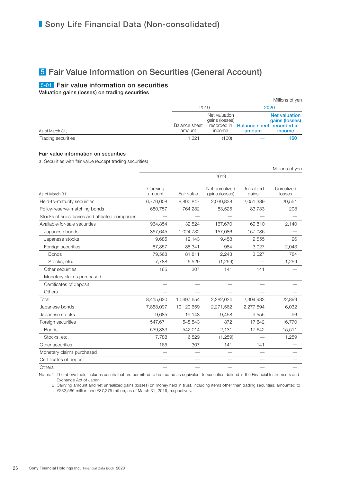## 5 Fair Value Information on Securities (General Account)

### 5-01 Fair value information on securities

Valuation gains (losses) on trading securities

|                    |                                |                                           |                                                        | Millions of yen                                  |  |
|--------------------|--------------------------------|-------------------------------------------|--------------------------------------------------------|--------------------------------------------------|--|
|                    | 2019                           |                                           | 2020                                                   |                                                  |  |
| As of March 31,    | <b>Balance sheet</b><br>amount | Net valuation<br>gains (losses)<br>income | recorded in <b>Balance sheet recorded in</b><br>amount | <b>Net valuation</b><br>gains (losses)<br>income |  |
| Trading securities | 1.321                          | 160                                       |                                                        | 160                                              |  |

#### Fair value information on securities

a. Securities with fair value (except trading securities)

|                                                 |                    |            |                                  |                     | Millions of yen      |  |
|-------------------------------------------------|--------------------|------------|----------------------------------|---------------------|----------------------|--|
|                                                 |                    |            | 2019                             |                     |                      |  |
| As of March 31.                                 | Carrying<br>amount | Fair value | Net unrealized<br>gains (losses) | Unrealized<br>gains | Unrealized<br>losses |  |
| Held-to-maturity securities                     | 6,770,008          | 8,800,847  | 2,030,838                        | 2,051,389           | 20,551               |  |
| Policy-reserve-matching bonds                   | 680,757            | 764,282    | 83,525                           | 83,733              | 208                  |  |
| Stocks of subsidiaries and affiliated companies |                    |            |                                  |                     |                      |  |
| Available-for-sale securities                   | 964,854            | 1,132,524  | 167,670                          | 169,810             | 2,140                |  |
| Japanese bonds                                  | 867,645            | 1,024,732  | 157,086                          | 157,086             |                      |  |
| Japanese stocks                                 | 9,685              | 19,143     | 9,458                            | 9,555               | 96                   |  |
| Foreign securities                              | 87,357             | 88,341     | 984                              | 3,027               | 2,043                |  |
| <b>Bonds</b>                                    | 79,568             | 81,811     | 2,243                            | 3,027               | 784                  |  |
| Stocks, etc.                                    | 7,788              | 6,529      | (1,259)                          |                     | 1,259                |  |
| Other securities                                | 165                | 307        | 141                              | 141                 |                      |  |
| Monetary claims purchased                       |                    |            |                                  |                     |                      |  |
| Certificates of deposit                         |                    |            |                                  |                     |                      |  |
| Others                                          |                    |            |                                  |                     |                      |  |
| Total                                           | 8,415,620          | 10,697,654 | 2,282,034                        | 2,304,933           | 22,899               |  |
| Japanese bonds                                  | 7,858,097          | 10,129,659 | 2,271,562                        | 2,277,594           | 6,032                |  |
| Japanese stocks                                 | 9,685              | 19,143     | 9,458                            | 9,555               | 96                   |  |
| Foreign securities                              | 547,671            | 548,543    | 872                              | 17,642              | 16,770               |  |
| <b>Bonds</b>                                    | 539,883            | 542,014    | 2,131                            | 17,642              | 15,511               |  |
| Stocks, etc.                                    | 7,788              | 6,529      | (1,259)                          |                     | 1,259                |  |
| Other securities                                | 165                | 307        | 141                              | 141                 |                      |  |
| Monetary claims purchased                       |                    |            |                                  |                     |                      |  |
| Certificates of deposit                         |                    |            |                                  |                     |                      |  |
| <b>Others</b>                                   |                    |            |                                  |                     |                      |  |

Notes: 1. The above table includes assets that are permitted to be treated as equivalent to securities defined in the Financial Instruments and Exchange Act of Japan.

 2. Carrying amount and net unrealized gains (losses) on money held in trust, including items other than trading securities, amounted to ¥232,566 million and ¥37,275 million, as of March 31, 2019, respectively.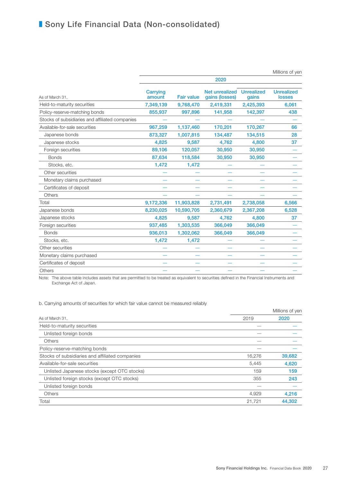|                                                 |                    |                   |                                  |                            | Millions of yen                    |
|-------------------------------------------------|--------------------|-------------------|----------------------------------|----------------------------|------------------------------------|
|                                                 |                    |                   | 2020                             |                            |                                    |
| As of March 31,                                 | Carrying<br>amount | <b>Fair value</b> | Net unrealized<br>gains (losses) | <b>Unrealized</b><br>gains | <b>Unrealized</b><br><b>losses</b> |
| Held-to-maturity securities                     | 7,349,139          | 9,768,470         | 2,419,331                        | 2,425,393                  | 6,061                              |
| Policy-reserve-matching bonds                   | 855,937            | 997,896           | 141,958                          | 142,397                    | 438                                |
| Stocks of subsidiaries and affiliated companies |                    |                   |                                  |                            |                                    |
| Available-for-sale securities                   | 967,259            | 1,137,460         | 170,201                          | 170,267                    | 66                                 |
| Japanese bonds                                  | 873,327            | 1,007,815         | 134,487                          | 134,515                    | 28                                 |
| Japanese stocks                                 | 4,825              | 9,587             | 4,762                            | 4,800                      | 37                                 |
| Foreign securities                              | 89,106             | 120,057           | 30,950                           | 30,950                     |                                    |
| <b>Bonds</b>                                    | 87,634             | 118,584           | 30,950                           | 30,950                     |                                    |
| Stocks, etc.                                    | 1,472              | 1,472             |                                  |                            |                                    |
| Other securities                                |                    |                   |                                  |                            |                                    |
| Monetary claims purchased                       |                    |                   |                                  |                            |                                    |
| Certificates of deposit                         |                    |                   |                                  |                            |                                    |
| Others                                          |                    |                   |                                  |                            |                                    |
| Total                                           | 9,172,336          | 11,903,828        | 2,731,491                        | 2,738,058                  | 6,566                              |
| Japanese bonds                                  | 8,230,025          | 10,590,705        | 2,360,679                        | 2,367,208                  | 6,528                              |
| Japanese stocks                                 | 4,825              | 9,587             | 4,762                            | 4,800                      | 37                                 |
| Foreign securities                              | 937,485            | 1,303,535         | 366,049                          | 366,049                    |                                    |
| <b>Bonds</b>                                    | 936,013            | 1,302,062         | 366,049                          | 366,049                    |                                    |
| Stocks, etc.                                    | 1,472              | 1,472             |                                  |                            |                                    |
| Other securities                                |                    |                   |                                  |                            |                                    |
| Monetary claims purchased                       |                    |                   |                                  |                            |                                    |
| Certificates of deposit                         |                    |                   |                                  |                            |                                    |
| Others                                          |                    |                   |                                  |                            |                                    |

Note: The above table includes assets that are permitted to be treated as equivalent to securities defined in the Financial Instruments and Exchange Act of Japan.

b. Carrying amounts of securities for which fair value cannot be measured reliably

|                                                 |        | Millions of yen |
|-------------------------------------------------|--------|-----------------|
| As of March 31,                                 | 2019   | 2020            |
| Held-to-maturity securities                     |        |                 |
| Unlisted foreign bonds                          |        |                 |
| Others                                          |        |                 |
| Policy-reserve-matching bonds                   |        |                 |
| Stocks of subsidiaries and affiliated companies | 16,276 | 39,682          |
| Available-for-sale securities                   | 5,445  | 4,620           |
| Unlisted Japanese stocks (except OTC stocks)    | 159    | 159             |
| Unlisted foreign stocks (except OTC stocks)     | 355    | 243             |
| Unlisted foreign bonds                          |        |                 |
| <b>Others</b>                                   | 4,929  | 4,216           |
| Total                                           | 21,721 | 44,302          |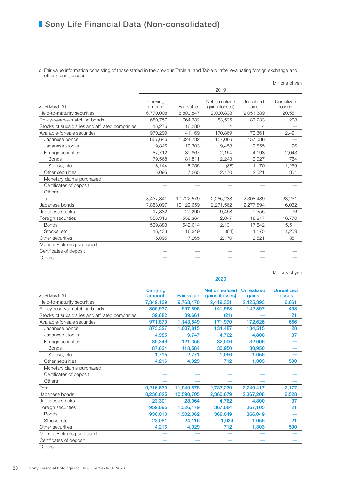c. Fair value information consisting of those stated in the previous Table a. and Table b. after evaluating foreign exchange and other gains (losses)

|                    |            |                                  |                     | Millions of yen      |
|--------------------|------------|----------------------------------|---------------------|----------------------|
|                    |            | 2019                             |                     |                      |
| Carrying<br>amount | Fair value | Net unrealized<br>gains (losses) | Unrealized<br>gains | Unrealized<br>losses |
| 6,770,008          | 8,800,847  | 2,030,838                        | 2,051,389           | 20,551               |
| 680,757            | 764,282    | 83,525                           | 83,733              | 208                  |
| 16,276             | 16,280     | 4                                | 4                   |                      |
| 970,299            | 1,141,169  | 170,869                          | 173,361             | 2,491                |
| 867,645            | 1,024,732  | 157,086                          | 157,086             |                      |
| 9,845              | 19,303     | 9,458                            | 9,555               | 96                   |
| 87,712             | 89,867     | 2,154                            | 4,198               | 2,043                |
| 79.568             | 81,811     | 2,243                            | 3,027               | 784                  |
| 8,144              | 8,055      | (88)                             | 1,170               | 1,259                |
| 5,095              | 7,265      | 2,170                            | 2,521               | 351                  |
|                    |            |                                  | -                   |                      |
|                    |            |                                  |                     |                      |
|                    |            |                                  |                     |                      |
| 8,437,341          | 10,722,579 | 2,285,238                        | 2,308,489           | 23,251               |
| 7,858,097          | 10,129,659 | 2,271,562                        | 2,277,594           | 6,032                |
| 17,832             | 27,290     | 9,458                            | 9,555               | 96                   |
| 556,316            | 558,364    | 2,047                            | 18,817              | 16,770               |
| 539,883            | 542,014    | 2,131                            | 17,642              | 15,511               |
| 16,433             | 16,349     | (84)                             | 1,175               | 1,259                |
| 5,095              | 7,265      | 2,170                            | 2,521               | 351                  |
|                    |            |                                  |                     |                      |
|                    |            |                                  |                     |                      |
|                    |            |                                  |                     |                      |
|                    |            |                                  |                     |                      |

Millions of yen

|                                                 |                    |                   | 2020                             |                            |                                    |
|-------------------------------------------------|--------------------|-------------------|----------------------------------|----------------------------|------------------------------------|
| As of March 31,                                 | Carrying<br>amount | <b>Fair value</b> | Net unrealized<br>gains (losses) | <b>Unrealized</b><br>gains | <b>Unrealized</b><br><b>losses</b> |
| Held-to-maturity securities                     | 7,349,139          | 9,768,470         | 2,419,331                        | 2,425,393                  | 6,061                              |
| Policy-reserve-matching bonds                   | 855,937            | 997,896           | 141,958                          | 142,397                    | 438                                |
| Stocks of subsidiaries and affiliated companies | 39,682             | 39,661            | (21)                             |                            | 21                                 |
| Available-for-sale securities                   | 971,879            | 1,143,849         | 171,970                          | 172,626                    | 656                                |
| Japanese bonds                                  | 873,327            | 1,007,815         | 134,487                          | 134,515                    | 28                                 |
| Japanese stocks                                 | 4,985              | 9,747             | 4,762                            | 4,800                      | 37                                 |
| Foreign securities                              | 89,349             | 121,356           | 32,006                           | 32,006                     |                                    |
| <b>Bonds</b>                                    | 87,634             | 118,584           | 30,950                           | 30,950                     |                                    |
| Stocks, etc.                                    | 1,715              | 2,771             | 1,056                            | 1,056                      |                                    |
| Other securities                                | 4,216              | 4,929             | 712                              | 1,303                      | 590                                |
| Monetary claims purchased                       |                    |                   |                                  |                            |                                    |
| Certificates of deposit                         |                    |                   |                                  |                            |                                    |
| Others                                          |                    |                   |                                  |                            |                                    |
| Total                                           | 9,216,639          | 11,949,878        | 2,733,239                        | 2,740,417                  | 7,177                              |
| Japanese bonds                                  | 8,230,025          | 10,590,705        | 2,360,679                        | 2,367,208                  | 6,528                              |
| Japanese stocks                                 | 23,301             | 28,064            | 4,762                            | 4,800                      | 37                                 |
| Foreign securities                              | 959,095            | 1,326,179         | 367,084                          | 367,105                    | 21                                 |
| <b>Bonds</b>                                    | 936,013            | 1,302,062         | 366,049                          | 366,049                    |                                    |
| Stocks, etc.                                    | 23,081             | 24,116            | 1,034                            | 1,056                      | 21                                 |
| Other securities                                | 4,216              | 4,929             | 712                              | 1,303                      | 590                                |
| Monetary claims purchased                       |                    |                   |                                  |                            |                                    |
| Certificates of deposit                         |                    |                   |                                  |                            |                                    |
| Others                                          |                    |                   |                                  |                            |                                    |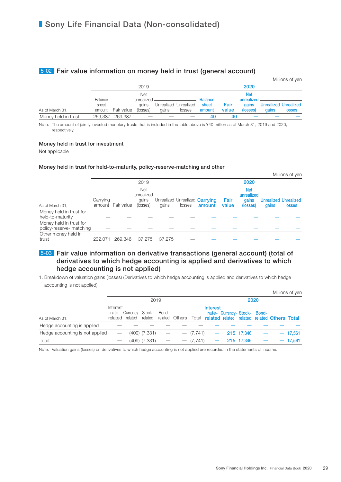### 5-02 Fair value information on money held in trust (general account)

|                     |                 |            |                          |       |                                 |                 |               |                          |       | Millions of yen                        |
|---------------------|-----------------|------------|--------------------------|-------|---------------------------------|-----------------|---------------|--------------------------|-------|----------------------------------------|
|                     |                 |            | 2019                     |       |                                 |                 |               | 2020                     |       |                                        |
|                     | Balance         |            | <b>Net</b><br>unrealized |       |                                 | <b>Balance</b>  |               | <b>Net</b><br>unrealized |       |                                        |
| As of March 31,     | sheet<br>amount | Fair value | aains<br>(losses)        | aains | Unrealized Unrealized<br>losses | sheet<br>amount | Fair<br>value | <b>gains</b><br>(losses) | dains | <b>Unrealized Unrealized</b><br>losses |
| Money held in trust | 269,387         | 269.387    |                          |       |                                 | 40              | 40            |                          |       |                                        |

Note: The amount of jointly invested monetary trusts that is included in the table above is ¥40 million as of March 31, 2019 and 2020, respectively.

#### Money held in trust for investment

Not applicable

#### Money held in trust for held-to-maturity, policy-reserve-matching and other

|                                                     |          |            |                          |        |        |                                       |       |                          |       | Millions of yen              |
|-----------------------------------------------------|----------|------------|--------------------------|--------|--------|---------------------------------------|-------|--------------------------|-------|------------------------------|
|                                                     |          |            | 2019                     |        |        | 2020                                  |       |                          |       |                              |
|                                                     |          |            | <b>Net</b><br>unrealized |        |        |                                       |       | <b>Net</b><br>unrealized |       |                              |
|                                                     | Carrying |            | gains                    |        |        | Unrealized Unrealized <b>Carrying</b> | Fair  | gains                    |       | <b>Unrealized Unrealized</b> |
| As of March 31,                                     | amount   | Fair value | (losses)                 | gains  | losses | amount                                | value | (losses)                 | gains | <b>losses</b>                |
| Money held in trust for                             |          |            |                          |        |        |                                       |       |                          |       |                              |
| held-to-maturity                                    |          |            |                          |        |        |                                       |       |                          |       |                              |
| Money held in trust for<br>policy-reserve- matching |          |            |                          |        |        |                                       |       |                          |       |                              |
|                                                     |          |            |                          |        |        |                                       |       |                          |       |                              |
| Other money held in<br>trust                        | 232.071  | 269.346    | 37.275                   | 37.275 |        |                                       |       |                          |       |                              |

### 5-03 Fair value information on derivative transactions (general account) (total of derivatives to which hedge accounting is applied and derivatives to which hedge accounting is not applied)

1. Breakdown of valuation gains (losses) (Derivatives to which hedge accounting is applied and derivatives to which hedge accounting is not applied)

|                                 |          |                                                   |                   |       |                |             |                 |                              |            |  |                                                    | Millions of yen |
|---------------------------------|----------|---------------------------------------------------|-------------------|-------|----------------|-------------|-----------------|------------------------------|------------|--|----------------------------------------------------|-----------------|
| As of March 31,                 | 2019     |                                                   |                   |       |                |             |                 | 2020                         |            |  |                                                    |                 |
|                                 | Interest | rate- Currency- Stock-<br>related related related |                   | Bond- | related Others |             | <b>Interest</b> | rate- Currency- Stock- Bond- |            |  | Total related related related related Others Total |                 |
| Hedge accounting is applied     |          |                                                   |                   |       |                |             |                 |                              |            |  |                                                    |                 |
| Hedge accounting is not applied |          |                                                   | $(409)$ $(7,331)$ |       |                | $-$ (7,741) |                 | $-215$ 17,346                |            |  |                                                    | $-17,561$       |
| Total                           |          |                                                   | $(409)$ $(7,331)$ |       |                | $-$ (7,741) |                 |                              | 215 17,346 |  |                                                    | $-17,561$       |

Note: Valuation gains (losses) on derivatives to which hedge accounting is not applied are recorded in the statements of income.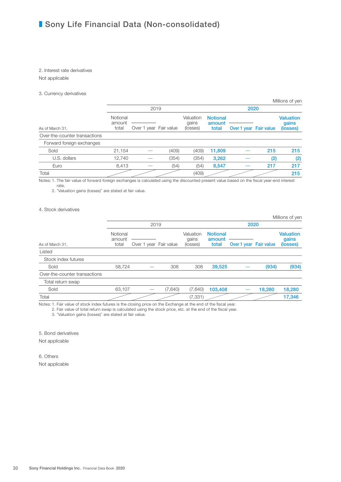#### 2. Interest rate derivatives

Not applicable

#### 3. Currency derivatives

|                               |                    |                        |       |                    | Millions of yen           |                        |     |                           |  |  |
|-------------------------------|--------------------|------------------------|-------|--------------------|---------------------------|------------------------|-----|---------------------------|--|--|
|                               |                    | 2019                   |       |                    | 2020                      |                        |     |                           |  |  |
|                               | Notional<br>amount |                        |       | Valuation<br>gains | <b>Notional</b><br>amount |                        |     | <b>Valuation</b><br>qains |  |  |
| As of March 31,               | total              | Over 1 year Fair value |       | (losses)           | total                     | Over 1 year Fair value |     | (losses)                  |  |  |
| Over-the-counter transactions |                    |                        |       |                    |                           |                        |     |                           |  |  |
| Forward foreign exchanges     |                    |                        |       |                    |                           |                        |     |                           |  |  |
| Sold                          | 21,154             |                        | (409) | (409)              | 11,809                    |                        | 215 | 215                       |  |  |
| U.S. dollars                  | 12,740             |                        | (354) | (354)              | 3,262                     |                        | (2) | (2)                       |  |  |
| Euro                          | 8,413              |                        | (54)  | (54)               | 8,547                     |                        | 217 | 217                       |  |  |
| Total                         |                    |                        |       | (409)              |                           |                        |     | 215                       |  |  |

Notes: 1. The fair value of forward foreign exchanges is calculated using the discounted present value based on the fiscal year-end interest rate.

2. "Valuation gains (losses)" are stated at fair value.

#### 4. Stock derivatives

|                               |                             |                        |         |                                |                                    |                        |        | Millions of yen                       |
|-------------------------------|-----------------------------|------------------------|---------|--------------------------------|------------------------------------|------------------------|--------|---------------------------------------|
|                               |                             | 2019                   |         |                                | 2020                               |                        |        |                                       |
| As of March 31,               | Notional<br>amount<br>total | Over 1 year Fair value |         | Valuation<br>gains<br>(losses) | <b>Notional</b><br>amount<br>total | Over 1 year Fair value |        | <b>Valuation</b><br>gains<br>(losses) |
| Listed                        |                             |                        |         |                                |                                    |                        |        |                                       |
| Stock index futures           |                             |                        |         |                                |                                    |                        |        |                                       |
| Sold                          | 58,724                      |                        | 308     | 308                            | 39,525                             |                        | (934)  | (934)                                 |
| Over-the-counter transactions |                             |                        |         |                                |                                    |                        |        |                                       |
| Total return swap             |                             |                        |         |                                |                                    |                        |        |                                       |
| Sold                          | 63,107                      |                        | (7,640) | (7,640)                        | 103,408                            |                        | 18,280 | 18,280                                |
| Total                         |                             |                        |         | (7, 331)                       |                                    |                        |        | 17,346                                |

Notes: 1. Fair value of stock index futures is the closing price on the Exchange at the end of the fiscal year.

2. Fair value of total return swap is calculated using the stock price, etc. at the end of the fiscal year.

3. "Valuation gains (losses)" are stated at fair value.

5. Bond derivatives

Not applicable

6. Others Not applicable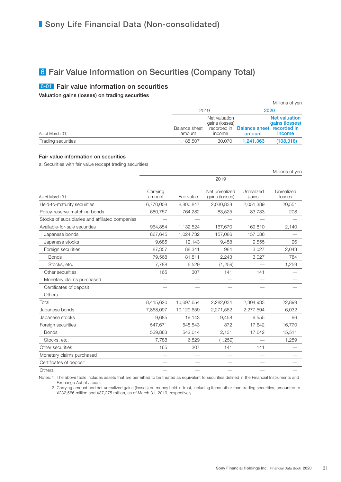## 6 Fair Value Information on Securities (Company Total)

### 6-01 Fair value information on securities

Valuation gains (losses) on trading securities

|                    |                         |                                                          |                                            | Millions of yen                                         |  |
|--------------------|-------------------------|----------------------------------------------------------|--------------------------------------------|---------------------------------------------------------|--|
|                    | 2019                    |                                                          | 2020                                       |                                                         |  |
| As of March 31,    | Balance sheet<br>amount | Net valuation<br>gains (losses)<br>recorded in<br>income | <b>Balance sheet recorded in</b><br>amount | <b>Net valuation</b><br>gains (losses)<br><i>income</i> |  |
| Trading securities | 1,185,507               | 30,070                                                   | 1,241,363                                  | (108, 018)                                              |  |

#### Fair value information on securities

a. Securities with fair value (except trading securities)

|                                                 |                    |            |                                  |                     | Millions of yen      |
|-------------------------------------------------|--------------------|------------|----------------------------------|---------------------|----------------------|
|                                                 |                    |            | 2019                             |                     |                      |
| As of March 31,                                 | Carrying<br>amount | Fair value | Net unrealized<br>gains (losses) | Unrealized<br>gains | Unrealized<br>losses |
| Held-to-maturity securities                     | 6,770,008          | 8,800,847  | 2,030,838                        | 2,051,389           | 20,551               |
| Policy-reserve-matching bonds                   | 680,757            | 764,282    | 83,525                           | 83,733              | 208                  |
| Stocks of subsidiaries and affiliated companies |                    |            |                                  |                     |                      |
| Available-for-sale securities                   | 964,854            | 1,132,524  | 167,670                          | 169,810             | 2,140                |
| Japanese bonds                                  | 867,645            | 1,024,732  | 157,086                          | 157,086             |                      |
| Japanese stocks                                 | 9,685              | 19,143     | 9,458                            | 9,555               | 96                   |
| Foreign securities                              | 87,357             | 88,341     | 984                              | 3,027               | 2,043                |
| <b>Bonds</b>                                    | 79,568             | 81,811     | 2,243                            | 3,027               | 784                  |
| Stocks, etc.                                    | 7,788              | 6,529      | (1,259)                          |                     | 1,259                |
| Other securities                                | 165                | 307        | 141                              | 141                 |                      |
| Monetary claims purchased                       |                    |            |                                  |                     |                      |
| Certificates of deposit                         |                    |            |                                  |                     |                      |
| Others                                          |                    |            |                                  |                     |                      |
| Total                                           | 8,415,620          | 10,697,654 | 2,282,034                        | 2,304,933           | 22,899               |
| Japanese bonds                                  | 7,858,097          | 10,129,659 | 2,271,562                        | 2,277,594           | 6,032                |
| Japanese stocks                                 | 9,685              | 19,143     | 9,458                            | 9,555               | 96                   |
| Foreign securities                              | 547,671            | 548,543    | 872                              | 17,642              | 16,770               |
| <b>Bonds</b>                                    | 539,883            | 542,014    | 2,131                            | 17,642              | 15,511               |
| Stocks, etc.                                    | 7,788              | 6,529      | (1,259)                          |                     | 1,259                |
| Other securities                                | 165                | 307        | 141                              | 141                 |                      |
| Monetary claims purchased                       |                    |            |                                  |                     |                      |
| Certificates of deposit                         |                    |            |                                  |                     |                      |
| Others                                          |                    |            |                                  |                     |                      |

Notes: 1. The above table includes assets that are permitted to be treated as equivalent to securities defined in the Financial Instruments and Exchange Act of Japan.

 2. Carrying amount and net unrealized gains (losses) on money held in trust, including items other than trading securities, amounted to ¥232,566 million and ¥37,275 million, as of March 31, 2019, respectively.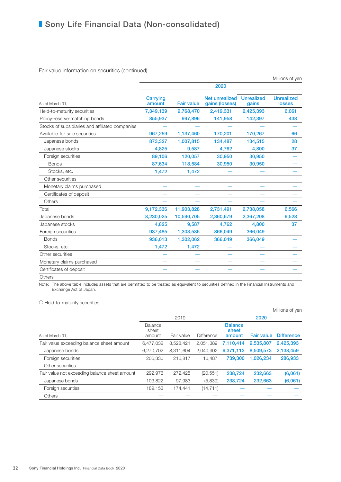Fair value information on securities (continued)

|                                                 |                    |                   |                                  |                            | Millions of yen                    |
|-------------------------------------------------|--------------------|-------------------|----------------------------------|----------------------------|------------------------------------|
|                                                 |                    |                   | 2020                             |                            |                                    |
| As of March 31,                                 | Carrying<br>amount | <b>Fair value</b> | Net unrealized<br>gains (losses) | <b>Unrealized</b><br>gains | <b>Unrealized</b><br><b>losses</b> |
| Held-to-maturity securities                     | 7,349,139          | 9,768,470         | 2,419,331                        | 2,425,393                  | 6,061                              |
| Policy-reserve-matching bonds                   | 855,937            | 997,896           | 141,958                          | 142,397                    | 438                                |
| Stocks of subsidiaries and affiliated companies |                    |                   |                                  |                            |                                    |
| Available-for-sale securities                   | 967,259            | 1,137,460         | 170,201                          | 170,267                    | 66                                 |
| Japanese bonds                                  | 873,327            | 1,007,815         | 134,487                          | 134,515                    | 28                                 |
| Japanese stocks                                 | 4,825              | 9,587             | 4,762                            | 4,800                      | 37                                 |
| Foreign securities                              | 89,106             | 120,057           | 30,950                           | 30,950                     |                                    |
| <b>Bonds</b>                                    | 87,634             | 118,584           | 30,950                           | 30,950                     |                                    |
| Stocks, etc.                                    | 1,472              | 1,472             |                                  |                            |                                    |
| Other securities                                |                    |                   |                                  |                            |                                    |
| Monetary claims purchased                       |                    |                   |                                  |                            |                                    |
| Certificates of deposit                         |                    |                   |                                  |                            |                                    |
| Others                                          |                    |                   |                                  |                            |                                    |
| Total                                           | 9,172,336          | 11,903,828        | 2,731,491                        | 2,738,058                  | 6,566                              |
| Japanese bonds                                  | 8,230,025          | 10,590,705        | 2,360,679                        | 2,367,208                  | 6,528                              |
| Japanese stocks                                 | 4,825              | 9,587             | 4,762                            | 4,800                      | 37                                 |
| Foreign securities                              | 937,485            | 1,303,535         | 366,049                          | 366,049                    |                                    |
| <b>Bonds</b>                                    | 936,013            | 1,302,062         | 366,049                          | 366,049                    |                                    |
| Stocks, etc.                                    | 1,472              | 1,472             |                                  |                            |                                    |
| Other securities                                |                    |                   |                                  |                            |                                    |
| Monetary claims purchased                       |                    |                   |                                  |                            |                                    |
| Certificates of deposit                         |                    |                   |                                  |                            |                                    |
| Others                                          |                    |                   |                                  |                            |                                    |
|                                                 |                    |                   |                                  |                            |                                    |

Note: The above table includes assets that are permitted to be treated as equivalent to securities defined in the Financial Instruments and Exchange Act of Japan.

○ Held-to-maturity securities

|                                               |                  |            |                   |                         |                   | Millions of yen   |
|-----------------------------------------------|------------------|------------|-------------------|-------------------------|-------------------|-------------------|
|                                               |                  | 2019       |                   |                         | 2020              |                   |
|                                               | Balance<br>sheet |            |                   | <b>Balance</b><br>sheet |                   |                   |
| As of March 31,                               | amount           | Fair value | <b>Difference</b> | amount                  | <b>Fair value</b> | <b>Difference</b> |
| Fair value exceeding balance sheet amount     | 6,477,032        | 8,528,421  | 2,051,389         | 7,110,414               | 9,535,807         | 2,425,393         |
| Japanese bonds                                | 6.270.702        | 8.311.604  | 2.040.902         | 6.371.113               | 8.509.573         | 2,138,459         |
| Foreign securities                            | 206,330          | 216.817    | 10.487            | 739,300                 | 1.026.234         | 286,933           |
| Other securities                              |                  |            |                   |                         |                   |                   |
| Fair value not exceeding balance sheet amount | 292,976          | 272,425    | (20, 551)         | 238,724                 | 232,663           | (6,061)           |
| Japanese bonds                                | 103,822          | 97,983     | (5,839)           | 238.724                 | 232.663           | (6,061)           |
| Foreign securities                            | 189.153          | 174,441    | (14, 711)         |                         |                   |                   |
| Others                                        |                  |            |                   |                         |                   |                   |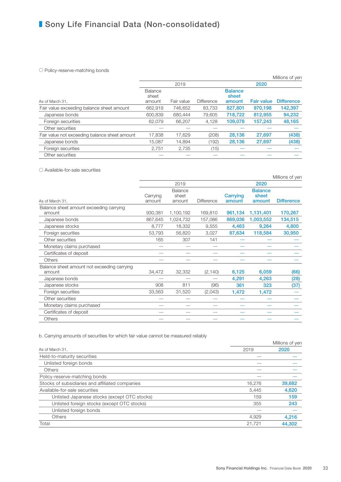#### ○ Policy-reserve-matching bonds

|                                               |                  |            |                   |                         |                   | Millions of yen   |
|-----------------------------------------------|------------------|------------|-------------------|-------------------------|-------------------|-------------------|
|                                               |                  | 2019       |                   |                         | 2020              |                   |
|                                               | Balance<br>sheet |            |                   | <b>Balance</b><br>sheet |                   |                   |
| As of March 31,                               | amount           | Fair value | <b>Difference</b> | amount                  | <b>Fair value</b> | <b>Difference</b> |
| Fair value exceeding balance sheet amount     | 662.919          | 746.652    | 83.733            | 827,801                 | 970.198           | 142,397           |
| Japanese bonds                                | 600,839          | 680.444    | 79,605            | 718,722                 | 812,955           | 94,232            |
| Foreign securities                            | 62.079           | 66.207     | 4,128             | 109,078                 | 157,243           | 48,165            |
| Other securities                              |                  |            |                   |                         |                   |                   |
| Fair value not exceeding balance sheet amount | 17,838           | 17.629     | (208)             | 28,136                  | 27,697            | (438)             |
| Japanese bonds                                | 15,087           | 14.894     | (192)             | 28,136                  | 27,697            | (438)             |
| Foreign securities                            | 2,751            | 2,735      | (15)              |                         |                   |                   |
| Other securities                              |                  |            |                   |                         |                   |                   |

#### ○ Available-for-sale securities

|                                                       |                    |                            |            |                    |                                   | Millions of yen   |
|-------------------------------------------------------|--------------------|----------------------------|------------|--------------------|-----------------------------------|-------------------|
|                                                       |                    | 2019                       |            |                    | 2020                              |                   |
| As of March 31,                                       | Carrying<br>amount | Balance<br>sheet<br>amount | Difference | Carrying<br>amount | <b>Balance</b><br>sheet<br>amount | <b>Difference</b> |
| Balance sheet amount exceeding carrying<br>amount     | 930,381            | 1,100,192                  | 169,810    | 961,134            | 1,131,401                         | 170,267           |
| Japanese bonds                                        | 867,645            | 1,024,732                  | 157,086    | 869,036            | 1,003,552                         | 134,515           |
| Japanese stocks                                       | 8,777              | 18,332                     | 9,555      | 4,463              | 9,264                             | 4,800             |
| Foreign securities                                    | 53,793             | 56,820                     | 3,027      | 87,634             | 118,584                           | 30,950            |
| Other securities                                      | 165                | 307                        | 141        |                    |                                   |                   |
| Monetary claims purchased                             |                    |                            |            |                    |                                   |                   |
| Certificates of deposit                               |                    |                            |            |                    |                                   |                   |
| <b>Others</b>                                         |                    |                            |            |                    |                                   |                   |
| Balance sheet amount not exceeding carrying<br>amount | 34,472             | 32,332                     | (2, 140)   | 6,125              | 6,059                             | (66)              |
| Japanese bonds                                        |                    |                            |            | 4,291              | 4,263                             | (28)              |
| Japanese stocks                                       | 908                | 811                        | (96)       | 361                | 323                               | (37)              |
| Foreign securities                                    | 33,563             | 31,520                     | (2,043)    | 1,472              | 1,472                             |                   |
| Other securities                                      |                    |                            |            |                    |                                   |                   |
| Monetary claims purchased                             |                    |                            |            |                    |                                   |                   |
| Certificates of deposit                               |                    |                            |            |                    |                                   |                   |
| <b>Others</b>                                         |                    |                            |            |                    |                                   |                   |

b. Carrying amounts of securities for which fair value cannot be measured reliably

|                                                                                                                                                                                                                                                                                                                                                            |        | Millions of yen |
|------------------------------------------------------------------------------------------------------------------------------------------------------------------------------------------------------------------------------------------------------------------------------------------------------------------------------------------------------------|--------|-----------------|
| As of March 31,<br>Held-to-maturity securities<br>Unlisted foreign bonds<br>Others<br>Policy-reserve-matching bonds<br>Stocks of subsidiaries and affiliated companies<br>Available-for-sale securities<br>Unlisted Japanese stocks (except OTC stocks)<br>Unlisted foreign stocks (except OTC stocks)<br>Unlisted foreign bonds<br><b>Others</b><br>Total | 2019   | 2020            |
|                                                                                                                                                                                                                                                                                                                                                            |        |                 |
|                                                                                                                                                                                                                                                                                                                                                            |        |                 |
|                                                                                                                                                                                                                                                                                                                                                            |        |                 |
|                                                                                                                                                                                                                                                                                                                                                            |        |                 |
|                                                                                                                                                                                                                                                                                                                                                            | 16.276 | 39,682          |
|                                                                                                                                                                                                                                                                                                                                                            | 5.445  | 4,620           |
|                                                                                                                                                                                                                                                                                                                                                            | 159    | 159             |
|                                                                                                                                                                                                                                                                                                                                                            | 355    | 243             |
|                                                                                                                                                                                                                                                                                                                                                            |        |                 |
|                                                                                                                                                                                                                                                                                                                                                            | 4.929  | 4.216           |
|                                                                                                                                                                                                                                                                                                                                                            | 21.721 | 44.302          |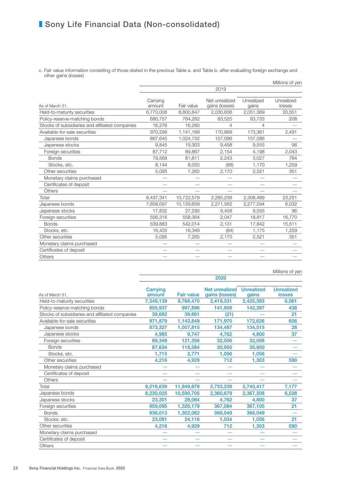c. Fair value information consisting of those stated in the previous Table a. and Table b. after evaluating foreign exchange and other gains (losses)  $M:U \rightarrow \infty$ 

|                                                 |                    |            |                                  |                     | Millions of yen      |
|-------------------------------------------------|--------------------|------------|----------------------------------|---------------------|----------------------|
|                                                 |                    |            | 2019                             |                     |                      |
| As of March 31.                                 | Carrying<br>amount | Fair value | Net unrealized<br>gains (losses) | Unrealized<br>gains | Unrealized<br>losses |
| Held-to-maturity securities                     | 6,770,008          | 8,800,847  | 2,030,838                        | 2,051,389           | 20,551               |
| Policy-reserve-matching bonds                   | 680,757            | 764,282    | 83,525                           | 83,733              | 208                  |
| Stocks of subsidiaries and affiliated companies | 16,276             | 16,280     | 4                                | 4                   |                      |
| Available-for-sale securities                   | 970,299            | 1,141,169  | 170,869                          | 173,361             | 2,491                |
| Japanese bonds                                  | 867,645            | 1,024,732  | 157,086                          | 157,086             |                      |
| Japanese stocks                                 | 9,845              | 19,303     | 9,458                            | 9,555               | 96                   |
| Foreign securities                              | 87,712             | 89,867     | 2,154                            | 4,198               | 2,043                |
| <b>Bonds</b>                                    | 79,568             | 81,811     | 2,243                            | 3,027               | 784                  |
| Stocks, etc.                                    | 8,144              | 8,055      | (88)                             | 1,170               | 1,259                |
| Other securities                                | 5,095              | 7,265      | 2,170                            | 2,521               | 351                  |
| Monetary claims purchased                       |                    |            |                                  |                     |                      |
| Certificates of deposit                         |                    |            |                                  |                     |                      |
| Others                                          |                    |            |                                  |                     |                      |
| Total                                           | 8,437,341          | 10,722,579 | 2,285,238                        | 2,308,489           | 23,251               |
| Japanese bonds                                  | 7,858,097          | 10,129,659 | 2,271,562                        | 2,277,594           | 6,032                |
| Japanese stocks                                 | 17,832             | 27,290     | 9,458                            | 9,555               | 96                   |
| Foreign securities                              | 556,316            | 558,364    | 2,047                            | 18,817              | 16,770               |
| <b>Bonds</b>                                    | 539,883            | 542,014    | 2,131                            | 17,642              | 15,511               |
| Stocks, etc.                                    | 16,433             | 16,349     | (84)                             | 1,175               | 1,259                |
| Other securities                                | 5,095              | 7,265      | 2,170                            | 2,521               | 351                  |
| Monetary claims purchased                       |                    |            |                                  |                     |                      |
| Certificates of deposit                         |                    |            |                                  |                     |                      |
| Others                                          |                    |            |                                  |                     |                      |
|                                                 |                    |            |                                  |                     |                      |

Millions of yen

|                                                 | 2020               |                   |                                  |                            |                                    |  |  |  |
|-------------------------------------------------|--------------------|-------------------|----------------------------------|----------------------------|------------------------------------|--|--|--|
| As of March 31.                                 | Carrying<br>amount | <b>Fair value</b> | Net unrealized<br>gains (losses) | <b>Unrealized</b><br>gains | <b>Unrealized</b><br><b>losses</b> |  |  |  |
| Held-to-maturity securities                     | 7,349,139          | 9,768,470         | 2,419,331                        | 2,425,393                  | 6,061                              |  |  |  |
| Policy-reserve-matching bonds                   | 855,937            | 997,896           | 141,958                          | 142,397                    | 438                                |  |  |  |
| Stocks of subsidiaries and affiliated companies | 39,682             | 39,661            | (21)                             |                            | 21                                 |  |  |  |
| Available-for-sale securities                   | 971,879            | 1,143,849         | 171,970                          | 172,626                    | 656                                |  |  |  |
| Japanese bonds                                  | 873,327            | 1,007,815         | 134,487                          | 134,515                    | 28                                 |  |  |  |
| Japanese stocks                                 | 4,985              | 9,747             | 4,762                            | 4,800                      | 37                                 |  |  |  |
| Foreign securities                              | 89,349             | 121,356           | 32,006                           | 32,006                     |                                    |  |  |  |
| <b>Bonds</b>                                    | 87,634             | 118,584           | 30,950                           | 30,950                     |                                    |  |  |  |
| Stocks, etc.                                    | 1,715              | 2,771             | 1,056                            | 1,056                      |                                    |  |  |  |
| Other securities                                | 4,216              | 4,929             | 712                              | 1,303                      | 590                                |  |  |  |
| Monetary claims purchased                       |                    |                   |                                  |                            |                                    |  |  |  |
| Certificates of deposit                         |                    |                   |                                  |                            |                                    |  |  |  |
| Others                                          |                    |                   |                                  |                            |                                    |  |  |  |
| Total                                           | 9,216,639          | 11,949,878        | 2,733,239                        | 2,740,417                  | 7,177                              |  |  |  |
| Japanese bonds                                  | 8,230,025          | 10,590,705        | 2,360,679                        | 2,367,208                  | 6,528                              |  |  |  |
| Japanese stocks                                 | 23,301             | 28,064            | 4,762                            | 4,800                      | 37                                 |  |  |  |
| Foreign securities                              | 959,095            | 1,326,179         | 367,084                          | 367,105                    | 21                                 |  |  |  |
| <b>Bonds</b>                                    | 936,013            | 1,302,062         | 366,049                          | 366,049                    |                                    |  |  |  |
| Stocks, etc.                                    | 23,081             | 24,116            | 1,034                            | 1,056                      | 21                                 |  |  |  |
| Other securities                                | 4,216              | 4,929             | 712                              | 1,303                      | 590                                |  |  |  |
| Monetary claims purchased                       |                    |                   |                                  |                            |                                    |  |  |  |
| Certificates of deposit                         |                    |                   |                                  |                            |                                    |  |  |  |
| Others                                          |                    |                   |                                  |                            |                                    |  |  |  |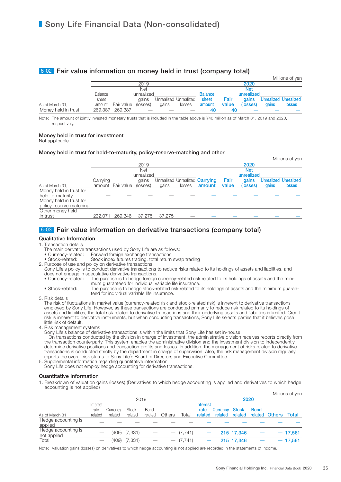### 6-02 Fair value information on money held in trust (company total)

|                     |         |                 |            |       |                       |                |       |            |              | Millions of yen             |
|---------------------|---------|-----------------|------------|-------|-----------------------|----------------|-------|------------|--------------|-----------------------------|
|                     |         |                 | 2019       |       |                       | 2020           |       |            |              |                             |
|                     |         |                 | <b>Net</b> |       |                       |                |       | <b>Net</b> |              |                             |
|                     | Balance |                 | unrealized |       |                       | <b>Balance</b> |       | unrealized |              |                             |
|                     | sheet   |                 | aains      |       | Unrealized Unrealized | sheet          | Fair  |            |              | gains Unrealized Unrealized |
| As of March 31,     | amount  | Fair value      | (losses)   | gains | losses                | amount         | value | (losses)   | <b>gains</b> | <b>losses</b>               |
| Money held in trust |         | 269,387 269,387 |            |       |                       | 40             | 40    |            |              |                             |

Note: The amount of jointly invested monetary trusts that is included in the table above is ¥40 million as of March 31, 2019 and 2020, respectively

#### Money held in trust for investment

Not applicable

#### Money held in trust for held-to-maturity, policy-reserve-matching and other

|                         |          |            |          |        |        |                                |       |            |       | Millions of yen              |
|-------------------------|----------|------------|----------|--------|--------|--------------------------------|-------|------------|-------|------------------------------|
|                         |          |            | 2019     |        |        |                                |       | 2020       |       |                              |
|                         |          | Net        |          |        |        |                                |       | <b>Net</b> |       |                              |
|                         |          | unrealized |          |        |        |                                |       | unrealized |       |                              |
|                         | Carrying |            | gains    |        |        | Unrealized Unrealized Carrying | Fair  | qains      |       | <b>Unrealized Unrealized</b> |
| As of March 31,         | amount   | Fair value | (losses) | gains  | losses | amount                         | value | (losses)   | gains | <b>losses</b>                |
| Money held in trust for |          |            |          |        |        |                                |       |            |       |                              |
| held-to-maturity        |          |            |          |        |        |                                |       |            |       |                              |
| Money held in trust for |          |            |          |        |        |                                |       |            |       |                              |
| policy-reserve-matching |          |            |          |        |        |                                |       |            |       |                              |
| Other money held        |          |            |          |        |        |                                |       |            |       |                              |
| in trust                | 232.071  | 269.346    | 37.275   | 37.275 |        |                                |       |            |       |                              |

## 6-03 Fair value information on derivative transactions (company total)

#### Qualitative Information

- 1. Transaction details
	- The main derivative transactions used by Sony Life are as follows:<br>• Currency-related: Forward foreign exchange transactions
	- Forward foreign exchange transactions
	- Stock-related: Stock index futures trading, total return swap trading
- 2. Purpose of use and policy on derivative transactions

Sony Life's policy is to conduct derivative transactions to reduce risks related to its holdings of assets and liabilities, and does not engage in speculative derivative transactions.<br>• Currency-related: The purpose is to hedge foreign The purpose is to hedge foreign currency-related risk related to its holdings of assets and the mini-

mum guaranteed for individual variable life insurance. • Stock-related: The purpose is to hedge stock-related risk related to its holdings of assets and the minimum guaranteed for individual variable life insurance.

3. Risk details

The risk of fluctuations in market value (currency-related risk and stock-related risk) is inherent to derivative transactions employed by Sony Life. However, as these transactions are conducted primarily to reduce risk related to its holdings of assets and liabilities, the total risk related to derivative transactions and their underlying assets and liabilities is limited. Credit risk is inherent to derivative instruments, but when conducting transactions, Sony Life selects parties that it believes pose little risk of default.

4. Risk management systems

Sony Life's balance of derivative transactions is within the limits that Sony Life has set in-house.

On transactions conducted by the division in charge of investment, the administrative division receives reports directly from the transaction counterparty. This system enables the administrative division and the investment division to independently determine derivative positions and transaction profits and losses. In addition, the management of risks related to derivative transactions is conducted strictly by the department in charge of supervision. Also, the risk management division regularly reports the overall risk status to Sony Life's Board of Directors and Executive Committee.

5. Supplemental information regarding quantitative information

Sony Life does not employ hedge accounting for derivative transactions.

#### Quantitative Information

1. Breakdown of valuation gains (losses) (Derivatives to which hedge accounting is applied and derivatives to which hedge accounting is not applied)

|                                    |          |           |          |         |        |             |         |                  |                 |       |                      | Millions of yen |
|------------------------------------|----------|-----------|----------|---------|--------|-------------|---------|------------------|-----------------|-------|----------------------|-----------------|
|                                    |          | 2019      |          |         |        | 2020        |         |                  |                 |       |                      |                 |
|                                    | Interest |           |          |         |        | Interest    |         |                  |                 |       |                      |                 |
|                                    | rate-    | Currency- | Stock-   | Bond-   |        |             | rate-   | Currency- Stock- |                 | Bond- |                      |                 |
| As of March 31,                    | related  | related   | related  | related | Others | Total       | related |                  | related related |       | related Others Total |                 |
| Hedge accounting is<br>applied     |          |           |          |         |        |             |         |                  |                 |       |                      |                 |
| Hedge accounting is<br>not applied |          | (409)     | (7, 331) |         |        | $-$ (7,741) |         |                  | 215 17,346      |       |                      | $-17,561$       |
| Total                              |          | (409)     | (7, 331) |         |        | (7.741)     |         |                  | 215 17.346      |       |                      | $-17,561$       |

Note: Valuation gains (losses) on derivatives to which hedge accounting is not applied are recorded in the statements of income.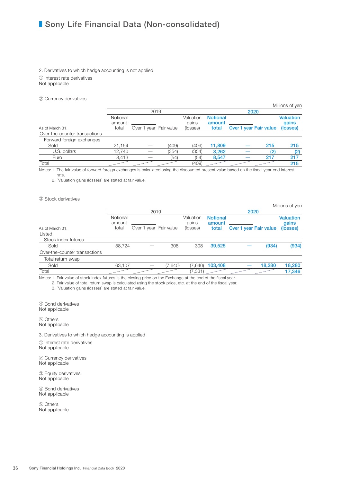## ■ Sony Life Financial Data (Non-consolidated)

#### 2. Derivatives to which hedge accounting is not applied ① Interest rate derivatives Not applicable

② Currency derivatives

|                               |                    |                        |       |                    |                           |                        |     | Millions of yen           |  |
|-------------------------------|--------------------|------------------------|-------|--------------------|---------------------------|------------------------|-----|---------------------------|--|
|                               |                    | 2019                   |       |                    |                           | 2020                   |     |                           |  |
|                               | Notional<br>amount |                        |       | Valuation<br>gains | <b>Notional</b><br>amount |                        |     | <b>Valuation</b><br>gains |  |
| As of March 31,               | total              | Over 1 year Fair value |       | (losses)           | total                     | Over 1 year Fair value |     | (losses)                  |  |
| Over-the-counter transactions |                    |                        |       |                    |                           |                        |     |                           |  |
| Forward foreign exchanges     |                    |                        |       |                    |                           |                        |     |                           |  |
| Sold                          | 21.154             |                        | (409) | (409)              | 11.809                    |                        | 215 | 215                       |  |
| U.S. dollars                  | 12.740             |                        | (354) | (354)              | 3,262                     |                        | (2) | (2)                       |  |
| Euro                          | 8.413              |                        | (54)  | (54)               | 8,547                     |                        | 217 | 217                       |  |
| Total                         |                    |                        |       | (409)              |                           |                        |     | 215                       |  |

Notes: 1. The fair value of forward foreign exchanges is calculated using the discounted present value based on the fiscal year-end interest rate.

2. "Valuation gains (losses)" are stated at fair value.

#### ③ Stock derivatives

|                               |          |                        |         |           |                 |                        |        | Millions of yen  |
|-------------------------------|----------|------------------------|---------|-----------|-----------------|------------------------|--------|------------------|
|                               |          | 2019                   |         |           | 2020            |                        |        |                  |
|                               | Notional |                        |         | Valuation | <b>Notional</b> |                        |        | <b>Valuation</b> |
|                               | amount   |                        |         | gains     | amount          |                        |        | gains            |
| As of March 31,               | total    | Over 1 year Fair value |         | (losses)  | total           | Over 1 year Fair value |        | (losses)         |
| Listed                        |          |                        |         |           |                 |                        |        |                  |
| Stock index futures           |          |                        |         |           |                 |                        |        |                  |
| Sold                          | 58,724   |                        | 308     | 308       | 39,525          |                        | (934)  | (934)            |
| Over-the-counter transactions |          |                        |         |           |                 |                        |        |                  |
| Total return swap             |          |                        |         |           |                 |                        |        |                  |
| Sold                          | 63,107   |                        | (7,640) | (7,640)   | 103,408         |                        | 18,280 | 18,280           |
| Total                         |          |                        |         | (7, 331)  |                 |                        |        | 17,346           |

Notes: 1. Fair value of stock index futures is the closing price on the Exchange at the end of the fiscal year.

2. Fair value of total return swap is calculated using the stock price, etc. at the end of the fiscal year.

3. "Valuation gains (losses)" are stated at fair value.

④ Bond derivatives Not applicable

⑤ Others Not applicable

3. Derivatives to which hedge accounting is applied

① Interest rate derivatives Not applicable

② Currency derivatives Not applicable

③ Equity derivatives Not applicable

④ Bond derivatives Not applicable

⑤ Others Not applicable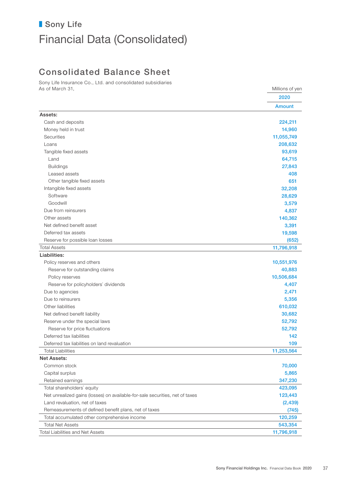# ■ Sony Life Financial Data (Consolidated)

# Consolidated Balance Sheet

Sony Life Insurance Co., Ltd. and consolidated subsidiaries As of March 31, Millions of yen

|                                                                              | 2020          |
|------------------------------------------------------------------------------|---------------|
|                                                                              | <b>Amount</b> |
| Assets:                                                                      |               |
| Cash and deposits                                                            | 224,211       |
| Money held in trust                                                          | 14,960        |
| <b>Securities</b>                                                            | 11,055,749    |
| Loans                                                                        | 208,632       |
| Tangible fixed assets                                                        | 93,619        |
| Land                                                                         | 64,715        |
| <b>Buildings</b>                                                             | 27,843        |
| Leased assets                                                                | 408           |
| Other tangible fixed assets                                                  | 651           |
| Intangible fixed assets                                                      | 32,208        |
| Software                                                                     | 28,629        |
| Goodwill                                                                     | 3,579         |
| Due from reinsurers                                                          | 4,837         |
| Other assets                                                                 | 140,362       |
| Net defined benefit asset                                                    | 3,391         |
| Deferred tax assets                                                          | 19,598        |
| Reserve for possible loan losses                                             | (652)         |
| <b>Total Assets</b>                                                          | 11,796,918    |
| Liabilities:                                                                 |               |
| Policy reserves and others                                                   | 10,551,976    |
| Reserve for outstanding claims                                               | 40,883        |
| Policy reserves                                                              | 10,506,684    |
| Reserve for policyholders' dividends                                         | 4,407         |
| Due to agencies                                                              | 2,471         |
| Due to reinsurers                                                            | 5,356         |
| Other liabilities                                                            | 610,032       |
| Net defined benefit liability                                                | 30,682        |
| Reserve under the special laws                                               | 52,792        |
| Reserve for price fluctuations                                               | 52,792        |
| Deferred tax liabilities                                                     | 142           |
| Deferred tax liabilities on land revaluation                                 | 109           |
| <b>Total Liabilities</b>                                                     | 11,253,564    |
| Net Assets:                                                                  |               |
| Common stock                                                                 | 70,000        |
| Capital surplus                                                              | 5,865         |
| Retained earnings                                                            | 347,230       |
| Total shareholders' equity                                                   | 423,095       |
| Net unrealized gains (losses) on available-for-sale securities, net of taxes | 123,443       |
| Land revaluation, net of taxes                                               | (2, 439)      |
| Remeasurements of defined benefit plans, net of taxes                        | (745)         |
| Total accumulated other comprehensive income                                 | 120,259       |
| <b>Total Net Assets</b>                                                      | 543,354       |
| <b>Total Liabilities and Net Assets</b>                                      | 11,796,918    |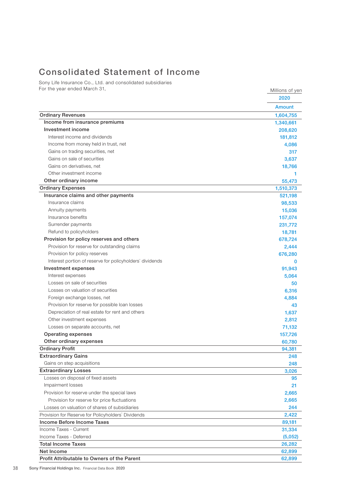# Consolidated Statement of Income

Sony Life Insurance Co., Ltd. and consolidated subsidiaries For the year ended March 31, The Year ended March 31,

|                                                          | 2020          |
|----------------------------------------------------------|---------------|
|                                                          | <b>Amount</b> |
| <b>Ordinary Revenues</b>                                 | 1,604,755     |
| Income from insurance premiums                           | 1,340,661     |
| Investment income                                        | 208,620       |
| Interest income and dividends                            | 181,812       |
| Income from money held in trust, net                     | 4,086         |
| Gains on trading securities, net                         | 317           |
| Gains on sale of securities                              | 3,637         |
| Gains on derivatives, net                                | 18,766        |
| Other investment income                                  |               |
| Other ordinary income                                    | 55,473        |
| <b>Ordinary Expenses</b>                                 | 1,510,373     |
| Insurance claims and other payments                      | 521,198       |
| Insurance claims                                         | 98,533        |
| Annuity payments                                         | 15,036        |
| Insurance benefits                                       | 157,074       |
| Surrender payments                                       | 231,772       |
| Refund to policyholders                                  | 18,781        |
| Provision for policy reserves and others                 | 678,724       |
| Provision for reserve for outstanding claims             | 2,444         |
| Provision for policy reserves                            | 676,280       |
| Interest portion of reserve for policyholders' dividends | $\Omega$      |
| Investment expenses                                      | 91,943        |
| Interest expenses                                        | 5,064         |
| Losses on sale of securities                             | 50            |
| Losses on valuation of securities                        | 6,316         |
| Foreign exchange losses, net                             | 4,884         |
| Provision for reserve for possible loan losses           | 43            |
| Depreciation of real estate for rent and others          | 1,637         |
| Other investment expenses                                | 2,812         |
| Losses on separate accounts, net                         | 71,132        |
| <b>Operating expenses</b>                                | 157,726       |
| Other ordinary expenses                                  | 60,780        |
| <b>Ordinary Profit</b>                                   | 94,381        |
| <b>Extraordinary Gains</b>                               | 248           |
| Gains on step acquisitions                               | 248           |
| <b>Extraordinary Losses</b>                              | 3,026         |
| Losses on disposal of fixed assets                       | 95            |
| Impairment losses                                        | 21            |
| Provision for reserve under the special laws             | 2,665         |
| Provision for reserve for price fluctuations             | 2,665         |
| Losses on valuation of shares of subsidiaries            | 244           |
| Provision for Reserve for Policyholders' Dividends       | 2,422         |
| Income Before Income Taxes                               | 89,181        |
| Income Taxes - Current                                   | 31,334        |
| Income Taxes - Deferred                                  | (5,052)       |
| <b>Total Income Taxes</b>                                | 26,282        |
| Net Income                                               | 62,899        |
| Profit Attributable to Owners of the Parent              | 62,899        |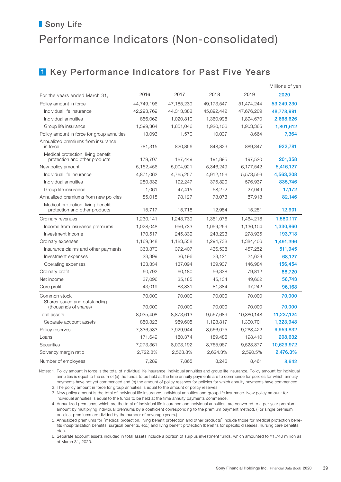# 1 Key Performance Indicators for Past Five Years

|                                                                     |            |            |            |            | Millions of yen |
|---------------------------------------------------------------------|------------|------------|------------|------------|-----------------|
| For the years ended March 31,                                       | 2016       | 2017       | 2018       | 2019       | 2020            |
| Policy amount in force                                              | 44,749,196 | 47,185,239 | 49,173,547 | 51,474,244 | 53,249,230      |
| Individual life insurance                                           | 42,293,769 | 44,313,382 | 45,892,442 | 47,676,209 | 48,778,991      |
| Individual annuities                                                | 856,062    | 1,020,810  | 1,360,998  | 1,894,670  | 2,668,626       |
| Group life insurance                                                | 1,599,364  | 1,851,046  | 1,920,106  | 1,903,365  | 1,801,612       |
| Policy amount in force for group annuities                          | 13,093     | 11,570     | 10,037     | 8,664      | 7,364           |
| Annualized premiums from insurance<br>in force                      | 781,315    | 820,856    | 848,823    | 889,347    | 922,781         |
| Medical protection, living benefit<br>protection and other products | 179,707    | 187,449    | 191,895    | 197,520    | 201,358         |
| New policy amount                                                   | 5,152,456  | 5,004,921  | 5,346,249  | 6,177,542  | 5,416,127       |
| Individual life insurance                                           | 4,871,062  | 4,765,257  | 4,912,156  | 5,573,556  | 4,563,208       |
| Individual annuities                                                | 280,332    | 192,247    | 375,820    | 576,937    | 835,746         |
| Group life insurance                                                | 1,061      | 47,415     | 58,272     | 27,049     | 17,172          |
| Annualized premiums from new policies                               | 85,018     | 78,127     | 73,073     | 87,918     | 82,146          |
| Medical protection, living benefit<br>protection and other products | 15,717     | 15,718     | 12,984     | 15,251     | 12,901          |
| Ordinary revenues                                                   | 1,230,141  | 1,243,739  | 1,351,076  | 1,464,218  | 1,580,117       |
| Income from insurance premiums                                      | 1,028,048  | 956,733    | 1,059,269  | 1,136,104  | 1,330,860       |
| Investment income                                                   | 170,517    | 245,339    | 243,293    | 278,935    | 193,718         |
| Ordinary expenses                                                   | 1,169,348  | 1,183,558  | 1,294,738  | 1,384,406  | 1,491,396       |
| Insurance claims and other payments                                 | 363,370    | 372,407    | 436,538    | 457,252    | 511,945         |
| Investment expenses                                                 | 23,399     | 36,196     | 33,121     | 24,638     | 68,127          |
| Operating expenses                                                  | 133,334    | 137,094    | 139,937    | 146,984    | 156,454         |
| Ordinary profit                                                     | 60,792     | 60,180     | 56,338     | 79,812     | 88,720          |
| Net income                                                          | 37,096     | 35,185     | 45,134     | 49,602     | 56,743          |
| Core profit                                                         | 43,019     | 83,831     | 81,384     | 97,242     | 96,168          |
| Common stock<br>Shares issued and outstanding                       | 70,000     | 70,000     | 70,000     | 70,000     | 70,000          |
| (thousands of shares)                                               | 70,000     | 70,000     | 70,000     | 70,000     | 70,000          |
| Total assets                                                        | 8,035,408  | 8,873,613  | 9,567,689  | 10,380,148 | 11,237,124      |
| Separate account assets                                             | 850,323    | 989,605    | 1,128,817  | 1,300,701  | 1,323,948       |
| Policy reserves                                                     | 7,336,533  | 7,929,944  | 8,566,075  | 9,268,422  | 9,959,832       |
| Loans                                                               | 171,649    | 180,374    | 189,486    | 198,410    | 208,632         |
| Securities                                                          | 7,273,361  | 8,093,192  | 8,765,967  | 9,523,877  | 10,629,972      |
| Solvency margin ratio                                               | 2,722.8%   | 2,568.8%   | 2,624.3%   | 2,590.5%   | 2,476.3%        |
| Number of employees                                                 | 7,289      | 7,865      | 8,246      | 8,461      | 8,642           |

Notes: 1. Policy amount in force is the total of individual life insurance, individual annuities and group life insurance. Policy amount for individual annuities is equal to the sum of (a) the funds to be held at the time annuity payments are to commence for policies for which annuity payments have not yet commenced and (b) the amount of policy reserves for policies for which annuity payments have commenced.

2. The policy amount in force for group annuities is equal to the amount of policy reserves.

 3. New policy amount is the total of individual life insurance, individual annuities and group life insurance. New policy amount for individual annuities is equal to the funds to be held at the time annuity payments commence.

 4. Annualized premiums, which are the total of individual life insurance and individual annuities, are converted to a per-year premium amount by multiplying individual premiums by a coefficient corresponding to the premium payment method. (For single premium policies, premiums are divided by the number of coverage years.)

 5. Annualized premiums for "medical protection, living benefit protection and other products" include those for medical protection benefits (hospitalization benefits, surgical benefits, etc.) and living benefit protection (benefits for specific diseases, nursing care benefits, etc.).

 6. Separate account assets included in total assets include a portion of surplus investment funds, which amounted to ¥1,740 million as of March 31, 2020.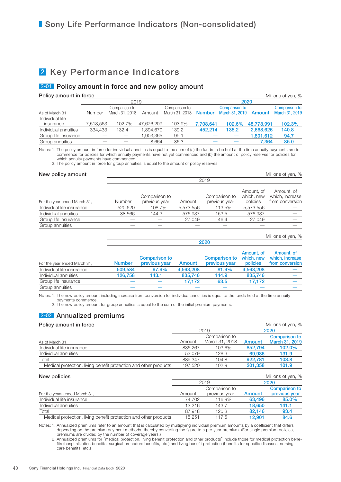# 2 Key Performance Indicators

### 2-01 Policy amount in force and new policy amount

**Policy amount in force Contract Contract Contract Contract Contract Contract Contract Contract Contract Contract Contract Contract Contract Contract Contract Contract Contract Contract Contract Contract Contract Contrac** 

|                      |           | 2019           |            |                | 2020          |                       |            |                      |  |  |
|----------------------|-----------|----------------|------------|----------------|---------------|-----------------------|------------|----------------------|--|--|
|                      |           | Comparison to  |            | Comparison to  |               | <b>Comparison to</b>  |            | <b>Comparison to</b> |  |  |
| As of March 31,      | Number    | March 31, 2018 | Amount     | March 31, 2018 | <b>Number</b> | March 31, 2019 Amount |            | March 31, 2019       |  |  |
| Individual life      |           |                |            |                |               |                       |            |                      |  |  |
| insurance            | 7,513,563 | 102.7%         | 47,676,209 | 103.9%         | 7,708,641     | 102.6%                | 48,778,991 | 102.3%               |  |  |
| Individual annuities | 334,433   | 132.4          | 894,670. ا | 139.2          | 452.214       | 135.2                 | 2,668,626  | 140.8                |  |  |
| Group life insurance |           |                | .903,365   | 99.1           |               |                       | 1,801,612  | 94.7                 |  |  |
| Group annuities      |           |                | 8.664      | 86.3           |               |                       | 7.364      | 85.0                 |  |  |
|                      |           |                |            |                |               |                       |            |                      |  |  |

Notes: 1. The policy amount in force for individual annuities is equal to the sum of (a) the funds to be held at the time annuity payments are to commence for policies for which annuity payments have not yet commenced and (b) the amount of policy reserves for policies for which annuity payments have commenced.

2. The policy amount in force for group annuities is equal to the amount of policy reserves.

#### New policy amount  $\blacksquare$  New policy amount  $\blacksquare$ 2019 For the year ended March 31, Number Comparison to previous year Amount Comparison to previous year Amount, of which, new policies Amount, of which, increase from conversion Individual life insurance 520,620 108.7% 5,573,556 113.5% 5,573,556 ̶ Individual annuities 88,566 144.3 576,937 153.5 576,937 ̶ Group life insurance  $\qquad \qquad \qquad \qquad$  27,049  $\qquad$  46.4  $\qquad$  27,049 Group annuities

|                              |               | 2020                                  |           |                                |                                      |                                                  |  |  |  |  |
|------------------------------|---------------|---------------------------------------|-----------|--------------------------------|--------------------------------------|--------------------------------------------------|--|--|--|--|
| For the year ended March 31, | <b>Number</b> | <b>Comparison to</b><br>previous year | Amount    | Comparison to<br>previous year | Amount, of<br>which, new<br>policies | Amount, of<br>which, increase<br>from conversion |  |  |  |  |
| Individual life insurance    | 509.584       | 97.9%                                 | 4,563,208 | 81.9%                          | 4,563,208                            |                                                  |  |  |  |  |
| Individual annuities         | 126.758       | 143.1                                 | 835,746   | 144.9                          | 835,746                              |                                                  |  |  |  |  |
| Group life insurance         |               |                                       | 17.172    | 63.5                           | 17.172                               |                                                  |  |  |  |  |
| Group annuities              |               |                                       |           |                                |                                      |                                                  |  |  |  |  |

Millions of yen, %

Notes: 1. The new policy amount including increase from conversion for individual annuities is equal to the funds held at the time annuity payments commence.

2. The new policy amount for group annuities is equal to the sum of the initial premium payments.

## 2-02 Annualized premiums

#### **Policy amount in force Millions of yen, 8** and 7 and 7 and 7 and 7 and 7 and 7 and 7 and 7 and 7 and 7 and 7 and 7 and 7 and 7 and 7 and 7 and 7 and 7 and 7 and 7 and 7 and 7 and 7 and 7 and 7 and 7 and 7 and 7 and 7 an

|                                                                  |         | 2019           | 2020    |                      |  |  |
|------------------------------------------------------------------|---------|----------------|---------|----------------------|--|--|
|                                                                  |         | Comparison to  |         | <b>Comparison to</b> |  |  |
| As of March 31,                                                  | Amount  | March 31, 2018 | Amount  | March 31, 2019       |  |  |
| Individual life insurance                                        | 836.267 | 103.6%         | 852.794 | 102.0%               |  |  |
| Individual annuities                                             | 53.079  | 128.3          | 69,986  | 131.9                |  |  |
| Total                                                            | 889.347 | 104.8          | 922.781 | 103.8                |  |  |
| Medical protection, living benefit protection and other products | 197.520 | 102.9          | 201.358 | 101.9                |  |  |

|  | New policies |
|--|--------------|
|  |              |

| New policies                                                     |        |               |        | Millions of yen, %   |
|------------------------------------------------------------------|--------|---------------|--------|----------------------|
|                                                                  | 2019   |               | 2020   |                      |
|                                                                  |        | Comparison to |        | <b>Comparison to</b> |
| For the years ended March 31,                                    | Amount | previous year | Amount | previous year        |
| Individual life insurance                                        | 74.702 | 116.9%        | 63.496 | 85.0%                |
| Individual annuities                                             | 13.216 | 143.7         | 18,650 | 141.1                |
| Total                                                            | 87.918 | 120.3         | 82.146 | 93.4                 |
| Medical protection, living benefit protection and other products | 15.251 | 117.5         | 12.901 | 84.6                 |

Notes: 1. Annualized premiums refer to an amount that is calculated by multiplying individual premium amounts by a coefficient that differs depending on the premium payment methods, thereby converting the figure to a per-year premium. (For single premium policies,

premiums are divided by the number of coverage years.)<br>2. Annualized premiums for "medical protection, living benefit protection and other products" include those for medical protection bene-<br>fits (hospitalization benefits care benefits, etc.)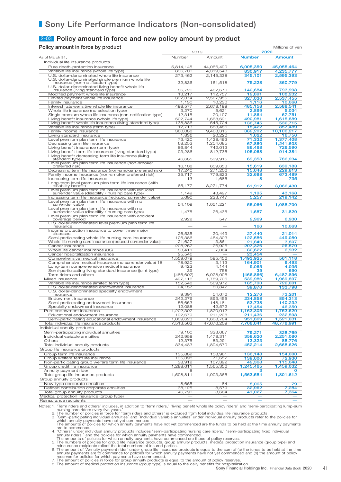### 2-03 Policy amount in force and new policy amount by product

**Policy amount in force by product** Millions of yen

| $\frac{1}{2}$ . Since the single state in the side of $\frac{1}{2}$                                     |                     | 2019                 |                     | 2020                 |
|---------------------------------------------------------------------------------------------------------|---------------------|----------------------|---------------------|----------------------|
| As of March 31,                                                                                         | Number              | Amount               | <b>Number</b>       | <b>Amount</b>        |
| Individual life insurance products                                                                      |                     |                      |                     |                      |
| Pure death-protection insurance                                                                         | 5,814,145           | 44,066,490           | 6,005,350           | 45,055,464           |
| Variable life insurance (whole life type)                                                               | 836,700             | 4,319,548            | 830,917             | 4,235,777            |
| U.S. dollar-denominated whole life insurance<br>U.S. dollar-denominated single premium whole life       | 273,462             | 2,145,338            | 345,101             | 2,595,393            |
| insurance (non-notification type)                                                                       | 32,836              | 161,518              | 75,228              | 360,779              |
| U.S. dollar-denominated living benefit whole life<br>insurance (living standard type)                   | 86,726              | 482,670              | 140,684             | 793.998              |
| Modified payment whole life insurance                                                                   | 13,217              | 112,757              | 12,891              | 108,232              |
| Limited payment whole life insurance                                                                    | 332,374             | 2,587,955            | 327,030             | 2,537,455            |
| Family insurance                                                                                        | 1,130               | 10,230               | 1,116               | 10,068               |
| Interest rate-sensitive whole life insurance                                                            | 498,577             | 2,678,199            | 485,158             | 2,588,541            |
| Whole life insurance (no selection type)<br>Single premium whole life insurance (non-notification type) | 3,270<br>12,315     | 5,621<br>70,197      | 2,899<br>11,864     | 5,034<br>67,751      |
| Living benefit insurance (whole life type)                                                              | 502,744             | 1,668,691            | 490,981             | 1,615,889            |
| Living benefit whole life insurance (living standard type)                                              | 138,836             | 545,724              | 136,745             | 532,715              |
| Variable life insurance (term type)                                                                     | 12,713              | 683,486              | 15,422              | 857,489              |
| Family income insurance<br>Living standard insurance                                                    | 360,088<br>1,836    | 9,463,315<br>20,220  | 382,202<br>1,622    | 10,106,217<br>16,756 |
| Level premium plan term life insurance                                                                  | 73,420              | 1,428,493            | 71,332              | 1,377,408            |
| Decreasing term life insurance                                                                          | 68,253              | 1,254,085            | 67,860              | 1,241,608            |
| Living benefit insurance (term type)                                                                    | 86,844              | 742,013              | 86,468              | 726,590              |
| Living benefit term life insurance (living standard type)                                               | 93,286              | 812,735              | 105,068             | 914,384              |
| Living benefit decreasing term life insurance (living<br>standard type)                                 | 46,685              | 539,915              | 69,353              | 786,234              |
| Level premium plan term life insurance (non-smoker<br>preferred risk)                                   |                     |                      |                     |                      |
| Decreasing term life insurance (non-smoker preferred risk)                                              | 16,108<br>17,240    | 659,653<br>271,206   | 15,619<br>15,648    | 639,183<br>229,813   |
| Family income insurance (non-smoker preferred risk)                                                     | 35,717              | 779,823              | 32,688              | 673,489              |
| Increasing term life insurance                                                                          | 13                  | 1,685                | 8                   | 735                  |
| Long-term level premium plan term life insurance (with<br>disability benefit)                           | 65,177              | 3,221,774            | 61,912              | 3,066,430            |
| Level premium plan term life insurance with reduced<br>surrender value (disability / nursing care type) | 1,149               | 43.497               | 1,195               | 43,168               |
| Increasing term life insurance (reduced surrender value)                                                | 5,690               | 233,747              | 5,257               | 219,142              |
| Level premium plan term life insurance with no<br>surrender value                                       | 54,109              | 1,051,221            | 55,066              | 1,088,700            |
| Level premium plan term life insurance with no<br>surrender value (disability / nursing care type)      | 1,475               | 26,435               | 1,687               | 31,829               |
| Level premium plan term life insurance with accident                                                    |                     |                      |                     |                      |
| coverage period<br>U.S. dollar-denominated level premium plan term life                                 | 2,922               | 547                  | 2,969               | 6,930                |
| insurance<br>Income protection insurance to cover three major                                           |                     |                      | 166                 | 10,063               |
| diseases                                                                                                | 26,535              | 20.449               | 27,440              | 21,014               |
| Semi-participating whole life nursing care insurance                                                    | 126,386             | 464,303              | 122,586             | 449,080              |
| Whole life nursing care insurance (reduced surrender value)                                             | 21,627              | 3,861                | 21,840              | 3,807                |
| Cancer insurance<br>Whole life cancer insurance (08)                                                    | 208,267<br>83,411   | 26,926<br>7,064      | 207,326<br>82,622   | 26,579<br>6,932      |
| Cancer hospitalization insurance                                                                        | 25,546              |                      | 23,454              |                      |
| Comprehensive medical insurance                                                                         | 1,559,079           | 585,456              | 1,493,925           | 561,118              |
| Comprehensive medical insurance (no surrender value) 18                                                 | 78,920              | 3,113                | 164,901             | 6,493                |
| Long-term comprehensive medical insurance<br>Semi-participating living standard insurance (joint type)  | 9,423<br>39         | 4,144<br>758         | 9,065<br>35         | 4,035<br>690         |
| Term riders and others                                                                                  | [486, 602]          | 6,928,096            | [466,866]           | 6,487,896            |
| Mixed insurance                                                                                         | 497,116             | 1,789,706            | 539,986             | 1,969,897            |
| Variable life insurance (limited term type)                                                             | 152,548             | 569,972              | 185,790             | 722,001              |
| U.S. dollar-denominated endowment insurance<br>U.S. dollar-denominated specialty endowment              | 24,157              | 80,847               | 39,870              | 133,798              |
| insurance                                                                                               | 9,391               | 54,676               | 12,276              | 73,201               |
| Endowment insurance                                                                                     | 242,279             | 893,455              | 234,858             | 854,313              |
| Semi-participating endowment insurance                                                                  | 56,653              | 148,181<br>42,572    | 53,738              | 140,232              |
| Specialty endowment insurance<br>Pure endowment insurance                                               | 12,088<br>1,202,302 | 1,820,012            | 13,454<br>1,163,305 | 46,350<br>1,753,629  |
| Educational endowment insurance                                                                         | 192,679             | 211,228              | 211,436             | 232,598              |
| Semi-participating educational endowment insurance                                                      | 1,009,623           | 1,608,784            | 951,869             | 1,521,031            |
| Total individual life insurance products                                                                | 7,513,563           | 47,676,209           | 7,708,641           | 48,778,991           |
| Individual annuity products                                                                             |                     |                      |                     |                      |
| Semi-participating individual annuities<br>Individual variable annuities                                | 79,100<br>242,958   | 333,067<br>1,478,311 | 79,271<br>359,620   | 328,769<br>2,251,080 |
| Others                                                                                                  | 12,375              | 83,291               | 13,323              | 88,776               |
| Total individual annuity products                                                                       | 334,433             | 1,894,670            | 452,214             | 2,668,626            |
| Group life insurance products                                                                           |                     |                      |                     |                      |
| Group term life insurance                                                                               | 135,882             | 158,961              | 136,148             | 154,000              |
| Group welfare term life insurance<br>Non-participating group welfare term life insurance                | 135,398             | 71,652               | 139,600             | 72,930               |
| Group credit life insurance                                                                             | 38,912<br>1,288,611 | 107,392<br>1,565,356 | 42,368<br>1,245,465 | 115,648<br>1,459,032 |
| Annuity payment rider                                                                                   | 8                   |                      | з                   | 0                    |
| Total group life insurance products                                                                     | 1,598,811           | 1,903,365            | 1,563,584           | 1,801,612            |
| Group annuity products                                                                                  |                     |                      |                     |                      |
| New-type corporate annuities<br>Defined contribution corporate annuities                                | 8,665<br>38,125     | 84<br>8,579          | 8,065               | 79                   |
| Total group annuity products                                                                            | 46,790              | 8,664                | 32,962<br>41,027    | 7,284<br>7,364       |
| Medical protection insurance (group type)                                                               |                     |                      |                     |                      |
| Reinsurance recipients                                                                                  |                     |                      |                     |                      |

Notes: 1. Term riders and others" includes, in addition to "term riders," "living benefit whole life policy riders" and "semi-participating lump-sum<br>2. The number of policies in force for "term riders and others" is exclud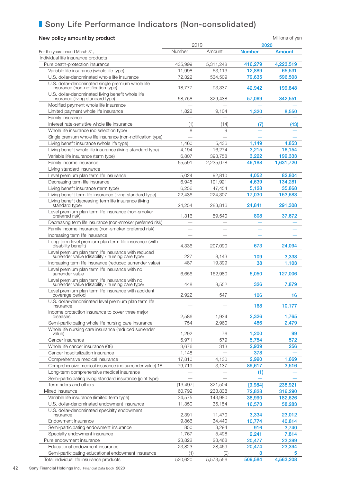### New policy amount by product and the state of the Millions of yen Millions of yen

|                                                                                                         | 2019      |           | 2020          |               |
|---------------------------------------------------------------------------------------------------------|-----------|-----------|---------------|---------------|
| For the years ended March 31,                                                                           | Number    | Amount    | <b>Number</b> | <b>Amount</b> |
| Individual life insurance products                                                                      |           |           |               |               |
| Pure death-protection insurance                                                                         | 435,999   | 5,311,248 | 416,279       | 4,223,519     |
| Variable life insurance (whole life type)                                                               | 11,998    | 53,113    | 12,889        | 65,531        |
| U.S. dollar-denominated whole life insurance                                                            | 72,322    | 534.509   | 79,635        | 596,503       |
| U.S. dollar-denominated single premium whole life                                                       |           |           |               |               |
| insurance (non-notification type)                                                                       | 18,777    | 93,337    | 42,942        | 199,848       |
| U.S. dollar-denominated living benefit whole life<br>insurance (living standard type)                   | 58,758    | 329,438   | 57,069        | 342,551       |
| Modified payment whole life insurance                                                                   |           |           |               |               |
| Limited payment whole life insurance                                                                    | 1,822     | 9,104     | 1,320         | 8,550         |
| Family insurance                                                                                        |           |           |               |               |
| Interest rate-sensitive whole life insurance                                                            | (1)       | (14)      | (7)           | (43)          |
| Whole life insurance (no selection type)                                                                | 8         | 9         |               |               |
| Single premium whole life insurance (non-notification type)                                             |           |           |               |               |
| Living benefit insurance (whole life type)                                                              | 1,460     | 5,436     | 1,149         | 4,853         |
| Living benefit whole life insurance (living standard type)                                              | 4,194     | 16,274    | 3,215         | 16,154        |
| Variable life insurance (term type)                                                                     | 6,807     | 393,758   | 3,222         | 199,333       |
| Family income insurance                                                                                 | 65,591    | 2,235,078 | 46,188        | 1,631,720     |
| Living standard insurance                                                                               |           |           |               |               |
| Level premium plan term life insurance                                                                  | 5,024     | 92.810    | 4,052         | 82,804        |
| Decreasing term life insurance                                                                          | 6,945     | 191,921   | 4,639         | 134,281       |
| Living benefit insurance (term type)                                                                    | 6,256     | 47,454    | 5,128         | 35,868        |
| Living benefit term life insurance (living standard type)                                               | 22,436    | 224,307   | 17,030        | 153,683       |
| Living benefit decreasing term life insurance (living<br>standard type)                                 | 24,254    | 283,816   | 24,841        | 291,308       |
| Level premium plan term life insurance (non-smoker<br>preferred risk)                                   | 1,316     | 59,540    | 808           | 37,672        |
| Decreasing term life insurance (non-smoker preferred risk)                                              |           |           |               |               |
| Family income insurance (non-smoker preferred risk)                                                     |           |           |               |               |
| Increasing term life insurance                                                                          |           |           |               |               |
| Long-term level premium plan term life insurance (with<br>disability benefit)                           | 4,336     | 207,090   | 673           | 24,094        |
| Level premium plan term life insurance with reduced<br>surrender value (disability / nursing care type) | 227       | 8,143     | 109           | 3,338         |
| Increasing term life insurance (reduced surrender value)                                                | 487       | 19,399    | 38            | 1,103         |
| Level premium plan term life insurance with no<br>surrender value                                       | 6.656     | 162,980   | 5,050         | 127,006       |
| Level premium plan term life insurance with no<br>surrender value (disability / nursing care type)      | 448       | 8,552     | 326           | 7,879         |
| Level premium plan term life insurance with accident<br>coverage period                                 | 2,922     | 547       | 106           | 16            |
| U.S. dollar-denominated level premium plan term life<br>insurance                                       |           |           | 168           | 10,177        |
| Income protection insurance to cover three major<br>diseases                                            | 2,586     | 1,934     | 2,326         | 1,765         |
| Semi-participating whole life nursing care insurance                                                    | 754       | 2,960     | 486           | 2,479         |
| Whole life nursing care insurance (reduced surrender                                                    |           |           |               |               |
| value)                                                                                                  | 1,292     | 76        | 1,200         | 99            |
| Cancer insurance                                                                                        | 5,971     | 579       | 5,754         | 572           |
| Whole life cancer insurance (08)                                                                        | 3,676     | 313       | 2,939         | 256           |
| Cancer hospitalization insurance                                                                        | 1,148     |           | 378           |               |
| Comprehensive medical insurance                                                                         | 17,810    | 4,130     | 2,990         | 1,669         |
| Comprehensive medical insurance (no surrender value) 18                                                 | 79,719    | 3,137     | 89,617        | 3,516         |
| Long-term comprehensive medical insurance                                                               |           |           | (1)           |               |
| Semi-participating living standard insurance (joint type)                                               |           |           |               |               |
| Term riders and others                                                                                  | [13, 497] | 321,504   | [9,984]       | 238,921       |
| Mixed insurance                                                                                         | 60,799    | 233,838   | 72,828        | 316,290       |
| Variable life insurance (limited term type)                                                             | 34,575    | 143,980   | 38,990        | 182,626       |
| U.S. dollar-denominated endowment insurance                                                             | 11,350    | 35,154    | 16,573        | 58,283        |
| U.S. dollar-denominated specialty endowment<br>insurance                                                | 2,391     | 11,470    | 3,334         | 23,012        |
| Endowment insurance                                                                                     | 9,866     | 34,440    | 10,774        | 40,814        |
| Semi-participating endowment insurance                                                                  | 850       | 3,294     | 916           | 3,740         |
| Specialty endowment insurance                                                                           | 1,767     | 5,498     | 2,241         | 7,814         |
| Pure endowment insurance                                                                                | 23,822    | 28,468    | 20,477        | 23,399        |
| Educational endowment insurance                                                                         | 23,823    | 28,469    | 20,474        | 23,394        |
| Semi-participating educational endowment insurance                                                      | (1)       | (0)       | 3.            |               |
| Total individual life insurance products                                                                | 520,620   | 5,573,556 | 509,584       | 4,563,208     |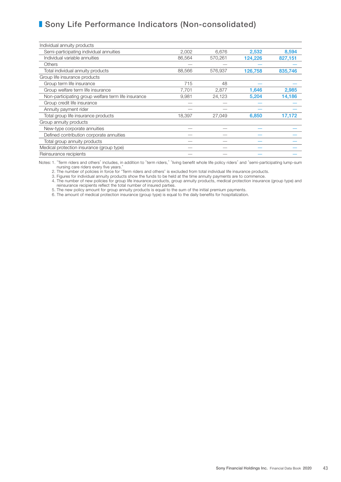| Individual annuity products                         |        |         |         |         |
|-----------------------------------------------------|--------|---------|---------|---------|
| Semi-participating individual annuities             | 2,002  | 6,676   | 2,532   | 8,594   |
| Individual variable annuities                       | 86,564 | 570,261 | 124,226 | 827,151 |
| <b>Others</b>                                       |        |         |         |         |
| Total individual annuity products                   | 88,566 | 576,937 | 126,758 | 835,746 |
| Group life insurance products                       |        |         |         |         |
| Group term life insurance                           | 715    | 48      |         |         |
| Group welfare term life insurance                   | 7,701  | 2,877   | 1,646   | 2,985   |
| Non-participating group welfare term life insurance | 9,981  | 24,123  | 5,204   | 14,186  |
| Group credit life insurance                         |        |         |         |         |
| Annuity payment rider                               |        |         |         |         |
| Total group life insurance products                 | 18,397 | 27,049  | 6,850   | 17,172  |
| Group annuity products                              |        |         |         |         |
| New-type corporate annuities                        |        |         |         |         |
| Defined contribution corporate annuities            |        |         |         |         |
| Total group annuity products                        |        |         |         |         |
| Medical protection insurance (group type)           |        |         |         |         |
| Reinsurance recipients                              |        |         |         |         |

Notes: 1. "Term riders and others" includes, in addition to "term riders," "living benefit whole life policy riders" and "semi-participating lump-sum

nursing care riders every five years." 2. The number of policies in force for "Term riders and others" is excluded from total individual life insurance products.

3. Figures for individual annuity products show the funds to be held at the time annuity payments are to commence.

 4. The number of new policies for group life insurance products, group annuity products, medical protection insurance (group type) and reinsurance recipients reflect the total number of insured parties.

5. The new policy amount for group annuity products is equal to the sum of the initial premium payments.

6. The amount of medical protection insurance (group type) is equal to the daily benefits for hospitalization.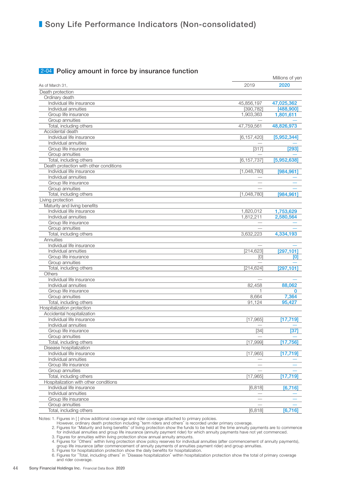### **2-04** Policy amount in force by insurance function

|                                         |               | Millions of yen |
|-----------------------------------------|---------------|-----------------|
| As of March 31,                         | 2019          | 2020            |
| Death protection                        |               |                 |
| Ordinary death                          |               |                 |
| Individual life insurance               | 45,856,197    | 47,025,362      |
| Individual annuities                    | [390, 782]    | [488,900]       |
| Group life insurance                    | 1,903,363     | 1,801,611       |
| Group annuities                         |               |                 |
| Total, including others                 | 47,759,561    | 48,826,973      |
| Accidental death                        |               |                 |
| Individual life insurance               | [6, 157, 420] | [5,952,344]     |
| Individual annuities                    |               |                 |
| Group life insurance                    | [317]         | $[293]$         |
| Group annuities                         |               |                 |
| Total, including others                 | [6, 157, 737] | [5,952,638]     |
| Death protection with other conditions  |               |                 |
| Individual life insurance               | [1,048,780]   | [984, 961]      |
| Individual annuities                    |               |                 |
| Group life insurance                    |               |                 |
| Group annuities                         |               |                 |
| Total, including others                 | [1,048,780]   | [984, 961]      |
| Living protection                       |               |                 |
| Maturity and living benefits            |               |                 |
| Individual life insurance               | 1,820,012     | 1,753,629       |
| Individual annuities                    | 1,812,211     | 2,580,564       |
| Group life insurance                    |               |                 |
| Group annuities                         |               |                 |
| Total, including others                 | 3,632,223     | 4,334,193       |
| Annuities                               |               |                 |
| Individual life insurance               |               |                 |
| Individual annuities                    | [214, 623]    |                 |
|                                         |               | [297, 101]      |
| Group life insurance<br>Group annuities | [0]           | [0]             |
| Total, including others                 |               | [297, 101]      |
| Others                                  | [214, 624]    |                 |
|                                         |               |                 |
| Individual life insurance               |               |                 |
| Individual annuities                    | 82,458        | 88,062          |
| Group life insurance                    |               | $\Omega$        |
| Group annuities                         | 8,664         | 7,364           |
| Total, including others                 | 91,124        | 95,427          |
| Hospitalization protection              |               |                 |
| Accidental hospitalization              |               |                 |
| Individual life insurance               | [17, 965]     | [17, 719]       |
| Individual annuities                    |               |                 |
| Group life insurance                    | $[34]$        | $[37]$          |
| Group annuities                         |               |                 |
| Total, including others                 | [17,999]      | [17, 756]       |
| Disease hospitalization                 |               |                 |
| Individual life insurance               | [17,965]      | [17, 719]       |
| Individual annuities                    |               |                 |
| Group life insurance                    |               |                 |
| Group annuities                         |               |                 |
| Total, including others                 | [17,965]      | [17, 719]       |
| Hospitalization with other conditions   |               |                 |
| Individual life insurance               | [6, 818]      | [6, 716]        |
| Individual annuities                    |               |                 |
| Group life insurance                    |               |                 |
| Group annuities                         |               |                 |
| Total, including others                 | [6, 818]      | [6, 716]        |

Notes: 1. Figures in [ ] show additional coverage and rider coverage attached to primary policies.

However, ordinary death protection including "term riders and others" is recorded under primary coverage.<br>2. Figures for "Maturity and living benefits" of living protection show the funds to be held at the time annuity pay

3. Figures for annuities within living protection show annual annuity amounts.

 4. Figures for "Others" within living protection show policy reserves for individual annuities (after commencement of annuity payments), group life insurance (after commencement of annuity payments of annuities payment rider) and group annuities.

5. Figures for hospitalization protection show the daily benefits for hospitalization.<br>6. Figures for "Total, including others" in "Disease hospitalization" within hospitalization protection show the total of primary cover and rider coverage.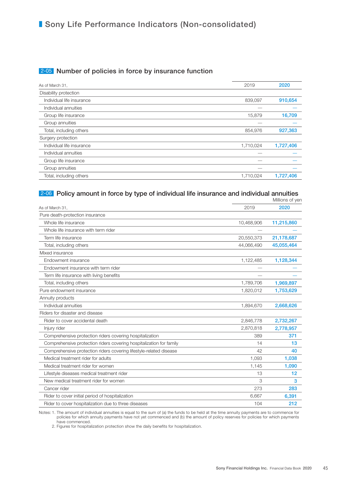## 2-05 Number of policies in force by insurance function

| As of March 31,           | 2019      | 2020      |
|---------------------------|-----------|-----------|
| Disability protection     |           |           |
| Individual life insurance | 839,097   | 910,654   |
| Individual annuities      |           |           |
| Group life insurance      | 15,879    | 16,709    |
| Group annuities           |           |           |
| Total, including others   | 854,976   | 927,363   |
| Surgery protection        |           |           |
| Individual life insurance | 1,710,024 | 1,727,406 |
| Individual annuities      |           |           |
| Group life insurance      |           |           |
| Group annuities           |           |           |
| Total, including others   | 1,710,024 | 1,727,406 |
|                           |           |           |

### 2-06 Policy amount in force by type of individual life insurance and individual annuities

|                                                                     |            | Millions of yen |
|---------------------------------------------------------------------|------------|-----------------|
| As of March 31,                                                     | 2019       | 2020            |
| Pure death-protection insurance                                     |            |                 |
| Whole life insurance                                                | 10,468,906 | 11,215,860      |
| Whole life insurance with term rider                                |            |                 |
| Term life insurance                                                 | 20,550,373 | 21,178,687      |
| Total, including others                                             | 44,066,490 | 45,055,464      |
| Mixed insurance                                                     |            |                 |
| Endowment insurance                                                 | 1,122,485  | 1,128,344       |
| Endowment insurance with term rider                                 |            |                 |
| Term life insurance with living benefits                            |            |                 |
| Total, including others                                             | 1,789,706  | 1,969,897       |
| Pure endowment insurance                                            | 1,820,012  | 1,753,629       |
| Annuity products                                                    |            |                 |
| Individual annuities                                                | 1,894,670  | 2,668,626       |
| Riders for disaster and disease                                     |            |                 |
| Rider to cover accidental death                                     | 2,846,778  | 2,732,267       |
| Injury rider                                                        | 2,870,818  | 2,778,957       |
| Comprehensive protection riders covering hospitalization            | 389        | 371             |
| Comprehensive protection riders covering hospitalization for family | 14         | 13              |
| Comprehensive protection riders covering lifestyle-related disease  | 42         | 40              |
| Medical treatment rider for adults                                  | 1,093      | 1,038           |
| Medical treatment rider for women                                   | 1,145      | 1,090           |
| Lifestyle diseases medical treatment rider                          | 13         | 12              |
| New medical treatment rider for women                               | 3          | 3               |
| Cancer rider                                                        | 273        | 283             |
| Rider to cover initial period of hospitalization                    | 6,667      | 6,391           |
| Rider to cover hospitalization due to three diseases                | 104        | 212             |

Notes: 1. The amount of individual annuities is equal to the sum of (a) the funds to be held at the time annuity payments are to commence for policies for which annuity payments have not yet commenced and (b) the amount of policy reserves for policies for which payments have commenced.

2. Figures for hospitalization protection show the daily benefits for hospitalization.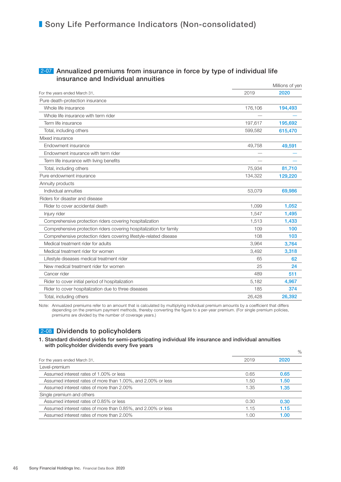### 2-07 Annualized premiums from insurance in force by type of individual life insurance and Individual annuities

|                                                                     |         | Millions of yen |
|---------------------------------------------------------------------|---------|-----------------|
| For the years ended March 31,                                       | 2019    | 2020            |
| Pure death-protection insurance                                     |         |                 |
| Whole life insurance                                                | 176,106 | 194,493         |
| Whole life insurance with term rider                                |         |                 |
| Term life insurance                                                 | 197,617 | 195,692         |
| Total, including others                                             | 599,582 | 615,470         |
| Mixed insurance                                                     |         |                 |
| Endowment insurance                                                 | 49,758  | 49,591          |
| Endowment insurance with term rider                                 |         |                 |
| Term life insurance with living benefits                            |         |                 |
| Total, including others                                             | 75,934  | 81,710          |
| Pure endowment insurance                                            | 134,322 | 129,220         |
| Annuity products                                                    |         |                 |
| Individual annuities                                                | 53,079  | 69,986          |
| Riders for disaster and disease                                     |         |                 |
| Rider to cover accidental death                                     | 1,099   | 1,052           |
| Injury rider                                                        | 1.547   | 1,495           |
| Comprehensive protection riders covering hospitalization            | 1,513   | 1,433           |
| Comprehensive protection riders covering hospitalization for family | 109     | 100             |
| Comprehensive protection riders covering lifestyle-related disease  | 108     | 103             |
| Medical treatment rider for adults                                  | 3,964   | 3,764           |
| Medical treatment rider for women                                   | 3,492   | 3,318           |
| Lifestyle diseases medical treatment rider                          | 65      | 62              |
| New medical treatment rider for women                               | 25      | 24              |
| Cancer rider                                                        | 489     | 511             |
| Rider to cover initial period of hospitalization                    | 5,182   | 4,967           |
| Rider to cover hospitalization due to three diseases                | 185     | 374             |
| Total, including others                                             | 26,428  | 26,392          |
|                                                                     |         |                 |

Note: Annualized premiums refer to an amount that is calculated by multiplying individual premium amounts by a coefficient that differs depending on the premium payment methods, thereby converting the figure to a per-year premium. (For single premium policies, premiums are divided by the number of coverage years.)

## 2-08 Dividends to policyholders

#### 1. Standard dividend yields for semi-participating individual life insurance and individual annuities with policyholder dividends every five years

|                                                              |      | $\%$ |
|--------------------------------------------------------------|------|------|
| For the years ended March 31,                                | 2019 | 2020 |
| Level-premium                                                |      |      |
| Assumed interest rates of 1,00% or less                      | 0.65 | 0.65 |
| Assumed interest rates of more than 1.00%, and 2.00% or less | 1.50 | 1.50 |
| Assumed interest rates of more than 2,00%                    | 1.35 | 1.35 |
| Single premium and others                                    |      |      |
| Assumed interest rates of 0.85% or less                      | 0.30 | 0.30 |
| Assumed interest rates of more than 0.85%, and 2.00% or less | 1.15 | 1.15 |
| Assumed interest rates of more than 2,00%                    | 1.00 | 1.00 |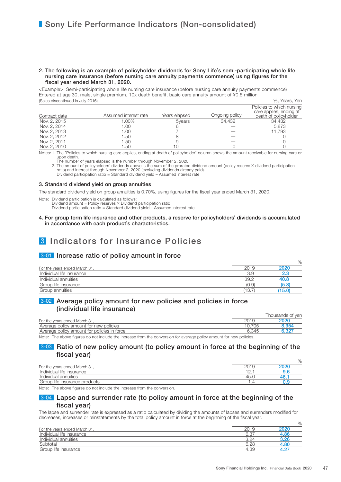#### 2. The following is an example of policyholder dividends for Sony Life's semi-participating whole life nursing care insurance (before nursing care annuity payments commence) using figures for the fiscal year ended March 31, 2020.

<Example> Semi-participating whole life nursing care insurance (before nursing care annuity payments commence) Entered at age 30, male, single premium, 10x death benefit, basic care annuity amount of ¥0.5 million (Sales discontinued in July 2016) %, Years, Yen

| Contract date | Assumed interest rate | Years elapsed | Ongoing policy | Policies to which nursing<br>care applies, ending at<br>death of policyholder |
|---------------|-----------------------|---------------|----------------|-------------------------------------------------------------------------------|
| Nov. 2, 2015  | 1.00%                 | 5 vears       | 34.432         | 34.432                                                                        |
| Nov. 2, 2014  | .00                   |               |                | 5.873                                                                         |
| Nov. 2, 2013  | 00.1                  |               |                | 11.793                                                                        |
| Nov. 2, 2012  | '.50                  |               |                |                                                                               |
| Nov. 2, 2011  | 1.50                  |               |                |                                                                               |
| Nov. 2, 2010  | .50                   |               |                |                                                                               |

Notes: 1. The "Policies to which nursing care applies, ending at death of policyholder" column shows the amount receivable for nursing care or upon death.

The number of years elapsed is the number through November 2, 2020.<br>2. The amount of policyholders' dividends above is the sum of the prorated dividend amount (policy reserve × dividend participation<br>ratio) and interest th

Dividend participation ratio = Standard dividend yield – Assumed interest rate

#### 3. Standard dividend yield on group annuities

The standard dividend yield on group annuities is 0.70%, using figures for the fiscal year ended March 31, 2020.

Note: Dividend participation is calculated as follows:

Dividend amount = Policy reserves  $\times$  Dividend participation ratio

Dividend participation ratio = Standard dividend yield – Assumed interest rate

4. For group term life insurance and other products, a reserve for policyholders' dividends is accumulated in accordance with each product's characteristics.

# 3 Indicators for Insurance Policies

### 3-01 Increase ratio of policy amount in force

|                               |       | $\%$  |
|-------------------------------|-------|-------|
| For the years ended March 31, | 2019  | 2020  |
| Individual life insurance     | 3.9   | 2.3   |
| Individual annuities          | 39.2  | 40.8  |
| Group life insurance          | (0.9) | (5.3) |
| Group annuities               | (13.7 | 15.0  |

### 3-02 Average policy amount for new policies and policies in force (individual life insurance)

|                                             |       | I housands of ven |
|---------------------------------------------|-------|-------------------|
| For the years ended March 31.               |       | 2020              |
| Average policy amount for new policies      |       | 8.954             |
| Average policy amount for policies in force | 6.345 | 6.327             |

Note: The above figures do not include the increase from the conversion for average policy amount for new policies.

### 3-03 Ratio of new policy amount (to policy amount in force at the beginning of the fiscal year)

|                               |      | $\%$ |
|-------------------------------|------|------|
| For the years ended March 31, | 2019 | 2020 |
| Individual life insurance     |      |      |
| Individual annuities          | 45.1 | 46.  |
| Group life insurance products |      |      |

Note: The above figures do not include the increase from the conversion.

### 3-04 Lapse and surrender rate (to policy amount in force at the beginning of the fiscal year)

The lapse and surrender rate is expressed as a ratio calculated by dividing the amounts of lapses and surrenders modified for decreases, increases or reinstatements by the total policy amount in force at the beginning of the fiscal year.

|                               |      | $\overline{\phantom{a}}$ |
|-------------------------------|------|--------------------------|
| For the years ended March 31, |      | 2020                     |
| Individual life insurance     | 6.37 | 4.86                     |
| Individual annuities          | 3.24 | 3.26                     |
| Subtotal                      | 6.28 | 4.80                     |
| Group life insurance          | 4.39 |                          |

 $O<sub>6</sub>$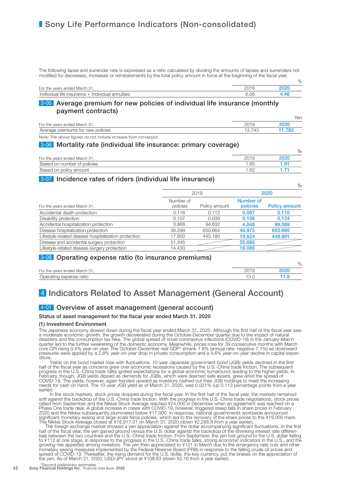The following lapse and surrender rate is expressed as a ratio calculated by dividing the amounts of lapses and surrenders not modified for decreases, increases or reinstatements by the total policy amount in force at the beginning of the fiscal year.

|                                                  |      | $\%$ |
|--------------------------------------------------|------|------|
| For the years ended March 31                     |      |      |
| Individual life insurance + Individual annuities | 06.ر |      |

### 3-05 Average premium for new policies of individual life insurance (monthly payment contracts)

|                                   |     | Yen  |
|-----------------------------------|-----|------|
| For the years ended March 31,     |     |      |
| Average premiums for new policies | 41' | .782 |

Note: The above figures do not include increase from conversion.

### 3-06 Mortality rate (individual life insurance: primary coverage)

|                               |     | $\%$ |
|-------------------------------|-----|------|
| For the years ended March 31, |     | 2020 |
| Based on number of policies   | .85 | l Q1 |
| Based on policy amount        | .62 |      |

### 3-07 Incidence rates of riders (individual life insurance)

|                                                      |                       |               |                       | $\%$                 |
|------------------------------------------------------|-----------------------|---------------|-----------------------|----------------------|
|                                                      |                       | 2019          |                       | 2020                 |
| For the years ended March 31,                        | Number of<br>policies | Policy amount | Number of<br>policies | <b>Policy amount</b> |
| Accidental death protection                          | 0.116                 | 0.112         | 0.087                 | 0.110                |
| Disability protection                                | 0.107                 | 0.039         | 0.106                 | 0.124                |
| Accidental hospitalization protection                | 3.868                 | 94.632        | 4.048                 | 99,089               |
| Disease hospitalization protection                   | 39.299                | 650.664       | 40.973                | 653,695              |
| Lifestyle-related disease hospitalization protection | 17.950                | 445.180       | 19.624                | 449.901              |
| Disease and accidental surgery protection            | 51.345                |               | 55,685                |                      |
| Lifestyle-related disease surgery protection         | 14.430                |               | 16.085                |                      |

## 3-08 Operating expense ratio (to insurance premiums)

|                               | 7C   |
|-------------------------------|------|
| For the years ended March 31, | 2020 |
| Operating expense ratio       |      |

 $\sim$ 

# 4 Indicators Related to Asset Management (General Account)

## 4-01 Overview of asset management (general account)

#### Status of asset management for the fiscal year ended March 31, 2020

#### (1) Investment Environment

The Japanese economy slowed down during the fiscal year ended March 31, 2020. Although the first half of the fiscal year saw a moderate economic growth, the growth decelerated during the October-December quarter due to the impact of natural disasters and the consumption tax hike. The global spread of novel coronavirus infections (COVID-19) in the January-March quarter led to the further weakening of the domestic economy. Meanwhile, prices rose for 39 consecutive months with March core CPI rising 0.4% year on year. The October-December real GDP\* shrank 1.8% (annual rate: negative 7.1%) as downward pressures were applied by a 2.8% year-on-year drop in private consumption and a 4.6% year-on-year decline in capital expen-<br>diture.<br>Yields on the bond market rose with fluctuations. 10-year Japanese government bond (JGB) y

half of the fiscal year as concerns grew over economic recessions caused by the U.S.-China trade friction. The subsequent progress in the U.S.-China trade talks ignited expectations for a global economic turnaround, leading to the higher yields. In February, though, JGB yields dipped as demands for JGBs, which were deemed safe assets, grew amid the spread of COVID-19. The yields, however, again trended upward as investors cashed out their JGB holdings to meet the increasing needs for cash on hand. The 10-year JGB yield as of March 31, 2020, was 0.031% (up 0.113 percentage points from a year earlier).

In the stock markets, stock prices dropped during the fiscal year. In the first half of the fiscal year, the markets remained soft against the backdrop of the U.S.-China trade friction. With the progress in the U.S.-China trade negotiations, stock prices rallied from September and the Nikkei Stock Average reached ¥24,000 in December when an agreement was reached on a Phase One trade deal. A global increase in cases with COVID-19, however, triggered steep falls in share prices in February 2020 and the Nikkei subsequently plummeted below ¥17,000. In response, national governments worldwide announced significant monetary easing and large-scale fiscal policies, which led to the recovery of the share prices to the ¥19,000 mark. The Nikkei Stock Average closed at ¥18,917.01 on March 31, 2020 (down ¥2,288.8 from a year earlier).

The foreign exchange market showed a yen appreciation against the dollar accompanying significant fluctuations. In the first half of the fiscal year, the yen gained ground versus the U.S. dollar against the backdrop of the shrinking interest rate differen-<br>tials between the two countries and the U.S.-China trade friction. From September, the yen to ¥112 at one stage, in response to the progress in the U.S.-China trade talks, strong economic indicators in the U.S., and the growing risk appetites among investors. The yen then appreciated to ¥101 in March due to the emergency rate cuts and other monetary easing measures implemented by the Federal Reserve Board (FRB) in response to the falling crude oil prices and spread of COVID-19. Thereafter, the rising demand for the U.S. dollar, the key currency, put the brakes on the appreciation of the yen. As of March 31, 2020, USD/JPY stood at ¥108.83 (down ¥2.16 from a year earlier).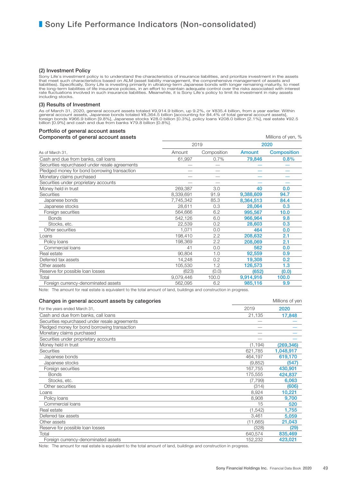#### (2) Investment Policy

Sony Life's investment policy is to understand the characteristics of insurance liabilities, and prioritize investment in the assets that meet such characteristics based on ALM (asset liability management, the comprehensiv

#### (3) Results of Investment

As of March 31, 2020, general account assets totaled ¥9,914.9 billion, up 9.2%, or ¥835.4 billion, from a year earlier. Within<br>general account assets, Japanese bonds totaled ¥8,364.5 billion [accounting for 84.4% of total

#### Portfolio of general account assets **Components of general account assets** Components of yen, %

|                                                | 2019      |             | 2020      |                    |
|------------------------------------------------|-----------|-------------|-----------|--------------------|
| As of March 31.                                | Amount    | Composition | Amount    | <b>Composition</b> |
| Cash and due from banks, call loans            | 61,997    | 0.7%        | 79,846    | 0.8%               |
| Securities repurchased under resale agreements |           |             |           |                    |
| Pledged money for bond borrowing transaction   |           |             |           |                    |
| Monetary claims purchased                      |           |             |           |                    |
| Securities under proprietary accounts          |           |             |           |                    |
| Money held in trust                            | 269,387   | 3.0         | 40        | 0.0                |
| <b>Securities</b>                              | 8,339,691 | 91.9        | 9,388,609 | 94.7               |
| Japanese bonds                                 | 7,745,342 | 85.3        | 8,364,513 | 84.4               |
| Japanese stocks                                | 28,611    | 0.3         | 28,064    | 0.3                |
| Foreign securities                             | 564,666   | 6.2         | 995,567   | 10.0               |
| <b>Bonds</b>                                   | 542,126   | 6.0         | 966,964   | 9.8                |
| Stocks, etc.                                   | 22,539    | 0.2         | 28,603    | 0.3                |
| Other securities                               | 1,071     | 0.0         | 464       | 0.0                |
| _oans                                          | 198,410   | 2.2         | 208,632   | 2.1                |
| Policy Ioans                                   | 198,369   | 2.2         | 208,069   | 2.1                |
| Commercial loans                               | 41        | 0.0         | 562       | 0.0                |
| Real estate                                    | 90,804    | 1.0         | 92,559    | 0.9                |
| Deferred tax assets                            | 14,248    | 0.2         | 19,308    | 0.2                |
| Other assets                                   | 105,530   | 1.2         | 126,573   | 1.3                |
| Reserve for possible loan losses               | (623)     | (0.0)       | (652)     | (0.0)              |
| Total                                          | 9,079,446 | 100.0       | 9,914,916 | 100.0              |
| Foreign currency-denominated assets            | 562,095   | 6.2         | 985,116   | 9.9                |

Note: The amount for real estate is equivalent to the total amount of land, buildings and construction in progress.

| Changes in general account assets by categories |          | Millions of yen |
|-------------------------------------------------|----------|-----------------|
| For the years ended March 31,                   | 2019     | 2020            |
| Cash and due from banks, call loans             | 21,135   | 17,848          |
| Securities repurchased under resale agreements  |          |                 |
| Pledged money for bond borrowing transaction    |          |                 |
| Monetary claims purchased                       |          |                 |
| Securities under proprietary accounts           |          |                 |
| Money held in trust                             | (1, 194) | (269, 346)      |
| <b>Securities</b>                               | 621,785  | 1,048,917       |
| Japanese bonds                                  | 464,197  | 619,170         |
| Japanese stocks                                 | (9,852)  | (547)           |
| Foreign securities                              | 167,755  | 430,901         |
| <b>Bonds</b>                                    | 175,555  | 424.837         |
| Stocks, etc.                                    | (7,799)  | 6,063           |
| Other securities                                | (314)    | (606)           |
| Loans                                           | 8,924    | 10,221          |
| Policy Ioans                                    | 8,908    | 9.700           |
| Commercial loans                                | 15       | 520             |
| Real estate                                     | (1, 542) | 1,755           |
| Deferred tax assets                             | 3,461    | 5,059           |
| Other assets                                    | (11,665) | 21,043          |
| Reserve for possible loan losses                | (328)    | (29)            |
| Total                                           | 640,574  | 835,469         |
| Foreign currency-denominated assets             | 152,232  | 423,021         |

Note: The amount for real estate is equivalent to the total amount of land, buildings and construction in progress.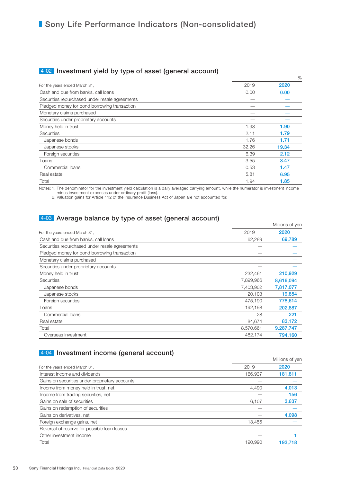## 4-02 Investment yield by type of asset (general account)

|                                                |       | $\%$  |
|------------------------------------------------|-------|-------|
| For the years ended March 31,                  | 2019  | 2020  |
| Cash and due from banks, call loans            | 0.00  | 0.00  |
| Securities repurchased under resale agreements |       |       |
| Pledged money for bond borrowing transaction   |       |       |
| Monetary claims purchased                      |       |       |
| Securities under proprietary accounts          |       |       |
| Money held in trust                            | 1.93  | 1.90  |
| Securities                                     | 2.11  | 1.79  |
| Japanese bonds                                 | 1.76  | 1.71  |
| Japanese stocks                                | 32.26 | 19.34 |
| Foreign securities                             | 6.39  | 2.12  |
| Loans                                          | 3.55  | 3.47  |
| Commercial loans                               | 0.53  | 1.47  |
| Real estate                                    | 5.81  | 6.95  |
| Total                                          | 1.94  | 1.85  |

Notes: 1. The denominator for the investment yield calculation is a daily averaged carrying amount, while the numerator is investment income minus investment expenses under ordinary profit (loss).

2. Valuation gains for Article 112 of the Insurance Business Act of Japan are not accounted for.

## 4-03 Average balance by type of asset (general account)

|                                                |           | Millions of yen |
|------------------------------------------------|-----------|-----------------|
| For the years ended March 31,                  | 2019      | 2020            |
| Cash and due from banks, call loans            | 62,289    | 69,789          |
| Securities repurchased under resale agreements |           |                 |
| Pledged money for bond borrowing transaction   |           |                 |
| Monetary claims purchased                      |           |                 |
| Securities under proprietary accounts          |           |                 |
| Money held in trust                            | 232,461   | 210,929         |
| <b>Securities</b>                              | 7,899,966 | 8,616,094       |
| Japanese bonds                                 | 7,403,902 | 7,817,077       |
| Japanese stocks                                | 20,103    | 19,854          |
| Foreign securities                             | 475,190   | 778,614         |
| Loans                                          | 192,198   | 202,887         |
| Commercial loans                               | 28        | 221             |
| Real estate                                    | 84,674    | 83,172          |
| Total                                          | 8,570,661 | 9,287,747       |
| Overseas investment                            | 482,174   | 794,160         |

## 4-04 Investment income (general account)

| ------- ---- ----<br>19 <sup>-1-1</sup> - 10 - 110 - 1111 |         | Millions of yen |
|-----------------------------------------------------------|---------|-----------------|
| For the years ended March 31,                             | 2019    | 2020            |
| Interest income and dividends                             | 166,937 | 181,811         |
| Gains on securities under proprietary accounts            |         |                 |
| Income from money held in trust, net                      | 4.490   | 4,013           |
| Income from trading securities, net                       |         | 156             |
| Gains on sale of securities                               | 6,107   | 3,637           |
| Gains on redemption of securities                         |         |                 |
| Gains on derivatives, net                                 |         | 4,098           |
| Foreign exchange gains, net                               | 13.455  |                 |
| Reversal of reserve for possible loan losses              |         |                 |
| Other investment income                                   |         |                 |
| Total                                                     | 190.990 | 193.718         |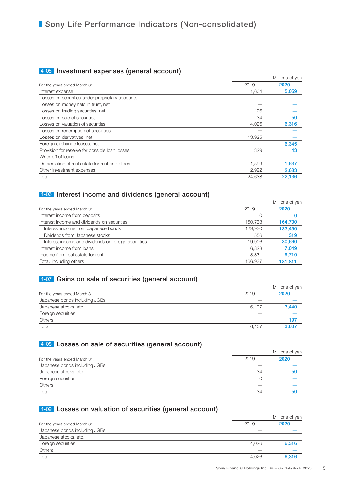## 4-05 Investment expenses (general account)

|                                                 |        | Millions of yen |  |
|-------------------------------------------------|--------|-----------------|--|
| For the years ended March 31,                   | 2019   | 2020            |  |
| Interest expense                                | 1.604  | 5,059           |  |
| Losses on securities under proprietary accounts |        |                 |  |
| Losses on money held in trust, net              |        |                 |  |
| Losses on trading securities, net               | 126    |                 |  |
| Losses on sale of securities                    | 34     | 50              |  |
| Losses on valuation of securities               | 4,026  | 6,316           |  |
| Losses on redemption of securities              |        |                 |  |
| Losses on derivatives, net                      | 13,925 |                 |  |
| Foreign exchange losses, net                    |        | 6,345           |  |
| Provision for reserve for possible loan losses  | 329    | 43              |  |
| Write-off of loans                              |        |                 |  |
| Depreciation of real estate for rent and others | 1,599  | 1,637           |  |
| Other investment expenses                       | 2.992  | 2,683           |  |
| Total                                           | 24,638 | 22.136          |  |

## 4-06 Interest income and dividends (general account)

|                                                     |         | Millions of yen |  |
|-----------------------------------------------------|---------|-----------------|--|
| For the years ended March 31,                       | 2019    | 2020            |  |
| Interest income from deposits                       |         |                 |  |
| Interest income and dividends on securities         | 150.733 | 164,700         |  |
| Interest income from Japanese bonds                 | 129,930 | 133,450         |  |
| Dividends from Japanese stocks                      | 556     | 319             |  |
| Interest income and dividends on foreign securities | 19.906  | 30,660          |  |
| Interest income from loans                          | 6.828   | 7,049           |  |
| Income from real estate for rent                    | 8.831   | 9,710           |  |
| Total, including others                             | 166,937 | 181,811         |  |

## 4-07 Gains on sale of securities (general account)

|                               | Millions of yen |       |  |
|-------------------------------|-----------------|-------|--|
| For the years ended March 31, | 2019            | 2020  |  |
| Japanese bonds including JGBs |                 |       |  |
| Japanese stocks, etc.         | 6.107           | 3,440 |  |
| Foreign securities            |                 |       |  |
| Others                        |                 | 197   |  |
| Total                         | 6.107           | 3.637 |  |

## 4-08 Losses on sale of securities (general account)

|                               |      | Millions of yen |
|-------------------------------|------|-----------------|
| For the years ended March 31, | 2019 | 2020            |
| Japanese bonds including JGBs |      |                 |
| Japanese stocks, etc.         | 34   | 50              |
| Foreign securities            |      |                 |
| <b>Others</b>                 |      |                 |
| Total                         | 34   | 50              |

## 4-09 Losses on valuation of securities (general account)

|                               | Millions of yen |       |  |
|-------------------------------|-----------------|-------|--|
| For the years ended March 31, | 2019            | 2020  |  |
| Japanese bonds including JGBs |                 |       |  |
| Japanese stocks, etc.         |                 |       |  |
| Foreign securities            | 4.026           | 6,316 |  |
| <b>Others</b>                 |                 |       |  |
| Total                         | 4.026           | 6.316 |  |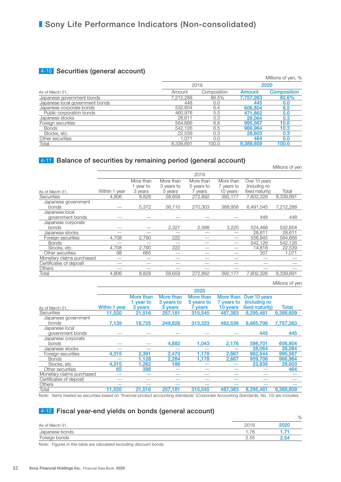## 4-10 Securities (general account)

| $\sim$                          |           |             |           | Millions of yen, % |
|---------------------------------|-----------|-------------|-----------|--------------------|
|                                 | 2019      |             |           | 2020               |
| As of March 31,                 | Amount    | Composition | Amount    | <b>Composition</b> |
| Japanese government bonds       | 7.212.288 | 86.5%       | 7.757.263 | 82.6%              |
| Japanese local government bonds | 448       | 0.0         | 445       | 0.0                |
| Japanese corporate bonds        | 532.604   | 6.4         | 606,804   | 6.5                |
| Public corporation bonds        | 460.976   | 5.5         | 471.862   | 5.0                |
| Japanese stocks                 | 28.611    | 0.3         | 28,064    | 0.3                |
| Foreign securities              | 564.666   | 6.8         | 995,567   | 10.6               |
| Bonds                           | 542.126   | 6.5         | 966,964   | 10.3               |
| Stocks, etc.                    | 22.539    | 0.3         | 28,603    | 0.3                |
| Other securities                | 1.071     | 0.0         | 464       | 0.0                |
| Total                           | 8.339.691 | 100.0       | 9,388,609 | 100.0              |

## 4-11 Balance of securities by remaining period (general account)

|                           |               |           |            | 2019       |            |                 |           |
|---------------------------|---------------|-----------|------------|------------|------------|-----------------|-----------|
|                           |               | More than | More than  | More than  | More than  | Over 10 years   |           |
|                           |               | 1 year to | 3 years to | 5 years to | 7 years to | (including no   |           |
| As of March 31,           | Within 1 year | 3 years   | 5 years    | 7 years    | 10 years   | fixed maturity) | Total     |
| <b>Securities</b>         | 4.806         | 8.828     | 58.659     | 272.892    | 392.177    | 7.602.326       | 8.339.691 |
| Japanese government       |               |           |            |            |            |                 |           |
| bonds                     |               | 5,372     | 56,110     | 270,303    | 388,956    | 6,491,545       | 7,212,288 |
| Japanese local            |               |           |            |            |            |                 |           |
| government bonds          |               |           |            |            |            | 448             | 448       |
| Japanese corporate        |               |           |            |            |            |                 |           |
| <b>bonds</b>              |               |           | 2.327      | 2,588      | 3.220      | 524,468         | 532.604   |
| Japanese stocks           |               |           |            |            |            | 28.611          | 28.611    |
| Foreign securities        | 4,708         | 2.790     | 222        |            |            | 556.945         | 564.666   |
| <b>Bonds</b>              |               |           |            |            |            | 542.126         | 542,126   |
| Stocks, etc.              | 4.708         | 2.790     | 222        |            |            | 14,818          | 22.539    |
| Other securities          | 98            | 665       |            |            |            | 307             | 1.071     |
| Monetary claims purchased |               |           |            |            |            |                 |           |
| Certificates of deposit   |               |           |            |            |            |                 |           |
| <b>Others</b>             |               |           |            |            |            |                 |           |
| Total                     | 4.806         | 8.828     | 58.659     | 272.892    | 392.177    | 7.602.326       | 8.339.691 |

#### Millions of yen

Millions of yen

|                           |               |           |            | 2020       |            |                 |              |
|---------------------------|---------------|-----------|------------|------------|------------|-----------------|--------------|
|                           |               | More than | More than  | More than  | More than  | Over 10 years   |              |
|                           |               | 1 year to | 3 years to | 5 years to | 7 years to | (including no   |              |
| As of March 31,           | Within 1 year | 3 years   | 5 years    | 7 years    | 10 years   | fixed maturity) | <b>Total</b> |
| <b>Securities</b>         | 11.520        | 21,516    | 257,181    | 315,545    | 487.383    | 8.295.461       | 9,388,609    |
| Japanese government       |               |           |            |            |            |                 |              |
| bonds                     | 7.139         | 18.725    | 249,828    | 313,323    | 482.539    | 6,685,706       | 7,757,263    |
| Japanese local            |               |           |            |            |            |                 |              |
| government bonds          |               |           |            |            |            | 445             | 445          |
| Japanese corporate        |               |           |            |            |            |                 |              |
| bonds                     |               |           | 4.882      | 1,043      | 2,176      | 598.701         | 606,804      |
| Japanese stocks           |               |           |            |            |            | 28,064          | 28,064       |
| Foreign securities        | 4,315         | 2,391     | 2,470      | 1.178      | 2,667      | 982.544         | 995,567      |
| <b>Bonds</b>              |               | 1,128     | 2,284      | 1,178      | 2,667      | 959,706         | 966,964      |
| Stocks, etc.              | 4.315         | 1.262     | 186        |            |            | 22,838          | 28,603       |
| Other securities          | 65            | 398       |            |            |            |                 | 464          |
| Monetary claims purchased |               |           |            |            |            |                 |              |
| Certificates of deposit   |               |           |            |            |            |                 |              |
| Others                    |               |           |            |            |            |                 |              |
| Total                     | 11.520        | 21,516    | 257.181    | 315,545    | 487.383    | 8,295,461       | 9,388,609    |
|                           |               |           |            |            |            |                 |              |

Note: Items treated as securities based on "financial product accounting standards" (Corporate Accounting Standards, No. 10) are included.

## 4-12 Fiscal year-end yields on bonds (general account)

|                 |      | $\%$ |
|-----------------|------|------|
| As of March 31, | 2019 | 2020 |
| Japanese bonds  | 76   |      |
| Foreign bonds   | 2.55 | 2.54 |

Note: Figures in this table are calculated excluding discount bonds.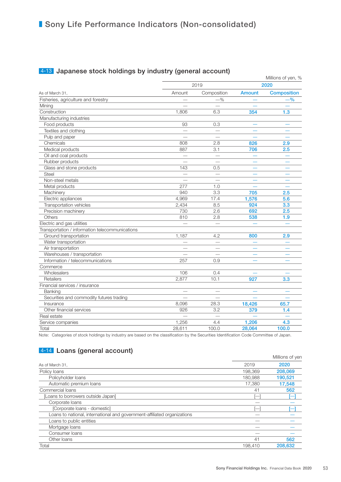|                                                 |                          |                          |               | Millions of yen, % |  |
|-------------------------------------------------|--------------------------|--------------------------|---------------|--------------------|--|
|                                                 |                          | 2019                     |               | 2020               |  |
| As of March 31,                                 | Amount                   | Composition              | <b>Amount</b> | <b>Composition</b> |  |
| Fisheries, agriculture and forestry             |                          | $-$ %                    |               | $-$ %              |  |
| Mining                                          |                          |                          |               |                    |  |
| Construction                                    | 1,806                    | 6.3                      | 354           | 1.3                |  |
| Manufacturing industries                        |                          |                          |               |                    |  |
| Food products                                   | 93                       | 0.3                      |               |                    |  |
| Textiles and clothing                           |                          |                          |               |                    |  |
| Pulp and paper                                  | $\overline{\phantom{0}}$ | $\overline{\phantom{0}}$ |               |                    |  |
| Chemicals                                       | 808                      | 2.8                      | 826           | 2.9                |  |
| Medical products                                | 887                      | 3.1                      | 706           | 2.5                |  |
| Oil and coal products                           |                          |                          |               |                    |  |
| Rubber products                                 | $\overline{\phantom{0}}$ | $\overline{\phantom{0}}$ |               |                    |  |
| Glass and stone products                        | 143                      | 0.5                      |               |                    |  |
| <b>Steel</b>                                    |                          |                          |               |                    |  |
| Non-steel metals                                |                          | $\overline{\phantom{0}}$ |               |                    |  |
| Metal products                                  | 277                      | 1.0                      |               |                    |  |
| Machinery                                       | 940                      | 3.3                      | 705           | 2.5                |  |
| Electric appliances                             | 4,969                    | 17.4                     | 1,576         | 5.6                |  |
| Transportation vehicles                         | 2,434                    | 8.5                      | 924           | 3.3                |  |
| Precision machinery                             | 730                      | 2.6                      | 692           | 2.5                |  |
| Others                                          | 810                      | 2.8                      | 538           | 1.9                |  |
| Electric and gas utilities                      |                          |                          |               |                    |  |
| Transportation / information telecommunications |                          |                          |               |                    |  |
| Ground transportation                           | 1,187                    | 4.2                      | 800           | 2.9                |  |
| Water transportation                            |                          |                          |               |                    |  |
| Air transportation                              |                          |                          |               |                    |  |
| Warehouses / transportation                     |                          | $\overline{\phantom{0}}$ |               |                    |  |
| Information / telecommunications                | 257                      | 0.9                      |               |                    |  |
| Commerce                                        |                          |                          |               |                    |  |
| Wholesalers                                     | 106                      | 0.4                      |               |                    |  |
| Retailers                                       | 2,877                    | 10.1                     | 927           | 3.3                |  |
| Financial services / insurance                  |                          |                          |               |                    |  |
| Banking                                         |                          | $\overline{\phantom{0}}$ |               |                    |  |
| Securities and commodity futures trading        |                          |                          |               |                    |  |
| Insurance                                       | 8,096                    | 28.3                     | 18,426        | 65.7               |  |
| Other financial services                        | 926                      | 3.2                      | 379           | 1.4                |  |
| Real estate                                     |                          |                          |               |                    |  |
| Service companies                               | 1,256                    | 4.4                      | 1,206         | 4.3                |  |
| Total                                           | 28,611                   | 100.0                    | 28,064        | 100.0              |  |

## 4-13 Japanese stock holdings by industry (general account)

Note: Categories of stock holdings by industry are based on the classification by the Securities Identification Code Committee of Japan.

## 4-14 Loans (general account)

|                                                                          |               | Millions of yen |
|--------------------------------------------------------------------------|---------------|-----------------|
| As of March 31,                                                          | 2019          | 2020            |
| Policy loans                                                             | 198,369       | 208,069         |
| Policyholder loans                                                       | 180.988       | 190,521         |
| Automatic premium loans                                                  | 17.380        | 17,548          |
| Commercial loans                                                         | 41            | 562             |
| [Loans to borrowers outside Japan]                                       | $\overline{}$ |                 |
| Corporate loans                                                          |               |                 |
| [Corporate loans - domestic]                                             |               |                 |
| Loans to national, international and government-affiliated organizations |               |                 |
| Loans to public entities                                                 |               |                 |
| Mortgage loans                                                           |               |                 |
| Consumer loans                                                           |               |                 |
| Other loans                                                              | 41            | 562             |
| Total                                                                    | 198,410       | 208.632         |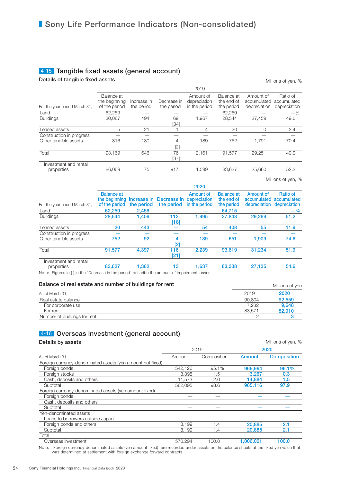### 4-15 Tangible fixed assets (general account)

Details of tangible fixed assets

| Millions of yen, % |  |  |
|--------------------|--|--|
|--------------------|--|--|

|                              |               |             |             | 2019          |            |              |                    |
|------------------------------|---------------|-------------|-------------|---------------|------------|--------------|--------------------|
|                              | Balance at    |             |             | Amount of     | Balance at | Amount of    | Ratio of           |
|                              | the beginning | Increase in | Decrease in | depreciation  | the end of | accumulated  | accumulated        |
| For the year ended March 31, | of the period | the period  | the period  | in the period | the period | depreciation | depreciation       |
| Land                         | 62,259        |             |             |               | 62,259     |              | $-$ %              |
| <b>Buildings</b>             | 30,087        | 494         | 69          | 1,967         | 28.544     | 27,459       | 49.0               |
|                              |               |             | [34]        |               |            |              |                    |
| Leased assets                | 5             | 21          |             | 4             | 20         | $\Omega$     | 2.4                |
| Construction in progress     |               |             |             |               |            |              |                    |
| Other tangible assets        | 816           | 130         | 4           | 189           | 752        | 1,791        | 70.4               |
|                              |               |             | [2]         |               |            |              |                    |
| Total                        | 93.169        | 646         | 76          | 2,161         | 91.577     | 29.251       | 49.9               |
|                              |               |             | [37]        |               |            |              |                    |
| Investment and rental        |               |             |             |               |            |              |                    |
| properties                   | 86,069        | 75          | 917         | 1.599         | 83.627     | 25,680       | 52.2               |
|                              |               |             |             |               |            |              | Millions of yen, % |

|                                     |                                                     |            |                                                    | 2020                       |                                               |                                          |                                         |
|-------------------------------------|-----------------------------------------------------|------------|----------------------------------------------------|----------------------------|-----------------------------------------------|------------------------------------------|-----------------------------------------|
| For the year ended March 31,        | <b>Balance at</b><br>the beginning<br>of the period | the period | Increase in Decrease in depreciation<br>the period | Amount of<br>in the period | <b>Balance at</b><br>the end of<br>the period | Amount of<br>accumulated<br>depreciation | Ratio of<br>accumulated<br>depreciation |
| Land                                | 62.259                                              | 2.456      |                                                    |                            | 64.715                                        |                                          | $-$ %                                   |
| <b>Buildings</b>                    | 28.544                                              | 1.406      | 112<br>[18]                                        | 1.995                      | 27,843                                        | 29,269                                   | 51.2                                    |
| Leased assets                       | 20                                                  | 443        |                                                    | 54                         | 408                                           | 55                                       | 11.9                                    |
| Construction in progress            |                                                     |            |                                                    |                            |                                               |                                          |                                         |
| Other tangible assets               | 752                                                 | 92         | 4<br>121                                           | 189                        | 651                                           | 1.909                                    | 74.6                                    |
| Total                               | 91,577                                              | 4.397      | 116<br>[21]                                        | 2,239                      | 93.619                                        | 31,234                                   | 51.9                                    |
| Investment and rental<br>properties | 83.627                                              | 1.362      | 13                                                 | 1.637                      | 83,338                                        | 27,135                                   | 54.6                                    |

Note: Figures in [ ] in the "Decrease in the period" describe the amount of impairment losses.

| Balance of real estate and number of buildings for rent |        | Millions of yen |
|---------------------------------------------------------|--------|-----------------|
| As of March 31.                                         | 2019   | 2020            |
| Real estate balance                                     | 90.804 | 92.559          |
| For corporate use                                       | 7.232  | 9.648           |
| For rent                                                | 83.571 | 82,910          |
| Number of buildings for rent                            |        |                 |

## 4-16 Overseas investment (general account)

| Details by assets                                          |         |             |           | Millions of yen, % |  |
|------------------------------------------------------------|---------|-------------|-----------|--------------------|--|
|                                                            |         | 2019        | 2020      |                    |  |
| As of March 31,                                            | Amount  | Composition | Amount    | <b>Composition</b> |  |
| Foreign currency-denominated assets (yen amount not fixed) |         |             |           |                    |  |
| Foreign bonds                                              | 542.126 | 95.1%       | 966.964   | 96.1%              |  |
| Foreign stocks                                             | 8.395   | 1.5         | 3.267     | 0.3                |  |
| Cash, deposits and others                                  | 11,573  | 2.0         | 14.884    | 1.5                |  |
| Subtotal                                                   | 562.095 | 98.6        | 985,116   | 97.9               |  |
| Foreign currency-denominated assets (yen amount fixed)     |         |             |           |                    |  |
| Foreign bonds                                              |         |             |           |                    |  |
| Cash, deposits and others                                  |         |             |           |                    |  |
| Subtotal                                                   |         |             |           |                    |  |
| Yen-denominated assets                                     |         |             |           |                    |  |
| Loans to borrowers outside Japan                           |         |             |           |                    |  |
| Foreign bonds and others                                   | 8.199   | 1.4         | 20,885    | 2.1                |  |
| Subtotal                                                   | 8,199   | 1.4         | 20,885    | 2.1                |  |
| Total                                                      |         |             |           |                    |  |
| Overseas investment                                        | 570.294 | 100.0       | 1.006.001 | 100.0              |  |

Note: "Foreign currency-denominated assets (yen amount fixed)" are recorded under assets on the balance sheets at the fixed yen value that was determined at settlement with foreign exchange forward contracts.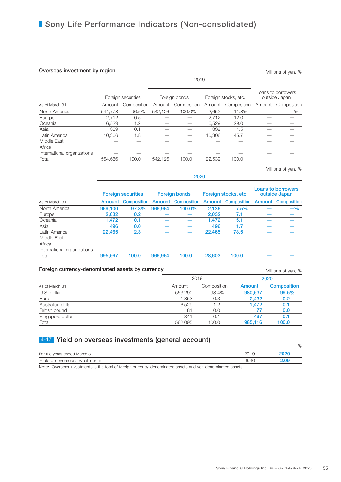### **Overseas investment by region** Millions of yen, %

2019 Foreign securities Foreign bonds Foreign stocks, etc. Loans to borrowers outside Japan As of March 31, Amount Composition Amount Composition Amount Composition Amount Composition North America **544,778** 96.5% 542,126 100.0% 2,652 11.8% —  $-$ % Europe 2,712 0.5 ̶ ̶ 2,712 12.0 ̶ ̶ Oceania 6,529 1.2 — 6,529 29.0 — — Asia 339 0.1 ̶ ̶ 339 1.5 ̶ ̶ Latin America 10,306 1.8 — — 10,306 45.7 — — Middle East  $\qquad \qquad \text{---} \qquad \text{---} \qquad \text{---} \qquad \text{---} \qquad \text{---} \qquad \text{---} \qquad \text{---} \qquad \text{---} \qquad \text{---} \qquad \text{---} \qquad \text{---} \qquad \text{---} \qquad \text{---} \qquad \text{---} \qquad \text{---} \qquad \text{---} \qquad \text{---} \qquad \text{---} \qquad \text{---} \qquad \text{---} \qquad \text{---} \qquad \text{---} \qquad \text{---} \qquad \text{---} \qquad \text{---} \qquad \text$ Africa ̶ ̶ ̶ ̶ ̶ ̶ ̶ ̶ International organizations  $\qquad$  —  $\qquad$  —  $\qquad$  —  $\qquad$  —  $\qquad$  —  $\qquad$  — Total 564,666 100.0 542,126 100.0 22,539 100.0 ̶ ̶

2020 Foreign securities Foreign bonds Foreign stocks, etc. Loans to borrowers outside Japan As of March 31, **Amount Composition Amount Composition Amount Composition Amount Composition** North America **969,100** 97.3% 966,964 100.0% 2,136 7.5%  $-$ % Europe 2,032 0.2 ̶ ̶ 2,032 7.1 ̶ ̶ Oceania 1,472 0.1 ̶ ̶ 1,472 5.1 ̶ ̶ Asia 496 0.0 — — 496 1.7 — — Latin America  $22,465$   $2.3$   $22,465$   $78.5$ Middle East  $\qquad \qquad \text{---} \qquad \text{---} \qquad \text{---} \qquad \text{---} \qquad \text{---} \qquad \text{---} \qquad \text{---} \qquad \text{---} \qquad \text{---} \qquad \text{---} \qquad \text{---} \qquad \text{---} \qquad \text{---} \qquad \text{---} \qquad \text{---} \qquad \text{---} \qquad \text{---} \qquad \text{---} \qquad \text{---} \qquad \text{---} \qquad \text{---} \qquad \text{---} \qquad \text{---} \qquad \text{---} \qquad \text{---} \qquad \text$ Africa ̶ ̶ ̶ ̶ ̶ ̶ ̶ ̶ International organizations ̶ ̶ ̶ ̶ ̶ ̶ ̶ ̶ Total 995,567 100.0 966,964 100.0 28,603 100.0 ̶ ̶

### Foreign currency-denominated assets by currency methods of yen, % Millions of yen, %

2019 2020 As of March 31, Amount Composition Amount Composition Composition Composition Amount Composition U.S. dollar 553,290 98.4% 980,637 99.5% Euro 1,853 0.3 2,432 0.2 Australian dollar 6,529 1.2 1,472 0.1 British pound 81 0.0 77 Singapore dollar 2012 341 0.1 497 0.1<br>
Total 562,095 100.0 985,116 100.0 Total 562,095 100.0 985,116 100.0

## 4-17 Yield on overseas investments (general account)

| .                             |      | %    |
|-------------------------------|------|------|
| For the years ended March 31, | 2019 | 2020 |
| Yield on overseas investments | 6.3C | 2.09 |

Note: Overseas investments is the total of foreign currency-denominated assets and yen-denominated assets.

Millions of yen, %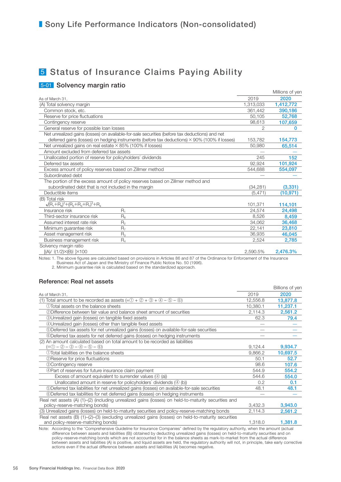# 5 Status of Insurance Claims Paying Ability

## 5-01 Solvency margin ratio

|                                                                                                |           | Millions of yen |
|------------------------------------------------------------------------------------------------|-----------|-----------------|
| As of March 31,                                                                                | 2019      | 2020            |
| (A) Total solvency margin                                                                      | 1,313,033 | 1,412,772       |
| Common stock, etc.                                                                             | 361.442   | 390.186         |
| Reserve for price fluctuations                                                                 | 50,105    | 52.768          |
| Contingency reserve                                                                            | 98.613    | 107,659         |
| General reserve for possible loan losses                                                       |           | <sup>0</sup>    |
| Net unrealized gains (losses) on available-for-sale securities (before tax deductions) and net |           |                 |
| deferred gains (losses) on hedging instruments (before tax deductions) × 90% (100% if losses)  | 153,782   | 154,773         |
| Net unrealized gains on real estate $\times$ 85% (100% if losses)                              | 50,980    | 65,514          |
| Amount excluded from deferred tax assets                                                       |           |                 |
| Unallocated portion of reserve for policyholders' dividends                                    | 245       | 152             |
| Deferred tax assets                                                                            | 92,924    | 101,924         |
| Excess amount of policy reserves based on Zillmer method                                       | 544,688   | 554,097         |
| Subordinated debt                                                                              |           |                 |
| The portion of the excess amount of policy reserves based on Zillmer method and                |           |                 |
| subordinated debt that is not included in the margin                                           | (34, 281) | (3,331)         |
| Deductible items                                                                               | (5, 471)  | (10, 971)       |
| (B) Total risk                                                                                 |           |                 |
| $\sqrt{(R_1 + R_8)^2 + (R_2 + R_3 + R_7)^2} + R_4$                                             | 101.371   | 114,101         |
| $R_1$<br>Insurance risk                                                                        | 24.574    | 24,498          |
| $R_8$<br>Third-sector insurance risk                                                           | 8.526     | 8.459           |
| Assumed interest rate risk<br>$R_{2}$                                                          | 34,062    | 36,468          |
| $R_{7}$<br>Minimum guarantee risk                                                              | 22,141    | 23,810          |
| Asset management risk<br>$R_{3}$                                                               | 36,935    | 46,045          |
| Business management risk<br>$R_4$                                                              | 2,524     | 2,785           |
| Solvency margin ratio                                                                          |           |                 |
| $[(A) / {(1/2)} \times (B)]$   $\times 100$                                                    | 2,590.5%  | 2,476.3%        |

Notes: 1. The above figures are calculated based on provisions in Articles 86 and 87 of the Ordinance for Enforcement of the Insurance Business Act of Japan and the Ministry of Finance Public Notice No. 50 (1996).

2. Minimum guarantee risk is calculated based on the standardized approach.

### Reference: Real net assets

|                                                                                                                                                                                                                                                                      |          | Billions of yen |
|----------------------------------------------------------------------------------------------------------------------------------------------------------------------------------------------------------------------------------------------------------------------|----------|-----------------|
| As of March 31,                                                                                                                                                                                                                                                      | 2019     | 2020            |
| (1) Total amount to be recorded as assets $(=0 + 2 + 3 + 4 - 5 - 6)$                                                                                                                                                                                                 | 12,556.8 | 13,877.8        |
| 1.1 Total assets on the balance sheets                                                                                                                                                                                                                               | 10,380.1 | 11,237.1        |
| 2 Difference between fair value and balance sheet amount of securities                                                                                                                                                                                               | 2,114.3  | 2,561.2         |
| <b>30 Unrealized gain (losses) on tangible fixed assets</b>                                                                                                                                                                                                          | 62.3     | 79.4            |
| 4 Unrealized gain (losses) other than tangible fixed assets                                                                                                                                                                                                          |          |                 |
| <b>5</b> Deferred tax assets for net unrealized gains (losses) on available-for-sale securities                                                                                                                                                                      |          |                 |
| <b>©Deferred tax assets for net deferred gains (losses) on hedging instruments</b>                                                                                                                                                                                   |          |                 |
| (2) An amount calculated based on total amount to be recorded as liabilities                                                                                                                                                                                         |          |                 |
| $(= 0 - 2 - 3 - 4 - 5 - 6)$                                                                                                                                                                                                                                          | 9,124.4  | 9,934.7         |
| (1) Total liabilities on the balance sheets                                                                                                                                                                                                                          | 9,866.2  | 10,697.5        |
| <b>@Reserve for price fluctuations</b>                                                                                                                                                                                                                               | 50.1     | 52.7            |
| <b>3Contingency reserve</b>                                                                                                                                                                                                                                          | 98.6     | 107.6           |
| 4) Part of reserves for future insurance claim payment                                                                                                                                                                                                               | 544.9    | 554.2           |
| Excess of amount equivalent to surrender values $(4)$ (a))                                                                                                                                                                                                           | 544.6    | 554.0           |
| Unallocated amount in reserve for policyholders' dividends $(4)$ (b))                                                                                                                                                                                                | 0.2      | 0.1             |
| <b>5</b> Deferred tax liabilities for net unrealized gains (losses) on available-for-sale securities                                                                                                                                                                 | 48.1     | 48.1            |
| <b>©Deferred tax liabilities for net deferred gains (losses) on hedging instruments</b>                                                                                                                                                                              |          |                 |
| Real net assets (A) (1)-(2) (including unrealized gains (losses) on held-to-maturity securities and                                                                                                                                                                  |          |                 |
| policy-reserve-matching bonds)                                                                                                                                                                                                                                       | 3,432.3  | 3,943.0         |
| (3) Unrealized gains (losses) on held-to-maturity securities and policy-reserve-matching bonds                                                                                                                                                                       | 2,114.3  | 2,561.2         |
| Real net assets (B) (1)-(2)-(3) (excluding unrealized gains (losses) on held-to-maturity securities                                                                                                                                                                  |          |                 |
| and policy-reserve-matching bonds)<br>Maria Alecandria (1965), and the Contract of the college of the state of the contract of the state of the state of the state of the state of the state of the state of the state of the state of the state of the state of the | 1,318.0  | 1,381.8         |

Note: According to the "Comprehensive Guideline for Insurance Companies" defined by the regulatory authority, when the amount (actual difference between assets and liabilities (B)) obtained by deducting unrealized gains (losses) on held-to-maturity securities and on policy-reserve-matching bonds which are not accounted for in the balance sheets as mark-to-market from the actual difference between assets and liabilities (A) is positive, and liquid assets are held, the regulatory authority will not, in principle, take early corrective actions even if the actual difference between assets and liabilities (A) becomes negative.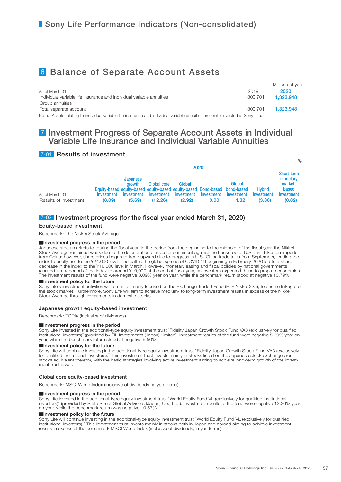# 6 Balance of Separate Account Assets

|                                                                      |           | Millions of yen |
|----------------------------------------------------------------------|-----------|-----------------|
| As of March 31,                                                      | 2019      | 2020            |
| Individual variable life insurance and individual variable annuities | 1.300.701 | 1.323.948       |
| Group annuities                                                      |           |                 |
| Total separate account                                               | 1.300.701 | 1.323.948       |

Note: Assets relating to individual variable life insurance and individual variable annuities are jointly invested at Sony Life.

## 7 Investment Progress of Separate Account Assets in Individual Variable Life Insurance and Individual Variable Annuities

## 7-01 Results of investment

|                       |            |                                  |                           | 2020                                                                                              |            |                      |                             | 70                                                       |
|-----------------------|------------|----------------------------------|---------------------------|---------------------------------------------------------------------------------------------------|------------|----------------------|-----------------------------|----------------------------------------------------------|
| As of March 31,       | investment | Japanese<br>arowth<br>investment | Global core<br>investment | Global<br>Equity-based equity-based equity-based equity-based Bond-based bond-based<br>investment | investment | Global<br>investment | <b>Hybrid</b><br>investment | Short-term<br>monetary<br>market-<br>based<br>investment |
| Results of investment | (8.09)     | (5.69)                           | (12.26)                   | (2.92)                                                                                            | 0.00       | 4.32                 | (3.86)                      | (0.02)                                                   |

## 7-02 Investment progress (for the fiscal year ended March 31, 2020)

#### Equity-based investment

Benchmark: The Nikkei Stock Average

#### ■Investment progress in the period

Japanese stock markets fell during the fiscal year. In the period from the beginning to the midpoint of the fiscal year, the Nikkei Stock Average remained weak due to the deterioration of investor sentiment against the backdrop of U.S. tariff hikes on imports<br>from China; however, share prices began to trend upward due to progress in U.S.-China trade ta index to briefly rise to the ¥24,000 level. Thereafter, the global spread of COVID-19 beginning in February 2020 led to a sharp decrease in the index to the ¥16,000 level in March. However, monetary easing and fiscal policies by national governments resulted in a rebound of the index to around ¥19,000 at the end of fiscal year, as investors expected these to prop up economies. The investment results of the fund were negative 8.09% year on year, while the benchmark return stood at negative 10.79%.

#### ■Investment policy for the future

Sony Life's investment activities will remain primarily focused on the Exchange Traded Fund (ETF Nikkei 225), to ensure linkage to the stock market. Furthermore, Sony Life will aim to achieve medium- to long-term investment results in excess of the Nikkei Stock Average through investments in domestic stocks.

#### Japanese growth equity-based investment

Benchmark: TOPIX (inclusive of dividends)

#### ■Investment progress in the period

Sony Life invested in the additional-type equity investment trust "Fidelity Japan Growth Stock Fund VA3 (exclusively for qualified institutional investors)" (provided by FIL Investments (Japan) Limited). Investment results of the fund were negative 5.69% year on year, while the benchmark return stood at negative 9.50%.

#### ■Investment policy for the future

Sony Life will continue investing in the additional-type equity investment trust "Fidelity Japan Growth Stock Fund VA3 (exclusively<br>for qualified institutional investors)." This investment trust invests mainly in stocks li stocks equivalent thereto), with the basic strategies involving active investment aiming to achieve long-term growth of the investment trust asset.

#### Global core equity-based investment

Benchmark: MSCI World Index (inclusive of dividends, in yen terms)

#### ■Investment progress in the period

Sony Life invested in the additional-type equity investment trust "World Equity Fund VL (exclusively for qualified institutional investors)" (provided by State Street Global Advisors (Japan) Co., Ltd.). Investment results of the fund were negative 12.26% year on year, while the benchmark return was negative 10.57%.

#### ■Investment policy for the future

Sony Life will continue investing in the additional-type equity investment trust "World Equity Fund VL (exclusively for qualified<br>institutional investors)." This investment trust invests mainly in stocks both in Japan and results in excess of the benchmark MSCI World Index (inclusive of dividends, in yen terms).

 $\alpha$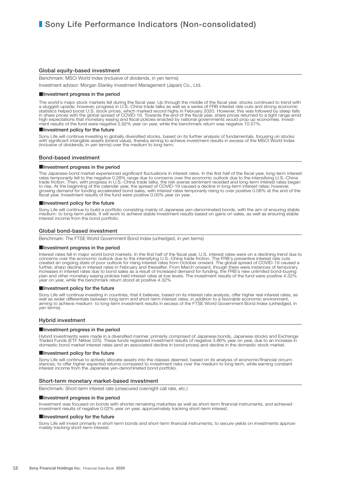#### Global equity-based investment

Benchmark: MSCI World Index (inclusive of dividends, in yen terms)

Investment advisor: Morgan Stanley Investment Management (Japan) Co., Ltd.

#### ■Investment progress in the period

The world's major stock markets fell during the fiscal year. Up through the middle of the fiscal year, stocks continued to trend with<br>a sluggish upside; however, progress in U.S.-China trade talks as well as a series of FR in share prices with the global spread of COVID-19. Towards the end of the fiscal year, share prices returned to a tight range amid high expectations that monetary easing and fiscal policies enacted by national governments would prop up economies. Invest-<br>ment results of the fund were negative 2.92% year on year, while the benchmark return was negative

#### ■Investment policy for the future

Sony Life will continue investing in globally diversified stocks, based on its further analysis of fundamentals, focusing on stocks with significant intangible assets (brand value), thereby aiming to achieve investment results in excess of the MSCI World Index<br>(inclusive of dividends, in yen terms) over the medium to long term.

#### Bond-based investment

#### ■Investment progress in the period

The Japanese bond market experienced significant fluctuations in interest rates. In the first half of the fiscal year, long-term interest rates temporarily fell to the negative 0.28% range due to concerns over the economic outlook due to the intensifying U.S.-China<br>trade friction. Then, with progress in U.S.-China trade talks, the risk averse sentiment reced

#### ■Investment policy for the future

Sony Life will continue to build a portfolio consisting mainly of Japanese yen-denominated bonds, with the aim of ensuring stable<br>medium- to long-term yields. It will work to achieve stable investment results based on gain interest income from the bond portfolio.

#### Global bond-based investment

Benchmark: The FTSE World Government Bond Index (unhedged, in yen terms)

#### ■Investment progress in the period

Interest rates fell in major world bond markets. In the first half of the fiscal year, U.S. interest rates were on a declining trend due to concerns over the economic outlook due to the intensifying U.S.-China trade friction. The FRB's preventive interest rate cuts created an ongoing state of poor outlook for rising interest rates from October onward. The global spread of COVID-19 caused a<br>further, sharp decline in interest rates in February and thereafter. From March onward, though plan and other monetary easing policies held interest rates at low levels. The investment results of the fund were positive 4.32%<br>year on year, while the benchmark return stood at positive 4.32%

#### ■Investment policy for the future

Sony Life will continue investing in countries, that it believes, based on its interest rate analysis, offer higher real interest rates, as well as wider differentials between long-term and short-term interest rates, in addition to a favorable economic environment,<br>aiming to achieve medium- to long-term investment results in excess of the FTSE World Government yen terms).

#### Hybrid investment

#### ■Investment progress in the period

Hybrid investments were made in a diversified manner, primarily comprised of Japanese bonds, Japanese stocks and Exchange<br>Traded Funds (ETF Nikkei 225). These funds registered investment results of negative 3.86% year on y domestic bond market interest rates (and an associated decline in bond prices) and decline in the domestic stock market.

#### ■Investment policy for the future

Sony Life will continue to actively allocate assets into the classes deemed, based on its analysis of economic/financial circumstances, to offer higher expected returns compared to investment risks over the medium to long term, while earning constant interest income from the Japanese yen-denominated bond portfolio.

#### Short-term monetary market-based investment

Benchmark: Short-term interest rate (unsecured overnight call rate, etc.)

#### ■Investment progress in the period

Investment was focused on bonds with shorter remaining maturities as well as short-term financial instruments, and achieved investment results of negative 0.02% year on year, approximately tracking short-term interest.

#### ■Investment policy for the future

Sony Life will invest primarily in short-term bonds and short-term financial instruments, to secure yields on investments approximately tracking short-term interest.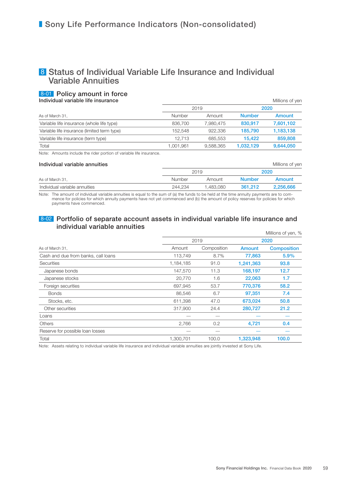## 8 Status of Individual Variable Life Insurance and Individual Variable Annuities

## 8-01 Policy amount in force

**Individual variable life insurance** 

|                                             |           | 2019      | 2020          |           |  |
|---------------------------------------------|-----------|-----------|---------------|-----------|--|
| As of March 31,                             | Number    | Amount    | <b>Number</b> | Amount    |  |
| Variable life insurance (whole life type)   | 836,700   | 7.980.475 | 830,917       | 7,601,102 |  |
| Variable life insurance (limited term type) | 152.548   | 922.336   | 185.790       | 1,183,138 |  |
| Variable life insurance (term type)         | 12.713    | 685.553   | 15.422        | 859,808   |  |
| Total                                       | 1.001.961 | 9.588.365 | 1.032.129     | 9,644,050 |  |

Note: Amounts include the rider portion of variable life insurance.

| Individual variable annuities |         |           | Millions of yer |           |  |
|-------------------------------|---------|-----------|-----------------|-----------|--|
|                               |         | 2019      | 2020            |           |  |
| As of March 31,               | Number  | Amount    | <b>Number</b>   | Amount    |  |
| Individual variable annuities | 244.234 | 1.483.080 | 361.212         | 2.256.666 |  |

Note: The amount of individual variable annuities is equal to the sum of (a) the funds to be held at the time annuity payments are to commence for policies for which annuity payments have not yet commenced and (b) the amount of policy reserves for policies for which payments have commenced.

### 8-02 Portfolio of separate account assets in individual variable life insurance and individual variable annuities

|                                     |           |             |           | Millions of yen, % |
|-------------------------------------|-----------|-------------|-----------|--------------------|
|                                     | 2019      |             | 2020      |                    |
| As of March 31,                     | Amount    | Composition | Amount    | <b>Composition</b> |
| Cash and due from banks, call loans | 113,749   | 8.7%        | 77,863    | 5.9%               |
| <b>Securities</b>                   | 1,184,185 | 91.0        | 1,241,363 | 93.8               |
| Japanese bonds                      | 147,570   | 11.3        | 168,197   | 12.7               |
| Japanese stocks                     | 20,770    | 1.6         | 22,063    | 1.7                |
| Foreign securities                  | 697,945   | 53.7        | 770,376   | 58.2               |
| <b>Bonds</b>                        | 86,546    | 6.7         | 97,351    | 7.4                |
| Stocks, etc.                        | 611,398   | 47.0        | 673,024   | 50.8               |
| Other securities                    | 317,900   | 24.4        | 280,727   | 21.2               |
| Loans                               |           |             |           |                    |
| <b>Others</b>                       | 2,766     | 0.2         | 4,721     | 0.4                |
| Reserve for possible loan losses    |           |             |           |                    |
| Total                               | 1,300,701 | 100.0       | 1,323,948 | 100.0              |

Note: Assets relating to individual variable life insurance and individual variable annuities are jointly invested at Sony Life.

 $\overline{\phantom{a}}$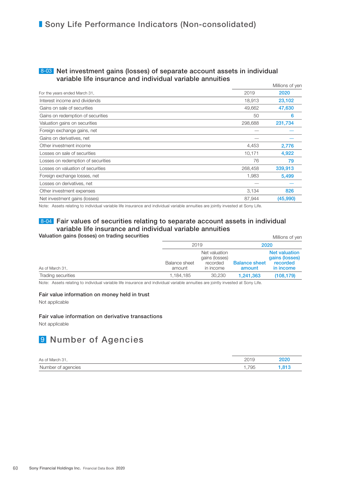### 8-03 Net investment gains (losses) of separate account assets in individual variable life insurance and individual variable annuities

|                                    |         | Millions of yen |
|------------------------------------|---------|-----------------|
| For the years ended March 31,      | 2019    | 2020            |
| Interest income and dividends      | 18,913  | 23,102          |
| Gains on sale of securities        | 49,662  | 47,630          |
| Gains on redemption of securities  | 50      | 6               |
| Valuation gains on securities      | 298,688 | 231,734         |
| Foreign exchange gains, net        |         |                 |
| Gains on derivatives, net          |         |                 |
| Other investment income            | 4,453   | 2,776           |
| Losses on sale of securities       | 10,171  | 4,922           |
| Losses on redemption of securities | 76      | 79              |
| Losses on valuation of securities  | 268,458 | 339,913         |
| Foreign exchange losses, net       | 1,983   | 5,499           |
| Losses on derivatives, net         |         |                 |
| Other investment expenses          | 3,134   | 826             |
| Net investment gains (losses)      | 87,944  | (45,990)        |
|                                    |         |                 |

Note: Assets relating to individual variable life insurance and individual variable annuities are jointly invested at Sony Life.

## 8-04 Fair values of securities relating to separate account assets in individual variable life insurance and individual variable annuities

#### Valuation gains (losses) on trading securities **Millions** of yen

|                    | 2019                    |                                                          |                                | 2020                                                     |  |
|--------------------|-------------------------|----------------------------------------------------------|--------------------------------|----------------------------------------------------------|--|
| As of March 31,    | Balance sheet<br>amount | Net valuation<br>gains (losses)<br>recorded<br>in income | <b>Balance sheet</b><br>amount | Net valuation<br>gains (losses)<br>recorded<br>in income |  |
| Trading securities | 1,184,185               | 30.230                                                   | 1,241,363                      | (108, 179)                                               |  |

Note: Assets relating to individual variable life insurance and individual variable annuities are jointly invested at Sony Life.

#### Fair value information on money held in trust

Not applicable

#### Fair value information on derivative transactions

Not applicable

# **9 Number of Agencies**

| As of March 31,    | 2019 | 2020 |
|--------------------|------|------|
| Number of agencies | .795 | 813. |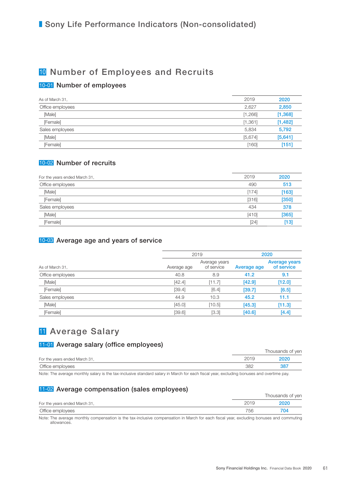# <sup>10</sup> Number of Employees and Recruits

## 10-01 Number of employees

| 2019    | 2020     |
|---------|----------|
| 2,627   | 2,850    |
| [1,266] | [1, 368] |
| [1,361] | [1,482]  |
| 5,834   | 5,792    |
| [5,674] | [5,641]  |
| [160]   | [151]    |
|         |          |

## 10-02 Number of recruits

| For the years ended March 31, | 2019    | 2020  |
|-------------------------------|---------|-------|
| Office employees              | 490     | 513   |
| [Male]                        | [174]   | [163] |
| [Female]                      | $[316]$ | [350] |
| Sales employees               | 434     | 378   |
| [Male]                        | [410]   | [365] |
| [Female]                      | [24]    | [13]  |
|                               |         |       |

## 10-03 Average age and years of service

|                  |             | 2019                        | 2020        |                             |  |
|------------------|-------------|-----------------------------|-------------|-----------------------------|--|
| As of March 31,  | Average age | Average years<br>of service | Average age | Average years<br>of service |  |
| Office employees | 40.8        | 8.9                         | 41.2        | 9.1                         |  |
| [Male]           | [42.4]      | [11.7]                      | [42.9]      | [12.0]                      |  |
| [Female]         | [39.4]      | [6.4]                       | [39.7]      | [6.5]                       |  |
| Sales employees  | 44.9        | 10.3                        | 45.2        | 11.1                        |  |
| [Male]           | [45.0]      | [10.5]                      | [45.3]      | $[11.3]$                    |  |
| [Female]         | [39.6]      | [3.3]                       | [40.6]      | [4.4]                       |  |
|                  |             |                             |             |                             |  |

# **11** Average Salary

## 11-01 Average salary (office employees)

|                               |      | Thousands of yen |
|-------------------------------|------|------------------|
| For the years ended March 31, | 2019 | 2020             |
| Office employees              | 382  | 387              |

Note: The average monthly salary is the tax-inclusive standard salary in March for each fiscal year, excluding bonuses and overtime pay.

## 11-02 Average compensation (sales employees)

|                               |      | Thousands of yen |
|-------------------------------|------|------------------|
| For the years ended March 31, | 2019 | 2020             |
| Office employees              | 756  | 704              |
| .<br>.                        |      |                  |

Note: The average monthly compensation is the tax-inclusive compensation in March for each fiscal year, excluding bonuses and commuting allowances.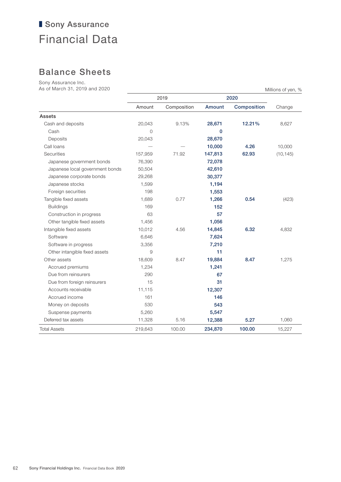# ■ Sony Assurance Financial Data

# Balance Sheets

Sony Assurance Inc.

| As of March 31, 2019 and 2020   |                |             |          |                    | Millions of yen, % |
|---------------------------------|----------------|-------------|----------|--------------------|--------------------|
|                                 |                | 2019        |          | 2020               |                    |
|                                 | Amount         | Composition | Amount   | <b>Composition</b> | Change             |
| <b>Assets</b>                   |                |             |          |                    |                    |
| Cash and deposits               | 20,043         | 9.13%       | 28,671   | 12.21%             | 8,627              |
| Cash                            | $\Omega$       |             | $\Omega$ |                    |                    |
| Deposits                        | 20,043         |             | 28,670   |                    |                    |
| Call loans                      |                |             | 10,000   | 4.26               | 10,000             |
| <b>Securities</b>               | 157,959        | 71.92       | 147,813  | 62.93              | (10, 145)          |
| Japanese government bonds       | 76,390         |             | 72,078   |                    |                    |
| Japanese local government bonds | 50,504         |             | 42,610   |                    |                    |
| Japanese corporate bonds        | 29,268         |             | 30,377   |                    |                    |
| Japanese stocks                 | 1,599          |             | 1,194    |                    |                    |
| Foreign securities              | 198            |             | 1,553    |                    |                    |
| Tangible fixed assets           | 1,689          | 0.77        | 1,266    | 0.54               | (423)              |
| <b>Buildings</b>                | 169            |             | 152      |                    |                    |
| Construction in progress        | 63             |             | 57       |                    |                    |
| Other tangible fixed assets     | 1,456          |             | 1,056    |                    |                    |
| Intangible fixed assets         | 10,012         | 4.56        | 14,845   | 6.32               | 4,832              |
| Software                        | 6,646          |             | 7,624    |                    |                    |
| Software in progress            | 3,356          |             | 7,210    |                    |                    |
| Other intangible fixed assets   | $\overline{9}$ |             | 11       |                    |                    |
| Other assets                    | 18,609         | 8.47        | 19,884   | 8.47               | 1,275              |
| Accrued premiums                | 1,234          |             | 1,241    |                    |                    |
| Due from reinsurers             | 290            |             | 67       |                    |                    |
| Due from foreign reinsurers     | 15             |             | 31       |                    |                    |
| Accounts receivable             | 11,115         |             | 12,307   |                    |                    |
| Accrued income                  | 161            |             | 146      |                    |                    |
| Money on deposits               | 530            |             | 543      |                    |                    |
| Suspense payments               | 5,260          |             | 5,547    |                    |                    |
| Deferred tax assets             | 11,328         | 5.16        | 12,388   | 5.27               | 1,060              |
| <b>Total Assets</b>             | 219,643        | 100.00      | 234,870  | 100.00             | 15,227             |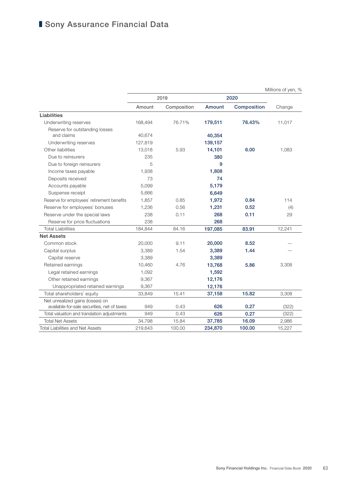|                                             |         |             |         | Millions of yen, % |        |
|---------------------------------------------|---------|-------------|---------|--------------------|--------|
|                                             |         | 2019        |         | 2020               |        |
|                                             | Amount  | Composition | Amount  | Composition        | Change |
| Liabilities                                 |         |             |         |                    |        |
| Underwriting reserves                       | 168,494 | 76.71%      | 179,511 | 76.43%             | 11,017 |
| Reserve for outstanding losses              |         |             |         |                    |        |
| and claims                                  | 40,674  |             | 40,354  |                    |        |
| Underwriting reserves                       | 127,819 |             | 139,157 |                    |        |
| Other liabilities                           | 13,018  | 5.93        | 14,101  | 6.00               | 1,083  |
| Due to reinsurers                           | 235     |             | 380     |                    |        |
| Due to foreign reinsurers                   | 5       |             | 9       |                    |        |
| Income taxes payable                        | 1,938   |             | 1,808   |                    |        |
| Deposits received                           | 73      |             | 74      |                    |        |
| Accounts payable                            | 5,099   |             | 5,179   |                    |        |
| Suspense receipt                            | 5,666   |             | 6,649   |                    |        |
| Reserve for employees' retirement benefits  | 1,857   | 0.85        | 1,972   | 0.84               | 114    |
| Reserve for employees' bonuses              | 1,236   | 0.56        | 1,231   | 0.52               | (4)    |
| Reserve under the special laws              | 238     | 0.11        | 268     | 0.11               | 29     |
| Reserve for price fluctuations              | 238     |             | 268     |                    |        |
| <b>Total Liabilities</b>                    | 184,844 | 84.16       | 197,085 | 83.91              | 12,241 |
| <b>Net Assets</b>                           |         |             |         |                    |        |
| Common stock                                | 20,000  | 9.11        | 20,000  | 8.52               |        |
| Capital surplus                             | 3,389   | 1.54        | 3,389   | 1.44               |        |
| Capital reserve                             | 3,389   |             | 3,389   |                    |        |
| Retained earnings                           | 10,460  | 4.76        | 13,768  | 5.86               | 3,308  |
| Legal retained earnings                     | 1,092   |             | 1,592   |                    |        |
| Other retained earnings                     | 9,367   |             | 12,176  |                    |        |
| Unappropriated retained earnings            | 9,367   |             | 12,176  |                    |        |
| Total shareholders' equity                  | 33,849  | 15.41       | 37,158  | 15.82              | 3,308  |
| Net unrealized gains (losses) on            |         |             |         |                    |        |
| available-for-sale securities, net of taxes | 949     | 0.43        | 626     | 0.27               | (322)  |
| Total valuation and translation adjustments | 949     | 0.43        | 626     | 0.27               | (322)  |
| <b>Total Net Assets</b>                     | 34,798  | 15.84       | 37,785  | 16.09              | 2,986  |
| <b>Total Liabilities and Net Assets</b>     | 219,643 | 100.00      | 234,870 | 100.00             | 15,227 |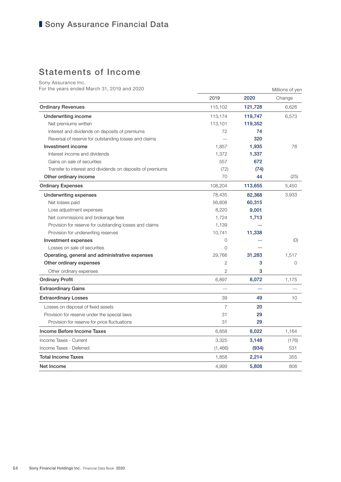# ■ Sony Assurance Financial Data

# Statements of Income

Sony Assurance Inc.

For the years ended March 31, 2019 and 2020 Millions of yen

|                                                            | 2019           | 2020    | Change  |
|------------------------------------------------------------|----------------|---------|---------|
| <b>Ordinary Revenues</b>                                   | 115,102        | 121,728 | 6,626   |
| <b>Underwriting income</b>                                 | 113,174        | 119,747 | 6,573   |
| Net premiums written                                       | 113,101        | 119,352 |         |
| Interest and dividends on deposits of premiums             | 72             | 74      |         |
| Reversal of reserve for outstanding losses and claims      |                | 320     |         |
| Investment income                                          | 1,857          | 1,935   | 78      |
| Interest income and dividends                              | 1,372          | 1,337   |         |
| Gains on sale of securities                                | 557            | 672     |         |
| Transfer to interest and dividends on deposits of premiums | (72)           | (74)    |         |
| Other ordinary income                                      | 70             | 44      | (25)    |
| <b>Ordinary Expenses</b>                                   | 108,204        | 113,655 | 5,450   |
| <b>Underwriting expenses</b>                               | 78,435         | 82,368  | 3,933   |
| Net losses paid                                            | 56,608         | 60,315  |         |
| Loss adjustment expenses                                   | 8,220          | 9,001   |         |
| Net commissions and brokerage fees                         | 1,724          | 1,713   |         |
| Provision for reserve for outstanding losses and claims    | 1,139          |         |         |
| Provision for underwriting reserves                        | 10,741         | 11,338  |         |
| Investment expenses                                        | 0              |         | (0)     |
| Losses on sale of securities                               | 0              |         |         |
| Operating, general and administrative expenses             | 29,766         | 31,283  | 1,517   |
| Other ordinary expenses                                    | $\overline{2}$ | 3       | $\circ$ |
| Other ordinary expenses                                    | $\overline{2}$ | 3       |         |
| <b>Ordinary Profit</b>                                     | 6,897          | 8,072   | 1,175   |
| <b>Extraordinary Gains</b>                                 |                |         |         |
| <b>Extraordinary Losses</b>                                | 39             | 49      | 10      |
| Losses on disposal of fixed assets                         | 7              | 20      |         |
| Provision for reserve under the special laws               | 31             | 29      |         |
| Provision for reserve for price fluctuations               | 31             | 29      |         |
| Income Before Income Taxes                                 | 6,858          | 8,022   | 1,164   |
| Income Taxes - Current                                     | 3,325          | 3,148   | (176)   |
| Income Taxes - Deferred                                    | (1,466)        | (934)   | 531     |
| <b>Total Income Taxes</b>                                  | 1,858          | 2,214   | 355     |
| Net Income                                                 | 4,999          | 5,808   | 808     |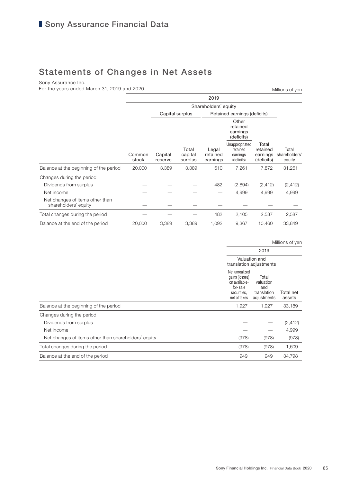# Statements of Changes in Net Assets

Sony Assurance Inc.

For the years ended March 31, 2019 and 2020

|                                                         | 2019            |                    |                             |                               |                                                      |                                             |                                  |  |
|---------------------------------------------------------|-----------------|--------------------|-----------------------------|-------------------------------|------------------------------------------------------|---------------------------------------------|----------------------------------|--|
|                                                         |                 |                    |                             |                               |                                                      |                                             |                                  |  |
|                                                         |                 |                    | Capital surplus             |                               | Retained earnings (deficits)                         |                                             |                                  |  |
|                                                         |                 |                    |                             |                               | Other<br>retained<br>earnings<br>(deficits)          |                                             |                                  |  |
|                                                         | Common<br>stock | Capital<br>reserve | Total<br>capital<br>surplus | Legal<br>retained<br>earnings | Unappropriated<br>retained<br>earnings<br>(deficits) | Total<br>retained<br>earnings<br>(deficits) | Total<br>shareholders'<br>equity |  |
| Balance at the beginning of the period                  | 20,000          | 3,389              | 3,389                       | 610                           | 7,261                                                | 7,872                                       | 31,261                           |  |
| Changes during the period                               |                 |                    |                             |                               |                                                      |                                             |                                  |  |
| Dividends from surplus                                  |                 |                    |                             | 482                           | (2,894)                                              | (2, 412)                                    | (2, 412)                         |  |
| Net income                                              |                 |                    |                             |                               | 4,999                                                | 4,999                                       | 4,999                            |  |
| Net changes of items other than<br>shareholders' equity |                 |                    |                             |                               |                                                      |                                             |                                  |  |
| Total changes during the period                         |                 |                    |                             | 482                           | 2,105                                                | 2,587                                       | 2,587                            |  |
| Balance at the end of the period                        | 20,000          | 3,389              | 3,389                       | 1,092                         | 9,367                                                | 10,460                                      | 33,849                           |  |

Millions of yen

Millions of yen

|                                                      | Valuation and<br>translation adjustments                                                     |                                                         |                     |
|------------------------------------------------------|----------------------------------------------------------------------------------------------|---------------------------------------------------------|---------------------|
|                                                      | Net unrealized<br>gains (losses)<br>on available-<br>for-sale<br>securities.<br>net of taxes | Total<br>valuation<br>and<br>translation<br>adjustments | Total net<br>assets |
| Balance at the beginning of the period               | 1,927                                                                                        | 1,927                                                   | 33,189              |
| Changes during the period                            |                                                                                              |                                                         |                     |
| Dividends from surplus                               |                                                                                              |                                                         | (2, 412)            |
| Net income                                           |                                                                                              |                                                         | 4,999               |
| Net changes of items other than shareholders' equity | (978)                                                                                        | (978)                                                   | (978)               |
| Total changes during the period                      | (978)                                                                                        | (978)                                                   | 1,609               |
| Balance at the end of the period                     | 949                                                                                          | 949                                                     | 34.798              |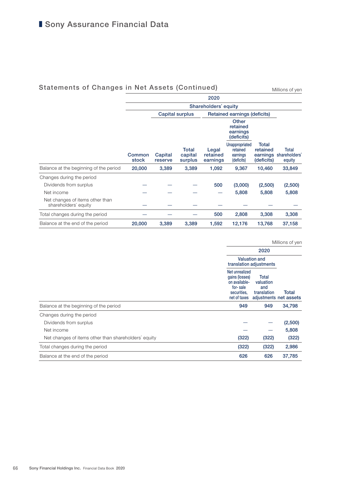## Statements of Changes in Net Assets (Continued)

Millions of yen

|                                                         | 2020                 |                    |                             |                               |                                                      |                                 |                                           |
|---------------------------------------------------------|----------------------|--------------------|-----------------------------|-------------------------------|------------------------------------------------------|---------------------------------|-------------------------------------------|
|                                                         | Shareholders' equity |                    |                             |                               |                                                      |                                 |                                           |
|                                                         |                      |                    | <b>Capital surplus</b>      |                               | Retained earnings (deficits)                         |                                 |                                           |
|                                                         |                      |                    |                             |                               | Other<br>retained<br>earnings<br>(deficits)          |                                 |                                           |
|                                                         | Common<br>stock      | Capital<br>reserve | Total<br>capital<br>surplus | Legal<br>retained<br>earnings | Unappropriated<br>retained<br>earnings<br>(deficits) | Total<br>retained<br>(deficits) | Total<br>earnings shareholders'<br>equity |
| Balance at the beginning of the period                  | 20,000               | 3,389              | 3,389                       | 1,092                         | 9,367                                                | 10,460                          | 33,849                                    |
| Changes during the period                               |                      |                    |                             |                               |                                                      |                                 |                                           |
| Dividends from surplus                                  |                      |                    |                             | 500                           | (3,000)                                              | (2,500)                         | (2,500)                                   |
| Net income                                              |                      |                    |                             |                               | 5,808                                                | 5,808                           | 5,808                                     |
| Net changes of items other than<br>shareholders' equity |                      |                    |                             |                               |                                                      |                                 |                                           |
| Total changes during the period                         |                      |                    |                             | 500                           | 2,808                                                | 3,308                           | 3,308                                     |
| Balance at the end of the period                        | 20,000               | 3,389              | 3,389                       | 1,592                         | 12,176                                               | 13,768                          | 37,158                                    |

Millions of yen

|                                                      |                                                                                              | <b>Valuation and</b><br>translation adjustments |                                 |
|------------------------------------------------------|----------------------------------------------------------------------------------------------|-------------------------------------------------|---------------------------------|
|                                                      | Net unrealized<br>gains (losses)<br>on available-<br>for-sale<br>securities,<br>net of taxes | Total<br>valuation<br>and<br>translation        | Total<br>adjustments net assets |
| Balance at the beginning of the period               | 949                                                                                          | 949                                             | 34,798                          |
| Changes during the period                            |                                                                                              |                                                 |                                 |
| Dividends from surplus                               |                                                                                              |                                                 | (2,500)                         |
| Net income                                           |                                                                                              |                                                 | 5,808                           |
| Net changes of items other than shareholders' equity | (322)                                                                                        | (322)                                           | (322)                           |
| Total changes during the period                      | (322)                                                                                        | (322)                                           | 2,986                           |
| Balance at the end of the period                     | 626                                                                                          | 626                                             | 37,785                          |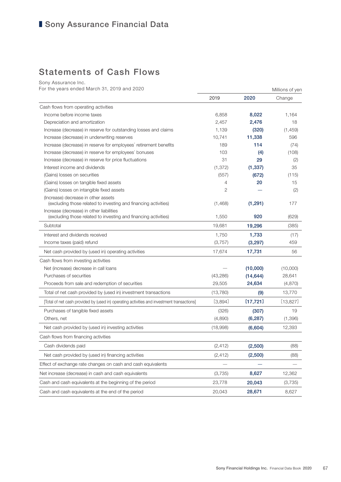# Statements of Cash Flows

Sony Assurance Inc.

For the years ended March 31, 2019 and 2020 Millions of yen

|                                                                                                             | 2019      | 2020      | Change   |
|-------------------------------------------------------------------------------------------------------------|-----------|-----------|----------|
| Cash flows from operating activities                                                                        |           |           |          |
| Income before income taxes                                                                                  | 6,858     | 8,022     | 1,164    |
| Depreciation and amortization                                                                               | 2,457     | 2,476     | 18       |
| Increase (decrease) in reserve for outstanding losses and claims                                            | 1,139     | (320)     | (1, 459) |
| Increase (decrease) in underwriting reserves                                                                | 10,741    | 11,338    | 596      |
| Increase (decrease) in reserve for employees' retirement benefits                                           | 189       | 114       | (74)     |
| Increase (decrease) in reserve for employees' bonuses                                                       | 103       | (4)       | (108)    |
| Increase (decrease) in reserve for price fluctuations                                                       | 31        | 29        | (2)      |
| Interest income and dividends                                                                               | (1, 372)  | (1, 337)  | 35       |
| (Gains) losses on securities                                                                                | (557)     | (672)     | (115)    |
| (Gains) losses on tangible fixed assets                                                                     | 4         | 20        | 15       |
| (Gains) losses on intangible fixed assets                                                                   | 2         |           | (2)      |
| (Increase) decrease in other assets<br>(excluding those related to investing and financing activities)      | (1,468)   | (1, 291)  | 177      |
| Increase (decrease) in other liabilities<br>(excluding those related to investing and financing activities) | 1,550     | 920       | (629)    |
| Subtotal                                                                                                    | 19,681    | 19,296    | (385)    |
| Interest and dividends received                                                                             | 1,750     | 1,733     | (17)     |
| Income taxes (paid) refund                                                                                  | (3,757)   | (3,297)   | 459      |
| Net cash provided by (used in) operating activities                                                         | 17,674    | 17,731    | 56       |
| Cash flows from investing activities                                                                        |           |           |          |
| Net (increase) decrease in call loans                                                                       |           | (10,000)  | (10,000) |
| Purchases of securities                                                                                     | (43, 286) | (14, 644) | 28,641   |
| Proceeds from sale and redemption of securities                                                             | 29,505    | 24,634    | (4,870)  |
| Total of net cash provided by (used in) investment transactions                                             | (13,780)  | (9)       | 13,770   |
| [Total of net cash provided by (used in) operating activities and investment transactions]                  | [3,894]   | [17,721]  | [13,827] |
| Purchases of tangible fixed assets                                                                          | (326)     | (307)     | 19       |
| Others, net                                                                                                 | (4,890)   | (6, 287)  | (1,396)  |
| Net cash provided by (used in) investing activities                                                         | (18,998)  | (6,604)   | 12,393   |
| Cash flows from financing activities                                                                        |           |           |          |
| Cash dividends paid                                                                                         | (2, 412)  | (2,500)   | (88)     |
| Net cash provided by (used in) financing activities                                                         | (2, 412)  | (2,500)   | (88)     |
| Effect of exchange rate changes on cash and cash equivalents                                                |           |           |          |
| Net increase (decrease) in cash and cash equivalents                                                        | (3,735)   | 8,627     | 12,362   |
| Cash and cash equivalents at the beginning of the period                                                    | 23,778    | 20,043    | (3,735)  |
| Cash and cash equivalents at the end of the period                                                          | 20,043    | 28,671    | 8,627    |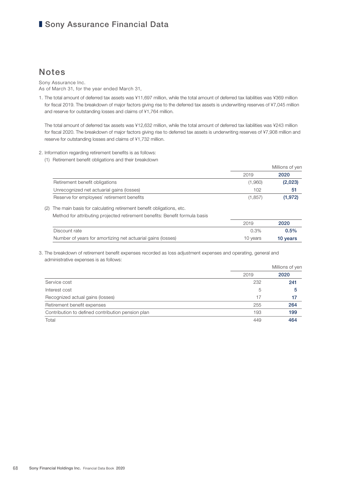## ■ Sony Assurance Financial Data

## **Notes**

Sony Assurance Inc. As of March 31, for the year ended March 31,

1. The total amount of deferred tax assets was ¥11,697 million, while the total amount of deferred tax liabilities was ¥369 million for fiscal 2019. The breakdown of major factors giving rise to the deferred tax assets is underwriting reserves of ¥7,045 million and reserve for outstanding losses and claims of ¥1,764 million.

 The total amount of deferred tax assets was ¥12,632 million, while the total amount of deferred tax liabilities was ¥243 million for fiscal 2020. The breakdown of major factors giving rise to deferred tax assets is underwriting reserves of ¥7,908 million and reserve for outstanding losses and claims of ¥1,732 million.

- 2. Information regarding retirement benefits is as follows:
	- (1) Retirement benefit obligations and their breakdown

|                                            |         | Millions of yen |
|--------------------------------------------|---------|-----------------|
|                                            | 2019    | 2020            |
| Retirement benefit obligations             | (1,960) | (2,023)         |
| Unrecognized net actuarial gains (losses)  | 102     | 51              |
| Reserve for employees' retirement benefits | (1.857) | (1.972)         |

(2) The main basis for calculating retirement benefit obligations, etc.

Method for attributing projected retirement benefits: Benefit formula basis

|                                                             | 2019     | 2020     |
|-------------------------------------------------------------|----------|----------|
| Discount rate                                               | 0.3%     | $0.5\%$  |
| Number of years for amortizing net actuarial gains (losses) | 10 years | 10 years |

3. The breakdown of retirement benefit expenses recorded as loss adjustment expenses and operating, general and administrative expenses is as follows:

|                                                   |      | Millions of yen |
|---------------------------------------------------|------|-----------------|
|                                                   | 2019 | 2020            |
| Service cost                                      | 232  | 241             |
| Interest cost                                     | 5    | 5               |
| Recognized actual gains (losses)                  | 17   | 17              |
| Retirement benefit expenses                       | 255  | 264             |
| Contribution to defined contribution pension plan | 193  | 199             |
| Total                                             | 449  | 464             |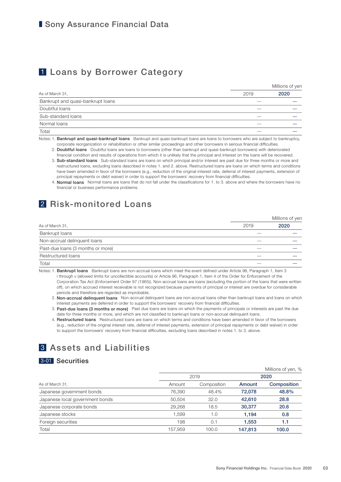# 1 Loans by Borrower Category

Millions of yen

| As of March 31,                   | 2019                     | 2020 |
|-----------------------------------|--------------------------|------|
| Bankrupt and quasi-bankrupt loans |                          |      |
| Doubtful loans                    | $\overline{\phantom{a}}$ |      |
| Sub-standard loans                |                          |      |
| Normal loans                      |                          |      |
| Total                             |                          |      |

Notes: 1. Bankrupt and quasi-bankrupt loans Bankrupt and quasi-bankrupt loans are loans to borrowers who are subject to bankruptcy, corporate reorganization or rehabilitation or other similar proceedings and other borrowers in serious financial difficulties.

2. Doubtful loans Doubtful loans are loans to borrowers (other than bankrupt and quasi-bankrupt borrowers) with deteriorated financial condition and results of operations from which it is unlikely that the principal and interest on the loans will be recovered.

 3. Sub-standard loans Sub-standard loans are loans on which principal and/or interest are past due for three months or more and restructured loans, excluding loans described in notes 1. and 2. above. Restructured loans are loans on which terms and conditions have been amended in favor of the borrowers (e.g., reduction of the original interest rate, deferral of interest payments, extension of principal repayments or debt waiver) in order to support the borrowers' recovery from financial difficulties.

 4. Normal loans Normal loans are loans that do not fall under the classifications for 1. to 3. above and where the borrowers have no financial or business performance problems.

# 2 Risk-monitored Loans

|                                   |      | Millions of yen |
|-----------------------------------|------|-----------------|
| As of March 31,                   | 2019 | 2020            |
| <b>Bankrupt loans</b>             |      |                 |
| Non-accrual delinquent loans      |      |                 |
| Past-due loans (3 months or more) | --   |                 |
| Restructured loans                |      |                 |
| Total                             |      |                 |

Notes: 1. Bankrupt loans Bankrupt loans are non-accrual loans which meet the event defined under Article 96, Paragraph 1, Item 3 i through v (allowed limits for uncollectible accounts) or Article 96, Paragraph 1, Item 4 of the Order for Enforcement of the Corporation Tax Act (Enforcement Order 97 (1965)). Non-accrual loans are loans (excluding the portion of the loans that were written off), on which accrued interest receivable is not recognized because payments of principal or interest are overdue for considerable periods and therefore are regarded as improbable.

2. Non-accrual delinquent loans Non-accrual delinquent loans are non-accrual loans other than bankrupt loans and loans on which interest payments are deferred in order to support the borrowers' recovery from financial difficulties.

3. Past-due loans (3 months or more) Past due loans are loans on which the payments of principals or interests are past the due date for three months or more, and which are not classified to bankrupt loans or non-accrual delinquent loans.

4. Restructured loans Restructured loans are loans on which terms and conditions have been amended in favor of the borrowers (e.g., reduction of the original interest rate, deferral of interest payments, extension of principal repayments or debt waiver) in order to support the borrowers' recovery from financial difficulties, excluding loans described in notes 1. to 3. above.

# 3 Assets and Liabilities

## 3-01 Securities

|                                 |         |             |         | Millions of yen, % |
|---------------------------------|---------|-------------|---------|--------------------|
|                                 |         | 2019        | 2020    |                    |
| As of March 31,                 | Amount  | Composition | Amount  | Composition        |
| Japanese government bonds       | 76.390  | 48.4%       | 72.078  | 48.8%              |
| Japanese local government bonds | 50.504  | 32.0        | 42,610  | 28.8               |
| Japanese corporate bonds        | 29,268  | 18.5        | 30,377  | 20.6               |
| Japanese stocks                 | 1.599   | 1.0         | 1.194   | 0.8                |
| Foreign securities              | 198     | 0.1         | 1,553   | 1.1                |
| Total                           | 157.959 | 100.0       | 147.813 | 100.0              |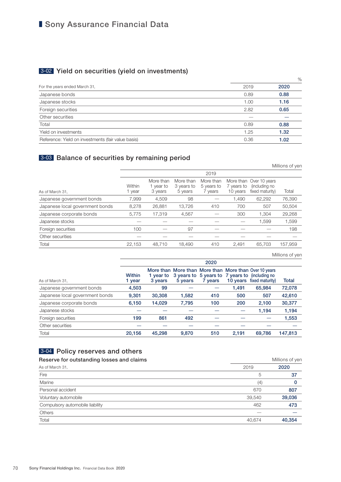# ■ Sony Assurance Financial Data

# 3-02 Yield on securities (yield on investments)

|                                                    |      | $\%$ |
|----------------------------------------------------|------|------|
| For the years ended March 31,                      | 2019 | 2020 |
| Japanese bonds                                     | 0.89 | 0.88 |
| Japanese stocks                                    | 1.00 | 1.16 |
| Foreign securities                                 | 2.82 | 0.65 |
| Other securities                                   |      |      |
| Total                                              | 0.89 | 0.88 |
| Yield on investments                               | 1.25 | 1.32 |
| Reference: Yield on investments (fair value basis) | 0.36 | 1.02 |
|                                                    |      |      |

## 3-03 Balance of securities by remaining period

|                                 |                  |                                   |                                    |                                    |                        |                                                             | Millions of yen |
|---------------------------------|------------------|-----------------------------------|------------------------------------|------------------------------------|------------------------|-------------------------------------------------------------|-----------------|
|                                 |                  |                                   |                                    | 2019                               |                        |                                                             |                 |
| As of March 31,                 | Within<br>1 year | More than<br>1 year to<br>3 years | More than<br>3 years to<br>5 years | More than<br>5 years to<br>7 years | 7 vears to<br>10 years | More than Over 10 years<br>(including no<br>fixed maturity) | Total           |
| Japanese government bonds       | 7,999            | 4,509                             | 98                                 |                                    | 1.490                  | 62,292                                                      | 76,390          |
| Japanese local government bonds | 8,278            | 26,881                            | 13.726                             | 410                                | 700                    | 507                                                         | 50,504          |
| Japanese corporate bonds        | 5,775            | 17.319                            | 4,567                              |                                    | 300                    | 1.304                                                       | 29,268          |
| Japanese stocks                 |                  |                                   |                                    |                                    |                        | 1,599                                                       | 1,599           |
| Foreign securities              | 100              |                                   | 97                                 |                                    |                        |                                                             | 198             |
| Other securities                |                  |                                   |                                    |                                    |                        |                                                             |                 |
| Total                           | 22.153           | 48.710                            | 18.490                             | 410                                | 2.491                  | 65,703                                                      | 157.959         |

Millions of yen

|                                 | 2020                    |                      |         |         |       |                                                                                                                                     |         |
|---------------------------------|-------------------------|----------------------|---------|---------|-------|-------------------------------------------------------------------------------------------------------------------------------------|---------|
| As of March 31.                 | <b>Within</b><br>1 year | 1 vear to<br>3 years | 5 years | 7 years |       | More than More than More than More than Over 10 years<br>3 years to 5 years to 7 years to (including no<br>10 years fixed maturity) | Total   |
| Japanese government bonds       | 4,503                   | 99                   |         |         | 1.491 | 65,984                                                                                                                              | 72,078  |
| Japanese local government bonds | 9,301                   | 30,308               | 1,582   | 410     | 500   | 507                                                                                                                                 | 42,610  |
| Japanese corporate bonds        | 6,150                   | 14.029               | 7.795   | 100     | 200   | 2,100                                                                                                                               | 30,377  |
| Japanese stocks                 |                         |                      |         |         |       | 1.194                                                                                                                               | 1,194   |
| Foreign securities              | 199                     | 861                  | 492     |         |       |                                                                                                                                     | 1,553   |
| Other securities                |                         |                      |         |         |       |                                                                                                                                     |         |
| Total                           | 20.156                  | 45.298               | 9.870   | 510     | 2.191 | 69.786                                                                                                                              | 147,813 |

## 3-04 Policy reserves and others

| Reserve for outstanding losses and claims | Millions of yen |        |  |
|-------------------------------------------|-----------------|--------|--|
| As of March 31,                           | 2019            | 2020   |  |
| Fire                                      | 5               | 37     |  |
| Marine                                    | (4)             | 0      |  |
| Personal accident                         | 670             | 807    |  |
| Voluntary automobile                      | 39,540          | 39,036 |  |
| Compulsory automobile liability           | 462             | 473    |  |
| <b>Others</b>                             |                 |        |  |
| Total                                     | 40,674          | 40.354 |  |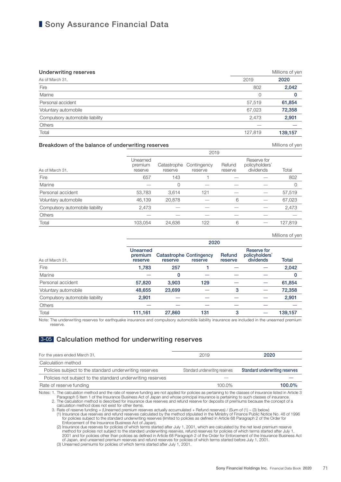### ■ Sony Assurance Financial Data

| <b>Underwriting reserves</b>    |         | Millions of yen |  |
|---------------------------------|---------|-----------------|--|
| As of March 31,                 | 2019    | 2020            |  |
| Fire                            | 802     | 2,042           |  |
| Marine                          | 0       | 0               |  |
| Personal accident               | 57,519  | 61,854          |  |
| Voluntary automobile            | 67,023  | 72,358          |  |
| Compulsory automobile liability | 2,473   | 2,901           |  |
| <b>Others</b>                   |         |                 |  |
| Total                           | 127,819 | 139,157         |  |

#### Breakdown of the balance of underwriting reserves **Millions** of yen

Millions of yen

|                                 |                                | $-0.0$                 |                        |                   |                                            |         |  |  |
|---------------------------------|--------------------------------|------------------------|------------------------|-------------------|--------------------------------------------|---------|--|--|
| As of March 31,                 | Unearned<br>premium<br>reserve | Catastrophe<br>reserve | Contingency<br>reserve | Refund<br>reserve | Reserve for<br>policyholders'<br>dividends | Total   |  |  |
| Fire                            | 657                            | 143                    |                        |                   |                                            | 802     |  |  |
| Marine                          |                                | 0                      |                        |                   |                                            | 0       |  |  |
| Personal accident               | 53,783                         | 3,614                  | 121                    |                   |                                            | 57,519  |  |  |
| Voluntary automobile            | 46,139                         | 20,878                 |                        | 6                 |                                            | 67,023  |  |  |
| Compulsory automobile liability | 2,473                          |                        |                        |                   |                                            | 2,473   |  |  |
| Others                          |                                |                        |                        |                   |                                            |         |  |  |
| Total                           | 103,054                        | 24,636                 | 122                    | 6                 |                                            | 127,819 |  |  |
|                                 |                                |                        |                        |                   |                                            |         |  |  |

 $2010$ 

|                                 |                                | 2020                                                 |     |                   |                                                   |          |  |  |
|---------------------------------|--------------------------------|------------------------------------------------------|-----|-------------------|---------------------------------------------------|----------|--|--|
| As of March 31,                 | Unearned<br>premium<br>reserve | <b>Catastrophe Contingency</b><br>reserve<br>reserve |     | Refund<br>reserve | <b>Reserve for</b><br>policyholders'<br>dividends | Total    |  |  |
| Fire                            | 1,783                          | 257                                                  |     |                   |                                                   | 2,042    |  |  |
| Marine                          |                                | 0                                                    |     |                   |                                                   | $\Omega$ |  |  |
| Personal accident               | 57,820                         | 3.903                                                | 129 |                   |                                                   | 61,854   |  |  |
| Voluntary automobile            | 48,655                         | 23,699                                               |     | 3                 |                                                   | 72,358   |  |  |
| Compulsory automobile liability | 2,901                          |                                                      |     |                   |                                                   | 2,901    |  |  |
| <b>Others</b>                   |                                |                                                      |     |                   |                                                   |          |  |  |
| Total                           | 111,161                        | 27,860                                               | 131 | 3                 |                                                   | 139,157  |  |  |
|                                 |                                |                                                      |     |                   |                                                   |          |  |  |

Note: The underwriting reserves for earthquake insurance and compulsory automobile liability insurance are included in the unearned premium reserve.

### 3-05 Calculation method for underwriting reserves

| For the years ended March 31,                              | 2019                           | 2020                           |
|------------------------------------------------------------|--------------------------------|--------------------------------|
| Calculation method                                         |                                |                                |
| Policies subject to the standard underwriting reserves     | Standard underwriting reserves | Standard underwriting reserves |
| Policies not subject to the standard underwriting reserves |                                |                                |
| Rate of reserve funding                                    | 100.0%                         | $100.0\%$                      |

Notes: 1. The calculation method and the rate of reserve funding are not applied for policies as pertaining to the classes of insurance listed in Article 3<br>Paragraph 5 Item 1 of the Insurance Business Act of Japan and whos

2. The calculation method is described for insurance due reserves and refund reserve for deposits of premiums because the concept of a<br>calculation method does not exist for other items.<br>3. Rate of reserve funding = (Unearn

(1) Insurance due reserves and refund reserves calculated by the method stipulated in the Ministry of Finance Public Notice No. 48 of 1996<br>for policies subject to the standard underwriting reserves (limited to policies as

(2) Insurance due reserves for policies of which terms started after July 1, 2001, which are calculated by the net level premium reserve<br>1, method for policies not subject to the standard underwriting reserves, refund rese of Japan, and unearned premium reserves and refund reserves for policies of which terms started before July 1, 2001. (3) Unearned premiums for policies of which terms started after July 1, 2001.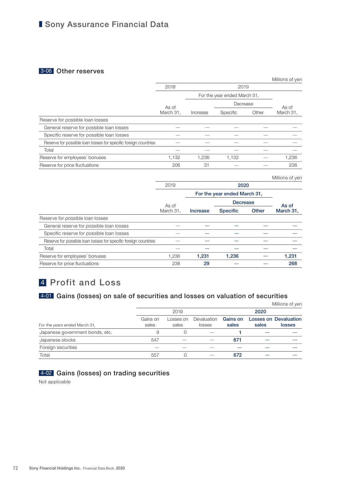### ■ Sony Assurance Financial Data

#### 3-06 Other reserves

|                                                                 |                    |                              |          |       | Millions of yen |
|-----------------------------------------------------------------|--------------------|------------------------------|----------|-------|-----------------|
|                                                                 | 2018               |                              | 2019     |       |                 |
|                                                                 |                    | For the year ended March 31, |          |       |                 |
|                                                                 |                    |                              | Decrease |       | As of           |
|                                                                 | As of<br>March 31, | Increase                     | Specific | Other | March 31,       |
| Reserve for possible loan losses                                |                    |                              |          |       |                 |
| General reserve for possible loan losses                        |                    |                              |          |       |                 |
| Specific reserve for possible loan losses                       |                    |                              |          |       |                 |
| Reserve for possible loan losses for specific foreign countries |                    |                              |          |       |                 |
| Total                                                           |                    |                              |          |       |                 |
| Reserve for employees' bonuses                                  | 1,132              | 1,236                        | 1,132    |       | 1,236           |
| Reserve for price fluctuations                                  | 206                | 31                           |          |       | 238             |

|                                                                 |           |          |                              |       | Millions of yen |
|-----------------------------------------------------------------|-----------|----------|------------------------------|-------|-----------------|
|                                                                 | 2019      |          | 2020                         |       |                 |
|                                                                 |           |          | For the year ended March 31, |       |                 |
|                                                                 | As of     |          | <b>Decrease</b>              |       | As of           |
|                                                                 | March 31. | Increase | <b>Specific</b>              | Other | March 31,       |
| Reserve for possible loan losses                                |           |          |                              |       |                 |
| General reserve for possible loan losses                        |           |          |                              |       |                 |
| Specific reserve for possible loan losses                       |           |          |                              |       |                 |
| Reserve for possible loan losses for specific foreign countries |           |          |                              |       |                 |
| Total                                                           |           |          |                              |       |                 |
| Reserve for employees' bonuses                                  | 1,236     | 1,231    | 1,236                        |       | 1,231           |
| Reserve for price fluctuations                                  | 238       | 29       |                              |       | 268             |

### 4 Profit and Loss

### 4-01 Gains (losses) on sale of securities and losses on valuation of securities

|                                 |                   |                    |                       |                   |       | Millions of yen                               |  |
|---------------------------------|-------------------|--------------------|-----------------------|-------------------|-------|-----------------------------------------------|--|
|                                 |                   | 2019               |                       |                   | 2020  |                                               |  |
| For the years ended March 31,   | Gains on<br>sales | LOSSES ON<br>sales | Devaluation<br>losses | Gains on<br>sales | sales | <b>Losses on Devaluation</b><br><b>losses</b> |  |
| Japanese government bonds, etc. | 9                 |                    |                       |                   |       |                                               |  |
| Japanese stocks                 | 547               |                    |                       | 671               |       |                                               |  |
| Foreign securities              |                   |                    |                       |                   |       |                                               |  |
| Total                           | 557               |                    |                       | 672               |       |                                               |  |

### 4-02 Gains (losses) on trading securities

Not applicable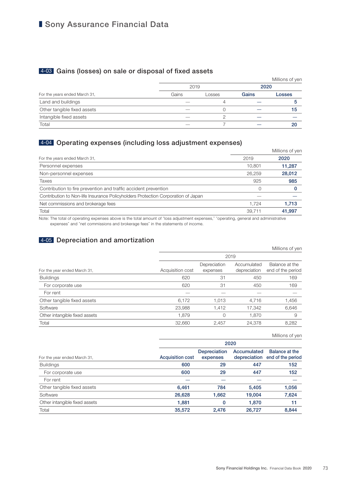### ■ Sony Assurance Financial Data

### 4-03 Gains (losses) on sale or disposal of fixed assets

|                               |       |        |       | Millions of yen |  |
|-------------------------------|-------|--------|-------|-----------------|--|
|                               | 2019  |        | 2020  |                 |  |
| For the years ended March 31, | Gains | Losses | Gains | Losses          |  |
| Land and buildings            |       | 4      |       |                 |  |
| Other tangible fixed assets   |       |        |       | 15              |  |
| Intangible fixed assets       |       |        |       |                 |  |
| Total                         |       |        |       | 20              |  |

### 4-04 Operating expenses (including loss adjustment expenses)

|                                                                                  |          | Millions of yen |  |
|----------------------------------------------------------------------------------|----------|-----------------|--|
| For the years ended March 31,                                                    | 2019     | 2020            |  |
| Personnel expenses                                                               | 10.801   | 11,287          |  |
| Non-personnel expenses                                                           | 26.259   | 28,012          |  |
| Taxes                                                                            | 925      | 985             |  |
| Contribution to fire prevention and traffic accident prevention                  | $\Omega$ |                 |  |
| Contribution to Non-life Insurance Policyholders Protection Corporation of Japan |          |                 |  |
| Net commissions and brokerage fees                                               | 1.724    | 1,713           |  |
| Total                                                                            | 39,711   | 41.997          |  |

Note: The total of operating expenses above is the total amount of "loss adjustment expenses," "operating, general and administrative expenses" and "net commissions and brokerage fees" in the statements of income.

### 4-05 Depreciation and amortization

|                               | Millions of yen  |                          |                             |                                     |  |  |  |  |
|-------------------------------|------------------|--------------------------|-----------------------------|-------------------------------------|--|--|--|--|
|                               | 2019             |                          |                             |                                     |  |  |  |  |
| For the year ended March 31,  | Acquisition cost | Depreciation<br>expenses | Accumulated<br>depreciation | Balance at the<br>end of the period |  |  |  |  |
| <b>Buildings</b>              | 620              | 31                       | 450                         | 169                                 |  |  |  |  |
| For corporate use             | 620              | 31                       | 450                         | 169                                 |  |  |  |  |
| For rent                      |                  |                          |                             |                                     |  |  |  |  |
| Other tangible fixed assets   | 6,172            | 1,013                    | 4,716                       | 1,456                               |  |  |  |  |
| Software                      | 23,988           | 1,412                    | 17,342                      | 6,646                               |  |  |  |  |
| Other intangible fixed assets | 1.879            | 0                        | 1.870                       | 9                                   |  |  |  |  |
| Total                         | 32,660           | 2,457                    | 24,378                      | 8,282                               |  |  |  |  |

Millions of yen

|                               | 2020                    |                                 |             |                                                  |  |  |  |  |
|-------------------------------|-------------------------|---------------------------------|-------------|--------------------------------------------------|--|--|--|--|
| For the year ended March 31,  | <b>Acquisition cost</b> | <b>Depreciation</b><br>expenses | Accumulated | Balance at the<br>depreciation end of the period |  |  |  |  |
| <b>Buildings</b>              | 600                     | 29                              | 447         | 152                                              |  |  |  |  |
| For corporate use             | 600                     | 29                              | 447         | 152                                              |  |  |  |  |
| For rent                      |                         |                                 |             |                                                  |  |  |  |  |
| Other tangible fixed assets   | 6,461                   | 784                             | 5,405       | 1,056                                            |  |  |  |  |
| Software                      | 26,628                  | 1,662                           | 19.004      | 7,624                                            |  |  |  |  |
| Other intangible fixed assets | 1,881                   | 0                               | 1.870       | 11                                               |  |  |  |  |
| Total                         | 35,572                  | 2,476                           | 26.727      | 8.844                                            |  |  |  |  |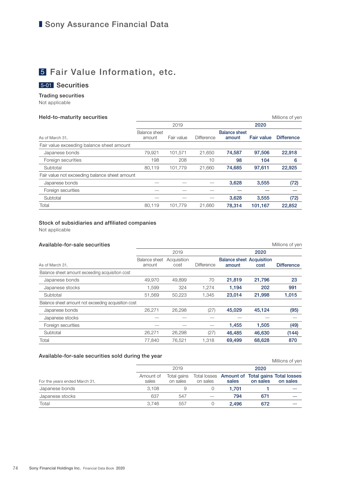## 5 Fair Value Information, etc.

### 5-01 Securities

#### Trading securities

Not applicable

#### Held-to-maturity securities **Millions** of yen

|                                               |                         | 2019       |                   | 2020                           |                   |                   |
|-----------------------------------------------|-------------------------|------------|-------------------|--------------------------------|-------------------|-------------------|
| As of March 31,                               | Balance sheet<br>amount | Fair value | <b>Difference</b> | <b>Balance sheet</b><br>amount | <b>Fair value</b> | <b>Difference</b> |
| Fair value exceeding balance sheet amount     |                         |            |                   |                                |                   |                   |
| Japanese bonds                                | 79.921                  | 101.571    | 21.650            | 74,587                         | 97.506            | 22,918            |
| Foreign securities                            | 198                     | 208        | 10                | 98                             | 104               | 6                 |
| Subtotal                                      | 80.119                  | 101.779    | 21.660            | 74,685                         | 97,611            | 22,925            |
| Fair value not exceeding balance sheet amount |                         |            |                   |                                |                   |                   |
| Japanese bonds                                |                         |            |                   | 3,628                          | 3,555             | (72)              |
| Foreign securities                            |                         |            |                   |                                |                   |                   |
| Subtotal                                      |                         |            |                   | 3.628                          | 3.555             | (72)              |
| Total                                         | 80.119                  | 101.779    | 21.660            | 78.314                         | 101,167           | 22,852            |

#### Stock of subsidiaries and affiliated companies

Not applicable

| Available-for-sale securities                       |                         |                     |                   |                                            |        | Millions of yen   |  |
|-----------------------------------------------------|-------------------------|---------------------|-------------------|--------------------------------------------|--------|-------------------|--|
|                                                     |                         | 2019                |                   |                                            | 2020   |                   |  |
| As of March 31,                                     | Balance sheet<br>amount | Acquisition<br>cost | <b>Difference</b> | <b>Balance sheet Acquisition</b><br>amount | cost   | <b>Difference</b> |  |
| Balance sheet amount exceeding acquisition cost     |                         |                     |                   |                                            |        |                   |  |
| Japanese bonds                                      | 49,970                  | 49.899              | 70                | 21,819                                     | 21,796 | 23                |  |
| Japanese stocks                                     | 1,599                   | 324                 | 1,274             | 1,194                                      | 202    | 991               |  |
| Subtotal                                            | 51,569                  | 50,223              | 1,345             | 23,014                                     | 21,998 | 1,015             |  |
| Balance sheet amount not exceeding acquisition cost |                         |                     |                   |                                            |        |                   |  |
| Japanese bonds                                      | 26,271                  | 26.298              | (27)              | 45,029                                     | 45,124 | (95)              |  |
| Japanese stocks                                     |                         |                     |                   |                                            |        |                   |  |
| Foreign securities                                  |                         |                     |                   | 1,455                                      | 1,505  | (49)              |  |
| Subtotal                                            | 26,271                  | 26,298              | (27)              | 46,485                                     | 46,630 | (144)             |  |
| Total                                               | 77,840                  | 76.521              | 1.318             | 69,499                                     | 68.628 | 870               |  |

#### Available-for-sale securities sold during the year

| <b>Available for said scourities sold during the year</b> |                    |                         |          |       |          | Millions of yen                                             |  |
|-----------------------------------------------------------|--------------------|-------------------------|----------|-------|----------|-------------------------------------------------------------|--|
| For the years ended March 31,                             |                    | 2019                    |          |       | 2020     |                                                             |  |
|                                                           | Amount of<br>sales | Total gains<br>on sales | on sales | sales | on sales | Total losses Amount of Total gains Total losses<br>on sales |  |
| Japanese bonds                                            | 3.108              |                         |          | 1.701 |          |                                                             |  |
| Japanese stocks                                           | 637                | 547                     |          | 794   | 671      |                                                             |  |
| Total                                                     | 3.746              | 557                     |          | 2.496 | 672      |                                                             |  |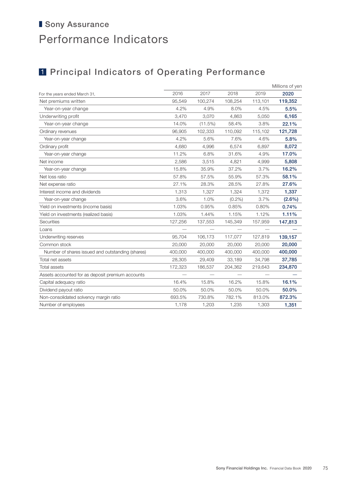# ■ Sony Assurance Performance Indicators

# **1 Principal Indicators of Operating Performance**

|                                                  |         |         |           |         | Millions of yen |
|--------------------------------------------------|---------|---------|-----------|---------|-----------------|
| For the years ended March 31,                    | 2016    | 2017    | 2018      | 2019    | 2020            |
| Net premiums written                             | 95,549  | 100,274 | 108,254   | 113,101 | 119,352         |
| Year-on-year change                              | 4.2%    | 4.9%    | 8.0%      | 4.5%    | 5.5%            |
| Underwriting profit                              | 3,470   | 3,070   | 4,863     | 5,050   | 6,165           |
| Year-on-year change                              | 14.0%   | (11.5%) | 58.4%     | 3.8%    | 22.1%           |
| Ordinary revenues                                | 96,905  | 102,333 | 110,092   | 115,102 | 121,728         |
| Year-on-year change                              | 4.2%    | 5.6%    | 7.6%      | 4.6%    | 5.8%            |
| Ordinary profit                                  | 4,680   | 4,996   | 6,574     | 6,897   | 8,072           |
| Year-on-year change                              | 11.2%   | 6.8%    | 31.6%     | 4.9%    | 17.0%           |
| Net income                                       | 2,586   | 3,515   | 4,821     | 4,999   | 5,808           |
| Year-on-year change                              | 15.8%   | 35.9%   | 37.2%     | 3.7%    | 16.2%           |
| Net loss ratio                                   | 57.8%   | 57.5%   | 55.9%     | 57.3%   | 58.1%           |
| Net expense ratio                                | 27.1%   | 28.3%   | 28.5%     | 27.8%   | 27.6%           |
| Interest income and dividends                    | 1,313   | 1,327   | 1,324     | 1,372   | 1,337           |
| Year-on-year change                              | 3.6%    | 1.0%    | $(0.2\%)$ | 3.7%    | $(2.6\%)$       |
| Yield on investments (income basis)              | 1.03%   | 0.95%   | 0.85%     | 0.80%   | 0.74%           |
| Yield on investments (realized basis)            | 1.03%   | 1.44%   | 1.15%     | 1.12%   | 1.11%           |
| Securities                                       | 127,256 | 137,553 | 145,349   | 157,959 | 147,813         |
| Loans                                            |         |         |           |         |                 |
| Underwriting reserves                            | 95,704  | 106,173 | 117,077   | 127,819 | 139,157         |
| Common stock                                     | 20,000  | 20,000  | 20,000    | 20,000  | 20,000          |
| Number of shares issued and outstanding (shares) | 400,000 | 400,000 | 400,000   | 400,000 | 400,000         |
| Total net assets                                 | 28,305  | 29,409  | 33,189    | 34,798  | 37,785          |
| <b>Total assets</b>                              | 172,323 | 186,537 | 204,362   | 219,643 | 234,870         |
| Assets accounted for as deposit premium accounts |         |         |           |         |                 |
| Capital adequacy ratio                           | 16.4%   | 15.8%   | 16.2%     | 15.8%   | 16.1%           |
| Dividend payout ratio                            | 50.0%   | 50.0%   | 50.0%     | 50.0%   | 50.0%           |
| Non-consolidated solvency margin ratio           | 693.5%  | 730.8%  | 782.1%    | 813.0%  | 872.3%          |
| Number of employees                              | 1,178   | 1,203   | 1,235     | 1,303   | 1,351           |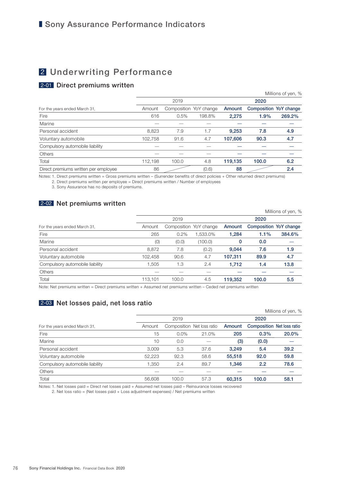### 2 Underwriting Performance

### 2-01 Direct premiums written

|                                      |         |                        |        |         |                               | Millions of yen, % |
|--------------------------------------|---------|------------------------|--------|---------|-------------------------------|--------------------|
|                                      |         | 2019                   |        |         | 2020                          |                    |
| For the years ended March 31,        | Amount  | Composition YoY change |        | Amount  | <b>Composition YoY change</b> |                    |
| Fire                                 | 616     | 0.5%                   | 198.8% | 2,275   | 1.9%                          | 269.2%             |
| Marine                               |         |                        |        |         |                               |                    |
| Personal accident                    | 8,823   | 7.9                    | 1.7    | 9.253   | 7.8                           | 4.9                |
| Voluntary automobile                 | 102,758 | 91.6                   | 4.7    | 107,606 | 90.3                          | 4.7                |
| Compulsory automobile liability      |         |                        |        |         |                               |                    |
| Others                               |         |                        |        |         |                               |                    |
| Total                                | 112.198 | 100.0                  | 4.8    | 119.135 | 100.0                         | 6.2                |
| Direct premiums written per employee | 86      |                        | (0.6)  | 88      |                               | 2.4                |

Notes: 1. Direct premiums written = Gross premiums written – (Surrender benefits of direct policies + Other returned direct premiums)

2. Direct premiums written per employee = Direct premiums written / Number of employees

3. Sony Assurance has no deposits of premiums.

### 2-02 Net premiums written

|                                          |                                                                                                                                                                                                                                |       |                        |         |                        | Millions of yen, % |
|------------------------------------------|--------------------------------------------------------------------------------------------------------------------------------------------------------------------------------------------------------------------------------|-------|------------------------|---------|------------------------|--------------------|
|                                          |                                                                                                                                                                                                                                | 2019  |                        |         | 2020                   |                    |
| For the years ended March 31,            | Amount                                                                                                                                                                                                                         |       | Composition YoY change | Amount  | Composition YoY change |                    |
| Fire                                     | 265                                                                                                                                                                                                                            | 0.2%  | 1,533.0%               | 1.284   | 1.1%                   | 384.6%             |
| Marine                                   | (0)                                                                                                                                                                                                                            | (0.0) | (100.0)                | 0       | 0.0                    |                    |
| Personal accident                        | 8,872                                                                                                                                                                                                                          | 7.8   | (0.2)                  | 9.044   | 7.6                    | 1.9                |
| Voluntary automobile                     | 102,458                                                                                                                                                                                                                        | 90.6  | 4.7                    | 107,311 | 89.9                   | 4.7                |
| Compulsory automobile liability          | 1.505                                                                                                                                                                                                                          | 1.3   | 2.4                    | 1.712   | 1.4                    | 13.8               |
| <b>Others</b>                            |                                                                                                                                                                                                                                |       |                        |         |                        |                    |
| Total                                    | 113,101                                                                                                                                                                                                                        | 100.0 | 4.5                    | 119,352 | 100.0                  | 5.5                |
| Kitchen Kitchen and Catholical Contracts | The contract of the contract of the contract of the contract of the contract of the contract of the contract of the contract of the contract of the contract of the contract of the contract of the contract of the contract o |       |                        |         |                        |                    |

Note: Net premiums written = Direct premiums written + Assumed net premiums written – Ceded net premiums written

### 2-03 Net losses paid, net loss ratio

|                                 |        |         |                            |        |       | Millions of yen, %                |
|---------------------------------|--------|---------|----------------------------|--------|-------|-----------------------------------|
|                                 |        | 2019    |                            |        | 2020  |                                   |
| For the years ended March 31,   | Amount |         | Composition Net loss ratio | Amount |       | <b>Composition Net loss ratio</b> |
| Fire                            | 15     | $0.0\%$ | 21.0%                      | 205    | 0.3%  | 20.0%                             |
| Marine                          | 10     | 0.0     |                            | (3)    | (0.0) |                                   |
| Personal accident               | 3.009  | 5.3     | 37.6                       | 3,249  | 5.4   | 39.2                              |
| Voluntary automobile            | 52,223 | 92.3    | 58.6                       | 55,518 | 92.0  | 59.8                              |
| Compulsory automobile liability | 1,350  | 2.4     | 89.7                       | 1,346  | 2.2   | 78.6                              |
| Others                          |        |         |                            |        |       |                                   |
| Total                           | 56,608 | 100.0   | 57.3                       | 60,315 | 100.0 | 58.1                              |
|                                 |        |         |                            |        |       |                                   |

Notes: 1. Net losses paid = Direct net losses paid + Assumed net losses paid – Reinsurance losses recovered

2. Net loss ratio = (Net losses paid + Loss adjustment expenses) / Net premiums written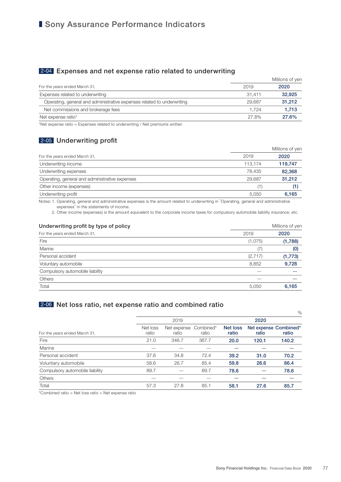### ■ Sony Assurance Performance Indicators

### 2-04 Expenses and net expense ratio related to underwriting

|                                                                        | Millions of yen |        |  |  |
|------------------------------------------------------------------------|-----------------|--------|--|--|
| For the years ended March 31,                                          | 2019            | 2020   |  |  |
| Expenses related to underwriting                                       | 31.411          | 32.925 |  |  |
| Operating, general and administrative expenses related to underwriting | 29.687          | 31.212 |  |  |
| Net commissions and brokerage fees                                     | 1.724           | 1,713  |  |  |
| Net expense ratio*                                                     | 27.8%           | 27.6%  |  |  |

\*Net expense ratio = Expenses related to underwriting / Net premiums written

### 2-05 Underwriting profit

|                                                |         | Millions of yen |
|------------------------------------------------|---------|-----------------|
| For the years ended March 31,                  | 2019    | 2020            |
| Underwriting income                            | 113.174 | 119,747         |
| Underwriting expenses                          | 78.435  | 82,368          |
| Operating, general and administrative expenses | 29.687  | 31,212          |
| Other income (expenses)                        | (1)     |                 |
| Underwriting profit                            | 5,050   | 6,165           |

Notes: 1. Operating, general and administrative expenses is the amount related to underwriting in "Operating, general and administrative expenses" in the statements of income.

2. Other income (expenses) is the amount equivalent to the corporate income taxes for compulsory automobile liability insurance, etc.

| Underwriting profit by type of policy |         | Millions of yen |  |
|---------------------------------------|---------|-----------------|--|
| For the years ended March 31,         | 2019    | 2020            |  |
| Fire                                  | (1,075) | (1,788)         |  |
| Marine                                | (7)     | (0)             |  |
| Personal accident                     | (2,717) | (1,773)         |  |
| Voluntary automobile                  | 8,852   | 9,728           |  |
| Compulsory automobile liability       |         |                 |  |
| <b>Others</b>                         |         |                 |  |
| Total                                 | 5,050   | 6,165           |  |

### 2-06 Net loss ratio, net expense ratio and combined ratio

|                                 |                   |                      |                    |                          |       | $\%$                           |  |
|---------------------------------|-------------------|----------------------|--------------------|--------------------------|-------|--------------------------------|--|
|                                 |                   | 2019                 |                    |                          | 2020  |                                |  |
| For the years ended March 31,   | Net loss<br>ratio | Net expense<br>ratio | Combined*<br>ratio | <b>Net loss</b><br>ratio | ratio | Net expense Combined*<br>ratio |  |
| Fire                            | 21.0              | 346.7                | 367.7              | 20.0                     | 120.1 | 140.2                          |  |
| Marine                          |                   |                      |                    |                          |       |                                |  |
| Personal accident               | 37.6              | 34.8                 | 72.4               | 39.2                     | 31.0  | 70.2                           |  |
| Voluntary automobile            | 58.6              | 26.7                 | 85.4               | 59.8                     | 26.6  | 86.4                           |  |
| Compulsory automobile liability | 89.7              |                      | 89.7               | 78.6                     |       | 78.6                           |  |
| Others                          |                   |                      |                    |                          |       |                                |  |
| Total                           | 57.3              | 27.8                 | 85.1               | 58.1                     | 27.6  | 85.7                           |  |

\*Combined ratio = Net loss ratio + Net expense ratio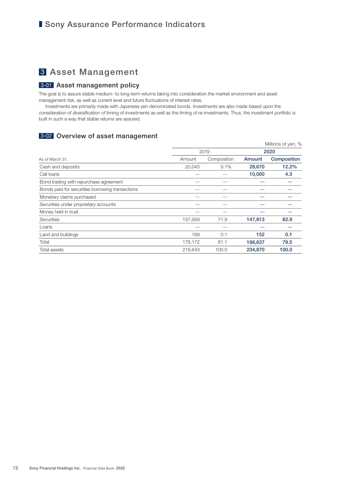### 3 Asset Management

#### 3-01 Asset management policy

The goal is to assure stable medium- to long-term returns taking into consideration the market environment and asset management risk, as well as current level and future fluctuations of interest rates.

Investments are primarily made with Japanese yen-denominated bonds. Investments are also made based upon the consideration of diversification of timing of investments as well as the timing of re-investments. Thus, the investment portfolio is built in such a way that stable returns are assured.

### 3-02 Overview of asset management

|                                                  |         |             |         | Millions of yen, % |  |
|--------------------------------------------------|---------|-------------|---------|--------------------|--|
|                                                  |         | 2019        |         | 2020               |  |
| As of March 31,                                  | Amount  | Composition | Amount  | Composition        |  |
| Cash and deposits                                | 20,043  | 9.1%        | 28,670  | 12.2%              |  |
| Call loans                                       |         |             | 10,000  | 4.3                |  |
| Bond trading with repurchase agreement           |         |             |         |                    |  |
| Bonds paid for securities borrowing transactions |         |             |         |                    |  |
| Monetary claims purchased                        |         |             |         |                    |  |
| Securities under proprietary accounts            |         |             |         |                    |  |
| Money held in trust                              |         |             |         |                    |  |
| Securities                                       | 157,959 | 71.9        | 147,813 | 62.9               |  |
| Loans                                            |         |             |         |                    |  |
| Land and buildings                               | 169     | 0.1         | 152     | 0.1                |  |
| Total                                            | 178,172 | 81.1        | 186,637 | 79.5               |  |
| Total assets                                     | 219.643 | 100.0       | 234,870 | 100.0              |  |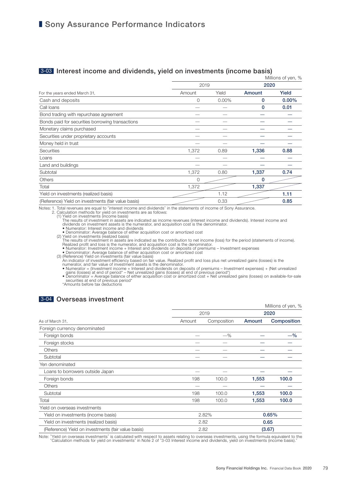#### 3-03 Interest income and dividends, yield on investments (income basis)

|                                                     |          |          |             | Millions of yen, % |  |
|-----------------------------------------------------|----------|----------|-------------|--------------------|--|
|                                                     | 2019     |          | 2020        |                    |  |
| For the years ended March 31,                       | Amount   | Yield    | Amount      | Yield              |  |
| Cash and deposits                                   | 0        | $0.00\%$ | 0           | $0.00\%$           |  |
| Call loans                                          |          |          | $\mathbf 0$ | 0.01               |  |
| Bond trading with repurchase agreement              |          |          |             |                    |  |
| Bonds paid for securities borrowing transactions    |          |          |             |                    |  |
| Monetary claims purchased                           |          |          |             |                    |  |
| Securities under proprietary accounts               |          |          |             |                    |  |
| Money held in trust                                 |          |          |             |                    |  |
| <b>Securities</b>                                   | 1,372    | 0.89     | 1,336       | 0.88               |  |
| Loans                                               |          |          |             |                    |  |
| Land and buildings                                  |          |          |             |                    |  |
| Subtotal                                            | 1,372    | 0.80     | 1,337       | 0.74               |  |
| <b>Others</b>                                       | $\Omega$ |          | $\Omega$    |                    |  |
| Total                                               | 1,372    |          | 1,337       |                    |  |
| Yield on investments (realized basis)               |          | 1.12     |             | 1.11               |  |
| (Reference) Yield on investments (fair value basis) |          | 0.33     |             | 0.85               |  |

Notes: 1. Total revenues are equal to "interest income and dividends" in the statements of income of Sony Assurance.<br>2. Calculation methods for yield on investments income basis)<br>(1) Yield on investments (income basis)<br>The dividends on investment assets is the numerator, and acquisition cost is the denominator. • Numerator: Interest income and dividends

• Denominator: Average balance of either acquisition cost or amortized cost (2) Yield on investments (realized basis)

The results of investment in assets are indicated as the contribution to net income (loss) for the period (statements of income).<br>
Realized profit and loss is the numerator, and acquisition cost is the denominator.<br>
• Nume

numerator, and fair value of investment assets is the denominator.<br>
• Numerator = (Investment income + Interest and dividends on deposits of premiums – Investment expenses) + (Net unrealized gains (losses) at end of previo

### 3-04 Overseas investment

|                                                     |        |             |        | Millions of yen, % |
|-----------------------------------------------------|--------|-------------|--------|--------------------|
|                                                     |        | 2019        | 2020   |                    |
| As of March 31,                                     | Amount | Composition | Amount | Composition        |
| Foreign currency denominated                        |        |             |        |                    |
| Foreign bonds                                       |        | $-$ %       |        | $-$ %              |
| Foreign stocks                                      |        |             |        |                    |
| <b>Others</b>                                       |        |             |        |                    |
| Subtotal                                            |        |             |        |                    |
| Yen denominated                                     |        |             |        |                    |
| Loans to borrowers outside Japan                    |        |             |        |                    |
| Foreign bonds                                       | 198    | 100.0       | 1,553  | 100.0              |
| <b>Others</b>                                       |        |             |        |                    |
| Subtotal                                            | 198    | 100.0       | 1,553  | 100.0              |
| Total                                               | 198    | 100.0       | 1,553  | 100.0              |
| Yield on overseas investments                       |        |             |        |                    |
| Yield on investments (income basis)                 | 2.82%  |             | 0.65%  |                    |
| Yield on investments (realized basis)               |        | 2.82        |        | 0.65               |
| (Reference) Yield on investments (fair value basis) |        | 2.82        |        | (3.67)             |

Note: "Yield on overseas investments" is calculated with respect to assets relating to overseas investments, using the formula equivalent to the<br>"Calculation methods for yield on investments" in Note 2 of "3-03 Interest in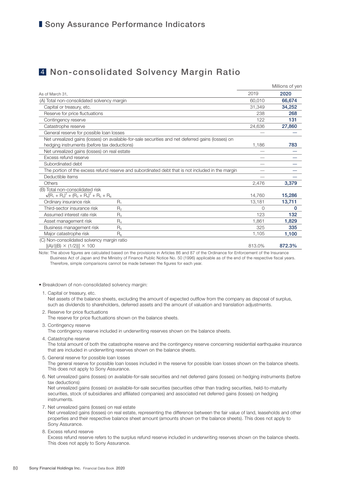### 4 Non-consolidated Solvency Margin Ratio

|                                                    |                                                                                                   |          | Millions of yen |
|----------------------------------------------------|---------------------------------------------------------------------------------------------------|----------|-----------------|
| As of March 31,                                    |                                                                                                   | 2019     | 2020            |
| (A) Total non-consolidated solvency margin         |                                                                                                   | 60,010   | 66,674          |
| Capital or treasury, etc.                          |                                                                                                   | 31.349   | 34,252          |
| Reserve for price fluctuations                     |                                                                                                   | 238      | 268             |
| Contingency reserve                                |                                                                                                   | 122      | 131             |
| Catastrophe reserve                                |                                                                                                   | 24,636   | 27,860          |
| General reserve for possible loan losses           |                                                                                                   |          |                 |
|                                                    | Net unrealized gains (losses) on available-for-sale securities and net deferred gains (losses) on |          |                 |
| hedging instruments (before tax deductions)        |                                                                                                   | 1,186    | 783             |
| Net unrealized gains (losses) on real estate       |                                                                                                   |          |                 |
| Excess refund reserve                              |                                                                                                   |          |                 |
| Subordinated debt                                  |                                                                                                   |          |                 |
|                                                    | The portion of the excess refund reserve and subordinated debt that is not included in the margin |          |                 |
| Deductible items                                   |                                                                                                   |          |                 |
| Others                                             |                                                                                                   | 2,476    | 3,379           |
| (B) Total non-consolidated risk                    |                                                                                                   |          |                 |
| $\sqrt{(R_1 + R_2)^2 + (R_3 + R_4)^2 + R_5 + R_6}$ |                                                                                                   | 14,760   | 15,286          |
| Ordinary insurance risk                            | $R_{1}$                                                                                           | 13,181   | 13,711          |
| Third-sector insurance risk                        | $R_{2}$                                                                                           | $\Omega$ | 0               |
| Assumed interest rate risk                         | $R_{3}$                                                                                           | 123      | 132             |
| Asset management risk                              | $R_4$                                                                                             | 1.861    | 1,829           |
| Business management risk                           | R <sub>5</sub>                                                                                    | 325      | 335             |
| Major catastrophe risk                             | $R_{\rm R}$                                                                                       | 1,105    | 1,100           |
| (C) Non-consolidated solvency margin ratio         |                                                                                                   |          |                 |
| $[(A)/{(B)} \times (1/2)] \times 100$              |                                                                                                   | 813.0%   | 872.3%          |

Note: The above figures are calculated based on the provisions in Articles 86 and 87 of the Ordinance for Enforcement of the Insurance Business Act of Japan and the Ministry of Finance Public Notice No. 50 (1996) applicable as of the end of the respective fiscal years. Therefore, simple comparisons cannot be made between the figures for each year.

• Breakdown of non-consolidated solvency margin:

1. Capital or treasury, etc.

Net assets of the balance sheets, excluding the amount of expected outflow from the company as disposal of surplus, such as dividends to shareholders, deferred assets and the amount of valuation and translation adjustments.

2. Reserve for price fluctuations The reserve for price fluctuations shown on the balance sheets.

3. Contingency reserve

The contingency reserve included in underwriting reserves shown on the balance sheets.

4. Catastrophe reserve

The total amount of both the catastrophe reserve and the contingency reserve concerning residential earthquake insurance that are included in underwriting reserves shown on the balance sheets.

5. General reserve for possible loan losses

The general reserve for possible loan losses included in the reserve for possible loan losses shown on the balance sheets. This does not apply to Sony Assurance.

6. Net unrealized gains (losses) on available-for-sale securities and net deferred gains (losses) on hedging instruments (before tax deductions)

Net unrealized gains (losses) on available-for-sale securities (securities other than trading securities, held-to-maturity securities, stock of subsidiaries and affiliated companies) and associated net deferred gains (losses) on hedging instruments.

7. Net unrealized gains (losses) on real estate

Net unrealized gains (losses) on real estate, representing the difference between the fair value of land, leaseholds and other properties and their respective balance sheet amount (amounts shown on the balance sheets). This does not apply to Sony Assurance.

8. Excess refund reserve Excess refund reserve refers to the surplus refund reserve included in underwriting reserves shown on the balance sheets. This does not apply to Sony Assurance.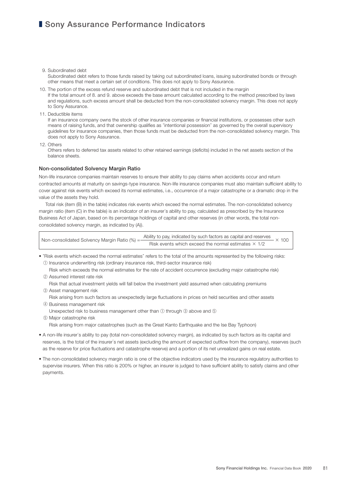### ■ Sony Assurance Performance Indicators

- 9. Subordinated debt Subordinated debt refers to those funds raised by taking out subordinated loans, issuing subordinated bonds or through other means that meet a certain set of conditions. This does not apply to Sony Assurance.
- 10. The portion of the excess refund reserve and subordinated debt that is not included in the margin If the total amount of 8. and 9. above exceeds the base amount calculated according to the method prescribed by laws and regulations, such excess amount shall be deducted from the non-consolidated solvency margin. This does not apply to Sony Assurance.
- 11. Deductible items

If an insurance company owns the stock of other insurance companies or financial institutions, or possesses other such means of raising funds, and that ownership qualifies as "intentional possession" as governed by the overall supervisory guidelines for insurance companies, then those funds must be deducted from the non-consolidated solvency margin. This does not apply to Sony Assurance.

12. Others

Others refers to deferred tax assets related to other retained earnings (deficits) included in the net assets section of the balance sheets.

#### Non-consolidated Solvency Margin Ratio

Non-life insurance companies maintain reserves to ensure their ability to pay claims when accidents occur and return contracted amounts at maturity on savings-type insurance. Non-life insurance companies must also maintain sufficient ability to cover against risk events which exceed its normal estimates, i.e., occurrence of a major catastrophe or a dramatic drop in the value of the assets they hold.

Total risk (item (B) in the table) indicates risk events which exceed the normal estimates. The non-consolidated solvency margin ratio (item (C) in the table) is an indicator of an insurer's ability to pay, calculated as prescribed by the Insurance Business Act of Japan, based on its percentage holdings of capital and other reserves (in other words, the total nonconsolidated solvency margin, as indicated by (A)).

| Non-consolidated Solvency Margin Ratio $% = -$ | Ability to pay, indicated by such factors as capital and reserves |              |  |  |
|------------------------------------------------|-------------------------------------------------------------------|--------------|--|--|
|                                                | Risk events which exceed the normal estimates $\times$ 1/2        | $\times$ 100 |  |  |

- "Risk events which exceed the normal estimates" refers to the total of the amounts represented by the following risks: ① Insurance underwriting risk (ordinary insurance risk, third-sector insurance risk)
	- Risk which exceeds the normal estimates for the rate of accident occurrence (excluding major catastrophe risk) ② Assumed interest rate risk

 Risk that actual investment yields will fall below the investment yield assumed when calculating premiums ③ Asset management risk

- Risk arising from such factors as unexpectedly large fluctuations in prices on held securities and other assets ④ Business management risk
	- Unexpected risk to business management other than ① through ③ above and ⑤
- ⑤ Major catastrophe risk
	- Risk arising from major catastrophes (such as the Great Kanto Earthquake and the Ise Bay Typhoon)
- A non-life insurer's ability to pay (total non-consolidated solvency margin), as indicated by such factors as its capital and reserves, is the total of the insurer's net assets (excluding the amount of expected outflow from the company), reserves (such as the reserve for price fluctuations and catastrophe reserve) and a portion of its net unrealized gains on real estate.
- The non-consolidated solvency margin ratio is one of the objective indicators used by the insurance regulatory authorities to supervise insurers. When this ratio is 200% or higher, an insurer is judged to have sufficient ability to satisfy claims and other payments.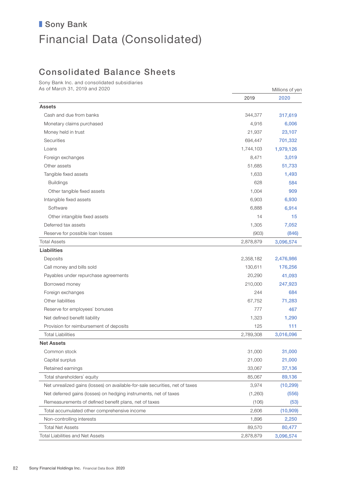### Consolidated Balance Sheets

Sony Bank Inc. and consolidated subsidiaries As of March 31, 2019 and 2020 Millions of yen

|                                                                              | 2019      | 2020      |
|------------------------------------------------------------------------------|-----------|-----------|
| Assets                                                                       |           |           |
| Cash and due from banks                                                      | 344,377   | 317,619   |
| Monetary claims purchased                                                    | 4,916     | 6,006     |
| Money held in trust                                                          | 21,937    | 23,107    |
| Securities                                                                   | 694,447   | 701,332   |
| Loans                                                                        | 1,744,103 | 1,979,126 |
| Foreign exchanges                                                            | 8,471     | 3,019     |
| Other assets                                                                 | 51,685    | 51,733    |
| Tangible fixed assets                                                        | 1,633     | 1,493     |
| <b>Buildings</b>                                                             | 628       | 584       |
| Other tangible fixed assets                                                  | 1,004     | 909       |
| Intangible fixed assets                                                      | 6,903     | 6,930     |
| Software                                                                     | 6,888     | 6,914     |
| Other intangible fixed assets                                                | 14        | 15        |
| Deferred tax assets                                                          | 1,305     | 7,052     |
| Reserve for possible loan losses                                             | (903)     | (846)     |
| <b>Total Assets</b>                                                          | 2,878,879 | 3,096,574 |
| Liabilities                                                                  |           |           |
| Deposits                                                                     | 2,358,182 | 2,476,986 |
| Call money and bills sold                                                    | 130,611   | 176,256   |
| Payables under repurchase agreements                                         | 20,290    | 41,093    |
| Borrowed money                                                               | 210,000   | 247,923   |
| Foreign exchanges                                                            | 244       | 684       |
| Other liabilities                                                            | 67,752    | 71,283    |
| Reserve for employees' bonuses                                               | 777       | 467       |
| Net defined benefit liability                                                | 1,323     | 1,290     |
| Provision for reimbursement of deposits                                      | 125       | 111       |
| <b>Total Liabilities</b>                                                     | 2,789,308 | 3,016,096 |
| <b>Net Assets</b>                                                            |           |           |
| Common stock                                                                 | 31,000    | 31,000    |
| Capital surplus                                                              | 21,000    | 21,000    |
| Retained earnings                                                            | 33,067    | 37,136    |
| Total shareholders' equity                                                   | 85,067    | 89,136    |
| Net unrealized gains (losses) on available-for-sale securities, net of taxes | 3,974     | (10, 299) |
| Net deferred gains (losses) on hedging instruments, net of taxes             | (1,260)   | (556)     |
| Remeasurements of defined benefit plans, net of taxes                        | (106)     | (53)      |
| Total accumulated other comprehensive income                                 | 2,606     | (10,909)  |
| Non-controlling interests                                                    | 1,896     | 2,250     |
| <b>Total Net Assets</b>                                                      | 89,570    | 80,477    |
| Total Liabilities and Net Assets                                             | 2,878,879 | 3,096,574 |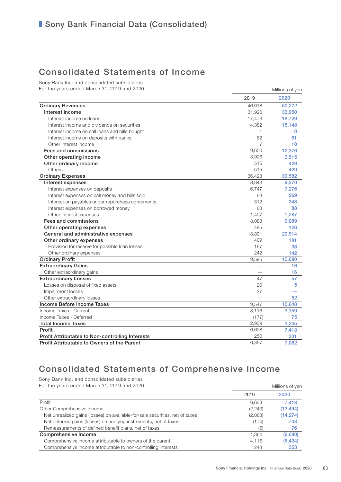### Consolidated Statements of Income

Sony Bank Inc. and consolidated subsidiaries For the years ended March 31, 2019 and 2020

| For the years ended March 31, 2019 and 2020      |              | Millions of yen |  |  |
|--------------------------------------------------|--------------|-----------------|--|--|
|                                                  | 2019         | 2020            |  |  |
| <b>Ordinary Revenues</b>                         | 46,018       | 50,272          |  |  |
| Interest income                                  | 31,926       | 33,950          |  |  |
| Interest income on loans                         | 17,473       | 18,729          |  |  |
| Interest income and dividends on securities      | 14,382       | 15,148          |  |  |
| Interest income on call loans and bills bought   | $\mathbf{1}$ | $\Omega$        |  |  |
| Interest income on deposits with banks           | 62           | 61              |  |  |
| Other interest income                            | 7            | 10              |  |  |
| Fees and commissions                             | 9,650        | 12,376          |  |  |
| Other operating income                           | 3,926        | 3,515           |  |  |
| Other ordinary income                            | 515          | 429             |  |  |
| Others                                           | 515          | 429             |  |  |
| <b>Ordinary Expenses</b>                         | 36,423       | 39,582          |  |  |
| Interest expenses                                | 8,643        | 9,270           |  |  |
| Interest expenses on deposits                    | 6,747        | 7,276           |  |  |
| Interest expenses on call money and bills sold   | 88           | 269             |  |  |
| Interest on payables under repurchase agreements | 312          | 348             |  |  |
| Interest expenses on borrowed money              | 88           | 88              |  |  |
| Other interest expenses                          | 1,407        | 1,287           |  |  |
| Fees and commissions                             | 8,083        | 9,089           |  |  |
| Other operating expenses                         | 485          | 126             |  |  |
| General and administrative expenses              | 18,801       | 20,914          |  |  |
| Other ordinary expenses                          | 409          | 181             |  |  |
| Provision for reserve for possible loan losses   | 167          | 38              |  |  |
| Other ordinary expenses                          | 242          | 142             |  |  |
| <b>Ordinary Profit</b>                           | 9,595        | 10,690          |  |  |
| <b>Extraordinary Gains</b>                       |              | 16              |  |  |
| Other extraordinary gains                        |              | 16              |  |  |
| <b>Extraordinary Losses</b>                      | 47           | 57              |  |  |
| Losses on disposal of fixed assets               | 20           | 5               |  |  |
| Impairment losses                                | 27           |                 |  |  |
| Other extraordinary losses                       |              | 52              |  |  |
| Income Before Income Taxes                       | 9,547        | 10,648          |  |  |
| Income Taxes - Current                           | 3,116        | 3,159           |  |  |
| Income Taxes - Deferred                          | (177)        | 75              |  |  |
| <b>Total Income Taxes</b>                        | 2,939        | 3,235           |  |  |
| Profit                                           | 6,608        | 7,413           |  |  |
| Profit Attributable to Non-controlling Interests | 250          | 331             |  |  |
| Profit Attributable to Owners of the Parent      | 6,357        | 7,082           |  |  |

# Consolidated Statements of Comprehensive Income

Sony Bank Inc. and consolidated subsidiaries

| For the years ended March 31, 2019 and 2020                                  | Millions of yen |           |  |
|------------------------------------------------------------------------------|-----------------|-----------|--|
|                                                                              | 2019            | 2020      |  |
| Profit                                                                       | 6.608           | 7.413     |  |
| Other Comprehensive Income                                                   | (2,243)         | (13, 494) |  |
| Net unrealized gains (losses) on available-for-sale securities, net of taxes | (2,063)         | (14, 274) |  |
| Net deferred gains (losses) on hedging instruments, net of taxes             | (174)           | 703       |  |
| Remeasurements of defined benefit plans, net of taxes                        | (6)             | 76        |  |
| <b>Comprehensive Income</b>                                                  | 4.364           | (6,080)   |  |
| Comprehensive income attributable to owners of the parent                    | 4.116           | (6, 434)  |  |
| Comprehensive income attributable to non-controlling interests               | 248             | 353       |  |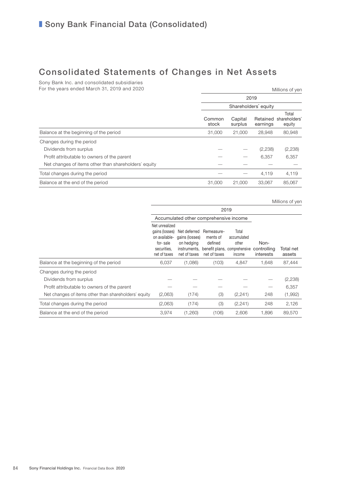### Consolidated Statements of Changes in Net Assets

Sony Bank Inc. and consolidated subsidiaries For the years ended March 31, 2019 and 2020

| For the years ended March 31, 2019 and 2020          |                 | Millions of yen      |                      |                                  |  |  |
|------------------------------------------------------|-----------------|----------------------|----------------------|----------------------------------|--|--|
|                                                      | 2019            |                      |                      |                                  |  |  |
|                                                      |                 | Shareholders' equity |                      |                                  |  |  |
|                                                      | Common<br>stock | Capital<br>surplus   | Retained<br>earnings | Total<br>shareholders'<br>equity |  |  |
| Balance at the beginning of the period               | 31,000          | 21,000               | 28.948               | 80,948                           |  |  |
| Changes during the period                            |                 |                      |                      |                                  |  |  |
| Dividends from surplus                               |                 |                      | (2,238)              | (2,238)                          |  |  |
| Profit attributable to owners of the parent          |                 |                      | 6,357                | 6,357                            |  |  |
| Net changes of items other than shareholders' equity |                 |                      |                      |                                  |  |  |
| Total changes during the period                      |                 |                      | 4.119                | 4,119                            |  |  |
| Balance at the end of the period                     | 31,000          | 21,000               | 33.067               | 85,067                           |  |  |
|                                                      |                 |                      |                      |                                  |  |  |

Millions of yen

|                                                      | 2019                                                                                         |                                                                              |                                                   |                                                                         |                                  |                     |
|------------------------------------------------------|----------------------------------------------------------------------------------------------|------------------------------------------------------------------------------|---------------------------------------------------|-------------------------------------------------------------------------|----------------------------------|---------------------|
|                                                      | Accumulated other comprehensive income                                                       |                                                                              |                                                   |                                                                         |                                  |                     |
|                                                      | Net unrealized<br>gains (losses)<br>on available-<br>for-sale<br>securities.<br>net of taxes | Net deferred<br>gains (losses)<br>on hedging<br>instruments,<br>net of taxes | Remeasure-<br>ments of<br>defined<br>net of taxes | Total<br>accumulated<br>other<br>benefit plans, comprehensive<br>income | Non-<br>controlling<br>interests | Total net<br>assets |
| Balance at the beginning of the period               | 6,037                                                                                        | (1,086)                                                                      | (103)                                             | 4,847                                                                   | 1,648                            | 87,444              |
| Changes during the period                            |                                                                                              |                                                                              |                                                   |                                                                         |                                  |                     |
| Dividends from surplus                               |                                                                                              |                                                                              |                                                   |                                                                         |                                  | (2,238)             |
| Profit attributable to owners of the parent          |                                                                                              |                                                                              |                                                   |                                                                         |                                  | 6,357               |
| Net changes of items other than shareholders' equity | (2,063)                                                                                      | (174)                                                                        | (3)                                               | (2,241)                                                                 | 248                              | (1,992)             |
| Total changes during the period                      | (2,063)                                                                                      | (174)                                                                        | (3)                                               | (2, 241)                                                                | 248                              | 2,126               |
| Balance at the end of the period                     | 3,974                                                                                        | (1,260)                                                                      | (106)                                             | 2,606                                                                   | 1.896                            | 89,570              |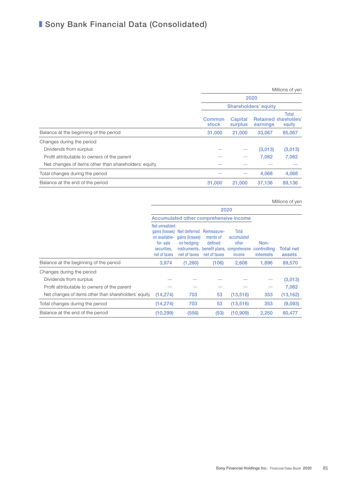|                                                      |                             |                    |          | Millions of yen                           |
|------------------------------------------------------|-----------------------------|--------------------|----------|-------------------------------------------|
|                                                      | 2020                        |                    |          |                                           |
|                                                      | <b>Shareholders' equity</b> |                    |          |                                           |
|                                                      | <b>Common</b><br>stock      | Capital<br>surplus | earnings | Total<br>Retained shareholders'<br>equity |
| Balance at the beginning of the period               | 31,000                      | 21,000             | 33,067   | 85,067                                    |
| Changes during the period                            |                             |                    |          |                                           |
| Dividends from surplus                               |                             |                    | (3,013)  | (3,013)                                   |
| Profit attributable to owners of the parent          |                             |                    | 7,082    | 7,082                                     |
| Net changes of items other than shareholders' equity |                             |                    |          |                                           |
| Total changes during the period                      |                             |                    | 4,068    | 4,068                                     |
| Balance at the end of the period                     | 31,000                      | 21,000             | 37.136   | 89,136                                    |

Millions of yen

|                                                      | 2020                                                                                         |                                                              |                                                   |                                                                                      |                                         |                     |
|------------------------------------------------------|----------------------------------------------------------------------------------------------|--------------------------------------------------------------|---------------------------------------------------|--------------------------------------------------------------------------------------|-----------------------------------------|---------------------|
|                                                      |                                                                                              |                                                              |                                                   | Accumulated other comprehensive income                                               |                                         |                     |
|                                                      | Net unrealized<br>gains (losses)<br>on available-<br>for-sale<br>securities.<br>net of taxes | Net deferred<br>gains (losses)<br>on hedging<br>net of taxes | Remeasure-<br>ments of<br>defined<br>net of taxes | Total<br>accumulated<br>other<br>instruments, benefit plans, comprehensive<br>income | Non-<br>controlling<br><b>interests</b> | Total net<br>assets |
| Balance at the beginning of the period               | 3,974                                                                                        | (1,260)                                                      | (106)                                             | 2,606                                                                                | 1.896                                   | 89,570              |
| Changes during the period                            |                                                                                              |                                                              |                                                   |                                                                                      |                                         |                     |
| Dividends from surplus                               |                                                                                              |                                                              |                                                   |                                                                                      |                                         | (3,013)             |
| Profit attributable to owners of the parent          |                                                                                              |                                                              |                                                   |                                                                                      |                                         | 7,082               |
| Net changes of items other than shareholders' equity | (14, 274)                                                                                    | 703                                                          | 53                                                | (13, 516)                                                                            | 353                                     | (13, 162)           |
| Total changes during the period                      | (14, 274)                                                                                    | 703                                                          | 53                                                | (13, 516)                                                                            | 353                                     | (9,093)             |
| Balance at the end of the period                     | (10, 299)                                                                                    | (556)                                                        | (53)                                              | (10,909)                                                                             | 2,250                                   | 80,477              |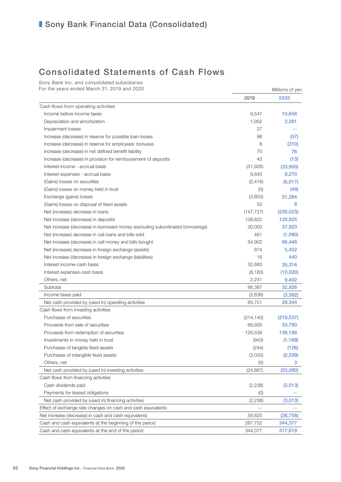### **Bank Financial Data (Consolidated)**

### Consolidated Statements of Cash Flows

Sony Bank Inc. and consolidated subsidiaries For the years ended March 31, 2019 and 2020 Millions of yen

|                                                                               | 2019       | 2020       |
|-------------------------------------------------------------------------------|------------|------------|
| Cash flows from operating activities                                          |            |            |
| Income before income taxes                                                    | 9,547      | 10,648     |
| Depreciation and amortization                                                 | 1,952      | 2,261      |
| Impairment losses                                                             | 27         |            |
| Increase (decrease) in reserve for possible loan losses                       | 96         | (57)       |
| Increase (decrease) in reserve for employees' bonuses                         | 8          | (310)      |
| Increase (decrease) in net defined benefit liability                          | 70         | 76         |
| Increase (decrease) in provision for reimbursement of deposits                | 43         | (13)       |
| Interest income - accrual basis                                               | (31, 926)  | (33,950)   |
| Interest expenses - accrual basis                                             | 8,643      | 9,270      |
| (Gains) losses on securities                                                  | (2, 418)   | (6,017)    |
| (Gains) losses on money held in trust                                         | (0)        | (49)       |
| Exchange (gains) losses                                                       | (3,803)    | 21,284     |
| (Gains) losses on disposal of fixed assets                                    | 53         | 8          |
| Net (increase) decrease in loans                                              | (147, 727) | (235, 023) |
| Net increase (decrease) in deposits                                           | 138,822    | 120,925    |
| Net increase (decrease) in borrowed money (excluding subordinated borrowings) | 30,000     | 37,923     |
| Net (increase) decrease in call loans and bills sold                          | 461        | (1,090)    |
| Net increase (decrease) in call money and bills bought                        | 54,902     | 66,448     |
| Net (increase) decrease in foreign exchange (assets)                          | 874        | 5,452      |
| Net increase (decrease) in foreign exchange (liabilities)                     | 16         | 440        |
| Interest income-cash basis                                                    | 32,683     | 35,316     |
| Interest expenses-cash basis                                                  | (8, 183)   | (10, 020)  |
| Others, net                                                                   | 2,241      | 9,402      |
| Subtotal                                                                      | 86,387     | 32,926     |
| Income taxes paid                                                             | (2,636)    | (3, 582)   |
| Net cash provided by (used in) operating activities                           | 83,751     | 29,344     |
| Cash flows from investing activities                                          |            |            |
| Purchases of securities                                                       | (214, 140) | (219, 537) |
| Proceeds from sale of securities                                              | 66,935     | 33,780     |
| Proceeds from redemption of securities                                        | 126,539    | 136,198    |
| Investments in money held in trust                                            | (943)      | (1, 169)   |
| Purchases of tangible fixed assets                                            | (244)      | (126)      |
| Purchases of intangible fixed assets                                          | (3,033)    | (2, 239)   |
| Others, net                                                                   | (0)        | 3          |
| Net cash provided by (used in) investing activities                           | (24, 887)  | (53,090)   |
| Cash flows from financing activities                                          |            |            |
| Cash dividends paid                                                           | (2, 238)   | (3,013)    |
| Payments for leased obligations                                               | (0)        |            |
| Net cash provided by (used in) financing activities                           | (2, 238)   | (3,013)    |
| Effect of exchange rate changes on cash and cash equivalents                  |            |            |
| Net increase (decrease) in cash and cash equivalents                          | 56,625     | (26, 758)  |
| Cash and cash equivalents at the beginning of the period                      | 287,752    | 344,377    |
| Cash and cash equivalents at the end of the period                            | 344,377    | 317,619    |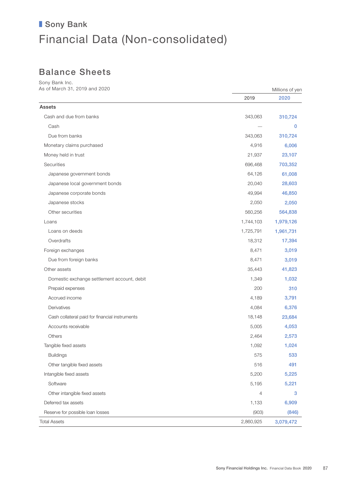## Balance Sheets

Sony Bank Inc. As of March 31, 2019 and 2020 Millions of yen

|                                                | 2019      | 2020      |
|------------------------------------------------|-----------|-----------|
| Assets                                         |           |           |
| Cash and due from banks                        | 343,063   | 310,724   |
| Cash                                           |           | 0         |
| Due from banks                                 | 343,063   | 310,724   |
| Monetary claims purchased                      | 4,916     | 6,006     |
| Money held in trust                            | 21,937    | 23,107    |
| Securities                                     | 696,468   | 703,352   |
| Japanese government bonds                      | 64,126    | 61,008    |
| Japanese local government bonds                | 20,040    | 28,603    |
| Japanese corporate bonds                       | 49,994    | 46,850    |
| Japanese stocks                                | 2,050     | 2,050     |
| Other securities                               | 560,256   | 564,838   |
| Loans                                          | 1,744,103 | 1,979,126 |
| Loans on deeds                                 | 1,725,791 | 1,961,731 |
| Overdrafts                                     | 18,312    | 17,394    |
| Foreign exchanges                              | 8,471     | 3,019     |
| Due from foreign banks                         | 8,471     | 3,019     |
| Other assets                                   | 35,443    | 41,823    |
| Domestic exchange settlement account, debit    | 1,349     | 1,032     |
| Prepaid expenses                               | 200       | 310       |
| Accrued income                                 | 4,189     | 3,791     |
| Derivatives                                    | 4,084     | 6,376     |
| Cash collateral paid for financial instruments | 18,148    | 23,684    |
| Accounts receivable                            | 5,005     | 4,053     |
| <b>Others</b>                                  | 2,464     | 2,573     |
| Tangible fixed assets                          | 1,092     | 1,024     |
| <b>Buildings</b>                               | 575       | 533       |
| Other tangible fixed assets                    | 516       | 491       |
| Intangible fixed assets                        | 5,200     | 5,225     |
| Software                                       | 5,195     | 5,221     |
| Other intangible fixed assets                  | 4         | 3         |
| Deferred tax assets                            | 1,133     | 6,909     |
| Reserve for possible loan losses               | (903)     | (846)     |
| <b>Total Assets</b>                            | 2,860,925 | 3,079,472 |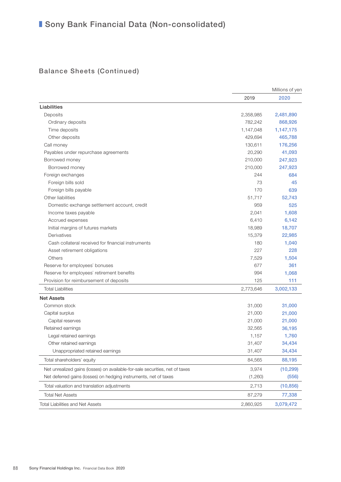### Balance Sheets (Continued)

|                                                                              |           | Millions of yen |
|------------------------------------------------------------------------------|-----------|-----------------|
|                                                                              | 2019      | 2020            |
| Liabilities                                                                  |           |                 |
| Deposits                                                                     | 2,358,985 | 2,481,890       |
| Ordinary deposits                                                            | 782,242   | 868,926         |
| Time deposits                                                                | 1,147,048 | 1,147,175       |
| Other deposits                                                               | 429,694   | 465,788         |
| Call money                                                                   | 130,611   | 176,256         |
| Payables under repurchase agreements                                         | 20,290    | 41,093          |
| Borrowed money                                                               | 210,000   | 247,923         |
| Borrowed money                                                               | 210,000   | 247,923         |
| Foreign exchanges                                                            | 244       | 684             |
| Foreign bills sold                                                           | 73        | 45              |
| Foreign bills payable                                                        | 170       | 639             |
| Other liabilities                                                            | 51,717    | 52,743          |
| Domestic exchange settlement account, credit                                 | 959       | 525             |
| Income taxes payable                                                         | 2,041     | 1,608           |
| Accrued expenses                                                             | 6,410     | 6,142           |
| Initial margins of futures markets                                           | 18,989    | 18,707          |
| Derivatives                                                                  | 15,379    | 22,985          |
| Cash collateral received for financial instruments                           | 180       | 1,040           |
| Asset retirement obligations                                                 | 227       | 228             |
| Others                                                                       | 7,529     | 1,504           |
| Reserve for employees' bonuses                                               | 677       | 361             |
| Reserve for employees' retirement benefits                                   | 994       | 1,068           |
| Provision for reimbursement of deposits                                      | 125       | 111             |
| <b>Total Liabilities</b>                                                     | 2,773,646 | 3,002,133       |
| <b>Net Assets</b>                                                            |           |                 |
| Common stock                                                                 | 31,000    | 31,000          |
| Capital surplus                                                              | 21,000    | 21,000          |
| Capital reserves                                                             | 21,000    | 21,000          |
| Retained earnings                                                            | 32,565    | 36,195          |
| Legal retained earnings                                                      | 1,157     | 1,760           |
| Other retained earnings                                                      | 31,407    | 34,434          |
| Unappropriated retained earnings                                             | 31,407    | 34,434          |
| Total shareholders' equity                                                   | 84,565    | 88,195          |
| Net unrealized gains (losses) on available-for-sale securities, net of taxes | 3,974     | (10, 299)       |
| Net deferred gains (losses) on hedging instruments, net of taxes             | (1,260)   | (556)           |
| Total valuation and translation adjustments                                  | 2,713     | (10, 856)       |
| <b>Total Net Assets</b>                                                      | 87,279    | 77,338          |
| <b>Total Liabilities and Net Assets</b>                                      | 2,860,925 | 3,079,472       |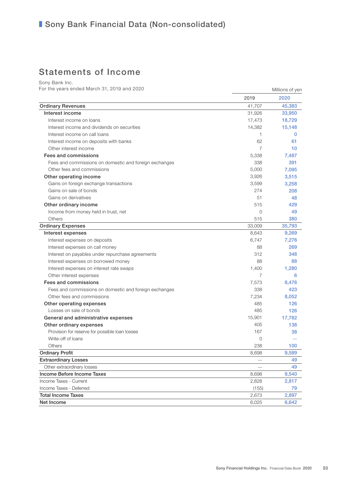### Statements of Income

Sony Bank Inc.

For the years ended March 31, 2019 and 2020 Millions of yen

|                                                        | 2019           | 2020        |
|--------------------------------------------------------|----------------|-------------|
| <b>Ordinary Revenues</b>                               | 41,707         | 45,383      |
| Interest income                                        | 31,926         | 33,950      |
| Interest income on loans                               | 17,473         | 18,729      |
| Interest income and dividends on securities            | 14,382         | 15,148      |
| Interest income on call loans                          | $\mathbf{1}$   | $\mathbf 0$ |
| Interest income on deposits with banks                 | 62             | 61          |
| Other interest income                                  | $\overline{7}$ | 10          |
| Fees and commissions                                   | 5,338          | 7,487       |
| Fees and commissions on domestic and foreign exchanges | 338            | 391         |
| Other fees and commissions                             | 5,000          | 7,095       |
| Other operating income                                 | 3,926          | 3,515       |
| Gains on foreign exchange transactions                 | 3,599          | 3,258       |
| Gains on sale of bonds                                 | 274            | 208         |
| Gains on derivatives                                   | 51             | 48          |
| Other ordinary income                                  | 515            | 429         |
| Income from money held in trust, net                   | $\circ$        | 49          |
| Others                                                 | 515            | 380         |
| <b>Ordinary Expenses</b>                               | 33,009         | 35,793      |
| Interest expenses                                      | 8,643          | 9,269       |
| Interest expenses on deposits                          | 6,747          | 7,276       |
| Interest expenses on call money                        | 88             | 269         |
| Interest on payables under repurchase agreements       | 312            | 348         |
| Interest expenses on borrowed money                    | 88             | 88          |
| Interest expenses on interest rate swaps               | 1,400          | 1,280       |
| Other interest expenses                                | 7              | 6           |
| Fees and commissions                                   | 7,573          | 8,476       |
| Fees and commissions on domestic and foreign exchanges | 338            | 423         |
| Other fees and commissions                             | 7,234          | 8,052       |
| Other operating expenses                               | 485            | 126         |
| Losses on sale of bonds                                | 485            | 126         |
| General and administrative expenses                    | 15,901         | 17,782      |
| Other ordinary expenses                                | 405            | 138         |
| Provision for reserve for possible loan losses         | 167            | 38          |
| Write-off of loans                                     | $\mathbf{0}$   |             |
| <b>Others</b>                                          | 238            | 100         |
| <b>Ordinary Profit</b>                                 | 8,698          | 9,589       |
| <b>Extraordinary Losses</b>                            |                | 49          |
| Other extraordinary losses                             |                | 49          |
| Income Before Income Taxes                             | 8,698          | 9,540       |
| Income Taxes - Current                                 | 2,828          | 2,817       |
| Income Taxes - Deferred                                | (155)          | 79          |
| <b>Total Income Taxes</b>                              | 2,673          | 2,897       |
| Net Income                                             | 6,025          | 6,642       |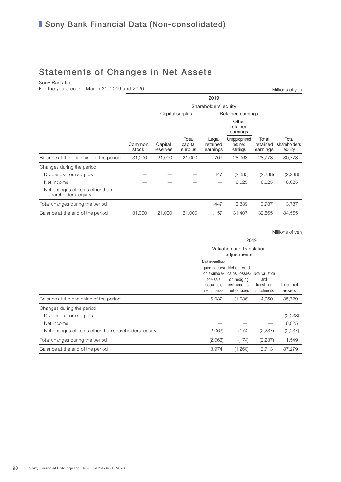# Statements of Changes in Net Assets

Sony Bank Inc.

For the years ended March 31, 2019 and 2020

| 2019                                                    |                 |                     |                             |                               |                                        |                               |                                  |  |
|---------------------------------------------------------|-----------------|---------------------|-----------------------------|-------------------------------|----------------------------------------|-------------------------------|----------------------------------|--|
|                                                         |                 |                     |                             | Shareholders' equity          |                                        |                               |                                  |  |
|                                                         |                 | Capital surplus     |                             |                               | Retained earnings                      |                               |                                  |  |
|                                                         |                 |                     |                             |                               | Other<br>retained<br>earnings          |                               |                                  |  |
|                                                         | Common<br>stock | Capital<br>reserves | Total<br>capital<br>surplus | Legal<br>retained<br>earnings | Unappropriated<br>retained<br>earnings | Total<br>retained<br>earnings | Total<br>shareholders'<br>equity |  |
| Balance at the beginning of the period                  | 31,000          | 21,000              | 21,000                      | 709                           | 28,068                                 | 28,778                        | 80,778                           |  |
| Changes during the period                               |                 |                     |                             |                               |                                        |                               |                                  |  |
| Dividends from surplus                                  |                 |                     |                             | 447                           | (2,685)                                | (2,238)                       | (2,238)                          |  |
| Net income                                              |                 |                     |                             |                               | 6,025                                  | 6,025                         | 6,025                            |  |
| Net changes of items other than<br>shareholders' equity |                 |                     |                             |                               |                                        |                               |                                  |  |
| Total changes during the period                         |                 |                     |                             | 447                           | 3,339                                  | 3,787                         | 3,787                            |  |
| Balance at the end of the period                        | 31,000          | 21,000              | 21,000                      | 1,157                         | 31,407                                 | 32,565                        | 84,565                           |  |

|                                                      |                                                                                              | Millions of yen                                                              |                                                      |                     |  |  |
|------------------------------------------------------|----------------------------------------------------------------------------------------------|------------------------------------------------------------------------------|------------------------------------------------------|---------------------|--|--|
|                                                      |                                                                                              | 2019<br>Valuation and translation<br>adjustments                             |                                                      |                     |  |  |
|                                                      |                                                                                              |                                                                              |                                                      |                     |  |  |
|                                                      | Net unrealized<br>gains (losses)<br>on available-<br>for-sale<br>securities.<br>net of taxes | Net deferred<br>gains (losses)<br>on hedging<br>instruments,<br>net of taxes | Total valuation<br>and<br>translation<br>adjustments | Total net<br>assets |  |  |
| Balance at the beginning of the period               | 6,037                                                                                        | (1,086)                                                                      | 4,950                                                | 85,729              |  |  |
| Changes during the period                            |                                                                                              |                                                                              |                                                      |                     |  |  |
| Dividends from surplus                               |                                                                                              |                                                                              |                                                      | (2, 238)            |  |  |
| Net income                                           |                                                                                              |                                                                              |                                                      | 6,025               |  |  |
| Net changes of items other than shareholders' equity | (2,063)                                                                                      | (174)                                                                        | (2,237)                                              | (2, 237)            |  |  |
| Total changes during the period                      | (2,063)                                                                                      | (174)                                                                        | (2,237)                                              | 1,549               |  |  |
| Balance at the end of the period                     | 3,974                                                                                        | (1,260)                                                                      | 2,713                                                | 87,279              |  |  |

 $M:U: \mathbb{R}^n \times \mathbb{R}^n$ 

Millions of yen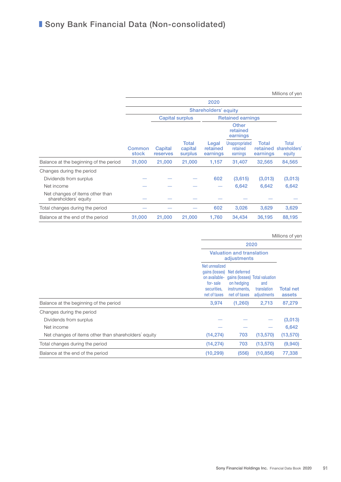#### Millions of yen

|                                                         | 2020            |                      |                             |                               |                                        |                               |                                  |  |  |
|---------------------------------------------------------|-----------------|----------------------|-----------------------------|-------------------------------|----------------------------------------|-------------------------------|----------------------------------|--|--|
|                                                         |                 | Shareholders' equity |                             |                               |                                        |                               |                                  |  |  |
|                                                         |                 |                      | <b>Capital surplus</b>      |                               | <b>Retained earnings</b>               |                               |                                  |  |  |
|                                                         |                 |                      |                             |                               | Other<br>retained<br>earnings          |                               |                                  |  |  |
|                                                         | Common<br>stock | Capital<br>reserves  | Total<br>capital<br>surplus | Legal<br>retained<br>earnings | Unappropriated<br>retained<br>earnings | Total<br>retained<br>earnings | Total<br>shareholders'<br>equity |  |  |
| Balance at the beginning of the period                  | 31,000          | 21,000               | 21,000                      | 1,157                         | 31,407                                 | 32,565                        | 84,565                           |  |  |
| Changes during the period                               |                 |                      |                             |                               |                                        |                               |                                  |  |  |
| Dividends from surplus                                  |                 |                      |                             | 602                           | (3,615)                                | (3,013)                       | (3,013)                          |  |  |
| Net income                                              |                 |                      |                             |                               | 6,642                                  | 6,642                         | 6,642                            |  |  |
| Net changes of items other than<br>shareholders' equity |                 |                      |                             |                               |                                        |                               |                                  |  |  |
| Total changes during the period                         |                 |                      |                             | 602                           | 3,026                                  | 3,629                         | 3,629                            |  |  |
| Balance at the end of the period                        | 31,000          | 21,000               | 21,000                      | 1,760                         | 34,434                                 | 36,195                        | 88,195                           |  |  |

#### Millions of yen

|                                                      | 2020                                                                       |                                                                                                             |                                   |                            |  |
|------------------------------------------------------|----------------------------------------------------------------------------|-------------------------------------------------------------------------------------------------------------|-----------------------------------|----------------------------|--|
|                                                      |                                                                            | <b>Valuation and translation</b><br>adjustments                                                             |                                   |                            |  |
|                                                      | Net unrealized<br>on available-<br>for-sale<br>securities.<br>net of taxes | gains (losses) Net deferred<br>gains (losses) Total valuation<br>on hedging<br>instruments.<br>net of taxes | and<br>translation<br>adjustments | <b>Total net</b><br>assets |  |
| Balance at the beginning of the period               | 3,974                                                                      | (1,260)                                                                                                     | 2,713                             | 87,279                     |  |
| Changes during the period                            |                                                                            |                                                                                                             |                                   |                            |  |
| Dividends from surplus                               |                                                                            |                                                                                                             |                                   | (3,013)                    |  |
| Net income                                           |                                                                            |                                                                                                             |                                   | 6,642                      |  |
| Net changes of items other than shareholders' equity | (14, 274)                                                                  | 703                                                                                                         | (13, 570)                         | (13, 570)                  |  |
| Total changes during the period                      | (14, 274)                                                                  | 703                                                                                                         | (13, 570)                         | (9,940)                    |  |
| Balance at the end of the period                     | (10, 299)                                                                  | (556)                                                                                                       | (10, 856)                         | 77,338                     |  |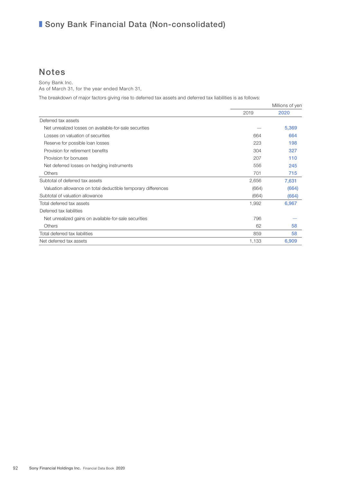### Notes

Sony Bank Inc.

As of March 31, for the year ended March 31,

The breakdown of major factors giving rise to deferred tax assets and deferred tax liabilities is as follows:

|                                                               | Millions of yen |       |
|---------------------------------------------------------------|-----------------|-------|
|                                                               | 2019            | 2020  |
| Deferred tax assets                                           |                 |       |
| Net unrealized losses on available-for-sale securities        |                 | 5,369 |
| Losses on valuation of securities                             | 664             | 664   |
| Reserve for possible loan losses                              | 223             | 198   |
| Provision for retirement benefits                             | 304             | 327   |
| Provision for bonuses                                         | 207             | 110   |
| Net deferred losses on hedging instruments                    | 556             | 245   |
| <b>Others</b>                                                 | 701             | 715   |
| Subtotal of deferred tax assets                               | 2,656           | 7,631 |
| Valuation allowance on total deductible temporary differences | (664)           | (664) |
| Subtotal of valuation allowance                               | (664)           | (664) |
| Total deferred tax assets                                     | 1,992           | 6,967 |
| Deferred tax liabilities                                      |                 |       |
| Net unrealized gains on available-for-sale securities         | 796             |       |
| <b>Others</b>                                                 | 62              | 58    |
| Total deferred tax liabilities                                | 859             | 58    |
| Net deferred tax assets                                       | 1,133           | 6,909 |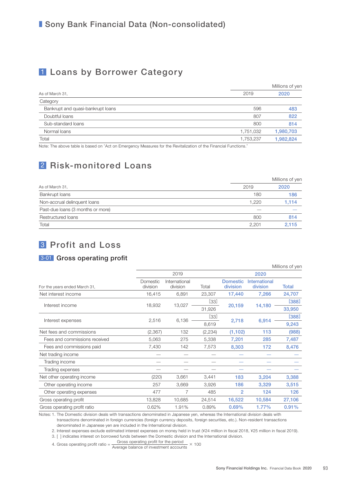### 1 Loans by Borrower Category

|                                   |           | Millions of yen |
|-----------------------------------|-----------|-----------------|
| As of March 31,                   | 2019      | 2020            |
| Category                          |           |                 |
| Bankrupt and quasi-bankrupt loans | 596       | 483             |
| Doubtful loans                    | 807       | 822             |
| Sub-standard loans                | 800       | 814             |
| Normal loans                      | 1,751,032 | 1,980,703       |
| Total                             | 1,753,237 | 1,982,824       |

Note: The above table is based on "Act on Emergency Measures for the Revitalization of the Financial Functions."

### 2 Risk-monitored Loans

|                                   | Millions of yen |       |  |  |
|-----------------------------------|-----------------|-------|--|--|
| As of March 31,                   | 2019            | 2020  |  |  |
| Bankrupt loans                    | 180             | 186   |  |  |
| Non-accrual delinquent loans      | 1,220           | 1,114 |  |  |
| Past-due loans (3 months or more) |                 |       |  |  |
| Restructured loans                | 800             | 814   |  |  |
| Total                             | 2.201           | 2,115 |  |  |

### 3 Profit and Loss

### 3-01 Gross operating profit

|                               |                      |                           |          |                             |                           | Millions of yen |       |
|-------------------------------|----------------------|---------------------------|----------|-----------------------------|---------------------------|-----------------|-------|
|                               |                      | 2019                      |          |                             | 2020                      |                 |       |
| For the years ended March 31, | Domestic<br>division | International<br>division | Total    | <b>Domestic</b><br>division | International<br>division | <b>Total</b>    |       |
| Net interest income           | 16,415               | 6,891                     | 23,307   | 17,440                      | 7,266                     | 24,707          |       |
|                               |                      |                           | [33]     |                             |                           | [388]           |       |
| Interest income               | 18,932               | 13,027                    | 31,926   | 20,159                      | 14,180                    | 33,950          |       |
|                               |                      |                           | $[33]$   | 2,718                       |                           | [388]           |       |
| Interest expenses             | 2,516                | 6,136<br>8,619            |          |                             |                           | 6,914           | 9,243 |
| Net fees and commissions      | (2,367)              | 132                       | (2, 234) | (1, 102)                    | 113                       | (988)           |       |
| Fees and commissions received | 5,063                | 275                       | 5,338    | 7,201                       | 285                       | 7,487           |       |
| Fees and commissions paid     | 7,430                | 142                       | 7,573    | 8,303                       | 172                       | 8,476           |       |
| Net trading income            |                      |                           |          |                             |                           |                 |       |
| Trading income                |                      |                           |          |                             |                           |                 |       |
| Trading expenses              |                      |                           |          |                             |                           |                 |       |
| Net other operating income    | (220)                | 3,661                     | 3,441    | 183                         | 3,204                     | 3,388           |       |
| Other operating income        | 257                  | 3,669                     | 3,926    | 186                         | 3,329                     | 3,515           |       |
| Other operating expenses      | 477                  | 7                         | 485      | $\overline{2}$              | 124                       | 126             |       |
| Gross operating profit        | 13,828               | 10,685                    | 24,514   | 16,522                      | 10,584                    | 27,106          |       |
| Gross operating profit ratio  | 0.62%                | 1.91%                     | 0.89%    | 0.69%                       | 1.77%                     | 0.91%           |       |

Notes: 1. The Domestic division deals with transactions denominated in Japanese yen, whereas the International division deals with transactions denominated in foreign currencies (foreign currency deposits, foreign securities, etc.). Non-resident transactions denominated in Japanese yen are included in the International division.

2. Interest expenses exclude estimated interest expenses on money held in trust (¥24 million in fiscal 2018, ¥25 million in fiscal 2019).

3. [ ] indicates interest on borrowed funds between the Domestic division and the International division.

4. Gross operating profit ratio =  $\frac{\text{Gross operating profit for the period}}{\text{Average balance of investment accounts}} \times 100$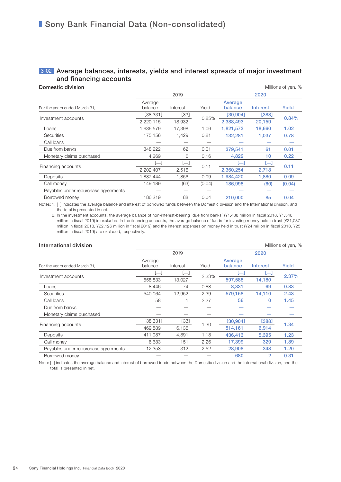### **3-02 Average balances, interests, yields and interest spreads of major investment** and financing accounts

| Domestic division                    |                    |          |        |                    |                 | Millions of yen, % |  |
|--------------------------------------|--------------------|----------|--------|--------------------|-----------------|--------------------|--|
|                                      |                    | 2019     |        | 2020               |                 |                    |  |
| For the years ended March 31,        | Average<br>balance | Interest | Yield  | Average<br>balance | <b>Interest</b> | Yield              |  |
|                                      | [38, 331]          | $[33]$   | 0.85%  | [30, 904]          | [388]           | 0.84%              |  |
| Investment accounts                  | 2,220,115          | 18,932   |        | 2,388,493          | 20,159          |                    |  |
| Loans                                | 1,636,579          | 17.398   | 1.06   | 1,821,573          | 18,660          | 1.02               |  |
| <b>Securities</b>                    | 175,156            | 1,429    | 0.81   | 132,281            | 1,037           | 0.78               |  |
| Call loans                           |                    |          |        |                    |                 |                    |  |
| Due from banks                       | 348,222            | 62       | 0.01   | 379.541            | 61              | 0.01               |  |
| Monetary claims purchased            | 4,269              | 6        | 0.16   | 4,822              | 10              | 0.22               |  |
|                                      | $\overline{}$      | $[-]$    |        | ſН                 | н               |                    |  |
| Financing accounts                   | 2,202,407          | 2,516    | 0.11   | 2,360,254          | 2,718           | 0.11               |  |
| Deposits                             | 1,887,444          | 1,856    | 0.09   | 1,984,420          | 1,880           | 0.09               |  |
| Call money                           | 149,189            | (63)     | (0.04) | 186,998            | (60)            | (0.04)             |  |
| Payables under repurchase agreements |                    |          |        |                    |                 |                    |  |
| Borrowed money                       | 186,219            | 88       | 0.04   | 210,000            | 85              | 0.04               |  |
|                                      |                    |          |        |                    |                 |                    |  |

Notes: 1. [ ] indicates the average balance and interest of borrowed funds between the Domestic division and the International division, and the total is presented in net.

 2. In the investment accounts, the average balance of non-interest-bearing "due from banks" (¥1,488 million in fiscal 2018, ¥1,548 million in fiscal 2019) is excluded. In the financing accounts, the average balance of funds for investing money held in trust (¥21,087 million in fiscal 2018, ¥22,126 million in fiscal 2019) and the interest expenses on money held in trust (¥24 million in fiscal 2018, ¥25 million in fiscal 2019) are excluded, respectively.

| International division               |                    |          |       |                    |                 | Millions of yen, % |
|--------------------------------------|--------------------|----------|-------|--------------------|-----------------|--------------------|
|                                      |                    | 2019     |       | 2020               |                 |                    |
| For the years ended March 31,        | Average<br>balance | Interest | Yield | Average<br>balance | <b>Interest</b> | Yield              |
|                                      | Г—1                | $[-]$    |       | н                  | $\Box$          |                    |
| Investment accounts                  | 558,833            | 13,027   | 2.33% | 597,588            | 14,180          | 2.37%              |
| Loans                                | 8,446              | 74       | 0.88  | 8.331              | 69              | 0.83               |
| <b>Securities</b>                    | 540,064            | 12,952   | 2.39  | 579.158            | 14,110          | 2.43               |
| Call loans                           | 58                 |          | 2.27  | 56                 | 0               | 1.45               |
| Due from banks                       |                    |          |       |                    |                 |                    |
| Monetary claims purchased            |                    |          |       |                    |                 |                    |
|                                      | [38, 331]          | [33]     |       | [30, 904]          | [388]           | 1.34               |
| Financing accounts                   | 469.589            | 6,136    | 1.30  | 514.161            | 6,914           |                    |
| Deposits                             | 411,987            | 4,891    | 1.18  | 436,413            | 5,395           | 1.23               |
| Call money                           | 6,683              | 151      | 2.26  | 17,399             | 329             | 1.89               |
| Payables under repurchase agreements | 12,353             | 312      | 2.52  | 28,908             | 348             | 1.20               |
| Borrowed money                       |                    |          |       | 680                | 2               | 0.31               |
|                                      |                    |          |       |                    |                 |                    |

Note: [ ] indicates the average balance and interest of borrowed funds between the Domestic division and the International division, and the total is presented in net.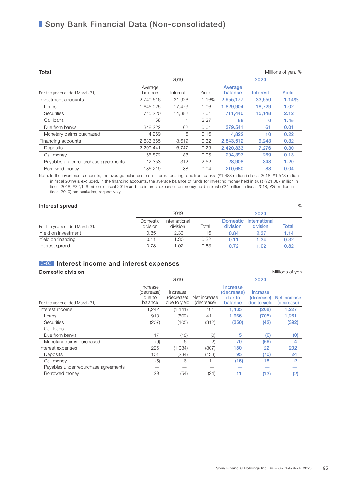| Total                                |                    |          |       |                    |             | Millions of yen, % |
|--------------------------------------|--------------------|----------|-------|--------------------|-------------|--------------------|
|                                      |                    | 2019     |       |                    | 2020        |                    |
| For the years ended March 31,        | Average<br>balance | Interest | Yield | Average<br>balance | Interest    | <b>Yield</b>       |
| Investment accounts                  | 2,740,616          | 31,926   | 1.16% | 2,955,177          | 33,950      | 1.14%              |
| Loans                                | 1,645,025          | 17,473   | 1.06  | 1,829,904          | 18,729      | 1.02               |
| <b>Securities</b>                    | 715,220            | 14,382   | 2.01  | 711.440            | 15.148      | 2.12               |
| Call loans                           | 58                 |          | 2.27  | 56                 | $\mathbf 0$ | 1.45               |
| Due from banks                       | 348,222            | 62       | 0.01  | 379.541            | 61          | 0.01               |
| Monetary claims purchased            | 4.269              | 6        | 0.16  | 4,822              | 10          | 0.22               |
| Financing accounts                   | 2,633,665          | 8,619    | 0.32  | 2,843,512          | 9,243       | 0.32               |
| Deposits                             | 2,299,441          | 6.747    | 0.29  | 2.420.833          | 7.276       | 0.30               |
| Call money                           | 155,872            | 88       | 0.05  | 204.397            | 269         | 0.13               |
| Payables under repurchase agreements | 12,353             | 312      | 2.52  | 28,908             | 348         | 1.20               |
| Borrowed money                       | 186.219            | 88       | 0.04  | 210,680            | 88          | 0.04               |

Note: In the investment accounts, the average balance of non-interest-bearing "due from banks" (¥1,488 million in fiscal 2018, ¥1,548 million in fiscal 2019) is excluded. In the financing accounts, the average balance of funds for investing money held in trust (¥21,087 million in fiscal 2018, ¥22,126 million in fiscal 2019) and the interest expenses on money held in trust (¥24 million in fiscal 2018, ¥25 million in fiscal 2019) are excluded, respectively.

| Interest spread               |                      |                           |       |                             |                           | $\%$  |  |
|-------------------------------|----------------------|---------------------------|-------|-----------------------------|---------------------------|-------|--|
|                               |                      | 2019                      |       |                             | 2020                      |       |  |
| For the years ended March 31, | Domestic<br>division | International<br>division | Total | <b>Domestic</b><br>division | International<br>division | Total |  |
| Yield on investment           | 0.85                 | 2.33                      | 1.16  | 0.84                        | 2.37                      | 1.14  |  |
| Yield on financing            | 0.11                 | 1.30                      | 0.32  | 0.11                        | 1.34                      | 0.32  |  |
| Interest spread               | 0.73                 | 1.02                      | 0.83  | 0.72                        | 1.02                      | 0.82  |  |

### 3-03 Interest income and interest expenses

#### **Domestic division** Millions of yen

|                                      |                                             | 2019                                   |                            |                                             | 2020                                   |                            |  |
|--------------------------------------|---------------------------------------------|----------------------------------------|----------------------------|---------------------------------------------|----------------------------------------|----------------------------|--|
| For the years ended March 31,        | Increase<br>(decrease)<br>due to<br>balance | Increase<br>(decrease)<br>due to yield | Net increase<br>(decrease) | Increase<br>(decrease)<br>due to<br>balance | Increase<br>(decrease)<br>due to yield | Net increase<br>(decrease) |  |
| Interest income                      | 1,242                                       | (1, 141)                               | 101                        | 1,435                                       | (208)                                  | 1,227                      |  |
| Loans                                | 913                                         | (502)                                  | 411                        | 1.966                                       | (705)                                  | 1,261                      |  |
| <b>Securities</b>                    | (207)                                       | (105)                                  | (312)                      | (350)                                       | (42)                                   | (392)                      |  |
| Call loans                           |                                             |                                        |                            |                                             |                                        |                            |  |
| Due from banks                       | 17                                          | (18)                                   | (0)                        | 5                                           | (6)                                    | (0)                        |  |
| Monetary claims purchased            | (9)                                         | 6                                      | (2)                        | 70                                          | (66)                                   | 4                          |  |
| Interest expenses                    | 226                                         | (1,034)                                | (807)                      | 180                                         | 22                                     | 202                        |  |
| Deposits                             | 101                                         | (234)                                  | (133)                      | 95                                          | (70)                                   | 24                         |  |
| Call money                           | (5)                                         | 16                                     | 11                         | (15)                                        | 18                                     | 2                          |  |
| Payables under repurchase agreements |                                             |                                        |                            |                                             |                                        |                            |  |
| Borrowed money                       | 29                                          | (54)                                   | (24)                       | 11                                          | (13)                                   | (2)                        |  |
|                                      |                                             |                                        |                            |                                             |                                        |                            |  |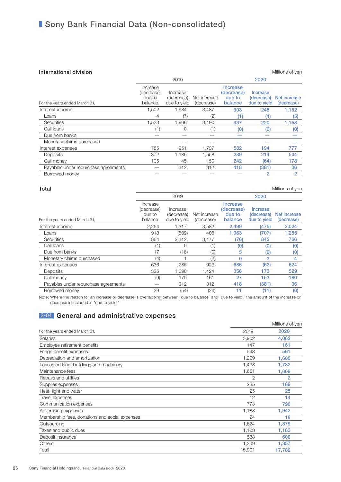#### **International division Millions** of yen

|                                             | 2019                                   |                            | 2020                                               |                                        |                            |
|---------------------------------------------|----------------------------------------|----------------------------|----------------------------------------------------|----------------------------------------|----------------------------|
| Increase<br>(decrease)<br>due to<br>balance | Increase<br>(decrease)<br>due to yield | Net increase<br>(decrease) | <b>Increase</b><br>(decrease)<br>due to<br>balance | Increase<br>(decrease)<br>due to yield | Net increase<br>(decrease) |
| 1,502                                       | 1,984                                  | 3,487                      | 903                                                | 248                                    | 1,152                      |
| 4                                           | (7)                                    | (2)                        | (1)                                                | (4)                                    | (5)                        |
| 1,523                                       | 1,966                                  | 3,490                      | 937                                                | 220                                    | 1,158                      |
| (1)                                         | $\Omega$                               | (1)                        | (0)                                                | (0)                                    | (0)                        |
|                                             |                                        |                            |                                                    |                                        |                            |
|                                             |                                        |                            |                                                    |                                        |                            |
| 785                                         | 951                                    | 1,737                      | 582                                                | 194                                    | 777                        |
| 372                                         | 1,185                                  | 1,558                      | 289                                                | 214                                    | 504                        |
| 105                                         | 45                                     | 150                        | 242                                                | (64)                                   | 178                        |
|                                             | 312                                    | 312                        | 418                                                | (381)                                  | 36                         |
|                                             |                                        |                            |                                                    | 2                                      | 2                          |
|                                             |                                        |                            |                                                    |                                        |                            |

| Total                                |                                             |                                        |                            |                                             |                                        | Millions of yen            |
|--------------------------------------|---------------------------------------------|----------------------------------------|----------------------------|---------------------------------------------|----------------------------------------|----------------------------|
|                                      |                                             | 2019                                   |                            |                                             | 2020                                   |                            |
| For the years ended March 31,        | Increase<br>(decrease)<br>due to<br>balance | Increase<br>(decrease)<br>due to yield | Net increase<br>(decrease) | Increase<br>(decrease)<br>due to<br>balance | Increase<br>(decrease)<br>due to yield | Net increase<br>(decrease) |
| Interest income                      | 2,264                                       | 1,317                                  | 3,582                      | 2,499                                       | (475)                                  | 2,024                      |
| Loans                                | 918                                         | (509)                                  | 408                        | 1.963                                       | (707)                                  | 1,255                      |
| <b>Securities</b>                    | 864                                         | 2,312                                  | 3,177                      | (76)                                        | 842                                    | 766                        |
| Call loans                           |                                             | 0                                      | (1)                        | (0)                                         | (0)                                    | (0)                        |
| Due from banks                       | 17                                          | (18)                                   | (0)                        | 5                                           | (6)                                    | (0)                        |
| Monetary claims purchased            | (4)                                         |                                        | (2)                        | 0                                           | 3                                      | 4                          |
| Interest expenses                    | 636                                         | 286                                    | 923                        | 686                                         | (62)                                   | 624                        |
| Deposits                             | 325                                         | 1,098                                  | 1,424                      | 356                                         | 173                                    | 529                        |
| Call money                           | (9)                                         | 170                                    | 161                        | 27                                          | 153                                    | 180                        |
| Payables under repurchase agreements |                                             | 312                                    | 312                        | 418                                         | (381)                                  | 36                         |
| Borrowed money                       | 29                                          | (54)                                   | (24)                       | 11                                          | (11)                                   | (0)                        |

Note: Where the reason for an increase or decrease is overlapping between "due to balance" and "due to yield," the amount of the increase or decrease is included in "due to yield."

### **3-04** General and administrative expenses

|                                                |        | Millions of yen |
|------------------------------------------------|--------|-----------------|
| For the years ended March 31,                  | 2019   | 2020            |
| <b>Salaries</b>                                | 3,902  | 4,062           |
| Employee retirement benefits                   | 147    | 161             |
| Fringe benefit expenses                        | 543    | 561             |
| Depreciation and amortization                  | 1,299  | 1,600           |
| Leases on land, buildings and machinery        | 1,438  | 1,782           |
| Maintenance fees                               | 1,661  | 1,609           |
| Repairs and utilities                          | 2      | 2               |
| Supplies expenses                              | 235    | 189             |
| Heat, light and water                          | 25     | 25              |
| Travel expenses                                | 12     | 14              |
| Communication expenses                         | 773    | 790             |
| Advertising expenses                           | 1,188  | 1,942           |
| Membership fees, donations and social expenses | 24     | 18              |
| Outsourcing                                    | 1,624  | 1,879           |
| Taxes and public dues                          | 1,123  | 1,183           |
| Deposit insurance                              | 588    | 600             |
| Others                                         | 1,309  | 1,357           |
| Total                                          | 15,901 | 17,782          |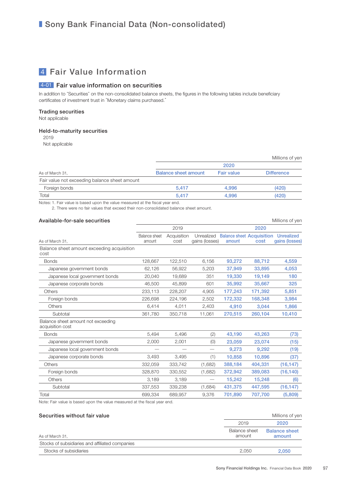### 4 Fair Value Information

#### 4-01 Fair value information on securities

In addition to "Securities" on the non-consolidated balance sheets, the figures in the following tables include beneficiary certificates of investment trust in "Monetary claims purchased."

#### Trading securities

Not applicable

#### Held-to-maturity securities

2019 Not applicable

|                                               |                             |                   | Millions of yen   |  |  |  |  |
|-----------------------------------------------|-----------------------------|-------------------|-------------------|--|--|--|--|
|                                               | 2020                        |                   |                   |  |  |  |  |
| As of March 31,                               | <b>Balance sheet amount</b> | <b>Fair value</b> | <b>Difference</b> |  |  |  |  |
| Fair value not exceeding balance sheet amount |                             |                   |                   |  |  |  |  |
| Foreign bonds                                 | 5.417                       | 4.996             | (420)             |  |  |  |  |
| Total                                         | 5.417                       | 4.996             | (420)             |  |  |  |  |

Notes: 1. Fair value is based upon the value measured at the fiscal year end.

2. There were no fair values that exceed their non-consolidated balance sheet amount.

#### Available-for-sale securities and the securities of yen all the securities of yen all the securities of yen all the securities of yen all the securities of yen all the securities of yen all the securities of yen all the se

|                                                        |                                | 2019                |                              |                                                       | 2020    |                |
|--------------------------------------------------------|--------------------------------|---------------------|------------------------------|-------------------------------------------------------|---------|----------------|
| As of March 31.                                        | <b>Balance</b> sheet<br>amount | Acquisition<br>cost | Unrealized<br>gains (losses) | <b>Balance sheet Acquisition Unrealized</b><br>amount | cost    | gains (losses) |
| Balance sheet amount exceeding acquisition<br>cost     |                                |                     |                              |                                                       |         |                |
| <b>Bonds</b>                                           | 128,667                        | 122,510             | 6,156                        | 93,272                                                | 88,712  | 4,559          |
| Japanese government bonds                              | 62,126                         | 56,922              | 5,203                        | 37,949                                                | 33,895  | 4,053          |
| Japanese local government bonds                        | 20,040                         | 19,689              | 351                          | 19,330                                                | 19,149  | 180            |
| Japanese corporate bonds                               | 46,500                         | 45,899              | 601                          | 35,992                                                | 35,667  | 325            |
| Others                                                 | 233,113                        | 228,207             | 4,905                        | 177,243                                               | 171,392 | 5,851          |
| Foreign bonds                                          | 226,698                        | 224,196             | 2,502                        | 172,332                                               | 168,348 | 3,984          |
| Others                                                 | 6,414                          | 4,011               | 2,403                        | 4,910                                                 | 3,044   | 1,866          |
| Subtotal                                               | 361,780                        | 350,718             | 11,061                       | 270,515                                               | 260,104 | 10,410         |
| Balance sheet amount not exceeding<br>acquisition cost |                                |                     |                              |                                                       |         |                |
| <b>Bonds</b>                                           | 5,494                          | 5,496               | (2)                          | 43,190                                                | 43,263  | (73)           |
| Japanese government bonds                              | 2,000                          | 2,001               | (0)                          | 23,059                                                | 23,074  | (15)           |
| Japanese local government bonds                        |                                |                     |                              | 9,273                                                 | 9,292   | (19)           |
| Japanese corporate bonds                               | 3,493                          | 3,495               | (1)                          | 10,858                                                | 10,896  | (37)           |
| <b>Others</b>                                          | 332,059                        | 333,742             | (1,682)                      | 388,184                                               | 404,331 | (16, 147)      |
| Foreign bonds                                          | 328,870                        | 330,552             | (1,682)                      | 372,942                                               | 389,083 | (16, 140)      |
| Others                                                 | 3,189                          | 3,189               |                              | 15,242                                                | 15,248  | (6)            |
| Subtotal                                               | 337,553                        | 339,238             | (1,684)                      | 431,375                                               | 447,595 | (16, 147)      |
| Total                                                  | 699,334                        | 689,957             | 9,376                        | 701,890                                               | 707,700 | (5,809)        |
|                                                        |                                |                     |                              |                                                       |         |                |

Note: Fair value is based upon the value measured at the fiscal year end.

#### Securities without fair value Millions of yen and the Millions of yen and the Millions of yen

|                                                 | 2019                    | 2020                           |
|-------------------------------------------------|-------------------------|--------------------------------|
| As of March 31,                                 | Balance sheet<br>amount | <b>Balance sheet</b><br>amount |
| Stocks of subsidiaries and affiliated companies |                         |                                |
| Stocks of subsidiaries                          | 2.050                   | 2.050                          |
|                                                 |                         |                                |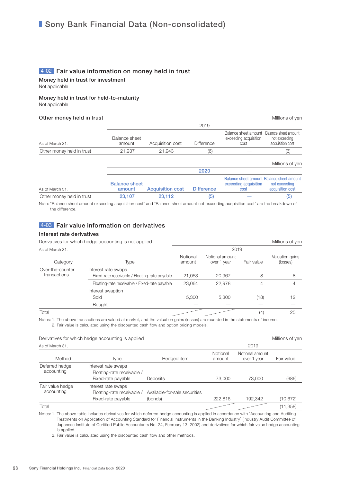#### 4-02 Fair value information on money held in trust

Money held in trust for investment Not applicable

Money held in trust for held-to-maturity

Not applicable

#### Other money held in trust and the state of the state of the Millions of yen

|                           |                                | 2019                    |                   |                                                                            |                                   |  |  |  |
|---------------------------|--------------------------------|-------------------------|-------------------|----------------------------------------------------------------------------|-----------------------------------|--|--|--|
| As of March 31,           | Balance sheet<br>amount        | Acquisition cost        | <b>Difference</b> | Balance sheet amount Balance sheet amount<br>exceeding acquisition<br>cost | not exceeding<br>acquisition cost |  |  |  |
| Other money held in trust | 21,937                         | 21,943                  | (6)               |                                                                            | (6)                               |  |  |  |
|                           |                                |                         |                   |                                                                            | Millions of yen                   |  |  |  |
|                           |                                |                         | 2020              |                                                                            |                                   |  |  |  |
| As of March 31,           | <b>Balance sheet</b><br>amount | <b>Acquisition cost</b> | <b>Difference</b> | Balance sheet amount Balance sheet amount<br>exceeding acquisition<br>cost | not exceeding<br>acquisition cost |  |  |  |
| Other money held in trust | 23.107                         | 23.112                  | (5)               |                                                                            | (5)                               |  |  |  |

Note: "Balance sheet amount exceeding acquisition cost" and "Balance sheet amount not exceeding acquisition cost" are the breakdown of the difference.

#### 4-03 Fair value information on derivatives

#### Interest rate derivatives

| Derivatives for which hedge accounting is not applied |                                                                      |                    |                                | Millions of yen |                             |  |
|-------------------------------------------------------|----------------------------------------------------------------------|--------------------|--------------------------------|-----------------|-----------------------------|--|
| As of March 31,                                       |                                                                      | 2019               |                                |                 |                             |  |
| Category                                              | Type                                                                 | Notional<br>amount | Notional amount<br>over 1 year | Fair value      | Valuation gains<br>(losses) |  |
| Over-the-counter<br>transactions                      | Interest rate swaps<br>Fixed-rate receivable / Floating-rate payable | 21,053             | 20,967                         | 8               | 8                           |  |
|                                                       | Floating-rate receivable / Fixed-rate payable                        | 23,064             | 22,978                         | 4               | 4                           |  |
|                                                       | Interest swaption<br>Sold<br>Bought                                  | 5.300              | 5.300                          | (18)            | 12                          |  |
| Total                                                 |                                                                      |                    |                                | (4)             | 25                          |  |

Notes: 1. The above transactions are valued at market, and the valuation gains (losses) are recorded in the statements of income. 2. Fair value is calculated using the discounted cash flow and option pricing models.

|                                | Derivatives for which hedge accounting is applied                       |                                          |                    | Millions of yen                |            |
|--------------------------------|-------------------------------------------------------------------------|------------------------------------------|--------------------|--------------------------------|------------|
| As of March 31.                |                                                                         |                                          |                    | 2019                           |            |
| Method                         | Type                                                                    | Hedged item                              | Notional<br>amount | Notional amount<br>over 1 year | Fair value |
| Deferred hedge<br>accounting   | Interest rate swaps<br>Floating-rate receivable /<br>Fixed-rate payable | Deposits                                 | 73,000             | 73,000                         | (686)      |
| Fair value hedge<br>accounting | Interest rate swaps<br>Floating-rate receivable /<br>Fixed-rate payable | Available-for-sale securities<br>(bonds) | 222.816            | 192,342                        | (10,672)   |
| Total                          |                                                                         |                                          |                    |                                | (11, 358)  |

Notes: 1. The above table includes derivatives for which deferred hedge accounting is applied in accordance with "Accounting and Auditing Treatments on Application of Accounting Standard for Financial Instruments in the Banking Industry" (Industry Audit Committee of Japanese Institute of Certified Public Accountants No. 24, February 13, 2002) and derivatives for which fair value hedge accounting is applied.

2. Fair value is calculated using the discounted cash flow and other methods.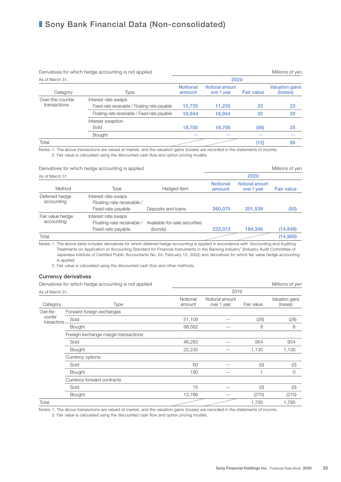|                                  | Derivatives for which hedge accounting is not applied                |                           |                                |                   | Millions of yen                    |  |  |  |
|----------------------------------|----------------------------------------------------------------------|---------------------------|--------------------------------|-------------------|------------------------------------|--|--|--|
| As of March 31,                  |                                                                      | 2020                      |                                |                   |                                    |  |  |  |
| Category                         | Type                                                                 | <b>Notional</b><br>amount | Notional amount<br>over 1 year | <b>Fair value</b> | <b>Valuation gains</b><br>(losses) |  |  |  |
| Over-the-counter<br>transactions | Interest rate swaps<br>Fixed-rate receivable / Floating-rate payable | 15,735                    | 11,235                         | 23                | 23                                 |  |  |  |
|                                  | Floating-rate receivable / Fixed-rate payable                        | 16.944                    | 16,944                         | 20                | 20                                 |  |  |  |
|                                  | Interest swaption<br>Sold                                            | 18.700                    | 18,700                         | (56)              | 25                                 |  |  |  |
|                                  | <b>Bought</b>                                                        |                           |                                |                   |                                    |  |  |  |
| Total                            |                                                                      |                           |                                | (12)              | 68                                 |  |  |  |

Notes: 1. The above transactions are valued at market, and the valuation gains (losses) are recorded in the statements of income. 2. Fair value is calculated using the discounted cash flow and option pricing models.

 $Derivative of a which belong a coordinate is applied$ 

|                                | DUTRAINGS TOF WITHOLF HOUGH ACCOUNTING TO APPITCH                       |                                          |                           |                                | <b>TVITHIOTIO UT YULL</b> |
|--------------------------------|-------------------------------------------------------------------------|------------------------------------------|---------------------------|--------------------------------|---------------------------|
| As of March 31,                |                                                                         |                                          |                           | 2020                           |                           |
| Method                         | Type                                                                    | Hedged item                              | <b>Notional</b><br>amount | Notional amount<br>over 1 year | <b>Fair value</b>         |
| Deferred hedge<br>accounting   | Interest rate swaps<br>Floating-rate receivable /<br>Fixed-rate payable | Deposits and loans                       | 260.075                   | 201,539                        | (50)                      |
| Fair value hedge<br>accounting | Interest rate swaps<br>Floating-rate receivable /<br>Fixed-rate payable | Available-for-sale securities<br>(bonds) | 223.013                   | 184.346                        | (14, 849)                 |
| Total                          |                                                                         |                                          |                           |                                | (14,900)                  |
|                                |                                                                         |                                          |                           |                                |                           |

Notes: 1. The above table includes derivatives for which deferred hedge accounting is applied in accordance with "Accounting and Auditing Treatments on Application of Accounting Standard for Financial Instruments in the Banking Industry" (Industry Audit Committee of Japanese Institute of Certified Public Accountants No. 24, February 13, 2002) and derivatives for which fair value hedge accounting is applied.

2. Fair value is calculated using the discounted cash flow and other methods.

#### Currency derivatives

|                         | Derivatives for which hedge accounting is not applied | Millions of yen    |                                |            |                             |
|-------------------------|-------------------------------------------------------|--------------------|--------------------------------|------------|-----------------------------|
| As of March 31,         |                                                       |                    | 2019                           |            |                             |
| Category                | Type                                                  | Notional<br>amount | Notional amount<br>over 1 year | Fair value | Valuation gains<br>(losses) |
| Over-the-               | Forward foreign exchanges                             |                    |                                |            |                             |
| counter<br>transactions | Sold                                                  | 51,109             |                                | (28)       | (28)                        |
|                         | <b>Bought</b>                                         | 98,562             |                                | 8          | 8                           |
|                         | Foreign exchange margin transactions                  |                    |                                |            |                             |
|                         | Sold                                                  | 46,283             |                                | 954        | 954                         |
|                         | <b>Bought</b>                                         | 22,230             |                                | 1,130      | 1,130                       |
|                         | Currency options                                      |                    |                                |            |                             |
|                         | Sold                                                  | 60                 |                                | (0)        | (0)                         |
|                         | <b>Bought</b>                                         | 190                |                                |            | $\Omega$                    |
|                         | Currency forward contracts                            |                    |                                |            |                             |
|                         | Sold                                                  | 15                 |                                | (0)        | (0)                         |
|                         | <b>Bought</b>                                         | 12,786             |                                | (270)      | (270)                       |
| Total                   |                                                       |                    |                                | 1,795      | 1,795                       |

Notes: 1. The above transactions are valued at market, and the valuation gains (losses) are recorded in the statements of income.

2. Fair value is calculated using the discounted cash flow and option pricing models.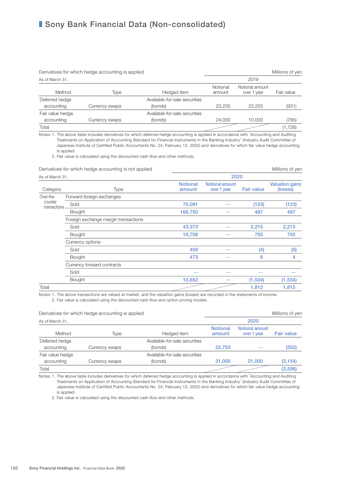| Derivatives for which hedge accounting is applied |                | Millions of yen               |                    |                                |            |  |
|---------------------------------------------------|----------------|-------------------------------|--------------------|--------------------------------|------------|--|
| As of March 31.                                   |                |                               |                    | 2019                           |            |  |
| Method                                            | Type           | Hedged item                   | Notional<br>amount | Notional amount<br>over 1 year | Fair value |  |
| Deferred hedge                                    |                | Available-for-sale securities |                    |                                |            |  |
| accounting                                        | Currency swaps | (bonds)                       | 23.255             | 23.255                         | (931)      |  |
| Fair value hedge                                  |                | Available-for-sale securities |                    |                                |            |  |
| accounting                                        | Currency swaps | (bonds)                       | 24.000             | 10,000                         | (795)      |  |
| Total                                             |                |                               |                    |                                | (1,726)    |  |

Notes: 1. The above table includes derivatives for which deferred hedge accounting is applied in accordance with "Accounting and Auditing Treatments on Application of Accounting Standard for Financial Instruments in the Banking Industry" (Industry Audit Committee of Japanese Institute of Certified Public Accountants No. 24, February 13, 2002) and derivatives for which fair value hedge accounting is applied.

2. Fair value is calculated using the discounted cash flow and other methods.

|                         | Derivatives for which hedge accounting is not applied |                           | Millions of yen                |                   |                                    |  |  |  |  |
|-------------------------|-------------------------------------------------------|---------------------------|--------------------------------|-------------------|------------------------------------|--|--|--|--|
| As of March 31,         |                                                       |                           | 2020                           |                   |                                    |  |  |  |  |
| Category                | Type                                                  | <b>Notional</b><br>amount | Notional amount<br>over 1 year | <b>Fair value</b> | <b>Valuation gains</b><br>(losses) |  |  |  |  |
| Over-the-               | Forward foreign exchanges                             |                           |                                |                   |                                    |  |  |  |  |
| counter<br>transactions | Sold                                                  | 70,091                    |                                | (123)             | (123)                              |  |  |  |  |
|                         | <b>Bought</b>                                         | 168,750                   |                                | 497               | 497                                |  |  |  |  |
|                         | Foreign exchange margin transactions                  |                           |                                |                   |                                    |  |  |  |  |
|                         | Sold                                                  | 43,373                    |                                | 2,215             | 2,215                              |  |  |  |  |
|                         | <b>Bought</b>                                         | 18,706                    |                                | 755               | 755                                |  |  |  |  |
|                         | Currency options                                      |                           |                                |                   |                                    |  |  |  |  |
|                         | Sold                                                  | 459                       |                                | (4)               | (0)                                |  |  |  |  |
|                         | Bought                                                | 473                       |                                | 6                 | 4                                  |  |  |  |  |
|                         | Currency forward contracts                            |                           |                                |                   |                                    |  |  |  |  |
|                         | Sold                                                  |                           |                                |                   |                                    |  |  |  |  |
|                         | <b>Bought</b>                                         | 10,652                    |                                | (1,534)           | (1,534)                            |  |  |  |  |
| Total                   |                                                       |                           |                                | 1,812             | 1,815                              |  |  |  |  |

Notes: 1. The above transactions are valued at market, and the valuation gains (losses) are recorded in the statements of income. 2. Fair value is calculated using the discounted cash flow and option pricing models.

| Derivatives for which hedge accounting is applied |                |                               | Millions of yen           |                                |                   |
|---------------------------------------------------|----------------|-------------------------------|---------------------------|--------------------------------|-------------------|
| As of March 31,                                   |                |                               |                           | 2020                           |                   |
| Method                                            | Type           | Hedged item                   | <b>Notional</b><br>amount | Notional amount<br>over 1 year | <b>Fair value</b> |
| Deferred hedge                                    |                | Available-for-sale securities |                           |                                |                   |
| accounting                                        | Currency swaps | (bonds)                       | 22.753                    |                                | (352)             |
| Fair value hedge                                  |                | Available-for-sale securities |                           |                                |                   |
| accounting                                        | Currency swaps | (bonds)                       | 31,000                    | 21,000                         | (3, 154)          |
| Total                                             |                |                               |                           |                                | (3,506)           |

Notes: 1. The above table includes derivatives for which deferred hedge accounting is applied in accordance with "Accounting and Auditing Treatments on Application of Accounting Standard for Financial Instruments in the Banking Industry" (Industry Audit Committee of Japanese Institute of Certified Public Accountants No. 24, February 13, 2002) and derivatives for which fair value hedge accounting is applied.

2. Fair value is calculated using the discounted cash flow and other methods.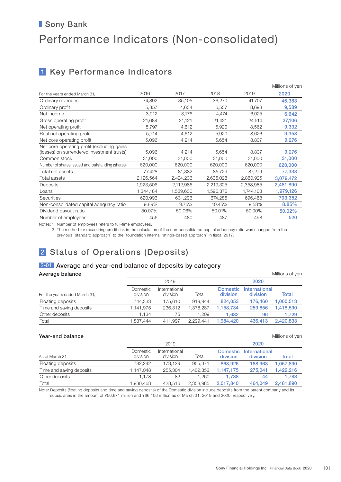# ■ Sony Bank Performance Indicators (Non-consolidated)

### 1 Key Performance Indicators

|           |           |           |           | Millions of yen |
|-----------|-----------|-----------|-----------|-----------------|
| 2016      | 2017      | 2018      | 2019      | 2020            |
| 34,892    | 35,105    | 36,270    | 41,707    | 45,383          |
| 5,857     | 4,634     | 6,557     | 8,698     | 9,589           |
| 3,912     | 3,176     | 4,474     | 6,025     | 6,642           |
| 21,684    | 21,121    | 21,421    | 24,514    | 27,106          |
| 5,797     | 4,612     | 5,920     | 8,562     | 9,332           |
| 5,714     | 4,612     | 5,920     | 8,626     | 9,358           |
| 5,096     | 4,214     | 5,654     | 8,837     | 9,276           |
| 5,096     | 4,214     | 5,654     | 8,837     | 9,276           |
| 31,000    | 31,000    | 31,000    | 31,000    | 31,000          |
| 620,000   | 620,000   | 620,000   | 620,000   | 620,000         |
| 77,428    | 81,332    | 85,729    | 87,279    | 77,338          |
| 2,126,564 | 2,424,236 | 2,635,028 | 2,860,925 | 3,079,472       |
| 1,923,506 | 2,112,985 | 2,219,325 | 2,358,985 | 2,481,890       |
| 1,344,184 | 1,539,630 | 1,596,376 | 1,744,103 | 1,979,126       |
| 620,993   | 631,296   | 674,285   | 696,468   | 703,352         |
| 9.89%     | 9.75%     | 10.45%    | 9.58%     | 8.85%           |
| 50.07%    | 50.06%    | 50.01%    | 50.00%    | 50.02%          |
| 456       | 480       | 487       | 498       | 520             |
|           |           |           |           |                 |

Notes: 1. Number of employees refers to full-time employees.

 2. The method for measuring credit risk in the calculation of the non-consolidated capital adequacy ratio was changed from the previous "standard approach" to the "foundation internal ratings-based approach" in fiscal 2017.

### 2 Status of Operations (Deposits)

#### 2-01 Average and year-end balance of deposits by category

**Average balance** Millions of yen

| ້                             |                      |                           |           |                             |                           |           |
|-------------------------------|----------------------|---------------------------|-----------|-----------------------------|---------------------------|-----------|
|                               |                      | 2019                      |           |                             | 2020                      |           |
| For the years ended March 31, | Domestic<br>division | International<br>division | Total     | <b>Domestic</b><br>division | International<br>division | Total     |
| Floating deposits             | 744.333              | 175.610                   | 919.944   | 824.053                     | 176.460                   | 1,000,513 |
| Time and saving deposits      | 1,141,975            | 236.312                   | 1.378.287 | 1.158.734                   | 259.856                   | 1,418,590 |
| Other deposits                | 1.134                | 75                        | 1.209     | 1.632                       | 96                        | 1.729     |
| Total                         | 887.444              | 411.997                   | 2.299.441 | 1.984.420                   | 436,413                   | 2,420,833 |

#### **Year-end balance** Millions of yen

|                          |                      | 2019                      |           |                             | 2020                      |              |
|--------------------------|----------------------|---------------------------|-----------|-----------------------------|---------------------------|--------------|
| As of March 31,          | Domestic<br>division | International<br>division | Total     | <b>Domestic</b><br>division | International<br>division | <b>Total</b> |
| Floating deposits        | 782.242              | 173.129                   | 955.371   | 868,926                     | 188,963                   | 1.057.890    |
| Time and saving deposits | 1,147,048            | 255.304                   | 1,402,352 | 1.147.175                   | 275,041                   | 1,422,216    |
| Other deposits           | 1.178                | 82                        | .260      | 1.738                       | 44                        | 1.783        |
| Total                    | 1.930.468            | 428.516                   | 2,358,985 | 2.017.840                   | 464.049                   | 2,481,890    |

Note: Deposits (floating deposits and time and saving deposits) of the Domestic division include deposits from the parent company and its subsidiaries in the amount of ¥56,671 million and ¥66,106 million as of March 31, 2019 and 2020, respectively.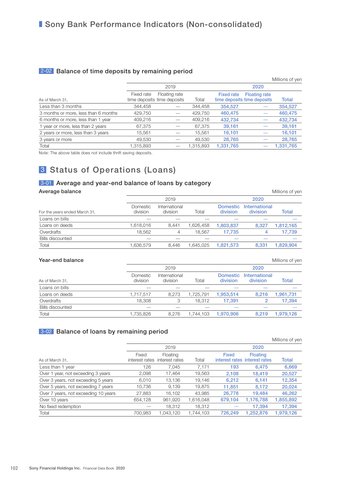#### 2-02 Balance of time deposits by remaining period

|                                      |            |                                              |           |                   |                                                     | Millions of yen |
|--------------------------------------|------------|----------------------------------------------|-----------|-------------------|-----------------------------------------------------|-----------------|
|                                      |            | 2019                                         |           |                   | 2020                                                |                 |
| As of March 31,                      | Fixed rate | Floating rate<br>time deposits time deposits | Total     | <b>Fixed rate</b> | <b>Floating rate</b><br>time deposits time deposits | <b>Total</b>    |
| Less than 3 months                   | 344,458    |                                              | 344,458   | 354.527           |                                                     | 354,527         |
| 3 months or more, less than 6 months | 429,750    |                                              | 429,750   | 460,475           |                                                     | 460,475         |
| 6 months or more, less than 1 year   | 409,216    |                                              | 409.216   | 432,734           |                                                     | 432,734         |
| 1 year or more, less than 2 years    | 67,375     |                                              | 67,375    | 39.161            |                                                     | 39,161          |
| 2 years or more, less than 3 years   | 15,561     |                                              | 15,561    | 16.101            |                                                     | 16,101          |
| 3 years or more                      | 49,530     |                                              | 49.530    | 28.765            |                                                     | 28,765          |
| Total                                | 1.315.893  |                                              | 1.315.893 | 1.331.765         |                                                     | 1.331.765       |

Note: The above table does not include thrift saving deposits.

### 3 Status of Operations (Loans)

#### **3-01** Average and year-end balance of loans by category

| Average balance               |                      |                           |           |                             |                           | Millions of yen |
|-------------------------------|----------------------|---------------------------|-----------|-----------------------------|---------------------------|-----------------|
|                               |                      | 2019                      |           |                             | 2020                      |                 |
| For the years ended March 31, | Domestic<br>division | International<br>division | Total     | <b>Domestic</b><br>division | International<br>division | Total           |
| Loans on bills                |                      |                           |           |                             |                           |                 |
| Loans on deeds                | 1,618,016            | 8.441                     | 1.626.458 | 1.803.837                   | 8.327                     | 1,812,165       |
| Overdrafts                    | 18.562               | 4                         | 18.567    | 17.735                      | 4                         | 17,739          |
| <b>Bills discounted</b>       |                      |                           |           |                             |                           |                 |
| Total                         | 1,636,579            | 8.446                     | 1.645.025 | 1.821.573                   | 8.331                     | 1.829.904       |

#### **Year-end balance** Millions of yen

|                         |                      | 2019                      |           |                             | 2020                      |           |
|-------------------------|----------------------|---------------------------|-----------|-----------------------------|---------------------------|-----------|
| As of March 31,         | Domestic<br>division | International<br>division | Total     | <b>Domestic</b><br>division | International<br>division | Total     |
| Loans on bills          |                      |                           |           |                             |                           |           |
| Loans on deeds          | 1,717,517            | 8.273                     | 1.725.791 | 1.953.514                   | 8.216                     | .961.731  |
| Overdrafts              | 18,308               |                           | 18.312    | 17.391                      |                           | 17.394    |
| <b>Bills discounted</b> |                      |                           |           |                             |                           |           |
| Total                   | 1,735,826            | 8.276                     | 1.744.103 | 1.970.906                   | 8.219                     | 1.979.126 |

#### 3-02 Balance of loans by remaining period

|                                      |                         |                            |           |                                        |                 | Millions of yen |
|--------------------------------------|-------------------------|----------------------------|-----------|----------------------------------------|-----------------|-----------------|
|                                      |                         | 2019                       |           |                                        | 2020            |                 |
| As of March 31.                      | Fixed<br>interest rates | Floating<br>interest rates | Total     | Fixed<br>interest rates interest rates | <b>Floating</b> | <b>Total</b>    |
| Less than 1 year                     | 126                     | 7.045                      | 7.171     | 193                                    | 6,475           | 6,669           |
| Over 1 year, not exceeding 3 years   | 2,098                   | 17,464                     | 19,563    | 2,108                                  | 18,419          | 20,527          |
| Over 3 years, not exceeding 5 years  | 6,010                   | 13.136                     | 19,146    | 6.212                                  | 6,141           | 12,354          |
| Over 5 years, not exceeding 7 years  | 10,736                  | 9.139                      | 19.875    | 11,851                                 | 8,172           | 20,024          |
| Over 7 years, not exceeding 10 years | 27,883                  | 16.102                     | 43.985    | 26,778                                 | 19,484          | 46,262          |
| Over 10 years                        | 654.128                 | 961,920                    | 1,616,048 | 679,104                                | 1,176,788       | 1,855,892       |
| No fixed redemption                  |                         | 18,312                     | 18,312    |                                        | 17.394          | 17,394          |
| Total                                | 700.983                 | .043.120                   | 1.744.103 | 726.249                                | 1.252.876       | 1,979,126       |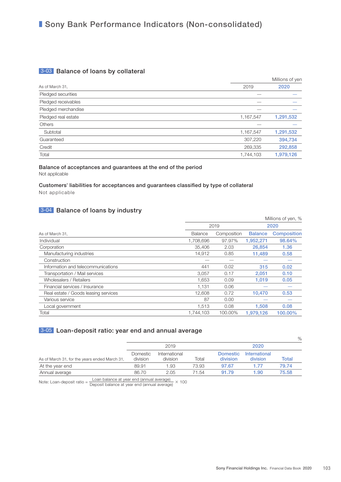### ■ Sony Bank Performance Indicators (Non-consolidated)

### 3-03 Balance of loans by collateral

|                     |           | Millions of yen |  |
|---------------------|-----------|-----------------|--|
| As of March 31,     | 2019      | 2020            |  |
| Pledged securities  |           |                 |  |
| Pledged receivables |           |                 |  |
| Pledged merchandise |           |                 |  |
| Pledged real estate | 1,167,547 | 1,291,532       |  |
| Others              |           |                 |  |
| Subtotal            | 1,167,547 | 1,291,532       |  |
| Guaranteed          | 307,220   | 394,734         |  |
| Credit              | 269,335   | 292,858         |  |
| Total               | 1,744,103 | 1,979,126       |  |

#### Balance of acceptances and guarantees at the end of the period Not applicable

#### Customers' liabilities for acceptances and guarantees classified by type of collateral Not applicable

#### 3-04 Balance of loans by industry

|                                      |           |             |                | Millions of yen, % |
|--------------------------------------|-----------|-------------|----------------|--------------------|
|                                      |           | 2019        | 2020           |                    |
| As of March 31,                      | Balance   | Composition | <b>Balance</b> | <b>Composition</b> |
| Individual                           | 1,708,696 | 97.97%      | 1,952,271      | 98.64%             |
| Corporation                          | 35,406    | 2.03        | 26,854         | 1.36               |
| Manufacturing industries             | 14,912    | 0.85        | 11.489         | 0.58               |
| Construction                         |           |             |                |                    |
| Information and telecommunications   | 441       | 0.02        | 315            | 0.02               |
| Transportation / Mail services       | 3,057     | 0.17        | 2,051          | 0.10               |
| Wholesalers / Retailers              | 1,653     | 0.09        | 1,019          | 0.05               |
| Financial services / Insurance       | 1.131     | 0.06        |                |                    |
| Real estate / Goods leasing services | 12.608    | 0.72        | 10.470         | 0.53               |
| Various service                      | 87        | 0.00        |                |                    |
| Local government                     | 1,513     | 0.08        | 1,508          | 0.08               |
| Total                                | 1,744,103 | 100.00%     | 1,979,126      | 100.00%            |

### 3-05 Loan-deposit ratio: year end and annual average

|                                               |                      | 2019                      |       |                             | 2020                      |       |
|-----------------------------------------------|----------------------|---------------------------|-------|-----------------------------|---------------------------|-------|
| As of March 31, for the years ended March 31, | Domestic<br>division | International<br>division | Total | <b>Domestic</b><br>division | International<br>division | Total |
| At the year end                               | 89.91                | l .93                     | 73.93 | 97.67                       | 1.77                      | 79.74 |
| Annual average                                | 86.70                | 2.05                      | 71.54 | 91.79                       | 1.90                      | 75.58 |

Note: Loan-deposit ratio =  $\frac{\text{Loan balance at year end (annual average)}}{\text{Deposit balance at year end (annual average)}} \times 100$ 

 $O/2$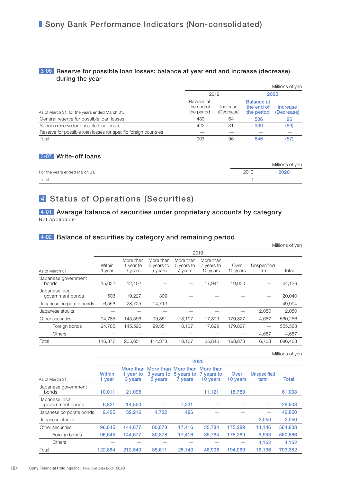#### 3-06 Reserve for possible loan losses: balance at year end and increase (decrease) during the year

|                                                                 |                                        |                        |                                               | Millions of yen        |  |
|-----------------------------------------------------------------|----------------------------------------|------------------------|-----------------------------------------------|------------------------|--|
|                                                                 |                                        | 2019                   | 2020                                          |                        |  |
| As of March 31, for the years ended March 31,                   | Balance at<br>the end of<br>the period | Increase<br>(Decrease) | <b>Balance at</b><br>the end of<br>the period | Increase<br>(Decrease) |  |
| General reserve for possible loan losses                        | 480                                    | 64                     | 506                                           | 26                     |  |
| Specific reserve for possible loan losses                       | 422                                    | 31                     | 339                                           | (83)                   |  |
| Reserve for possible loan losses for specific foreign countries |                                        |                        |                                               |                        |  |
| Total                                                           | 903                                    | 96                     | 846                                           | (57                    |  |

#### 3-07 Write-off loans

|                               |      | Millions of yen          |
|-------------------------------|------|--------------------------|
| For the years ended March 31, | 2019 | 2020                     |
| Total                         |      | $\overline{\phantom{a}}$ |

### 4 Status of Operations (Securities)

4-01 Average balance of securities under proprietary accounts by category Not applicable

#### 4-02 Balance of securities by category and remaining period

|                                    |                  |                                   |                                    |                                    |                                     |                  |                     | Millions of yen |  |  |
|------------------------------------|------------------|-----------------------------------|------------------------------------|------------------------------------|-------------------------------------|------------------|---------------------|-----------------|--|--|
|                                    | 2019             |                                   |                                    |                                    |                                     |                  |                     |                 |  |  |
| As of March 31,                    | Within<br>1 year | More than<br>1 year to<br>3 years | More than<br>3 years to<br>5 years | More than<br>5 years to<br>7 years | More than<br>7 years to<br>10 years | Over<br>10 years | Unspecified<br>term | Total           |  |  |
| Japanese government<br>bonds       | 15,032           | 12,102                            |                                    |                                    | 17,941                              | 19,050           |                     | 64,126          |  |  |
| Japanese local<br>government bonds | 503              | 19,227                            | 309                                |                                    |                                     |                  |                     | 20,040          |  |  |
| Japanese corporate bonds           | 6,556            | 28,725                            | 14,713                             |                                    |                                     |                  |                     | 49,994          |  |  |
| Japanese stocks                    |                  |                                   |                                    |                                    |                                     |                  | 2,050               | 2,050           |  |  |
| Other securities                   | 94,785           | 145,596                           | 99,351                             | 18,107                             | 17,899                              | 179,827          | 4,687               | 560,256         |  |  |
| Foreign bonds                      | 94,785           | 145,596                           | 99,351                             | 18,107                             | 17.899                              | 179,827          |                     | 555,568         |  |  |
| <b>Others</b>                      |                  |                                   |                                    |                                    |                                     |                  | 4,687               | 4,687           |  |  |
| Total                              | 116.877          | 205.651                           | 114.373                            | 18.107                             | 35,840                              | 198.878          | 6.738               | 696.468         |  |  |

Millions of yen

|                                    | 2020                    |                      |                                                                  |                                  |          |                  |                            |         |  |  |
|------------------------------------|-------------------------|----------------------|------------------------------------------------------------------|----------------------------------|----------|------------------|----------------------------|---------|--|--|
| As of March 31,                    | <b>Within</b><br>1 year | 1 year to<br>3 years | More than More than More than More than<br>3 years to<br>5 years | 5 years to 7 years to<br>7 years | 10 years | Over<br>10 years | <b>Unspecified</b><br>term | Total   |  |  |
| Japanese government<br>bonds       | 10.011                  | 21,095               |                                                                  |                                  | 11,121   | 18,780           |                            | 61,008  |  |  |
| Japanese local<br>government bonds | 6.821                   | 14.550               |                                                                  | 7.231                            |          |                  |                            | 28,603  |  |  |
| Japanese corporate bonds           | 9,405                   | 32,216               | 4,732                                                            | 496                              |          |                  |                            | 46,850  |  |  |
| Japanese stocks                    |                         |                      |                                                                  |                                  |          |                  | 2.050                      | 2.050   |  |  |
| Other securities                   | 96.645                  | 144.677              | 80,878                                                           | 17.416                           | 35.784   | 175.289          | 14.146                     | 564,838 |  |  |
| Foreign bonds                      | 96.645                  | 144,677              | 80,878                                                           | 17,416                           | 35.784   | 175.289          | 9,993                      | 560,686 |  |  |
| <b>Others</b>                      |                         |                      |                                                                  |                                  |          |                  | 4.152                      | 4,152   |  |  |
| Total                              | 122.884                 | 212.540              | 85.611                                                           | 25.143                           | 46,906   | 194.069          | 16.196                     | 703.352 |  |  |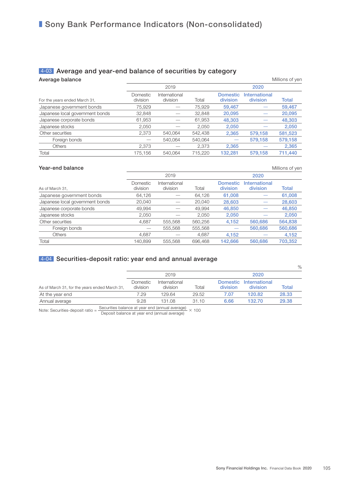### ■ Sony Bank Performance Indicators (Non-consolidated)

### 4-03 Average and year-end balance of securities by category

| Average balance                 |                      |                           |         |                             |                           | Millions of yen |
|---------------------------------|----------------------|---------------------------|---------|-----------------------------|---------------------------|-----------------|
|                                 |                      | 2019                      |         |                             | 2020                      |                 |
| For the years ended March 31,   | Domestic<br>division | International<br>division | Total   | <b>Domestic</b><br>division | International<br>division | <b>Total</b>    |
| Japanese government bonds       | 75,929               |                           | 75,929  | 59,467                      |                           | 59,467          |
| Japanese local government bonds | 32,848               |                           | 32,848  | 20,095                      |                           | 20,095          |
| Japanese corporate bonds        | 61,953               |                           | 61,953  | 48,303                      |                           | 48,303          |
| Japanese stocks                 | 2.050                |                           | 2.050   | 2,050                       |                           | 2,050           |
| Other securities                | 2,373                | 540.064                   | 542.438 | 2,365                       | 579,158                   | 581,523         |
| Foreign bonds                   |                      | 540,064                   | 540,064 |                             | 579,158                   | 579,158         |
| <b>Others</b>                   | 2,373                |                           | 2,373   | 2,365                       |                           | 2,365           |
| Total                           | 175.156              | 540.064                   | 715.220 | 132.281                     | 579.158                   | 711,440         |

#### **Year-end balance** Millions of yen

|                                 |                      | 2019                      |         |                             | 2020                      |              |
|---------------------------------|----------------------|---------------------------|---------|-----------------------------|---------------------------|--------------|
| As of March 31,                 | Domestic<br>division | International<br>division | Total   | <b>Domestic</b><br>division | International<br>division | <b>Total</b> |
| Japanese government bonds       | 64,126               |                           | 64,126  | 61,008                      |                           | 61,008       |
| Japanese local government bonds | 20,040               |                           | 20.040  | 28,603                      |                           | 28,603       |
| Japanese corporate bonds        | 49.994               |                           | 49.994  | 46,850                      |                           | 46,850       |
| Japanese stocks                 | 2,050                |                           | 2.050   | 2,050                       |                           | 2,050        |
| Other securities                | 4,687                | 555,568                   | 560,256 | 4,152                       | 560,686                   | 564,838      |
| Foreign bonds                   |                      | 555,568                   | 555,568 |                             | 560,686                   | 560,686      |
| <b>Others</b>                   | 4.687                |                           | 4,687   | 4,152                       |                           | 4,152        |
| Total                           | 140.899              | 555,568                   | 696,468 | 142,666                     | 560,686                   | 703.352      |
|                                 |                      |                           |         |                             |                           |              |

### **4-04** Securities-deposit ratio: year end and annual average

|                                               |                      |                           |       |          |                                    | $\%$  |
|-----------------------------------------------|----------------------|---------------------------|-------|----------|------------------------------------|-------|
|                                               |                      | 2019                      |       |          | 2020                               |       |
| As of March 31, for the years ended March 31, | Domestic<br>division | International<br>division | Total | division | Domestic International<br>division | Total |
| At the year end                               | 7.29                 | 129.64                    | 29.52 | 7.07     | 120.82                             | 28.33 |
| Annual average                                | 9.28                 | 131.08                    | 31.10 | 6.66     | 132.70                             | 29.38 |

Note: Securities-deposit ratio =  $\frac{\text{Securities balance at year end (annual average)}}{\text{Deposit balance at year end (annual average)}} \times 100$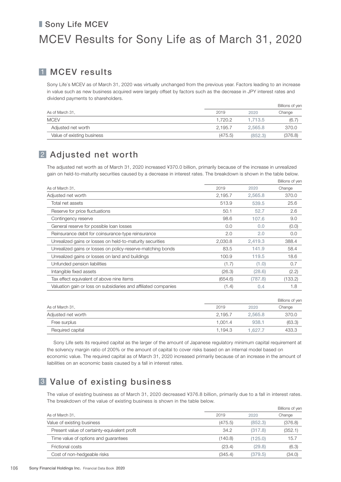# ■ Sony Life MCEV MCEV Results for Sony Life as of March 31, 2020

### 1 MCEV results

Sony Life's MCEV as of March 31, 2020 was virtually unchanged from the previous year. Factors leading to an increase in value such as new business acquired were largely offset by factors such as the decrease in JPY interest rates and dividend payments to shareholders.

|                            |         |         | Billions of yen |
|----------------------------|---------|---------|-----------------|
| As of March 31,            | 2019    | 2020    | Change          |
| <b>MCEV</b>                | 1.720.2 | 1.713.5 | (6.7)           |
| Adjusted net worth         | 2.195.7 | 2.565.8 | 370.0           |
| Value of existing business | (475.5) | (852.3) | (376.8)         |

### 2 Adjusted net worth

The adjusted net worth as of March 31, 2020 increased ¥370.0 billion, primarily because of the increase in unrealized gain on held-to-maturity securities caused by a decrease in interest rates. The breakdown is shown in the table below.

|                                                                 | Billions of yen |         |         |
|-----------------------------------------------------------------|-----------------|---------|---------|
| As of March 31,                                                 | 2019            | 2020    | Change  |
| Adjusted net worth                                              | 2,195.7         | 2,565.8 | 370.0   |
| Total net assets                                                | 513.9           | 539.5   | 25.6    |
| Reserve for price fluctuations                                  | 50.1            | 52.7    | 2.6     |
| Contingency reserve                                             | 98.6            | 107.6   | 9.0     |
| General reserve for possible loan losses                        | 0.0             | 0.0     | (0.0)   |
| Reinsurance debit for coinsurance-type reinsurance              | 2.0             | 2.0     | 0.0     |
| Unrealized gains or losses on held-to-maturity securities       | 2,030.8         | 2.419.3 | 388.4   |
| Unrealized gains or losses on policy-reserve-matching bonds     | 83.5            | 141.9   | 58.4    |
| Unrealized gains or losses on land and buildings                | 100.9           | 119.5   | 18.6    |
| Unfunded pension liabilities                                    | (1.7)           | (1.0)   | 0.7     |
| Intangible fixed assets                                         | (26.3)          | (28.6)  | (2.2)   |
| Tax effect equivalent of above nine items                       | (654.6)         | (787.8) | (133.2) |
| Valuation gain or loss on subsidiaries and affiliated companies | (1.4)           | 0.4     | 1.8     |
|                                                                 |                 |         |         |

| As of March 31,    |         |         |        |  |
|--------------------|---------|---------|--------|--|
|                    | 2019    | 2020    | Change |  |
| Adjusted net worth | 2.195.7 | 2.565.8 | 370.0  |  |
| Free surplus       | 1.001.4 | 938.1   | (63.3) |  |
| Required capital   | 1.194.3 | 1.627.7 | 433.3  |  |

Sony Life sets its required capital as the larger of the amount of Japanese regulatory minimum capital requirement at the solvency margin ratio of 200% or the amount of capital to cover risks based on an internal model based on economic value. The required capital as of March 31, 2020 increased primarily because of an increase in the amount of liabilities on an economic basis caused by a fall in interest rates.

## 3 Value of existing business

The value of existing business as of March 31, 2020 decreased ¥376.8 billion, primarily due to a fall in interest rates. The breakdown of the value of existing business is shown in the table below.

|                                              |         | Billions of yen |         |  |
|----------------------------------------------|---------|-----------------|---------|--|
| As of March 31.                              | 2019    | 2020            | Change  |  |
| Value of existing business                   | (475.5) | (852.3)         | (376.8) |  |
| Present value of certainty-equivalent profit | 34.2    | (317.8)         | (352.1) |  |
| Time value of options and quarantees         | (140.8) | (125.0)         | 15.7    |  |
| Frictional costs                             | (23.4)  | (29.8)          | (6.3)   |  |
| Cost of non-hedgeable risks                  | (345.4) | (379.5)         | (34.0)  |  |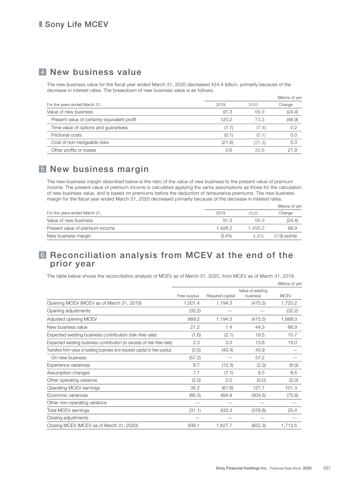### 4 New business value

The new business value for the fiscal year ended March 31, 2020 decreased ¥24.4 billion, primarily because of the decrease in interest rates. The breakdown of new business value is as follows:

|                                              |        |        | Billions of yen |
|----------------------------------------------|--------|--------|-----------------|
| For the years ended March 31,                | 2019   | 2020   | Change          |
| Value of new business                        | 91.3   | 66.9   | (24.4)          |
| Present value of certainty-equivalent profit | 120.2  | 73.2   | (46.9)          |
| Time value of options and guarantees         | (7.7)  | (7.4)  | 0.2             |
| Frictional costs                             | (0.1)  | (0.1)  | 0.0             |
| Cost of non-hedgeable risks                  | (21.6) | (21.3) | 0.3             |
| Other profits or losses                      | 0.6    | 22.6   | 21.9            |
|                                              |        |        |                 |

## 5 New business margin

The new business margin described below is the ratio of the value of new business to the present value of premium income. The present value of premium income is calculated applying the same assumptions as those for the calculation of new business value, and is based on premiums before the deduction of reinsurance premiums. The new business margin for the fiscal year ended March 31, 2020 decreased primarily because of the decrease in interest rates.

|                                 |         |         | Billions of yen |
|---------------------------------|---------|---------|-----------------|
| For the years ended March 31,   | 2019    | 2020    | Change          |
| Value of new business           | 91.3    | 66.9    | (24.4)          |
| Present value of premium income | 1.426.2 | 1.495.2 | 68.9            |
| New business margin             | 6.4%    | $4.5\%$ | $(1.9)$ points  |

### 6 Reconciliation analysis from MCEV at the end of the prior year

The table below shows the reconciliation analysis of MCEV as of March 31, 2020, from MCEV as of March 31, 2019.

|                                                                                | Free surplus | Required capital | Value of existing<br>business | <b>MCEV</b> |
|--------------------------------------------------------------------------------|--------------|------------------|-------------------------------|-------------|
| Opening MCEV (MCEV as of March 31, 2019)                                       | 1,001.4      | 1,194.3          | (475.5)                       | 1,720.2     |
| Opening adjustments                                                            | (32.2)       |                  |                               | (32.2)      |
| Adjusted opening MCEV                                                          | 969.2        | 1,194.3          | (475.5)                       | 1,688.0     |
| New business value                                                             | 21.2         | 1.4              | 44.3                          | 66.9        |
| Expected existing business contribution (risk-free rate)                       | (1.6)        | (2.1)            | 19.5                          | 15.7        |
| Expected existing business contribution (in excess of risk-free rate)          | 2.3          | 3.0              | 13.6                          | 19.0        |
| Transfers from value of existing business and required capital to free surplus | (0.5)        | (43.4)           | 43.9                          |             |
| On new business                                                                | (57.2)       |                  | 57.2                          |             |
| Experience variances                                                           | 8.7          | (15.3)           | (2.3)                         | (8.9)       |
| Assumption changes                                                             | 7.1          | (7.1)            | 8.5                           | 8.5         |
| Other operating variance                                                       | (2.0)        | 2.0              | (0.0)                         | (0.0)       |
| Operating MCEV earnings                                                        | 35.2         | (61.6)           | 127.7                         | 101.3       |
| Economic variances                                                             | (66.3)       | 494.9            | (504.5)                       | (75.8)      |
| Other non-operating variance                                                   |              |                  |                               |             |
| Total MCEV earnings                                                            | (31.1)       | 433.3            | (376.8)                       | 25.4        |
| Closing adjustments                                                            |              |                  |                               |             |
| Closing MCEV (MCEV as of March 31, 2020)                                       | 938.1        | 1,627.7          | (852.3)                       | 1,713.5     |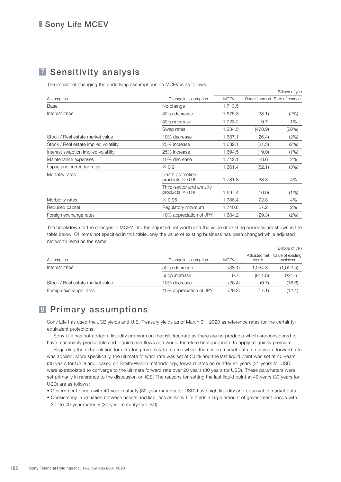# 7 Sensitivity analysis

The impact of changing the underlying assumptions on MCEV is as follows:

|                                        |                                                    |             |         | Billions of yen                 |
|----------------------------------------|----------------------------------------------------|-------------|---------|---------------------------------|
| Assumption                             | Change in assumption                               | <b>MCEV</b> |         | Change in amount Rate of change |
| Base                                   | No change                                          | 1,713.5     |         |                                 |
| Interest rates                         | 50bp decrease                                      | 1,675.3     | (38.1)  | (2%)                            |
|                                        | 50bp increase                                      | 1,723.2     | 9.7     | 1%                              |
|                                        | Swap rates                                         | 1,234.5     | (478.9) | (28%)                           |
| Stock / Real estate market value       | 10% decrease                                       | 1,687.1     | (26.4)  | (2%)                            |
| Stock / Real estate implied volatility | 25% increase                                       | 1,682.1     | (31.3)  | (2%)                            |
| Interest swaption implied volatility   | 25% increase                                       | 1,694.5     | (19.0)  | (1%)                            |
| Maintenance expenses                   | 10% decrease                                       | 1,742.1     | 28.6    | 2%                              |
| Lapse and surrender rates              | $\times 0.9$                                       | 1,661.4     | (52.1)  | (3%)                            |
| Mortality rates                        | Death protection<br>products $\times$ 0.95         | 1,781.8     | 68.3    | 4%                              |
|                                        | Third-sector and annuity<br>products $\times$ 0.95 | 1,697.4     | (16.0)  | (1%)                            |
| Morbidity rates                        | $\times$ 0.95                                      | 1,786.4     | 72.8    | 4%                              |
| Required capital                       | Regulatory minimum                                 | 1,740.8     | 27.2    | 2%                              |
| Foreign exchange rates                 | 10% appreciation of JPY                            | 1,684.2     | (29.3)  | (2%)                            |

The breakdown of the changes in MCEV into the adjusted net worth and the value of existing business are shown in the table below. Of items not specified in this table, only the value of existing business has been changed while adjusted net worth remains the same.

|                                  |                           | Billions of yen |                       |                               |
|----------------------------------|---------------------------|-----------------|-----------------------|-------------------------------|
| Assumption                       | Change in assumption      | <b>MCEV</b>     | Adjusted net<br>worth | Value of existing<br>business |
| Interest rates                   | 50bp decrease             | (38.1)          | 1.054.3               | (1,092.5)                     |
|                                  | 50 <sub>bp</sub> increase | 9.7             | (911.8)               | 921.6                         |
| Stock / Real estate market value | 10% decrease              | (26.4)          | (9.7)                 | (16.6)                        |
| Foreign exchange rates           | 10% appreciation of JPY   | (29.3)          | (17.1)                | (12.1)                        |

### 8 Primary assumptions

Sony Life has used the JGB yields and U.S. Treasury yields as of March 31, 2020 as reference rates for the certaintyequivalent projections.

Sony Life has not added a liquidity premium on the risk-free rate as there are no products which are considered to have reasonably predictable and illiquid cash flows and would therefore be appropriate to apply a liquidity premium.

Regarding the extrapolation for ultra-long term risk-free rates where there is no market data, an ultimate forward rate was applied. More specifically, the ultimate forward rate was set at 3.5% and the last liquid point was set at 40 years (30 years for USD) and, based on Smith-Wilson methodology, forward rates on or after 41 years (31 years for USD) were extrapolated to converge to the ultimate forward rate over 20 years (30 years for USD). These parameters were set primarily in reference to the discussion on ICS. The reasons for setting the last liquid point at 40 years (30 years for USD) are as follows:

- Government bonds with 40-year maturity (30-year maturity for USD) have high liquidity and observable market data.
- Consistency in valuation between assets and liabilities as Sony Life holds a large amount of government bonds with 30- to 40-year maturity (30-year maturity for USD).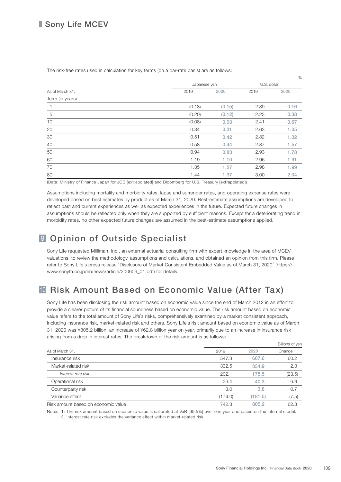### ■ Sony Life MCEV

|                 |              |        |             | $\%$ |
|-----------------|--------------|--------|-------------|------|
|                 | Japanese yen |        | U.S. dollar |      |
| As of March 31, | 2019         | 2020   | 2019        | 2020 |
| Term (in years) |              |        |             |      |
| $\mathbf{1}$    | (0.18)       | (0.15) | 2.39        | 0.16 |
| 5               | (0.20)       | (0.12) | 2.23        | 0.38 |
| 10              | (0.08)       | 0.03   | 2.41        | 0.67 |
| 20              | 0.34         | 0.31   | 2.63        | 1.05 |
| 30              | 0.51         | 0.42   | 2.82        | 1.32 |
| 40              | 0.58         | 0.44   | 2.87        | 1.57 |
| 50              | 0.94         | 0.83   | 2.93        | 1.78 |
| 60              | 1.19         | 1.10   | 2.96        | 1.91 |
| 70              | 1.35         | 1.27   | 2.98        | 1.99 |
| 80              | 1.44         | 1.37   | 3.00        | 2.04 |

The risk-free rates used in calculation for key terms (on a par-rate basis) are as follows:

(Data: Ministry of Finance Japan for JGB [extrapolated] and Bloomberg for U.S. Treasury [extrapolated])

Assumptions including mortality and morbidity rates, lapse and surrender rates, and operating expense rates were developed based on best estimates by product as of March 31, 2020. Best-estimate assumptions are developed to reflect past and current experiences as well as expected experiences in the future. Expected future changes in assumptions should be reflected only when they are supported by sufficient reasons. Except for a deteriorating trend in morbidity rates, no other expected future changes are assumed in the best-estimate assumptions applied.

# 9 Opinion of Outside Specialist

Sony Life requested Milliman, Inc., an external actuarial consulting firm with expert knowledge in the area of MCEV valuations, to review the methodology, assumptions and calculations, and obtained an opinion from this firm. Please refer to Sony Life's press release "Disclosure of Market Consistent Embedded Value as of March 31, 2020" [\(https://](https://www.sonyfh.co.jp/en/news/article/200609_01.pdf) [www.sonyfh.co.jp/en/news/article/200609\\_01.pdf\)](https://www.sonyfh.co.jp/en/news/article/200609_01.pdf) for details.

# <sup>10</sup> Risk Amount Based on Economic Value (After Tax)

Sony Life has been disclosing the risk amount based on economic value since the end of March 2012 in an effort to provide a clearer picture of its financial soundness based on economic value. The risk amount based on economic value refers to the total amount of Sony Life's risks, comprehensively examined by a market consistent approach, including insurance risk, market-related risk and others. Sony Life's risk amount based on economic value as of March 31, 2020 was ¥805.2 billion, an increase of ¥62.8 billion year on year, primarily due to an increase in insurance risk arising from a drop in interest rates. The breakdown of the risk amount is as follows:

|                                     |         |         | Billions of yen |
|-------------------------------------|---------|---------|-----------------|
| As of March 31,                     | 2019    | 2020    | Change          |
| Insurance risk                      | 547.3   | 607.6   | 60.2            |
| Market-related risk                 | 332.5   | 334.9   | 2.3             |
| Interest rate risk                  | 202.1   | 178.5   | (23.5)          |
| Operational risk                    | 33.4    | 40.3    | 6.9             |
| Counterparty risk                   | 3.0     | 3.8     | 0.7             |
| Variance effect                     | (174.0) | (181.5) | (7.5)           |
| Risk amount based on economic value | 742.3   | 805.2   | 62.8            |
|                                     |         |         |                 |

Notes: 1. The risk amount based on economic value is calibrated at VaR [99.5%] over one year and based on the internal model. 2. Interest rate risk excludes the variance effect within market-related risk.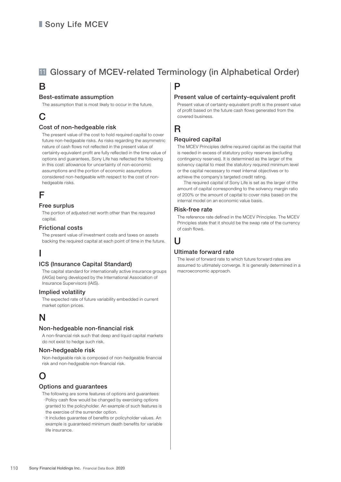# <sup>11</sup> Glossary of MCEV-related Terminology (in Alphabetical Order)

### B

#### Best-estimate assumption

The assumption that is most likely to occur in the future.

# C

#### Cost of non-hedgeable risk

 The present value of the cost to hold required capital to cover future non-hedgeable risks. As risks regarding the asymmetric nature of cash flows not reflected in the present value of certainty-equivalent profit are fully reflected in the time value of options and guarantees, Sony Life has reflected the following in this cost: allowance for uncertainty of non-economic assumptions and the portion of economic assumptions considered non-hedgeable with respect to the cost of nonhedgeable risks.

## F

#### Free surplus

 The portion of adjusted net worth other than the required capital.

#### Frictional costs

 The present value of investment costs and taxes on assets backing the required capital at each point of time in the future.

# I

### ICS (Insurance Capital Standard)

 The capital standard for internationally active insurance groups (IAIGs) being developed by the International Association of Insurance Supervisors (IAIS).

#### Implied volatility

 The expected rate of future variability embedded in current market option prices.

## N

#### Non-hedgeable non-financial risk

 A non-financial risk such that deep and liquid capital markets do not exist to hedge such risk.

#### Non-hedgeable risk

 Non-hedgeable risk is composed of non-hedgeable financial risk and non-hedgeable non-financial risk.

# O

#### Options and guarantees

- The following are some features of options and guarantees: ・ Policy cash flow would be changed by exercising options granted to the policyholder. An example of such features is the exercise of the surrender option.
- ・ It includes guarantee of benefits or policyholder values. An example is guaranteed minimum death benefits for variable life insurance.

### P

### Present value of certainty-equivalent profit

 Present value of certainty-equivalent profit is the present value of profit based on the future cash flows generated from the covered business.

# R

#### Required capital

 The MCEV Principles define required capital as the capital that is needed in excess of statutory policy reserves (excluding contingency reserves). It is determined as the larger of the solvency capital to meet the statutory required minimum level or the capital necessary to meet internal objectives or to achieve the company's targeted credit rating.

The required capital of Sony Life is set as the larger of the amount of capital corresponding to the solvency margin ratio of 200% or the amount of capital to cover risks based on the internal model on an economic value basis.

#### Risk-free rate

 The reference rate defined in the MCEV Principles. The MCEV Principles state that it should be the swap rate of the currency of cash flows.

# U

### Ultimate forward rate

 The level of forward rate to which future forward rates are assumed to ultimately converge. It is generally determined in a macroeconomic approach.